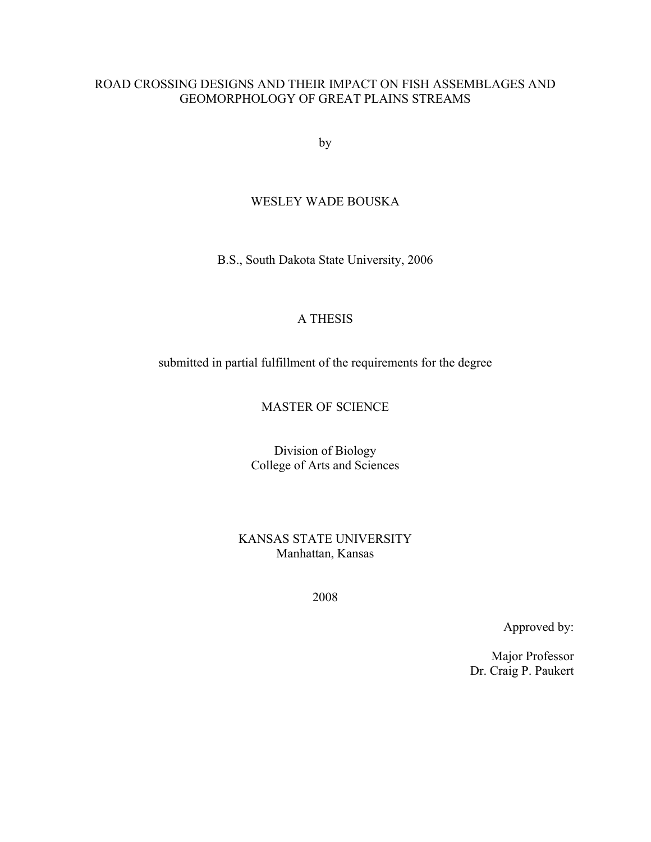#### ROAD CROSSING DESIGNS AND THEIR IMPACT ON FISH ASSEMBLAGES AND GEOMORPHOLOGY OF GREAT PLAINS STREAMS

by

#### WESLEY WADE BOUSKA

B.S., South Dakota State University, 2006

#### A THESIS

submitted in partial fulfillment of the requirements for the degree

#### MASTER OF SCIENCE

Division of Biology College of Arts and Sciences

KANSAS STATE UNIVERSITY Manhattan, Kansas

2008

Approved by:

Major Professor Dr. Craig P. Paukert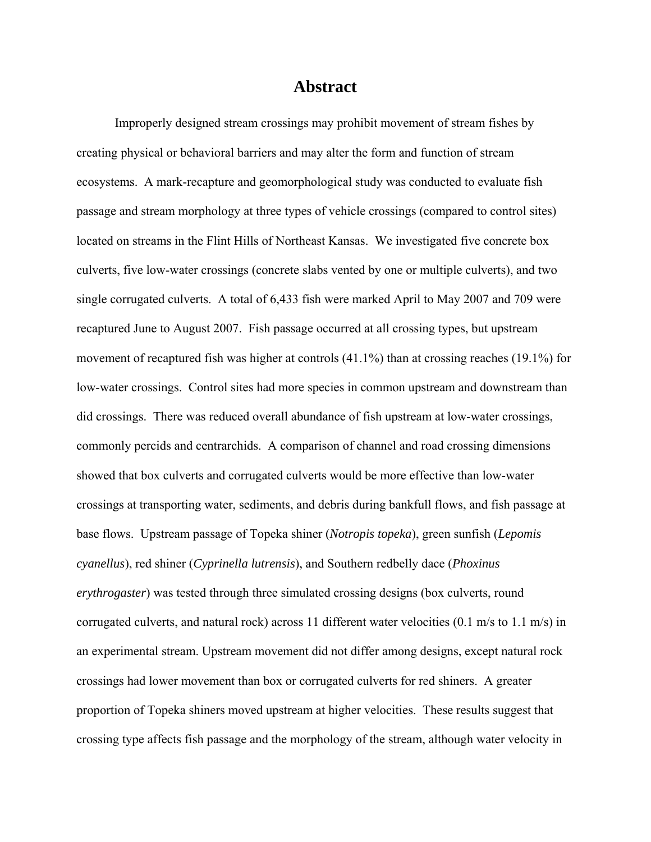### **Abstract**

Improperly designed stream crossings may prohibit movement of stream fishes by creating physical or behavioral barriers and may alter the form and function of stream ecosystems. A mark-recapture and geomorphological study was conducted to evaluate fish passage and stream morphology at three types of vehicle crossings (compared to control sites) located on streams in the Flint Hills of Northeast Kansas. We investigated five concrete box culverts, five low-water crossings (concrete slabs vented by one or multiple culverts), and two single corrugated culverts. A total of 6,433 fish were marked April to May 2007 and 709 were recaptured June to August 2007. Fish passage occurred at all crossing types, but upstream movement of recaptured fish was higher at controls (41.1%) than at crossing reaches (19.1%) for low-water crossings. Control sites had more species in common upstream and downstream than did crossings. There was reduced overall abundance of fish upstream at low-water crossings, commonly percids and centrarchids. A comparison of channel and road crossing dimensions showed that box culverts and corrugated culverts would be more effective than low-water crossings at transporting water, sediments, and debris during bankfull flows, and fish passage at base flows. Upstream passage of Topeka shiner (*Notropis topeka*), green sunfish (*Lepomis cyanellus*), red shiner (*Cyprinella lutrensis*), and Southern redbelly dace (*Phoxinus erythrogaster*) was tested through three simulated crossing designs (box culverts, round corrugated culverts, and natural rock) across 11 different water velocities (0.1 m/s to 1.1 m/s) in an experimental stream. Upstream movement did not differ among designs, except natural rock crossings had lower movement than box or corrugated culverts for red shiners. A greater proportion of Topeka shiners moved upstream at higher velocities. These results suggest that crossing type affects fish passage and the morphology of the stream, although water velocity in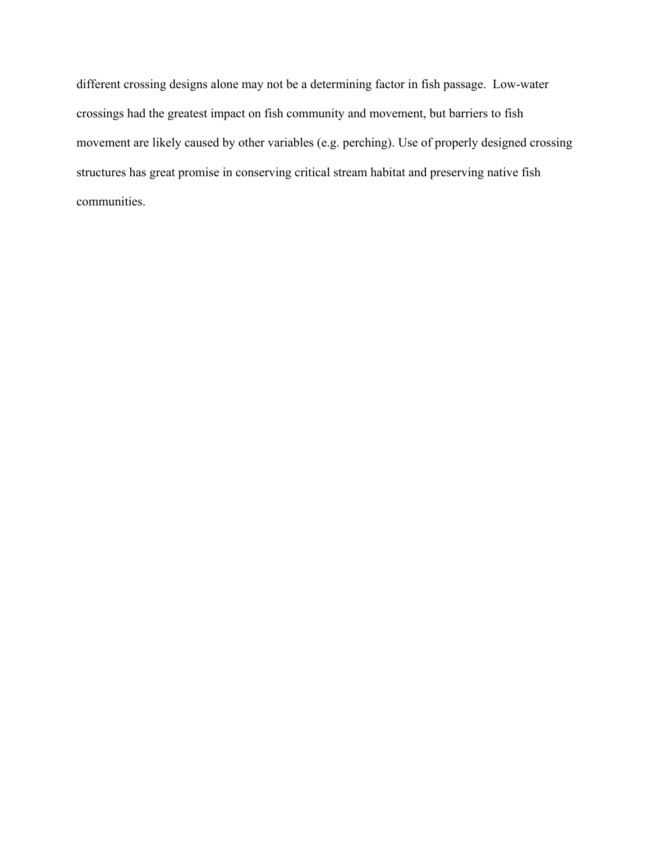different crossing designs alone may not be a determining factor in fish passage. Low-water crossings had the greatest impact on fish community and movement, but barriers to fish movement are likely caused by other variables (e.g. perching). Use of properly designed crossing structures has great promise in conserving critical stream habitat and preserving native fish communities.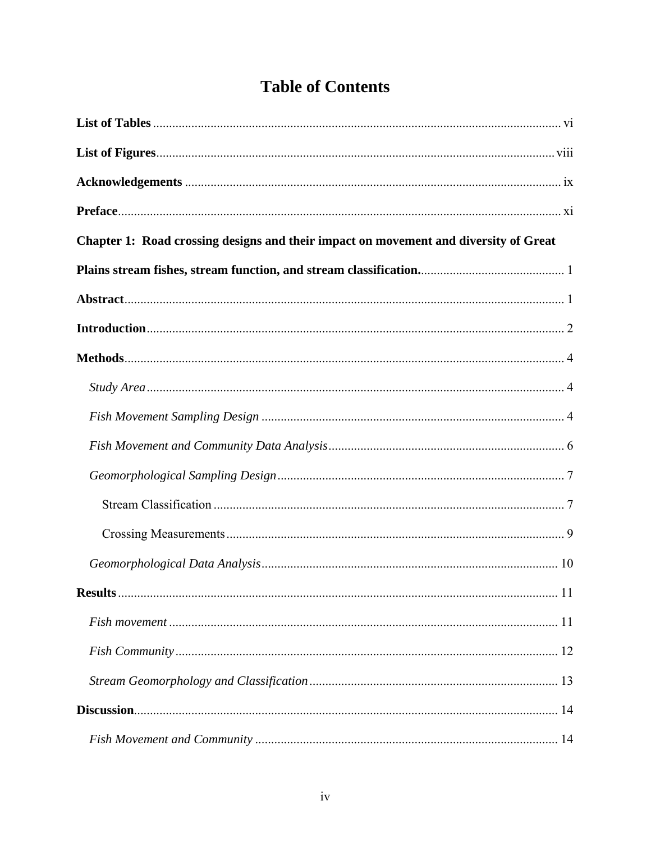# **Table of Contents**

| Chapter 1: Road crossing designs and their impact on movement and diversity of Great |  |
|--------------------------------------------------------------------------------------|--|
|                                                                                      |  |
|                                                                                      |  |
|                                                                                      |  |
|                                                                                      |  |
|                                                                                      |  |
|                                                                                      |  |
|                                                                                      |  |
|                                                                                      |  |
|                                                                                      |  |
|                                                                                      |  |
|                                                                                      |  |
|                                                                                      |  |
|                                                                                      |  |
|                                                                                      |  |
|                                                                                      |  |
|                                                                                      |  |
|                                                                                      |  |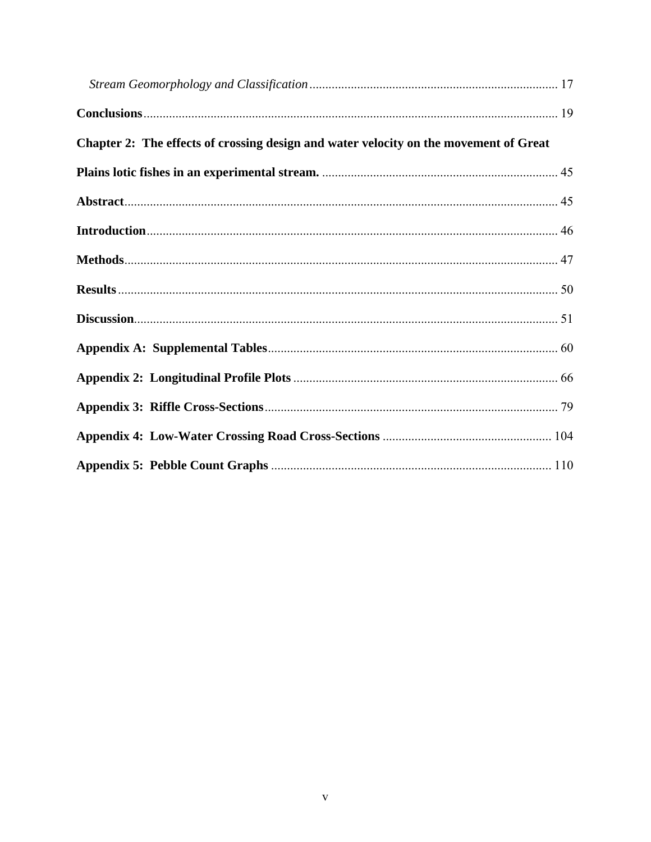| Chapter 2: The effects of crossing design and water velocity on the movement of Great |  |
|---------------------------------------------------------------------------------------|--|
|                                                                                       |  |
|                                                                                       |  |
|                                                                                       |  |
|                                                                                       |  |
|                                                                                       |  |
|                                                                                       |  |
|                                                                                       |  |
|                                                                                       |  |
|                                                                                       |  |
|                                                                                       |  |
|                                                                                       |  |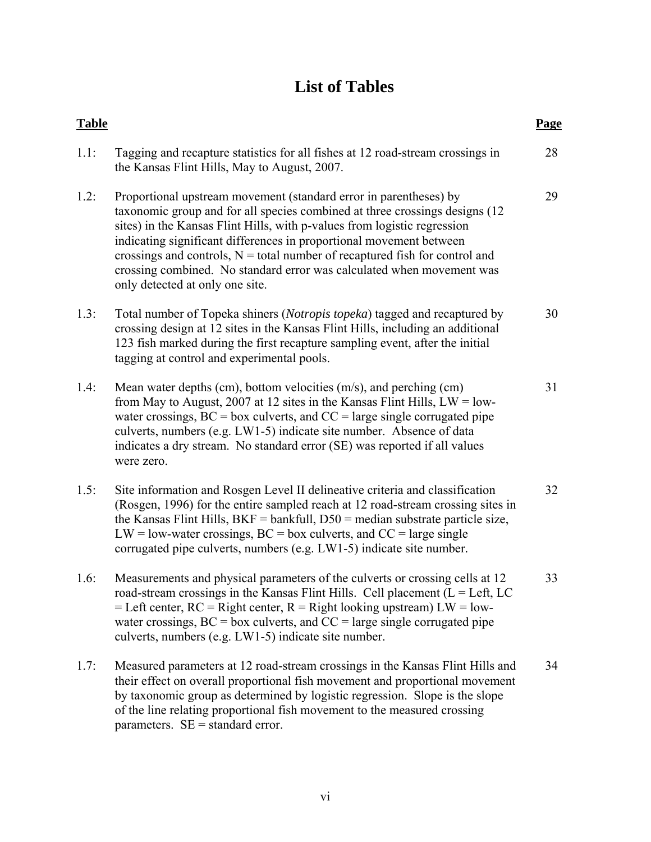# **List of Tables**

<span id="page-5-0"></span>

| <b>Table</b> |                                                                                                                                                                                                                                                                                                                                                                                                                                                                                                   | Page |
|--------------|---------------------------------------------------------------------------------------------------------------------------------------------------------------------------------------------------------------------------------------------------------------------------------------------------------------------------------------------------------------------------------------------------------------------------------------------------------------------------------------------------|------|
| 1.1:         | Tagging and recapture statistics for all fishes at 12 road-stream crossings in<br>the Kansas Flint Hills, May to August, 2007.                                                                                                                                                                                                                                                                                                                                                                    | 28   |
| 1.2:         | Proportional upstream movement (standard error in parentheses) by<br>taxonomic group and for all species combined at three crossings designs (12)<br>sites) in the Kansas Flint Hills, with p-values from logistic regression<br>indicating significant differences in proportional movement between<br>crossings and controls, $N =$ total number of recaptured fish for control and<br>crossing combined. No standard error was calculated when movement was<br>only detected at only one site. | 29   |
| 1.3:         | Total number of Topeka shiners (Notropis topeka) tagged and recaptured by<br>crossing design at 12 sites in the Kansas Flint Hills, including an additional<br>123 fish marked during the first recapture sampling event, after the initial<br>tagging at control and experimental pools.                                                                                                                                                                                                         | 30   |
| 1.4:         | Mean water depths (cm), bottom velocities (m/s), and perching (cm)<br>from May to August, 2007 at 12 sites in the Kansas Flint Hills, $LW = low-$<br>water crossings, $BC = box$ culverts, and $CC = large$ single corrugated pipe<br>culverts, numbers (e.g. LW1-5) indicate site number. Absence of data<br>indicates a dry stream. No standard error (SE) was reported if all values<br>were zero.                                                                                             | 31   |
| 1.5:         | Site information and Rosgen Level II delineative criteria and classification<br>(Rosgen, 1996) for the entire sampled reach at 12 road-stream crossing sites in<br>the Kansas Flint Hills, $BKF = bankfull$ , $D50 = median$ substrate particle size,<br>$LW = low$ -water crossings, BC = box culverts, and CC = large single<br>corrugated pipe culverts, numbers (e.g. LW1-5) indicate site number.                                                                                            | 32   |
| 1.6:         | Measurements and physical parameters of the culverts or crossing cells at 12<br>road-stream crossings in the Kansas Flint Hills. Cell placement ( $L = Left$ , LC<br>= Left center, $RC = Right center$ , $R = Right$ looking upstream) $LW = low-$<br>water crossings, $BC = box$ culverts, and $CC = large$ single corrugated pipe<br>culverts, numbers (e.g. LW1-5) indicate site number.                                                                                                      | 33   |
| 1.7:         | Measured parameters at 12 road-stream crossings in the Kansas Flint Hills and<br>their effect on overall proportional fish movement and proportional movement<br>by taxonomic group as determined by logistic regression. Slope is the slope<br>of the line relating proportional fish movement to the measured crossing<br>parameters. $SE =$ standard error.                                                                                                                                    | 34   |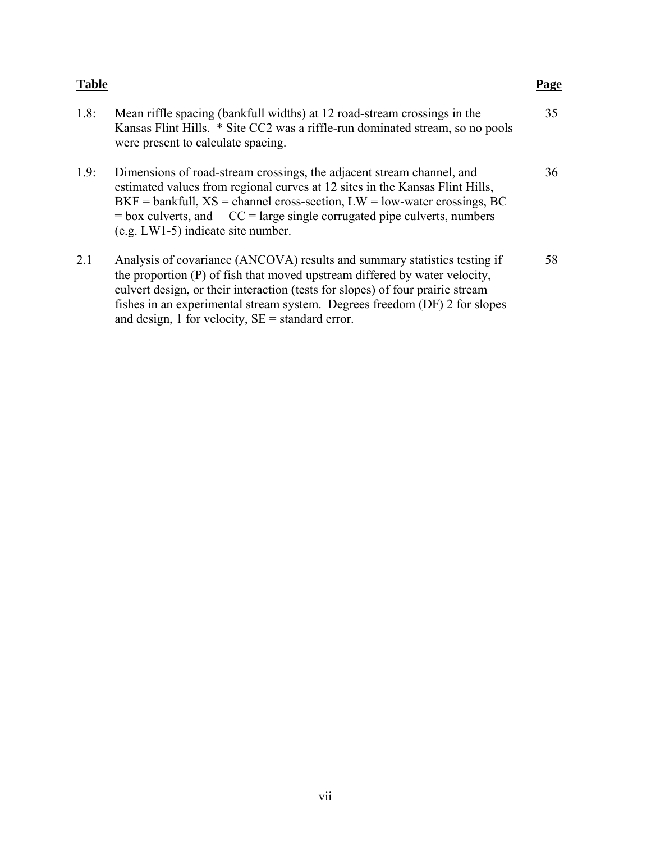| Table |                                                                                                                                                                                                                                                                                                                                                                               | Page |
|-------|-------------------------------------------------------------------------------------------------------------------------------------------------------------------------------------------------------------------------------------------------------------------------------------------------------------------------------------------------------------------------------|------|
| 1.8:  | Mean riffle spacing (bankfull widths) at 12 road-stream crossings in the<br>Kansas Flint Hills. * Site CC2 was a riffle-run dominated stream, so no pools<br>were present to calculate spacing.                                                                                                                                                                               | 35   |
| 1.9:  | Dimensions of road-stream crossings, the adjacent stream channel, and<br>estimated values from regional curves at 12 sites in the Kansas Flint Hills,<br>$BKF =$ bankfull, $XS =$ channel cross-section, $LW =$ low-water crossings, BC<br>$=$ box culverts, and $CC =$ large single corrugated pipe culverts, numbers<br>$(e.g. LW1-5)$ indicate site number.                | 36   |
| 2.1   | Analysis of covariance (ANCOVA) results and summary statistics testing if<br>the proportion (P) of fish that moved upstream differed by water velocity,<br>culvert design, or their interaction (tests for slopes) of four prairie stream<br>fishes in an experimental stream system. Degrees freedom (DF) 2 for slopes<br>and design, 1 for velocity, $SE =$ standard error. | 58   |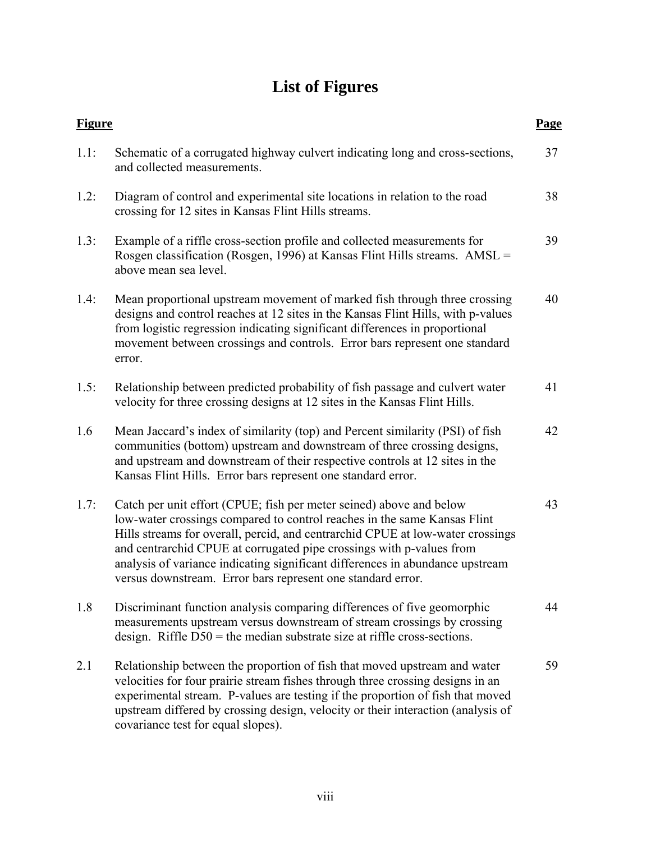# **List of Figures**

<span id="page-7-0"></span>

| <b>Figure</b> |                                                                                                                                                                                                                                                                                                                                                                                                                                                           | Page |
|---------------|-----------------------------------------------------------------------------------------------------------------------------------------------------------------------------------------------------------------------------------------------------------------------------------------------------------------------------------------------------------------------------------------------------------------------------------------------------------|------|
| 1.1:          | Schematic of a corrugated highway culvert indicating long and cross-sections,<br>and collected measurements.                                                                                                                                                                                                                                                                                                                                              | 37   |
| 1.2:          | Diagram of control and experimental site locations in relation to the road<br>crossing for 12 sites in Kansas Flint Hills streams.                                                                                                                                                                                                                                                                                                                        | 38   |
| 1.3:          | Example of a riffle cross-section profile and collected measurements for<br>Rosgen classification (Rosgen, 1996) at Kansas Flint Hills streams. AMSL =<br>above mean sea level.                                                                                                                                                                                                                                                                           | 39   |
| 1.4:          | Mean proportional upstream movement of marked fish through three crossing<br>designs and control reaches at 12 sites in the Kansas Flint Hills, with p-values<br>from logistic regression indicating significant differences in proportional<br>movement between crossings and controls. Error bars represent one standard<br>error.                                                                                                                      | 40   |
| 1.5:          | Relationship between predicted probability of fish passage and culvert water<br>velocity for three crossing designs at 12 sites in the Kansas Flint Hills.                                                                                                                                                                                                                                                                                                | 41   |
| 1.6           | Mean Jaccard's index of similarity (top) and Percent similarity (PSI) of fish<br>communities (bottom) upstream and downstream of three crossing designs,<br>and upstream and downstream of their respective controls at 12 sites in the<br>Kansas Flint Hills. Error bars represent one standard error.                                                                                                                                                   | 42   |
| 1.7:          | Catch per unit effort (CPUE; fish per meter seined) above and below<br>low-water crossings compared to control reaches in the same Kansas Flint<br>Hills streams for overall, percid, and centrarchid CPUE at low-water crossings<br>and centrarchid CPUE at corrugated pipe crossings with p-values from<br>analysis of variance indicating significant differences in abundance upstream<br>versus downstream. Error bars represent one standard error. | 43   |
| 1.8           | Discriminant function analysis comparing differences of five geomorphic<br>measurements upstream versus downstream of stream crossings by crossing<br>design. Riffle $D50$ = the median substrate size at riffle cross-sections.                                                                                                                                                                                                                          | 44   |
| 2.1           | Relationship between the proportion of fish that moved upstream and water<br>velocities for four prairie stream fishes through three crossing designs in an<br>experimental stream. P-values are testing if the proportion of fish that moved<br>upstream differed by crossing design, velocity or their interaction (analysis of<br>covariance test for equal slopes).                                                                                   | 59   |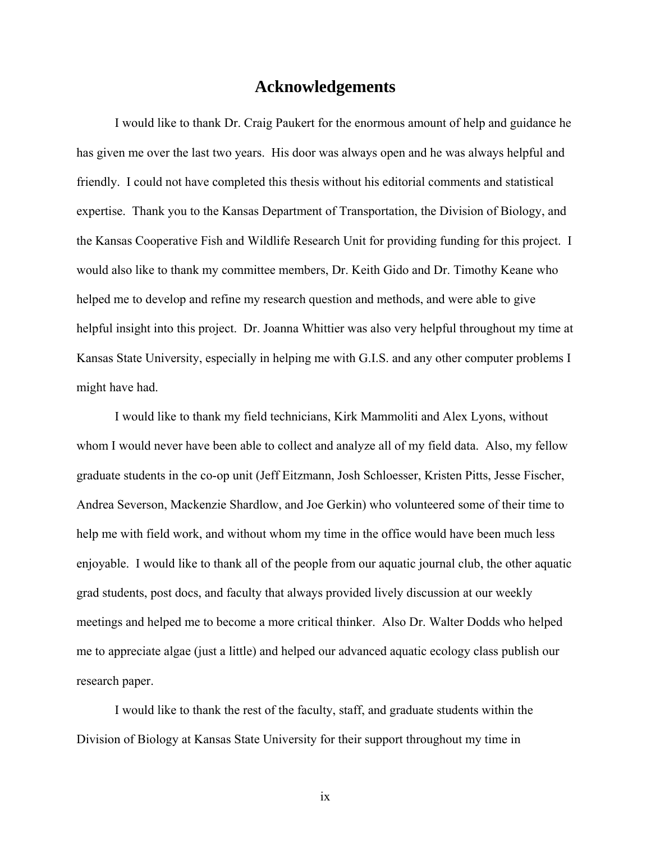## **Acknowledgements**

<span id="page-8-0"></span>I would like to thank Dr. Craig Paukert for the enormous amount of help and guidance he has given me over the last two years. His door was always open and he was always helpful and friendly. I could not have completed this thesis without his editorial comments and statistical expertise. Thank you to the Kansas Department of Transportation, the Division of Biology, and the Kansas Cooperative Fish and Wildlife Research Unit for providing funding for this project. I would also like to thank my committee members, Dr. Keith Gido and Dr. Timothy Keane who helped me to develop and refine my research question and methods, and were able to give helpful insight into this project. Dr. Joanna Whittier was also very helpful throughout my time at Kansas State University, especially in helping me with G.I.S. and any other computer problems I might have had.

I would like to thank my field technicians, Kirk Mammoliti and Alex Lyons, without whom I would never have been able to collect and analyze all of my field data. Also, my fellow graduate students in the co-op unit (Jeff Eitzmann, Josh Schloesser, Kristen Pitts, Jesse Fischer, Andrea Severson, Mackenzie Shardlow, and Joe Gerkin) who volunteered some of their time to help me with field work, and without whom my time in the office would have been much less enjoyable. I would like to thank all of the people from our aquatic journal club, the other aquatic grad students, post docs, and faculty that always provided lively discussion at our weekly meetings and helped me to become a more critical thinker. Also Dr. Walter Dodds who helped me to appreciate algae (just a little) and helped our advanced aquatic ecology class publish our research paper.

I would like to thank the rest of the faculty, staff, and graduate students within the Division of Biology at Kansas State University for their support throughout my time in

ix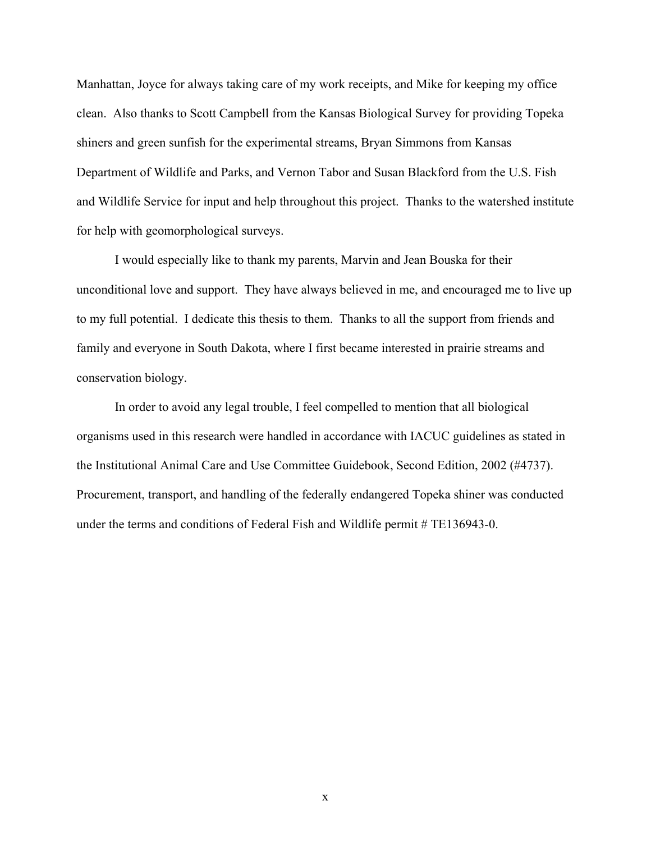Manhattan, Joyce for always taking care of my work receipts, and Mike for keeping my office clean. Also thanks to Scott Campbell from the Kansas Biological Survey for providing Topeka shiners and green sunfish for the experimental streams, Bryan Simmons from Kansas Department of Wildlife and Parks, and Vernon Tabor and Susan Blackford from the U.S. Fish and Wildlife Service for input and help throughout this project. Thanks to the watershed institute for help with geomorphological surveys.

I would especially like to thank my parents, Marvin and Jean Bouska for their unconditional love and support. They have always believed in me, and encouraged me to live up to my full potential. I dedicate this thesis to them. Thanks to all the support from friends and family and everyone in South Dakota, where I first became interested in prairie streams and conservation biology.

In order to avoid any legal trouble, I feel compelled to mention that all biological organisms used in this research were handled in accordance with IACUC guidelines as stated in the Institutional Animal Care and Use Committee Guidebook, Second Edition, 2002 (#4737). Procurement, transport, and handling of the federally endangered Topeka shiner was conducted under the terms and conditions of Federal Fish and Wildlife permit # TE136943-0.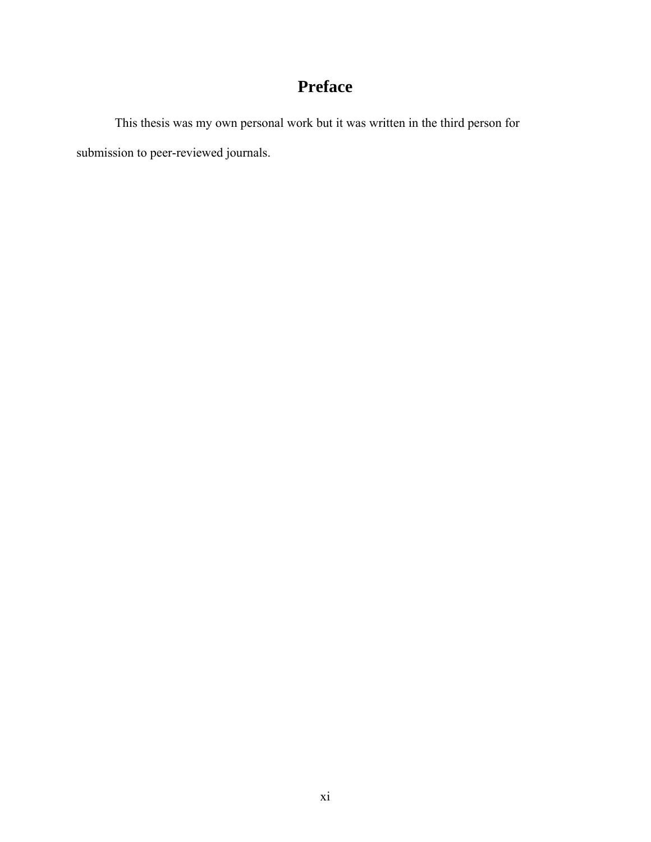## **Preface**

<span id="page-10-0"></span> This thesis was my own personal work but it was written in the third person for submission to peer-reviewed journals.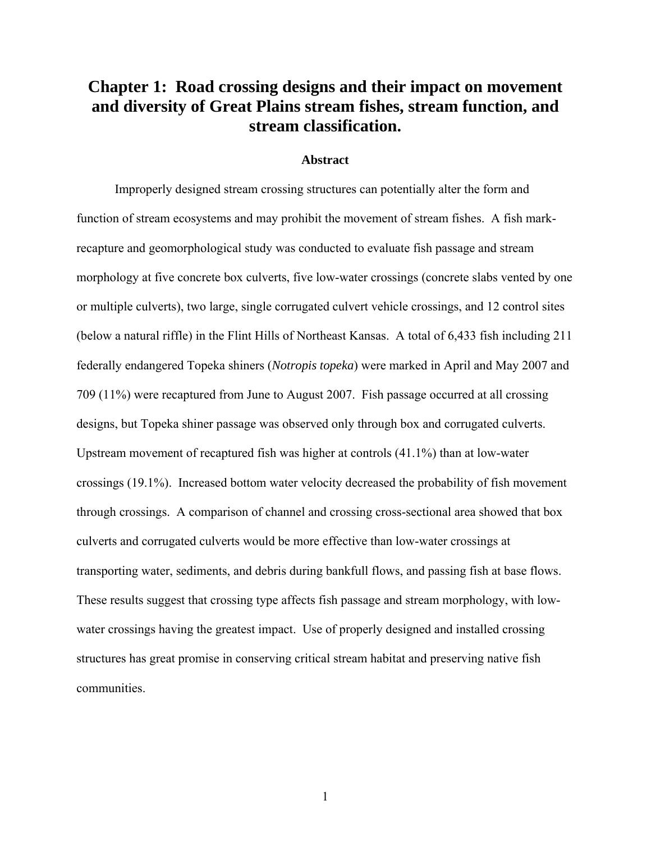## <span id="page-11-0"></span>**Chapter 1: Road crossing designs and their impact on movement and diversity of Great Plains stream fishes, stream function, and stream classification.**

#### **Abstract**

Improperly designed stream crossing structures can potentially alter the form and function of stream ecosystems and may prohibit the movement of stream fishes. A fish markrecapture and geomorphological study was conducted to evaluate fish passage and stream morphology at five concrete box culverts, five low-water crossings (concrete slabs vented by one or multiple culverts), two large, single corrugated culvert vehicle crossings, and 12 control sites (below a natural riffle) in the Flint Hills of Northeast Kansas. A total of 6,433 fish including 211 federally endangered Topeka shiners (*Notropis topeka*) were marked in April and May 2007 and 709 (11%) were recaptured from June to August 2007. Fish passage occurred at all crossing designs, but Topeka shiner passage was observed only through box and corrugated culverts. Upstream movement of recaptured fish was higher at controls (41.1%) than at low-water crossings (19.1%). Increased bottom water velocity decreased the probability of fish movement through crossings. A comparison of channel and crossing cross-sectional area showed that box culverts and corrugated culverts would be more effective than low-water crossings at transporting water, sediments, and debris during bankfull flows, and passing fish at base flows. These results suggest that crossing type affects fish passage and stream morphology, with lowwater crossings having the greatest impact. Use of properly designed and installed crossing structures has great promise in conserving critical stream habitat and preserving native fish communities.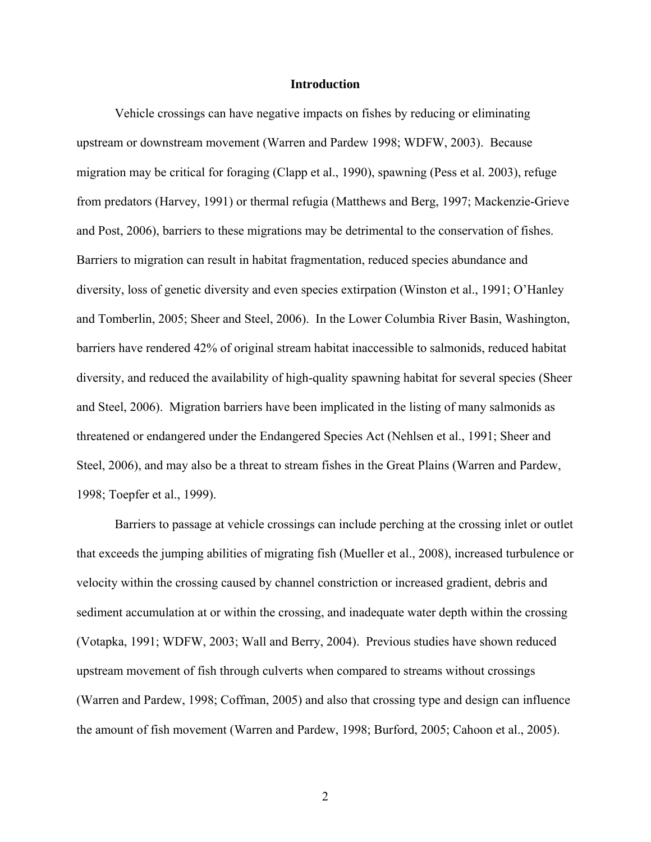#### **Introduction**

<span id="page-12-0"></span>Vehicle crossings can have negative impacts on fishes by reducing or eliminating upstream or downstream movement (Warren and Pardew 1998; WDFW, 2003). Because migration may be critical for foraging (Clapp et al., 1990), spawning (Pess et al. 2003), refuge from predators (Harvey, 1991) or thermal refugia (Matthews and Berg, 1997; Mackenzie-Grieve and Post, 2006), barriers to these migrations may be detrimental to the conservation of fishes. Barriers to migration can result in habitat fragmentation, reduced species abundance and diversity, loss of genetic diversity and even species extirpation (Winston et al., 1991; O'Hanley and Tomberlin, 2005; Sheer and Steel, 2006). In the Lower Columbia River Basin, Washington, barriers have rendered 42% of original stream habitat inaccessible to salmonids, reduced habitat diversity, and reduced the availability of high-quality spawning habitat for several species (Sheer and Steel, 2006). Migration barriers have been implicated in the listing of many salmonids as threatened or endangered under the Endangered Species Act (Nehlsen et al., 1991; Sheer and Steel, 2006), and may also be a threat to stream fishes in the Great Plains (Warren and Pardew, 1998; Toepfer et al., 1999).

Barriers to passage at vehicle crossings can include perching at the crossing inlet or outlet that exceeds the jumping abilities of migrating fish (Mueller et al., 2008), increased turbulence or velocity within the crossing caused by channel constriction or increased gradient, debris and sediment accumulation at or within the crossing, and inadequate water depth within the crossing (Votapka, 1991; WDFW, 2003; Wall and Berry, 2004). Previous studies have shown reduced upstream movement of fish through culverts when compared to streams without crossings (Warren and Pardew, 1998; Coffman, 2005) and also that crossing type and design can influence the amount of fish movement (Warren and Pardew, 1998; Burford, 2005; Cahoon et al., 2005).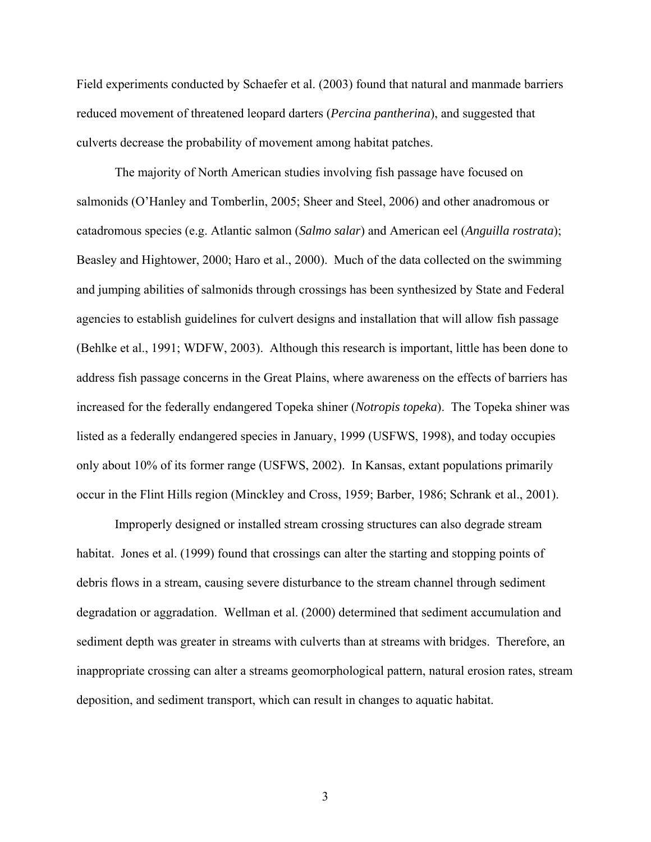Field experiments conducted by Schaefer et al. (2003) found that natural and manmade barriers reduced movement of threatened leopard darters (*Percina pantherina*), and suggested that culverts decrease the probability of movement among habitat patches.

The majority of North American studies involving fish passage have focused on salmonids (O'Hanley and Tomberlin, 2005; Sheer and Steel, 2006) and other anadromous or catadromous species (e.g. Atlantic salmon (*Salmo salar*) and American eel (*Anguilla rostrata*); Beasley and Hightower, 2000; Haro et al., 2000). Much of the data collected on the swimming and jumping abilities of salmonids through crossings has been synthesized by State and Federal agencies to establish guidelines for culvert designs and installation that will allow fish passage (Behlke et al., 1991; WDFW, 2003). Although this research is important, little has been done to address fish passage concerns in the Great Plains, where awareness on the effects of barriers has increased for the federally endangered Topeka shiner (*Notropis topeka*). The Topeka shiner was listed as a federally endangered species in January, 1999 (USFWS, 1998), and today occupies only about 10% of its former range (USFWS, 2002). In Kansas, extant populations primarily occur in the Flint Hills region (Minckley and Cross, 1959; Barber, 1986; Schrank et al., 2001).

Improperly designed or installed stream crossing structures can also degrade stream habitat. Jones et al. (1999) found that crossings can alter the starting and stopping points of debris flows in a stream, causing severe disturbance to the stream channel through sediment degradation or aggradation. Wellman et al. (2000) determined that sediment accumulation and sediment depth was greater in streams with culverts than at streams with bridges. Therefore, an inappropriate crossing can alter a streams geomorphological pattern, natural erosion rates, stream deposition, and sediment transport, which can result in changes to aquatic habitat.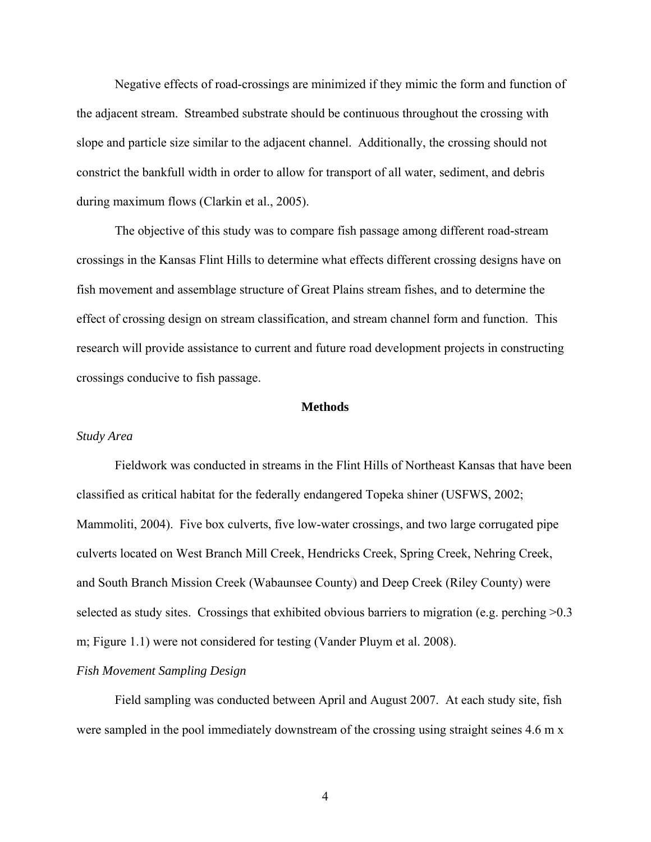<span id="page-14-0"></span>Negative effects of road-crossings are minimized if they mimic the form and function of the adjacent stream. Streambed substrate should be continuous throughout the crossing with slope and particle size similar to the adjacent channel. Additionally, the crossing should not constrict the bankfull width in order to allow for transport of all water, sediment, and debris during maximum flows (Clarkin et al., 2005).

The objective of this study was to compare fish passage among different road-stream crossings in the Kansas Flint Hills to determine what effects different crossing designs have on fish movement and assemblage structure of Great Plains stream fishes, and to determine the effect of crossing design on stream classification, and stream channel form and function. This research will provide assistance to current and future road development projects in constructing crossings conducive to fish passage.

#### **Methods**

#### *Study Area*

Fieldwork was conducted in streams in the Flint Hills of Northeast Kansas that have been classified as critical habitat for the federally endangered Topeka shiner (USFWS, 2002; Mammoliti, 2004). Five box culverts, five low-water crossings, and two large corrugated pipe culverts located on West Branch Mill Creek, Hendricks Creek, Spring Creek, Nehring Creek, and South Branch Mission Creek (Wabaunsee County) and Deep Creek (Riley County) were selected as study sites. Crossings that exhibited obvious barriers to migration (e.g. perching  $>0.3$ ) m; Figure 1.1) were not considered for testing (Vander Pluym et al. 2008).

#### *Fish Movement Sampling Design*

Field sampling was conducted between April and August 2007. At each study site, fish were sampled in the pool immediately downstream of the crossing using straight seines 4.6 m x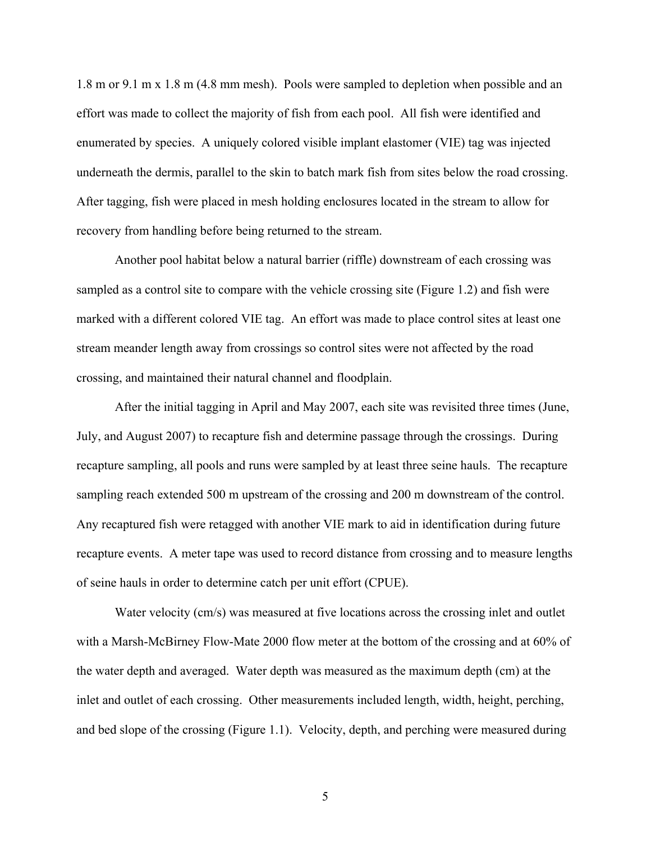1.8 m or 9.1 m x 1.8 m (4.8 mm mesh). Pools were sampled to depletion when possible and an effort was made to collect the majority of fish from each pool. All fish were identified and enumerated by species. A uniquely colored visible implant elastomer (VIE) tag was injected underneath the dermis, parallel to the skin to batch mark fish from sites below the road crossing. After tagging, fish were placed in mesh holding enclosures located in the stream to allow for recovery from handling before being returned to the stream.

 Another pool habitat below a natural barrier (riffle) downstream of each crossing was sampled as a control site to compare with the vehicle crossing site (Figure 1.2) and fish were marked with a different colored VIE tag. An effort was made to place control sites at least one stream meander length away from crossings so control sites were not affected by the road crossing, and maintained their natural channel and floodplain.

After the initial tagging in April and May 2007, each site was revisited three times (June, July, and August 2007) to recapture fish and determine passage through the crossings. During recapture sampling, all pools and runs were sampled by at least three seine hauls. The recapture sampling reach extended 500 m upstream of the crossing and 200 m downstream of the control. Any recaptured fish were retagged with another VIE mark to aid in identification during future recapture events. A meter tape was used to record distance from crossing and to measure lengths of seine hauls in order to determine catch per unit effort (CPUE).

Water velocity (cm/s) was measured at five locations across the crossing inlet and outlet with a Marsh-McBirney Flow-Mate 2000 flow meter at the bottom of the crossing and at 60% of the water depth and averaged. Water depth was measured as the maximum depth (cm) at the inlet and outlet of each crossing. Other measurements included length, width, height, perching, and bed slope of the crossing (Figure 1.1). Velocity, depth, and perching were measured during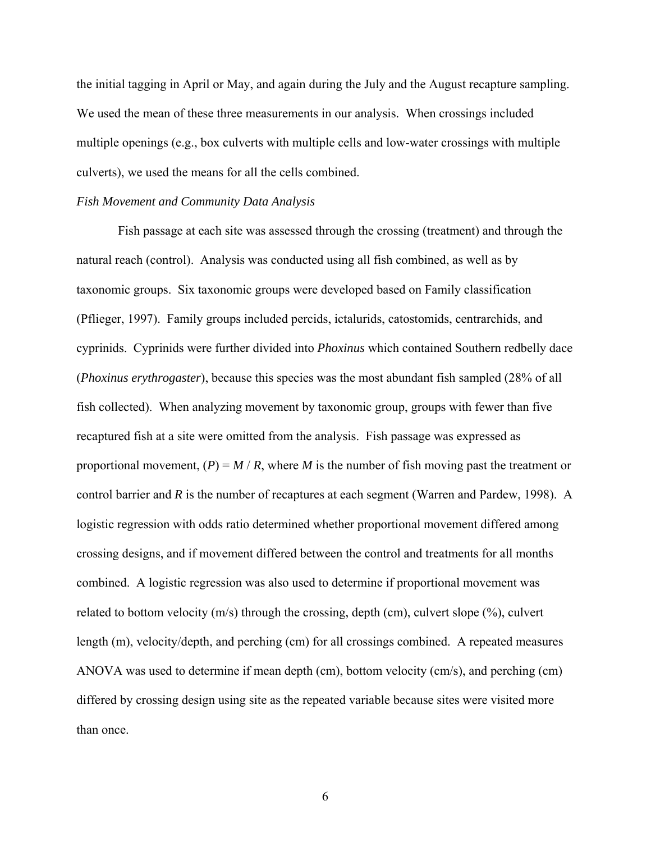<span id="page-16-0"></span>the initial tagging in April or May, and again during the July and the August recapture sampling. We used the mean of these three measurements in our analysis. When crossings included multiple openings (e.g., box culverts with multiple cells and low-water crossings with multiple culverts), we used the means for all the cells combined.

#### *Fish Movement and Community Data Analysis*

 Fish passage at each site was assessed through the crossing (treatment) and through the natural reach (control). Analysis was conducted using all fish combined, as well as by taxonomic groups. Six taxonomic groups were developed based on Family classification (Pflieger, 1997). Family groups included percids, ictalurids, catostomids, centrarchids, and cyprinids. Cyprinids were further divided into *Phoxinus* which contained Southern redbelly dace (*Phoxinus erythrogaster*), because this species was the most abundant fish sampled (28% of all fish collected). When analyzing movement by taxonomic group, groups with fewer than five recaptured fish at a site were omitted from the analysis. Fish passage was expressed as proportional movement,  $(P) = M / R$ , where *M* is the number of fish moving past the treatment or control barrier and *R* is the number of recaptures at each segment (Warren and Pardew, 1998). A logistic regression with odds ratio determined whether proportional movement differed among crossing designs, and if movement differed between the control and treatments for all months combined. A logistic regression was also used to determine if proportional movement was related to bottom velocity (m/s) through the crossing, depth (cm), culvert slope (%), culvert length (m), velocity/depth, and perching (cm) for all crossings combined. A repeated measures ANOVA was used to determine if mean depth (cm), bottom velocity (cm/s), and perching (cm) differed by crossing design using site as the repeated variable because sites were visited more than once.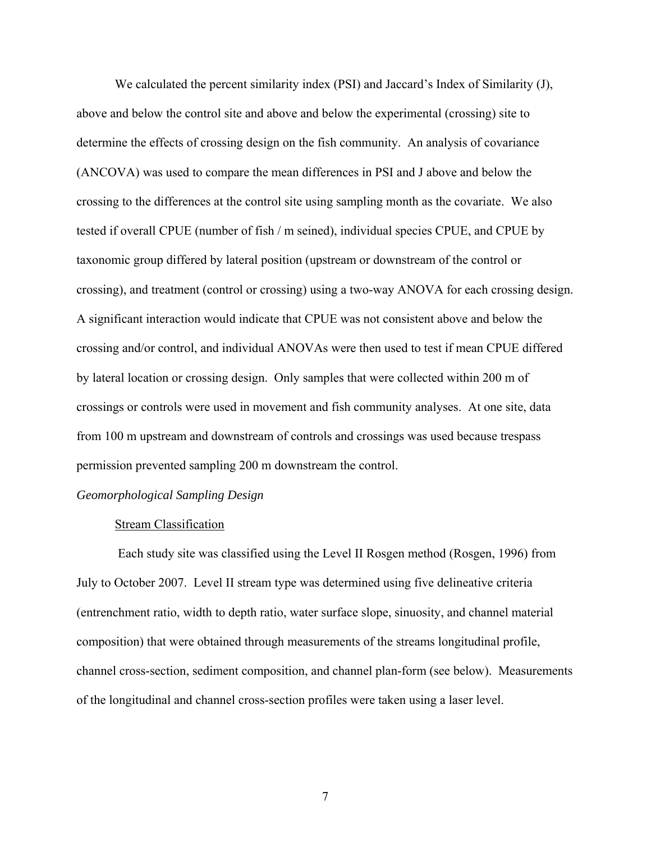<span id="page-17-0"></span>We calculated the percent similarity index (PSI) and Jaccard's Index of Similarity (J), above and below the control site and above and below the experimental (crossing) site to determine the effects of crossing design on the fish community. An analysis of covariance (ANCOVA) was used to compare the mean differences in PSI and J above and below the crossing to the differences at the control site using sampling month as the covariate. We also tested if overall CPUE (number of fish / m seined), individual species CPUE, and CPUE by taxonomic group differed by lateral position (upstream or downstream of the control or crossing), and treatment (control or crossing) using a two-way ANOVA for each crossing design. A significant interaction would indicate that CPUE was not consistent above and below the crossing and/or control, and individual ANOVAs were then used to test if mean CPUE differed by lateral location or crossing design. Only samples that were collected within 200 m of crossings or controls were used in movement and fish community analyses. At one site, data from 100 m upstream and downstream of controls and crossings was used because trespass permission prevented sampling 200 m downstream the control.

#### *Geomorphological Sampling Design*

#### Stream Classification

Each study site was classified using the Level II Rosgen method (Rosgen, 1996) from July to October 2007. Level II stream type was determined using five delineative criteria (entrenchment ratio, width to depth ratio, water surface slope, sinuosity, and channel material composition) that were obtained through measurements of the streams longitudinal profile, channel cross-section, sediment composition, and channel plan-form (see below). Measurements of the longitudinal and channel cross-section profiles were taken using a laser level.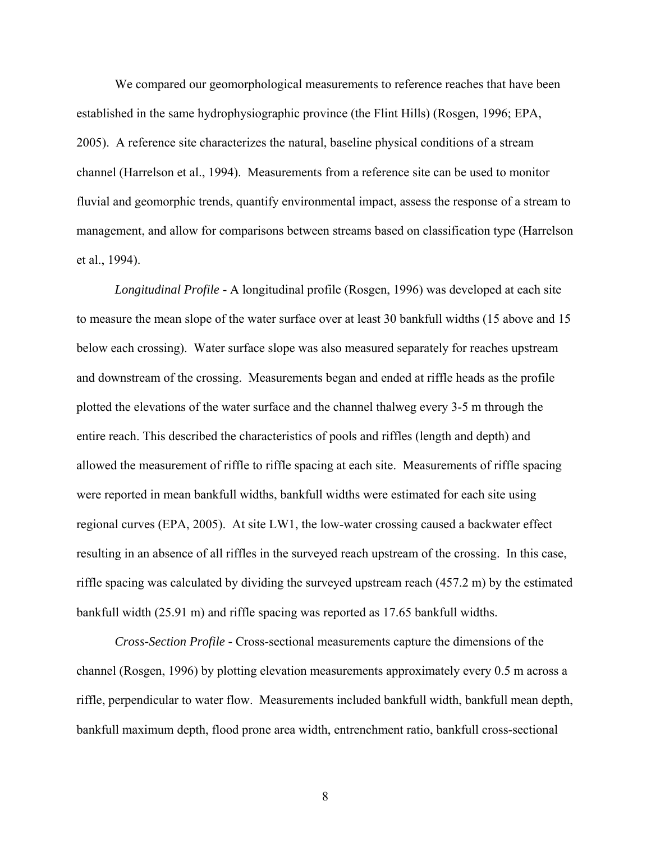We compared our geomorphological measurements to reference reaches that have been established in the same hydrophysiographic province (the Flint Hills) (Rosgen, 1996; EPA, 2005). A reference site characterizes the natural, baseline physical conditions of a stream channel (Harrelson et al., 1994). Measurements from a reference site can be used to monitor fluvial and geomorphic trends, quantify environmental impact, assess the response of a stream to management, and allow for comparisons between streams based on classification type (Harrelson et al., 1994).

*Longitudinal Profile -* A longitudinal profile (Rosgen, 1996) was developed at each site to measure the mean slope of the water surface over at least 30 bankfull widths (15 above and 15 below each crossing). Water surface slope was also measured separately for reaches upstream and downstream of the crossing. Measurements began and ended at riffle heads as the profile plotted the elevations of the water surface and the channel thalweg every 3-5 m through the entire reach. This described the characteristics of pools and riffles (length and depth) and allowed the measurement of riffle to riffle spacing at each site. Measurements of riffle spacing were reported in mean bankfull widths, bankfull widths were estimated for each site using regional curves (EPA, 2005). At site LW1, the low-water crossing caused a backwater effect resulting in an absence of all riffles in the surveyed reach upstream of the crossing. In this case, riffle spacing was calculated by dividing the surveyed upstream reach (457.2 m) by the estimated bankfull width (25.91 m) and riffle spacing was reported as 17.65 bankfull widths.

*Cross-Section Profile -* Cross-sectional measurements capture the dimensions of the channel (Rosgen, 1996) by plotting elevation measurements approximately every 0.5 m across a riffle, perpendicular to water flow. Measurements included bankfull width, bankfull mean depth, bankfull maximum depth, flood prone area width, entrenchment ratio, bankfull cross-sectional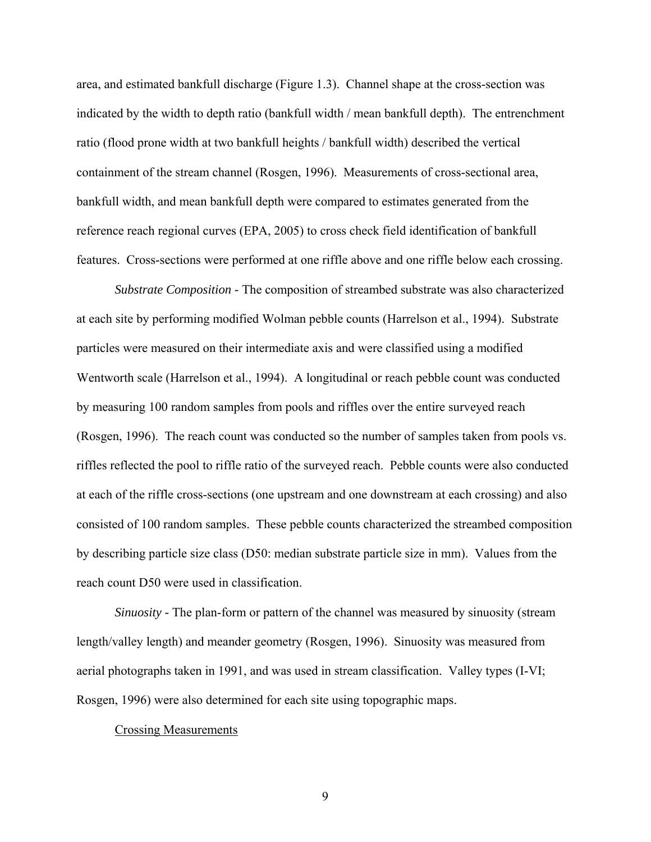<span id="page-19-0"></span>area, and estimated bankfull discharge (Figure 1.3). Channel shape at the cross-section was indicated by the width to depth ratio (bankfull width / mean bankfull depth). The entrenchment ratio (flood prone width at two bankfull heights / bankfull width) described the vertical containment of the stream channel (Rosgen, 1996). Measurements of cross-sectional area, bankfull width, and mean bankfull depth were compared to estimates generated from the reference reach regional curves (EPA, 2005) to cross check field identification of bankfull features. Cross-sections were performed at one riffle above and one riffle below each crossing.

*Substrate Composition -* The composition of streambed substrate was also characterized at each site by performing modified Wolman pebble counts (Harrelson et al., 1994). Substrate particles were measured on their intermediate axis and were classified using a modified Wentworth scale (Harrelson et al., 1994). A longitudinal or reach pebble count was conducted by measuring 100 random samples from pools and riffles over the entire surveyed reach (Rosgen, 1996). The reach count was conducted so the number of samples taken from pools vs. riffles reflected the pool to riffle ratio of the surveyed reach. Pebble counts were also conducted at each of the riffle cross-sections (one upstream and one downstream at each crossing) and also consisted of 100 random samples. These pebble counts characterized the streambed composition by describing particle size class (D50: median substrate particle size in mm). Values from the reach count D50 were used in classification.

*Sinuosity* - The plan-form or pattern of the channel was measured by sinuosity (stream length/valley length) and meander geometry (Rosgen, 1996). Sinuosity was measured from aerial photographs taken in 1991, and was used in stream classification. Valley types (I-VI; Rosgen, 1996) were also determined for each site using topographic maps.

#### Crossing Measurements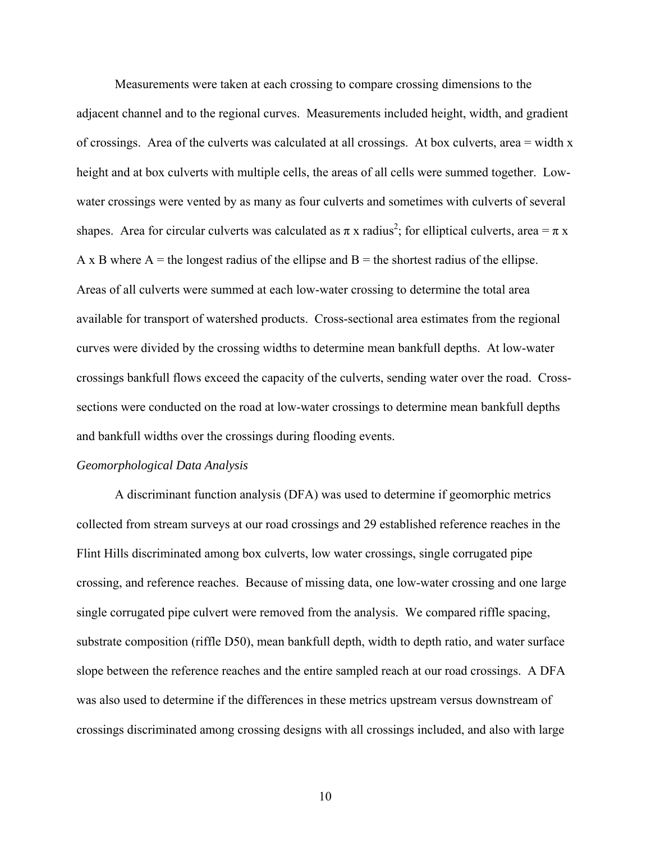<span id="page-20-0"></span>Measurements were taken at each crossing to compare crossing dimensions to the adjacent channel and to the regional curves. Measurements included height, width, and gradient of crossings. Area of the culverts was calculated at all crossings. At box culverts, area = width x height and at box culverts with multiple cells, the areas of all cells were summed together. Lowwater crossings were vented by as many as four culverts and sometimes with culverts of several shapes. Area for circular culverts was calculated as  $\pi x$  radius<sup>2</sup>; for elliptical culverts, area =  $\pi x$ A x B where  $A =$  the longest radius of the ellipse and  $B =$  the shortest radius of the ellipse. Areas of all culverts were summed at each low-water crossing to determine the total area available for transport of watershed products. Cross-sectional area estimates from the regional curves were divided by the crossing widths to determine mean bankfull depths. At low-water crossings bankfull flows exceed the capacity of the culverts, sending water over the road. Crosssections were conducted on the road at low-water crossings to determine mean bankfull depths and bankfull widths over the crossings during flooding events.

#### *Geomorphological Data Analysis*

A discriminant function analysis (DFA) was used to determine if geomorphic metrics collected from stream surveys at our road crossings and 29 established reference reaches in the Flint Hills discriminated among box culverts, low water crossings, single corrugated pipe crossing, and reference reaches. Because of missing data, one low-water crossing and one large single corrugated pipe culvert were removed from the analysis. We compared riffle spacing, substrate composition (riffle D50), mean bankfull depth, width to depth ratio, and water surface slope between the reference reaches and the entire sampled reach at our road crossings. A DFA was also used to determine if the differences in these metrics upstream versus downstream of crossings discriminated among crossing designs with all crossings included, and also with large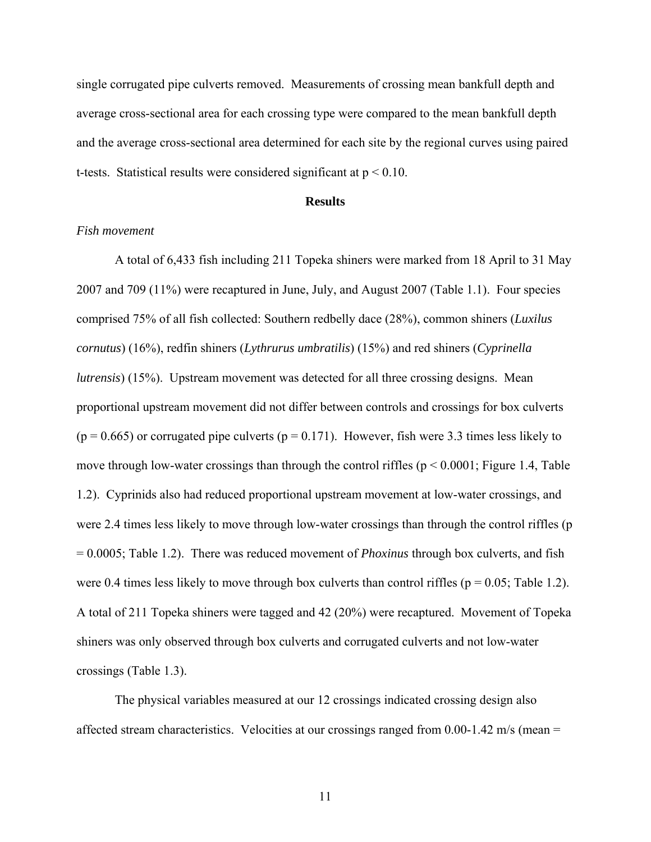<span id="page-21-0"></span>single corrugated pipe culverts removed. Measurements of crossing mean bankfull depth and average cross-sectional area for each crossing type were compared to the mean bankfull depth and the average cross-sectional area determined for each site by the regional curves using paired t-tests. Statistical results were considered significant at  $p < 0.10$ .

#### **Results**

#### *Fish movement*

A total of 6,433 fish including 211 Topeka shiners were marked from 18 April to 31 May 2007 and 709 (11%) were recaptured in June, July, and August 2007 (Table 1.1). Four species comprised 75% of all fish collected: Southern redbelly dace (28%), common shiners (*Luxilus cornutus*) (16%), redfin shiners (*Lythrurus umbratilis*) (15%) and red shiners (*Cyprinella lutrensis*) (15%). Upstream movement was detected for all three crossing designs. Mean proportional upstream movement did not differ between controls and crossings for box culverts  $(p = 0.665)$  or corrugated pipe culverts  $(p = 0.171)$ . However, fish were 3.3 times less likely to move through low-water crossings than through the control riffles ( $p < 0.0001$ ; Figure 1.4, Table 1.2). Cyprinids also had reduced proportional upstream movement at low-water crossings, and were 2.4 times less likely to move through low-water crossings than through the control riffles (p = 0.0005; Table 1.2). There was reduced movement of *Phoxinus* through box culverts, and fish were 0.4 times less likely to move through box culverts than control riffles ( $p = 0.05$ ; Table 1.2). A total of 211 Topeka shiners were tagged and 42 (20%) were recaptured. Movement of Topeka shiners was only observed through box culverts and corrugated culverts and not low-water crossings (Table 1.3).

The physical variables measured at our 12 crossings indicated crossing design also affected stream characteristics. Velocities at our crossings ranged from 0.00-1.42 m/s (mean =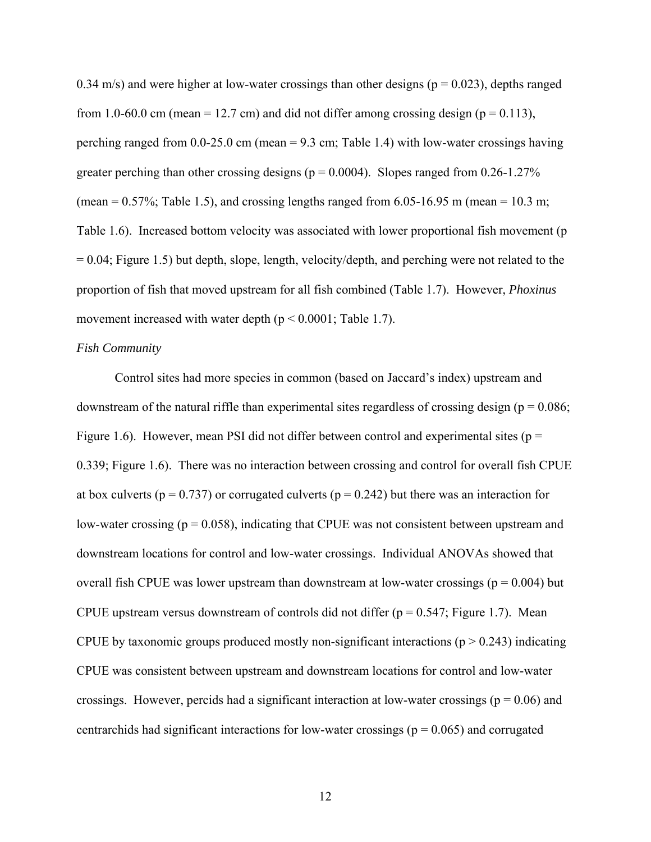<span id="page-22-0"></span>0.34 m/s) and were higher at low-water crossings than other designs ( $p = 0.023$ ), depths ranged from 1.0-60.0 cm (mean = 12.7 cm) and did not differ among crossing design ( $p = 0.113$ ), perching ranged from  $0.0\n-25.0$  cm (mean = 9.3 cm; Table 1.4) with low-water crossings having greater perching than other crossing designs ( $p = 0.0004$ ). Slopes ranged from 0.26-1.27% (mean =  $0.57\%$ ; Table 1.5), and crossing lengths ranged from 6.05-16.95 m (mean = 10.3 m; Table 1.6). Increased bottom velocity was associated with lower proportional fish movement (p  $= 0.04$ ; Figure 1.5) but depth, slope, length, velocity/depth, and perching were not related to the proportion of fish that moved upstream for all fish combined (Table 1.7). However, *Phoxinus* movement increased with water depth ( $p < 0.0001$ ; Table 1.7).

#### *Fish Community*

Control sites had more species in common (based on Jaccard's index) upstream and downstream of the natural riffle than experimental sites regardless of crossing design ( $p = 0.086$ ; Figure 1.6). However, mean PSI did not differ between control and experimental sites ( $p =$ 0.339; Figure 1.6). There was no interaction between crossing and control for overall fish CPUE at box culverts ( $p = 0.737$ ) or corrugated culverts ( $p = 0.242$ ) but there was an interaction for low-water crossing ( $p = 0.058$ ), indicating that CPUE was not consistent between upstream and downstream locations for control and low-water crossings. Individual ANOVAs showed that overall fish CPUE was lower upstream than downstream at low-water crossings ( $p = 0.004$ ) but CPUE upstream versus downstream of controls did not differ ( $p = 0.547$ ; Figure 1.7). Mean CPUE by taxonomic groups produced mostly non-significant interactions ( $p > 0.243$ ) indicating CPUE was consistent between upstream and downstream locations for control and low-water crossings. However, percids had a significant interaction at low-water crossings ( $p = 0.06$ ) and centrarchids had significant interactions for low-water crossings ( $p = 0.065$ ) and corrugated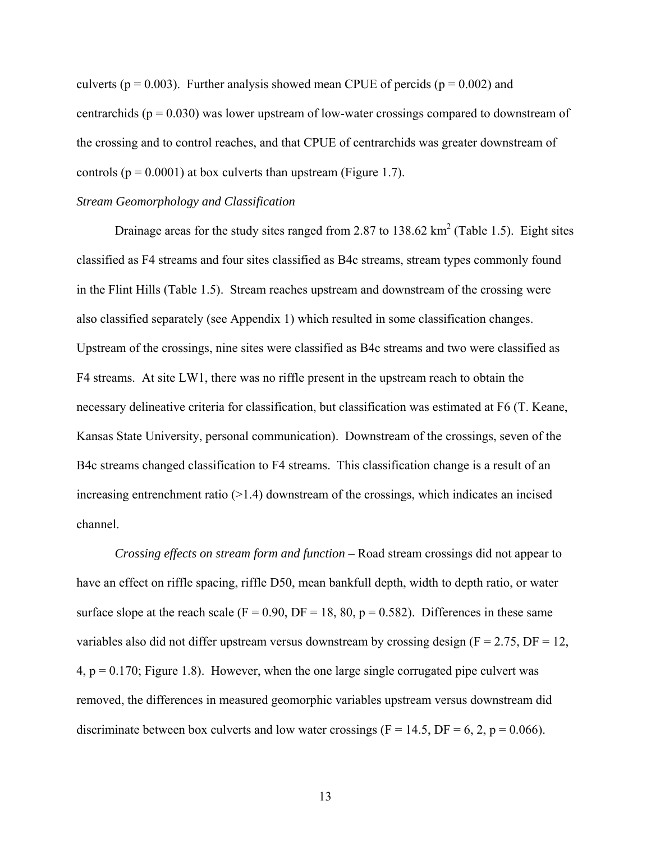<span id="page-23-0"></span>culverts ( $p = 0.003$ ). Further analysis showed mean CPUE of percids ( $p = 0.002$ ) and centrarchids ( $p = 0.030$ ) was lower upstream of low-water crossings compared to downstream of the crossing and to control reaches, and that CPUE of centrarchids was greater downstream of controls ( $p = 0.0001$ ) at box culverts than upstream (Figure 1.7).

#### *Stream Geomorphology and Classification*

Drainage areas for the study sites ranged from 2.87 to 138.62  $\text{km}^2$  (Table 1.5). Eight sites classified as F4 streams and four sites classified as B4c streams, stream types commonly found in the Flint Hills (Table 1.5). Stream reaches upstream and downstream of the crossing were also classified separately (see Appendix 1) which resulted in some classification changes. Upstream of the crossings, nine sites were classified as B4c streams and two were classified as F4 streams. At site LW1, there was no riffle present in the upstream reach to obtain the necessary delineative criteria for classification, but classification was estimated at F6 (T. Keane, Kansas State University, personal communication). Downstream of the crossings, seven of the B4c streams changed classification to F4 streams. This classification change is a result of an increasing entrenchment ratio  $(>1.4)$  downstream of the crossings, which indicates an incised channel.

*Crossing effects on stream form and function –* Road stream crossings did not appear to have an effect on riffle spacing, riffle D50, mean bankfull depth, width to depth ratio, or water surface slope at the reach scale ( $F = 0.90$ ,  $DF = 18$ , 80,  $p = 0.582$ ). Differences in these same variables also did not differ upstream versus downstream by crossing design  $(F = 2.75, DF = 12,$  $4, p = 0.170$ ; Figure 1.8). However, when the one large single corrugated pipe culvert was removed, the differences in measured geomorphic variables upstream versus downstream did discriminate between box culverts and low water crossings ( $F = 14.5$ ,  $DF = 6, 2, p = 0.066$ ).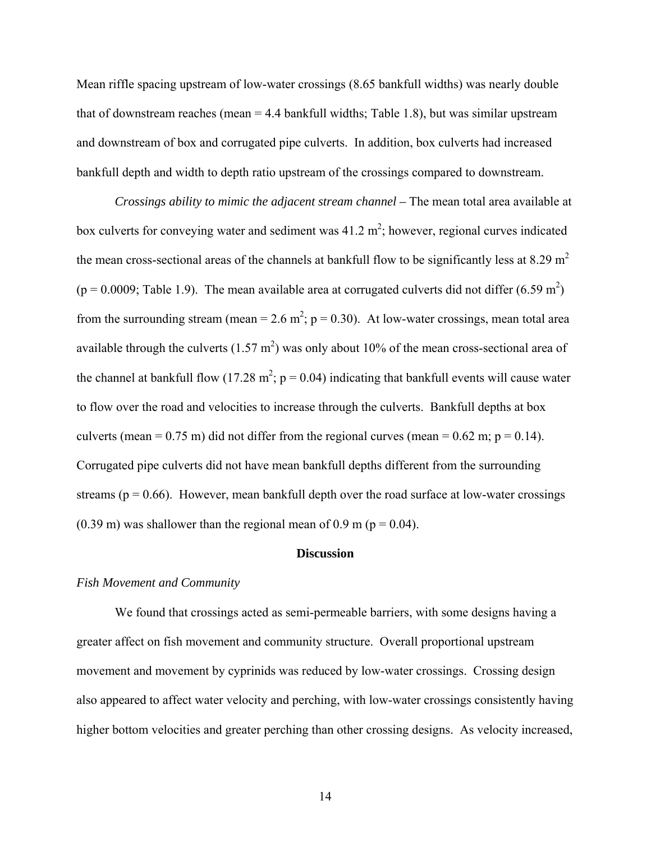<span id="page-24-0"></span>Mean riffle spacing upstream of low-water crossings (8.65 bankfull widths) was nearly double that of downstream reaches (mean  $= 4.4$  bankfull widths; Table 1.8), but was similar upstream and downstream of box and corrugated pipe culverts. In addition, box culverts had increased bankfull depth and width to depth ratio upstream of the crossings compared to downstream.

*Crossings ability to mimic the adjacent stream channel –* The mean total area available at box culverts for conveying water and sediment was  $41.2 \text{ m}^2$ ; however, regional curves indicated the mean cross-sectional areas of the channels at bankfull flow to be significantly less at 8.29  $m<sup>2</sup>$  $(p = 0.0009;$  Table 1.9). The mean available area at corrugated culverts did not differ  $(6.59 \text{ m}^2)$ from the surrounding stream (mean =  $2.6$  m<sup>2</sup>; p = 0.30). At low-water crossings, mean total area available through the culverts  $(1.57 \text{ m}^2)$  was only about 10% of the mean cross-sectional area of the channel at bankfull flow (17.28 m<sup>2</sup>;  $p = 0.04$ ) indicating that bankfull events will cause water to flow over the road and velocities to increase through the culverts. Bankfull depths at box culverts (mean =  $0.75$  m) did not differ from the regional curves (mean =  $0.62$  m; p =  $0.14$ ). Corrugated pipe culverts did not have mean bankfull depths different from the surrounding streams ( $p = 0.66$ ). However, mean bankfull depth over the road surface at low-water crossings  $(0.39 \text{ m})$  was shallower than the regional mean of 0.9 m ( $p = 0.04$ ).

#### **Discussion**

#### *Fish Movement and Community*

 We found that crossings acted as semi-permeable barriers, with some designs having a greater affect on fish movement and community structure. Overall proportional upstream movement and movement by cyprinids was reduced by low-water crossings. Crossing design also appeared to affect water velocity and perching, with low-water crossings consistently having higher bottom velocities and greater perching than other crossing designs. As velocity increased,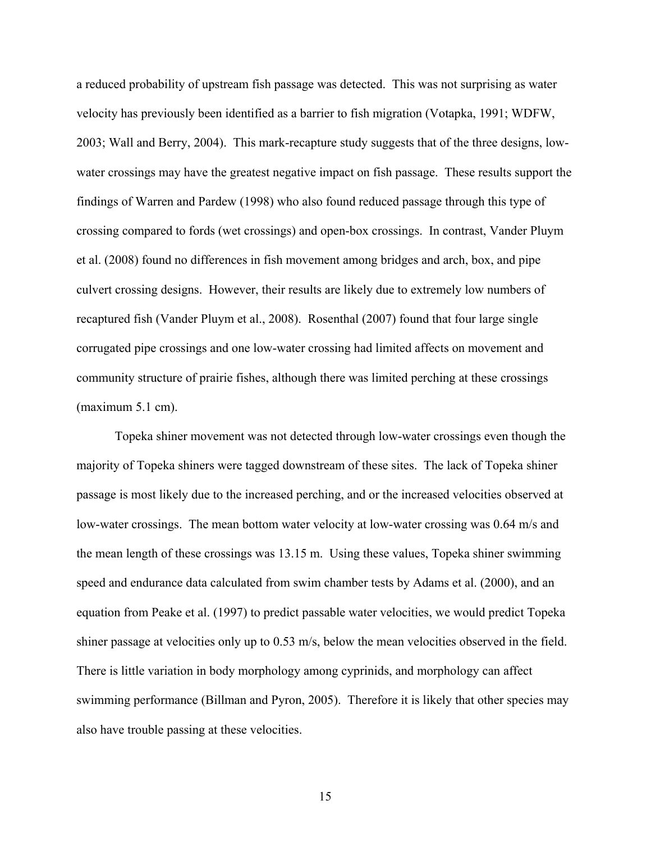a reduced probability of upstream fish passage was detected. This was not surprising as water velocity has previously been identified as a barrier to fish migration (Votapka, 1991; WDFW, 2003; Wall and Berry, 2004). This mark-recapture study suggests that of the three designs, lowwater crossings may have the greatest negative impact on fish passage. These results support the findings of Warren and Pardew (1998) who also found reduced passage through this type of crossing compared to fords (wet crossings) and open-box crossings. In contrast, Vander Pluym et al. (2008) found no differences in fish movement among bridges and arch, box, and pipe culvert crossing designs. However, their results are likely due to extremely low numbers of recaptured fish (Vander Pluym et al., 2008). Rosenthal (2007) found that four large single corrugated pipe crossings and one low-water crossing had limited affects on movement and community structure of prairie fishes, although there was limited perching at these crossings (maximum 5.1 cm).

Topeka shiner movement was not detected through low-water crossings even though the majority of Topeka shiners were tagged downstream of these sites. The lack of Topeka shiner passage is most likely due to the increased perching, and or the increased velocities observed at low-water crossings. The mean bottom water velocity at low-water crossing was 0.64 m/s and the mean length of these crossings was 13.15 m. Using these values, Topeka shiner swimming speed and endurance data calculated from swim chamber tests by Adams et al. (2000), and an equation from Peake et al. (1997) to predict passable water velocities, we would predict Topeka shiner passage at velocities only up to 0.53 m/s, below the mean velocities observed in the field. There is little variation in body morphology among cyprinids, and morphology can affect swimming performance (Billman and Pyron, 2005). Therefore it is likely that other species may also have trouble passing at these velocities.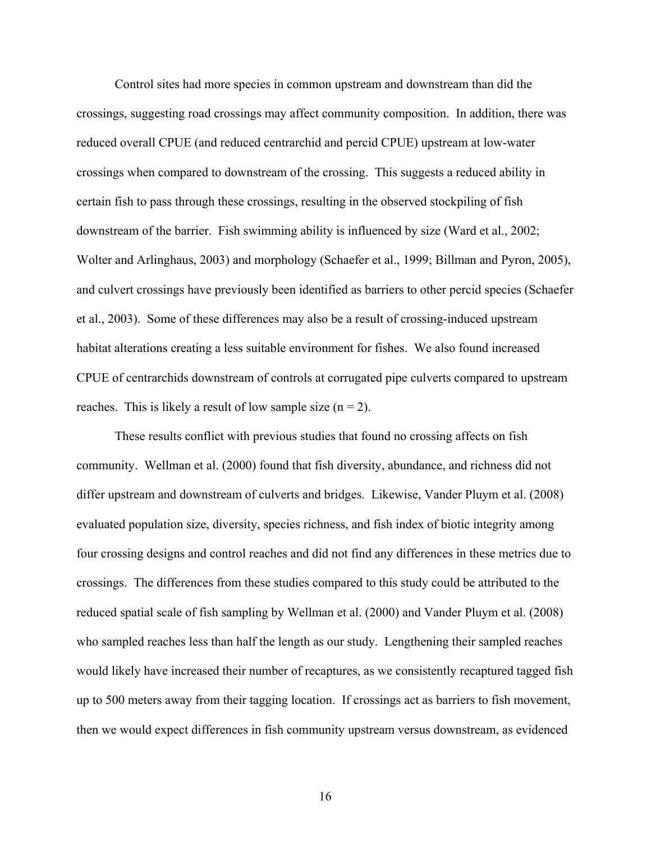Control sites had more species in common upstream and downstream than did the crossings, suggesting road crossings may affect community composition. In addition, there was reduced overall CPUE (and reduced centrarchid and percid CPUE) upstream at low-water crossings when compared to downstream of the crossing. This suggests a reduced ability in certain fish to pass through these crossings, resulting in the observed stockpiling of fish downstream of the barrier. Fish swimming ability is influenced by size (Ward et al., 2002; Wolter and Arlinghaus, 2003) and morphology (Schaefer et al., 1999; Billman and Pyron, 2005), and culvert crossings have previously been identified as barriers to other percid species (Schaefer et al., 2003). Some of these differences may also be a result of crossing-induced upstream habitat alterations creating a less suitable environment for fishes. We also found increased CPUE of centrarchids downstream of controls at corrugated pipe culverts compared to upstream reaches. This is likely a result of low sample size  $(n = 2)$ .

These results conflict with previous studies that found no crossing affects on fish community. Wellman et al. (2000) found that fish diversity, abundance, and richness did not differ upstream and downstream of culverts and bridges. Likewise, Vander Pluym et al. (2008) evaluated population size, diversity, species richness, and fish index of biotic integrity among four crossing designs and control reaches and did not find any differences in these metrics due to crossings. The differences from these studies compared to this study could be attributed to the reduced spatial scale of fish sampling by Wellman et al. (2000) and Vander Pluym et al. (2008) who sampled reaches less than half the length as our study. Lengthening their sampled reaches would likely have increased their number of recaptures, as we consistently recaptured tagged fish up to 500 meters away from their tagging location. If crossings act as barriers to fish movement, then we would expect differences in fish community upstream versus downstream, as evidenced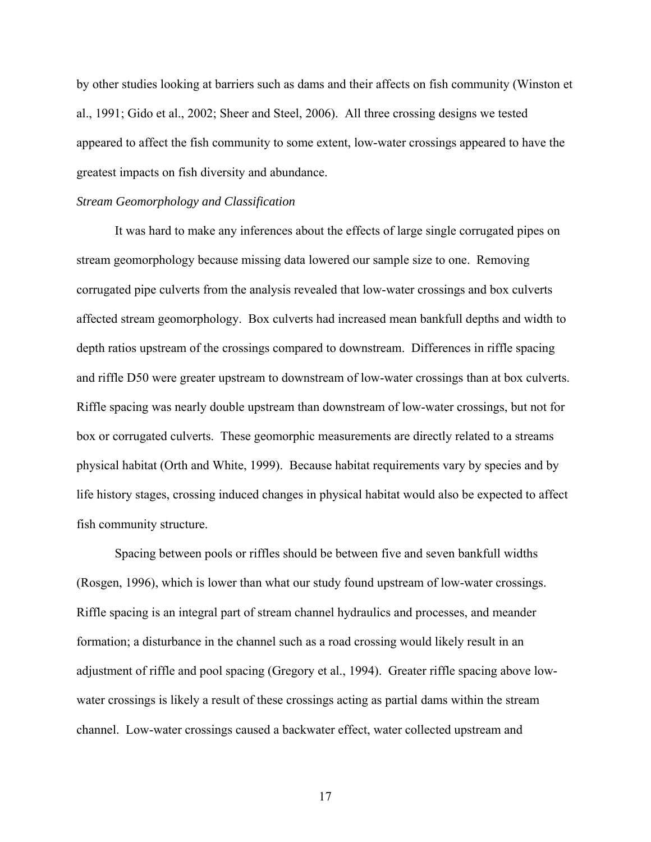<span id="page-27-0"></span>by other studies looking at barriers such as dams and their affects on fish community (Winston et al., 1991; Gido et al., 2002; Sheer and Steel, 2006). All three crossing designs we tested appeared to affect the fish community to some extent, low-water crossings appeared to have the greatest impacts on fish diversity and abundance.

#### *Stream Geomorphology and Classification*

It was hard to make any inferences about the effects of large single corrugated pipes on stream geomorphology because missing data lowered our sample size to one. Removing corrugated pipe culverts from the analysis revealed that low-water crossings and box culverts affected stream geomorphology. Box culverts had increased mean bankfull depths and width to depth ratios upstream of the crossings compared to downstream. Differences in riffle spacing and riffle D50 were greater upstream to downstream of low-water crossings than at box culverts. Riffle spacing was nearly double upstream than downstream of low-water crossings, but not for box or corrugated culverts. These geomorphic measurements are directly related to a streams physical habitat (Orth and White, 1999). Because habitat requirements vary by species and by life history stages, crossing induced changes in physical habitat would also be expected to affect fish community structure.

Spacing between pools or riffles should be between five and seven bankfull widths (Rosgen, 1996), which is lower than what our study found upstream of low-water crossings. Riffle spacing is an integral part of stream channel hydraulics and processes, and meander formation; a disturbance in the channel such as a road crossing would likely result in an adjustment of riffle and pool spacing (Gregory et al., 1994). Greater riffle spacing above lowwater crossings is likely a result of these crossings acting as partial dams within the stream channel. Low-water crossings caused a backwater effect, water collected upstream and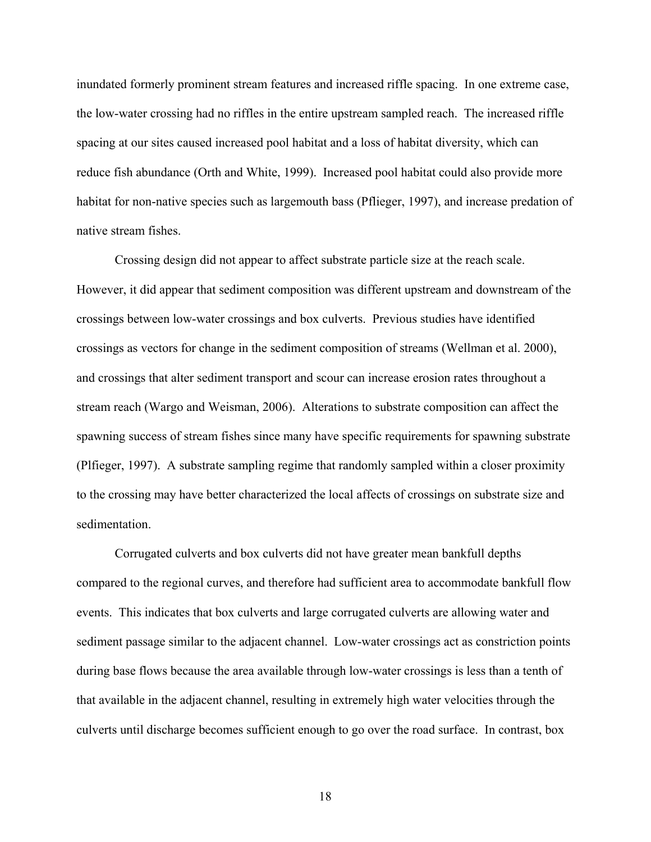inundated formerly prominent stream features and increased riffle spacing. In one extreme case, the low-water crossing had no riffles in the entire upstream sampled reach. The increased riffle spacing at our sites caused increased pool habitat and a loss of habitat diversity, which can reduce fish abundance (Orth and White, 1999). Increased pool habitat could also provide more habitat for non-native species such as largemouth bass (Pflieger, 1997), and increase predation of native stream fishes.

Crossing design did not appear to affect substrate particle size at the reach scale. However, it did appear that sediment composition was different upstream and downstream of the crossings between low-water crossings and box culverts. Previous studies have identified crossings as vectors for change in the sediment composition of streams (Wellman et al. 2000), and crossings that alter sediment transport and scour can increase erosion rates throughout a stream reach (Wargo and Weisman, 2006). Alterations to substrate composition can affect the spawning success of stream fishes since many have specific requirements for spawning substrate (Plfieger, 1997). A substrate sampling regime that randomly sampled within a closer proximity to the crossing may have better characterized the local affects of crossings on substrate size and sedimentation.

Corrugated culverts and box culverts did not have greater mean bankfull depths compared to the regional curves, and therefore had sufficient area to accommodate bankfull flow events. This indicates that box culverts and large corrugated culverts are allowing water and sediment passage similar to the adjacent channel. Low-water crossings act as constriction points during base flows because the area available through low-water crossings is less than a tenth of that available in the adjacent channel, resulting in extremely high water velocities through the culverts until discharge becomes sufficient enough to go over the road surface. In contrast, box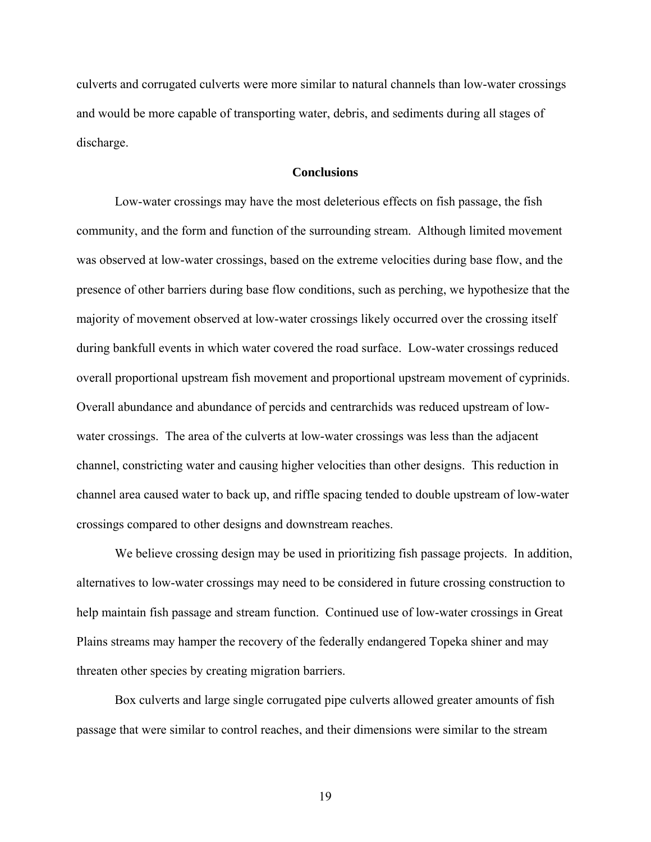<span id="page-29-0"></span>culverts and corrugated culverts were more similar to natural channels than low-water crossings and would be more capable of transporting water, debris, and sediments during all stages of discharge.

#### **Conclusions**

Low-water crossings may have the most deleterious effects on fish passage, the fish community, and the form and function of the surrounding stream. Although limited movement was observed at low-water crossings, based on the extreme velocities during base flow, and the presence of other barriers during base flow conditions, such as perching, we hypothesize that the majority of movement observed at low-water crossings likely occurred over the crossing itself during bankfull events in which water covered the road surface. Low-water crossings reduced overall proportional upstream fish movement and proportional upstream movement of cyprinids. Overall abundance and abundance of percids and centrarchids was reduced upstream of lowwater crossings. The area of the culverts at low-water crossings was less than the adjacent channel, constricting water and causing higher velocities than other designs. This reduction in channel area caused water to back up, and riffle spacing tended to double upstream of low-water crossings compared to other designs and downstream reaches.

We believe crossing design may be used in prioritizing fish passage projects. In addition, alternatives to low-water crossings may need to be considered in future crossing construction to help maintain fish passage and stream function. Continued use of low-water crossings in Great Plains streams may hamper the recovery of the federally endangered Topeka shiner and may threaten other species by creating migration barriers.

Box culverts and large single corrugated pipe culverts allowed greater amounts of fish passage that were similar to control reaches, and their dimensions were similar to the stream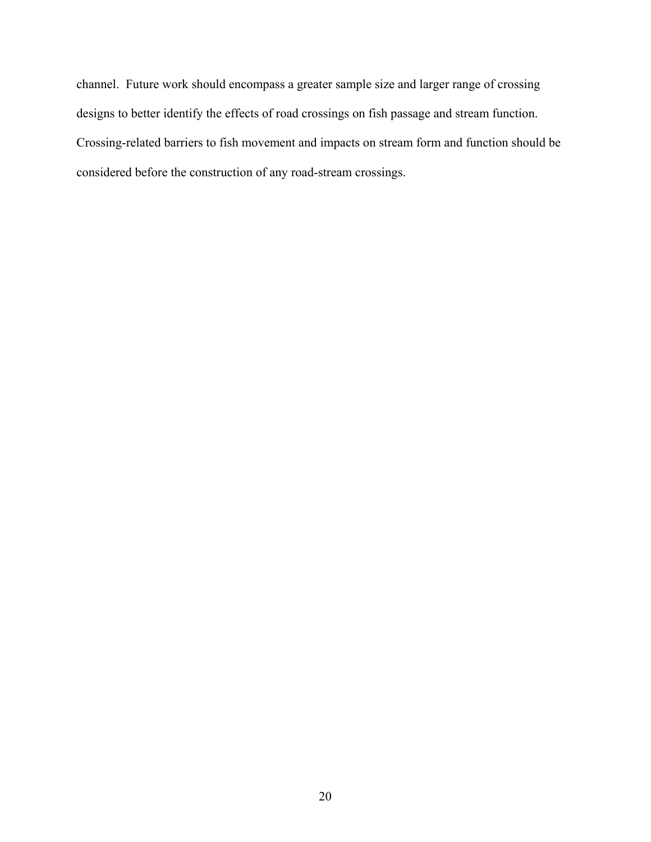channel. Future work should encompass a greater sample size and larger range of crossing designs to better identify the effects of road crossings on fish passage and stream function. Crossing-related barriers to fish movement and impacts on stream form and function should be considered before the construction of any road-stream crossings.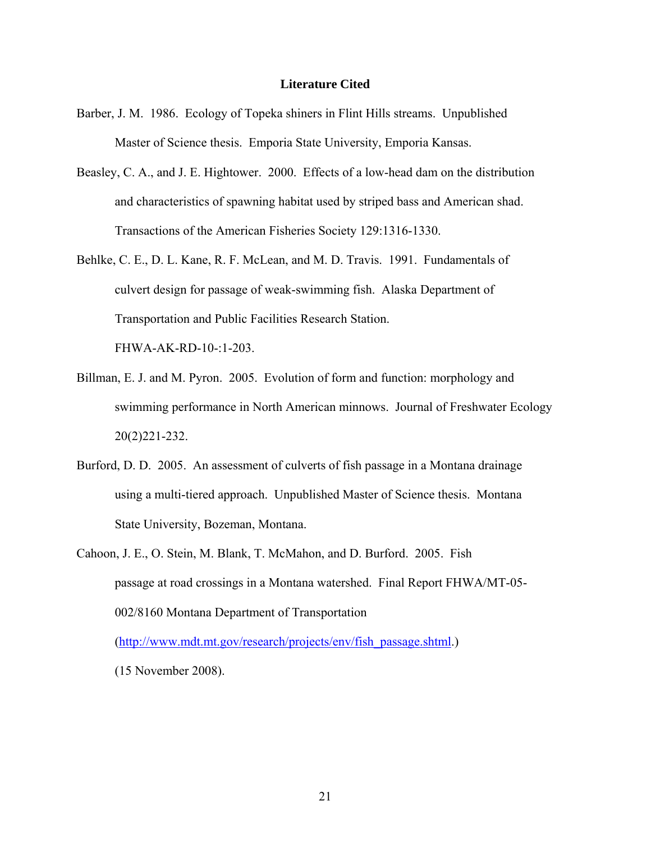#### **Literature Cited**

- Barber, J. M. 1986. Ecology of Topeka shiners in Flint Hills streams. Unpublished Master of Science thesis. Emporia State University, Emporia Kansas.
- Beasley, C. A., and J. E. Hightower. 2000. Effects of a low-head dam on the distribution and characteristics of spawning habitat used by striped bass and American shad. Transactions of the American Fisheries Society 129:1316-1330.
- Behlke, C. E., D. L. Kane, R. F. McLean, and M. D. Travis. 1991. Fundamentals of culvert design for passage of weak-swimming fish. Alaska Department of Transportation and Public Facilities Research Station.

FHWA-AK-RD-10-:1-203.

- Billman, E. J. and M. Pyron. 2005. Evolution of form and function: morphology and swimming performance in North American minnows. Journal of Freshwater Ecology 20(2)221-232.
- Burford, D. D. 2005. An assessment of culverts of fish passage in a Montana drainage using a multi-tiered approach. Unpublished Master of Science thesis. Montana State University, Bozeman, Montana.
- Cahoon, J. E., O. Stein, M. Blank, T. McMahon, and D. Burford. 2005. Fish passage at road crossings in a Montana watershed. Final Report FHWA/MT-05- 002/8160 Montana Department of Transportation ([http://www.mdt.mt.gov/research/projects/env/fish\\_passage.shtml.](http://www.mdt.mt.gov/research/projects/env/fish_passage.shtml))

(15 November 2008).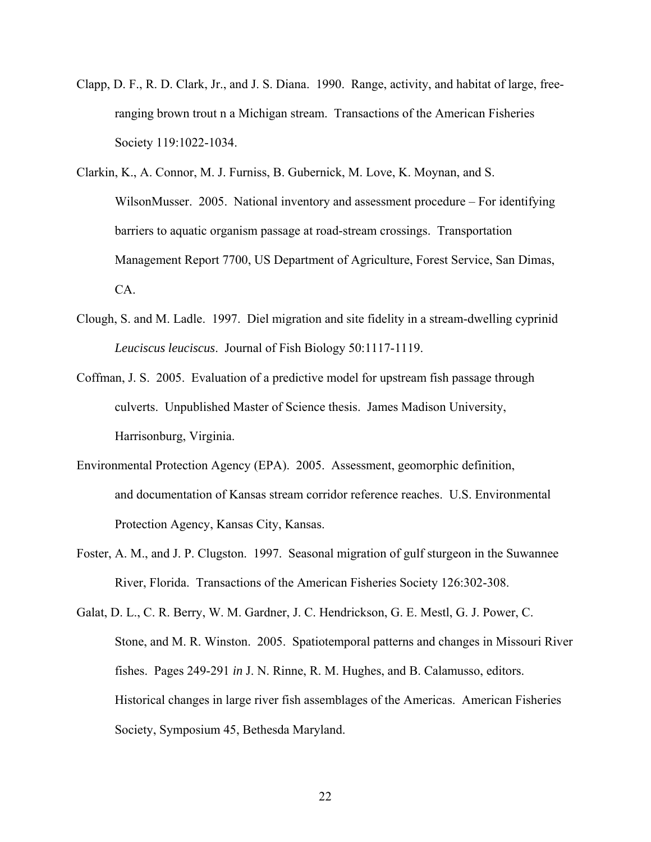- Clapp, D. F., R. D. Clark, Jr., and J. S. Diana. 1990. Range, activity, and habitat of large, freeranging brown trout n a Michigan stream. Transactions of the American Fisheries Society 119:1022-1034.
- Clarkin, K., A. Connor, M. J. Furniss, B. Gubernick, M. Love, K. Moynan, and S. WilsonMusser. 2005. National inventory and assessment procedure – For identifying barriers to aquatic organism passage at road-stream crossings. Transportation Management Report 7700, US Department of Agriculture, Forest Service, San Dimas, CA.
- Clough, S. and M. Ladle. 1997. Diel migration and site fidelity in a stream-dwelling cyprinid *Leuciscus leuciscus*. Journal of Fish Biology 50:1117-1119.
- Coffman, J. S. 2005. Evaluation of a predictive model for upstream fish passage through culverts. Unpublished Master of Science thesis. James Madison University, Harrisonburg, Virginia.
- Environmental Protection Agency (EPA). 2005. Assessment, geomorphic definition, and documentation of Kansas stream corridor reference reaches. U.S. Environmental Protection Agency, Kansas City, Kansas.
- Foster, A. M., and J. P. Clugston. 1997. Seasonal migration of gulf sturgeon in the Suwannee River, Florida. Transactions of the American Fisheries Society 126:302-308.
- Galat, D. L., C. R. Berry, W. M. Gardner, J. C. Hendrickson, G. E. Mestl, G. J. Power, C. Stone, and M. R. Winston. 2005. Spatiotemporal patterns and changes in Missouri River fishes. Pages 249-291 *in* J. N. Rinne, R. M. Hughes, and B. Calamusso, editors. Historical changes in large river fish assemblages of the Americas. American Fisheries Society, Symposium 45, Bethesda Maryland.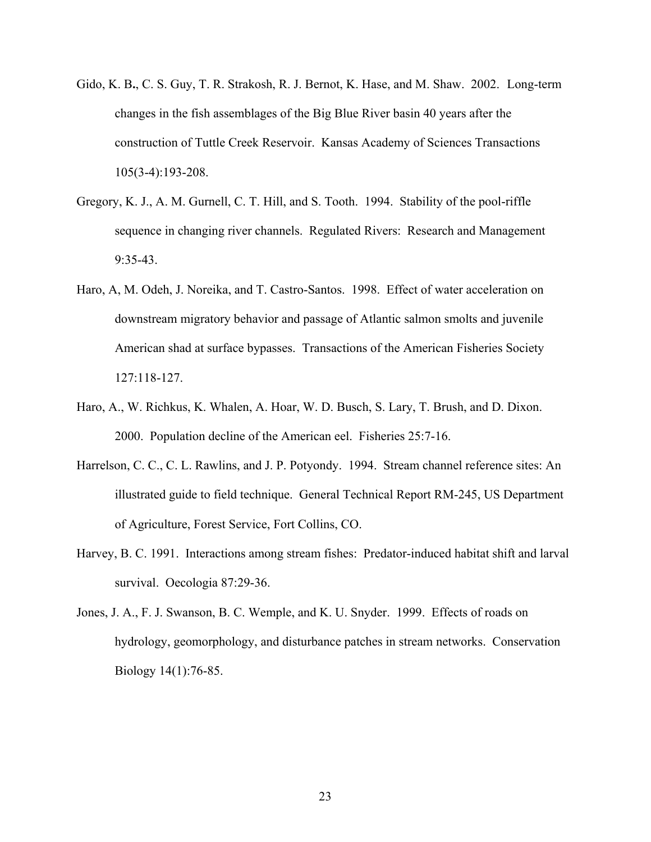- Gido, K. B**.**, C. S. Guy, T. R. Strakosh, R. J. Bernot, K. Hase, and M. Shaw. 2002. Long-term changes in the fish assemblages of the Big Blue River basin 40 years after the construction of Tuttle Creek Reservoir. Kansas Academy of Sciences Transactions 105(3-4):193-208.
- Gregory, K. J., A. M. Gurnell, C. T. Hill, and S. Tooth. 1994. Stability of the pool-riffle sequence in changing river channels. Regulated Rivers: Research and Management 9:35-43.
- Haro, A, M. Odeh, J. Noreika, and T. Castro-Santos. 1998. Effect of water acceleration on downstream migratory behavior and passage of Atlantic salmon smolts and juvenile American shad at surface bypasses. Transactions of the American Fisheries Society 127:118-127.
- Haro, A., W. Richkus, K. Whalen, A. Hoar, W. D. Busch, S. Lary, T. Brush, and D. Dixon. 2000. Population decline of the American eel. Fisheries 25:7-16.
- Harrelson, C. C., C. L. Rawlins, and J. P. Potyondy. 1994. Stream channel reference sites: An illustrated guide to field technique. General Technical Report RM-245, US Department of Agriculture, Forest Service, Fort Collins, CO.
- Harvey, B. C. 1991. Interactions among stream fishes: Predator-induced habitat shift and larval survival. Oecologia 87:29-36.
- Jones, J. A., F. J. Swanson, B. C. Wemple, and K. U. Snyder. 1999. Effects of roads on hydrology, geomorphology, and disturbance patches in stream networks. Conservation Biology 14(1):76-85.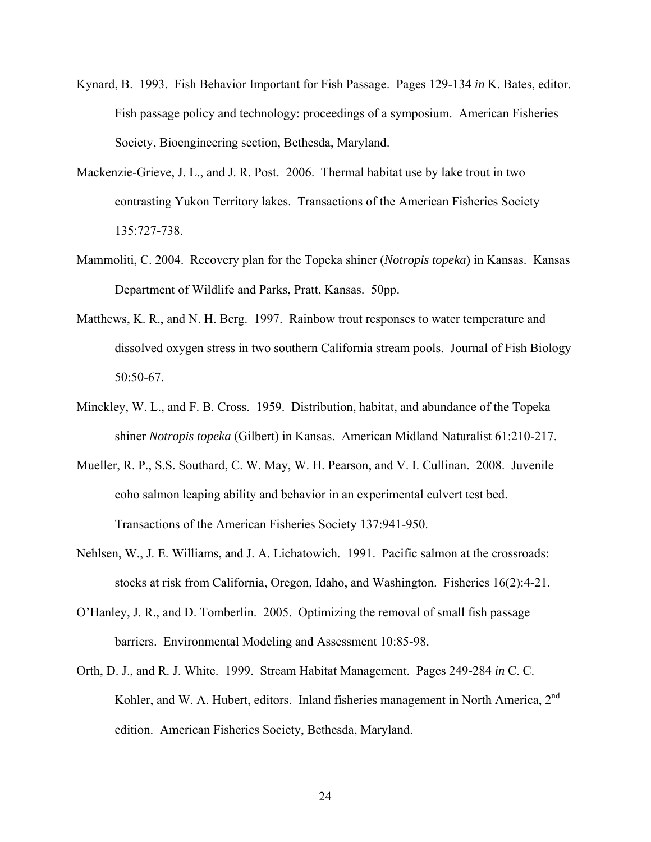- Kynard, B. 1993. Fish Behavior Important for Fish Passage. Pages 129-134 *in* K. Bates, editor. Fish passage policy and technology: proceedings of a symposium. American Fisheries Society, Bioengineering section, Bethesda, Maryland.
- Mackenzie-Grieve, J. L., and J. R. Post. 2006. Thermal habitat use by lake trout in two contrasting Yukon Territory lakes. Transactions of the American Fisheries Society 135:727-738.
- Mammoliti, C. 2004. Recovery plan for the Topeka shiner (*Notropis topeka*) in Kansas. Kansas Department of Wildlife and Parks, Pratt, Kansas. 50pp.
- Matthews, K. R., and N. H. Berg. 1997. Rainbow trout responses to water temperature and dissolved oxygen stress in two southern California stream pools. Journal of Fish Biology 50:50-67.
- Minckley, W. L., and F. B. Cross. 1959. Distribution, habitat, and abundance of the Topeka shiner *Notropis topeka* (Gilbert) in Kansas. American Midland Naturalist 61:210-217.
- Mueller, R. P., S.S. Southard, C. W. May, W. H. Pearson, and V. I. Cullinan. 2008. Juvenile coho salmon leaping ability and behavior in an experimental culvert test bed. Transactions of the American Fisheries Society 137:941-950.
- Nehlsen, W., J. E. Williams, and J. A. Lichatowich. 1991. Pacific salmon at the crossroads: stocks at risk from California, Oregon, Idaho, and Washington. Fisheries 16(2):4-21.
- O'Hanley, J. R., and D. Tomberlin. 2005. Optimizing the removal of small fish passage barriers. Environmental Modeling and Assessment 10:85-98.
- Orth, D. J., and R. J. White. 1999. Stream Habitat Management. Pages 249-284 *in* C. C. Kohler, and W. A. Hubert, editors. Inland fisheries management in North America, 2<sup>nd</sup> edition. American Fisheries Society, Bethesda, Maryland.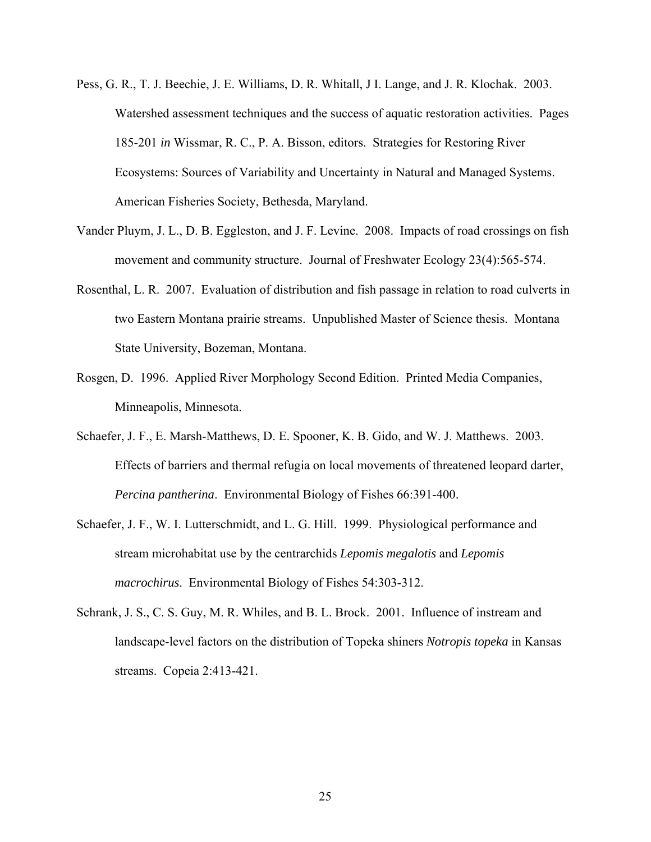- Pess, G. R., T. J. Beechie, J. E. Williams, D. R. Whitall, J I. Lange, and J. R. Klochak. 2003. Watershed assessment techniques and the success of aquatic restoration activities. Pages 185-201 *in* Wissmar, R. C., P. A. Bisson, editors. Strategies for Restoring River Ecosystems: Sources of Variability and Uncertainty in Natural and Managed Systems. American Fisheries Society, Bethesda, Maryland.
- Vander Pluym, J. L., D. B. Eggleston, and J. F. Levine. 2008. Impacts of road crossings on fish movement and community structure. Journal of Freshwater Ecology 23(4):565-574.
- Rosenthal, L. R. 2007. Evaluation of distribution and fish passage in relation to road culverts in two Eastern Montana prairie streams. Unpublished Master of Science thesis. Montana State University, Bozeman, Montana.
- Rosgen, D. 1996. Applied River Morphology Second Edition. Printed Media Companies, Minneapolis, Minnesota.
- Schaefer, J. F., E. Marsh-Matthews, D. E. Spooner, K. B. Gido, and W. J. Matthews. 2003. Effects of barriers and thermal refugia on local movements of threatened leopard darter, *Percina pantherina*. Environmental Biology of Fishes 66:391-400.
- Schaefer, J. F., W. I. Lutterschmidt, and L. G. Hill. 1999. Physiological performance and stream microhabitat use by the centrarchids *Lepomis megalotis* and *Lepomis macrochirus*. Environmental Biology of Fishes 54:303-312.
- Schrank, J. S., C. S. Guy, M. R. Whiles, and B. L. Brock. 2001. Influence of instream and landscape-level factors on the distribution of Topeka shiners *Notropis topeka* in Kansas streams. Copeia 2:413-421.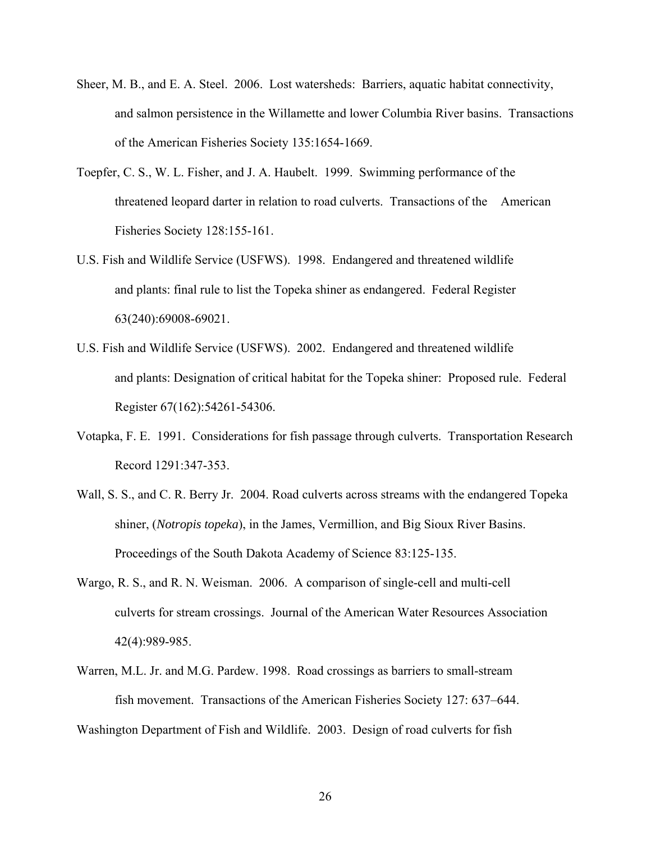- Sheer, M. B., and E. A. Steel. 2006. Lost watersheds: Barriers, aquatic habitat connectivity, and salmon persistence in the Willamette and lower Columbia River basins. Transactions of the American Fisheries Society 135:1654-1669.
- Toepfer, C. S., W. L. Fisher, and J. A. Haubelt. 1999. Swimming performance of the threatened leopard darter in relation to road culverts. Transactions of the American Fisheries Society 128:155-161.
- U.S. Fish and Wildlife Service (USFWS). 1998. Endangered and threatened wildlife and plants: final rule to list the Topeka shiner as endangered. Federal Register 63(240):69008-69021.
- U.S. Fish and Wildlife Service (USFWS). 2002. Endangered and threatened wildlife and plants: Designation of critical habitat for the Topeka shiner: Proposed rule. Federal Register 67(162):54261-54306.
- Votapka, F. E. 1991. Considerations for fish passage through culverts. Transportation Research Record 1291:347-353.
- Wall, S. S., and C. R. Berry Jr. 2004. Road culverts across streams with the endangered Topeka shiner, (*Notropis topeka*), in the James, Vermillion, and Big Sioux River Basins. Proceedings of the South Dakota Academy of Science 83:125-135.
- Wargo, R. S., and R. N. Weisman. 2006. A comparison of single-cell and multi-cell culverts for stream crossings. Journal of the American Water Resources Association 42(4):989-985.
- Warren, M.L. Jr. and M.G. Pardew. 1998. Road crossings as barriers to small-stream fish movement. Transactions of the American Fisheries Society 127: 637–644.

Washington Department of Fish and Wildlife. 2003. Design of road culverts for fish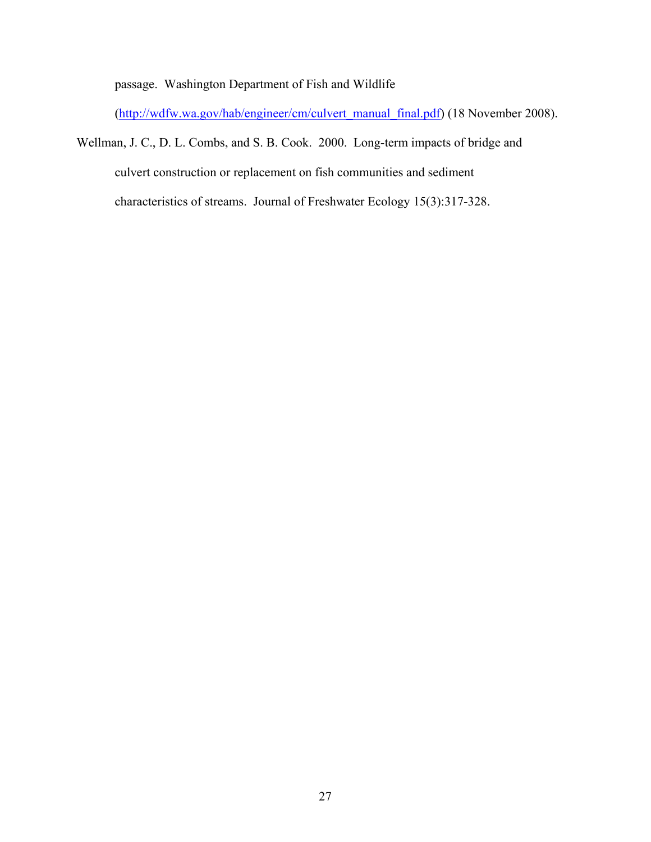passage. Washington Department of Fish and Wildlife

([http://wdfw.wa.gov/hab/engineer/cm/culvert\\_manual\\_final.pdf](http://wdfw.wa.gov/hab/engineer/cm/culvert_manual_final.pdf)) (18 November 2008).

Wellman, J. C., D. L. Combs, and S. B. Cook. 2000. Long-term impacts of bridge and culvert construction or replacement on fish communities and sediment characteristics of streams. Journal of Freshwater Ecology 15(3):317-328.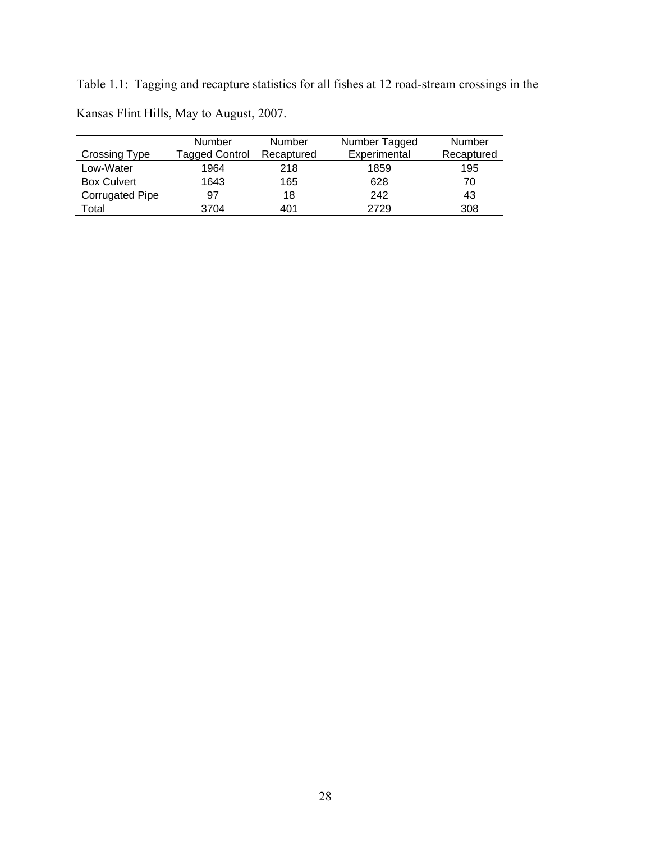Table 1.1: Tagging and recapture statistics for all fishes at 12 road-stream crossings in the Kansas Flint Hills, May to August, 2007.

|                        | <b>Number</b>  | Number     | Number Tagged | Number     |
|------------------------|----------------|------------|---------------|------------|
| Crossing Type          | Tagged Control | Recaptured | Experimental  | Recaptured |
| Low-Water              | 1964           | 218        | 1859          | 195        |
| <b>Box Culvert</b>     | 1643           | 165        | 628           | 70         |
| <b>Corrugated Pipe</b> | 97             | 18         | 242           | 43         |
| Total                  | 3704           | 401        | 2729          | 308        |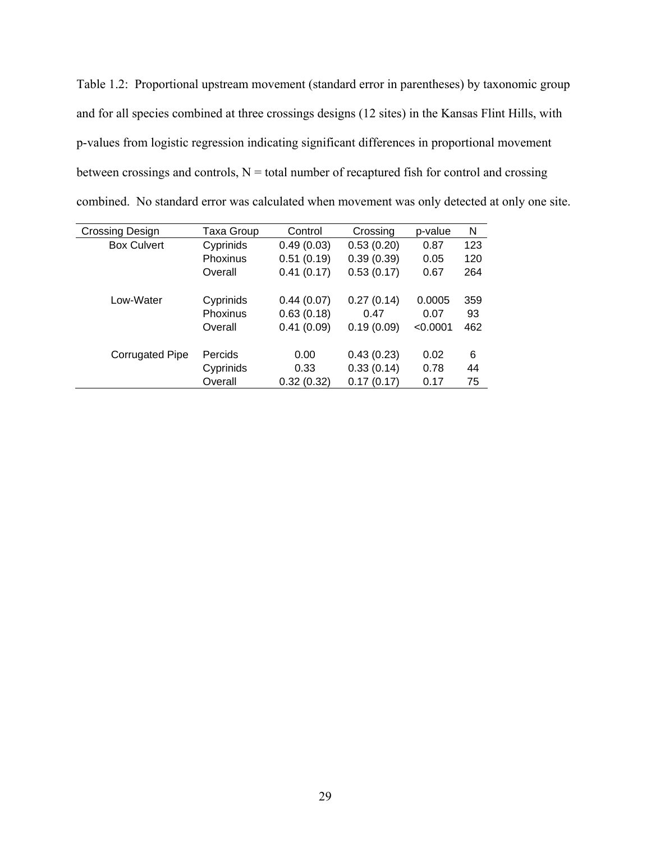Table 1.2: Proportional upstream movement (standard error in parentheses) by taxonomic group and for all species combined at three crossings designs (12 sites) in the Kansas Flint Hills, with p-values from logistic regression indicating significant differences in proportional movement between crossings and controls,  $N =$  total number of recaptured fish for control and crossing combined. No standard error was calculated when movement was only detected at only one site.

| <b>Crossing Design</b> | Taxa Group      | Control    | Crossing   | p-value  | N   |
|------------------------|-----------------|------------|------------|----------|-----|
| <b>Box Culvert</b>     | Cyprinids       | 0.49(0.03) | 0.53(0.20) | 0.87     | 123 |
|                        | Phoxinus        | 0.51(0.19) | 0.39(0.39) | 0.05     | 120 |
|                        | Overall         | 0.41(0.17) | 0.53(0.17) | 0.67     | 264 |
|                        |                 |            |            |          |     |
| Low-Water              | Cyprinids       | 0.44(0.07) | 0.27(0.14) | 0.0005   | 359 |
|                        | <b>Phoxinus</b> | 0.63(0.18) | 0.47       | 0.07     | 93  |
|                        | Overall         | 0.41(0.09) | 0.19(0.09) | < 0.0001 | 462 |
|                        |                 |            |            |          |     |
| <b>Corrugated Pipe</b> | Percids         | 0.00       | 0.43(0.23) | 0.02     | 6   |
|                        | Cyprinids       | 0.33       | 0.33(0.14) | 0.78     | 44  |
|                        | Overall         | 0.32(0.32) | 0.17(0.17) | 0.17     | 75  |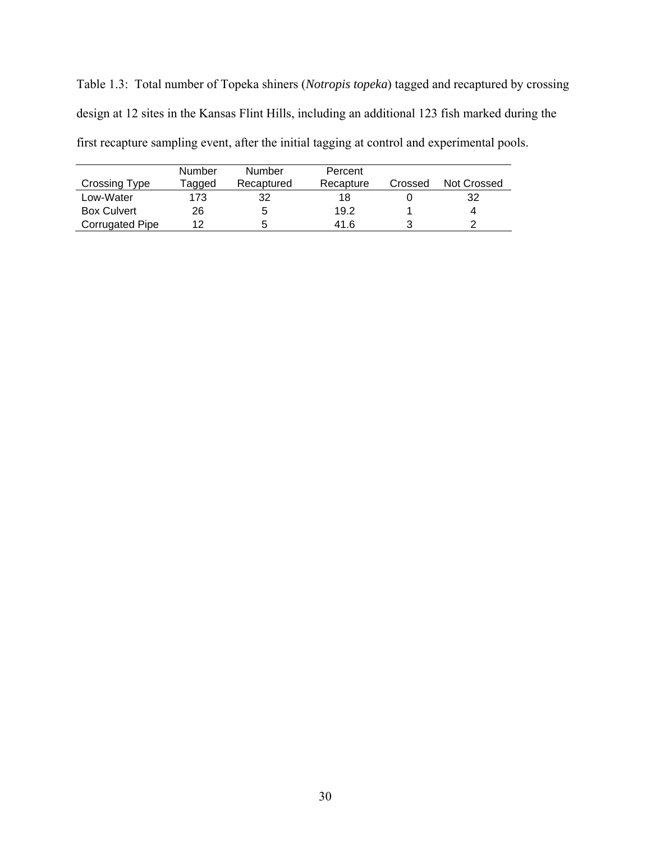Table 1.3: Total number of Topeka shiners (*Notropis topeka*) tagged and recaptured by crossing design at 12 sites in the Kansas Flint Hills, including an additional 123 fish marked during the first recapture sampling event, after the initial tagging at control and experimental pools.

|                        | Number | Number     | Percent   |         |             |
|------------------------|--------|------------|-----------|---------|-------------|
| Crossing Type          | ⊺agged | Recaptured | Recapture | Crossed | Not Crossed |
| Low-Water              | 173    | 32         | 18        |         | 32          |
| <b>Box Culvert</b>     | 26     | 5          | 19.2      |         |             |
| <b>Corrugated Pipe</b> | ィっ     | 5          | 41.6      |         | c           |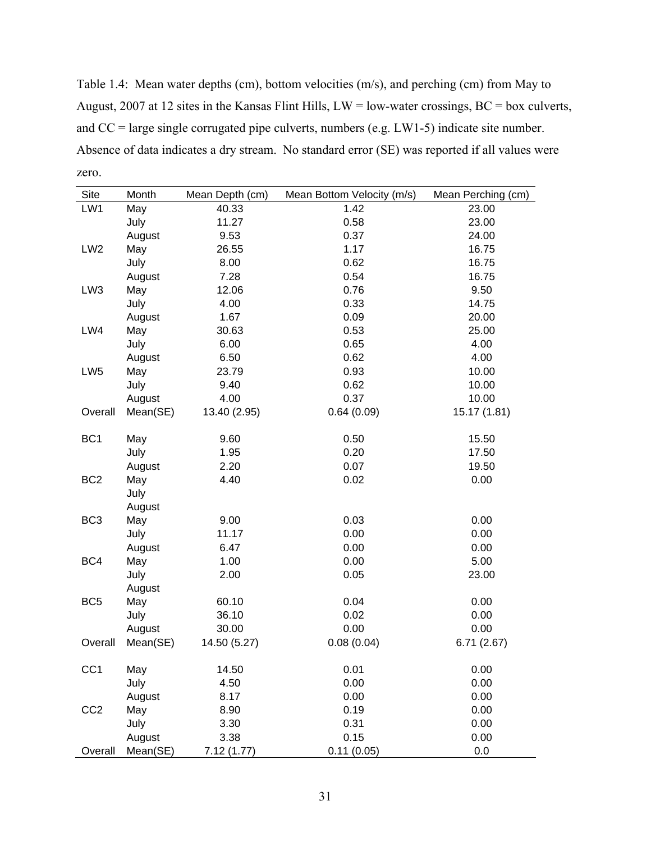Table 1.4: Mean water depths (cm), bottom velocities (m/s), and perching (cm) from May to August, 2007 at 12 sites in the Kansas Flint Hills, LW = low-water crossings, BC = box culverts, and CC = large single corrugated pipe culverts, numbers (e.g. LW1-5) indicate site number. Absence of data indicates a dry stream. No standard error (SE) was reported if all values were zero.

| Site            | Month    | Mean Depth (cm) | Mean Bottom Velocity (m/s) | Mean Perching (cm) |
|-----------------|----------|-----------------|----------------------------|--------------------|
| LW1             | May      | 40.33           | 1.42                       | 23.00              |
|                 | July     | 11.27           | 0.58                       | 23.00              |
|                 | August   | 9.53            | 0.37                       | 24.00              |
| LW <sub>2</sub> | May      | 26.55           | 1.17                       | 16.75              |
|                 | July     | 8.00            | 0.62                       | 16.75              |
|                 | August   | 7.28            | 0.54                       | 16.75              |
| LW3             | May      | 12.06           | 0.76                       | 9.50               |
|                 | July     | 4.00            | 0.33                       | 14.75              |
|                 | August   | 1.67            | 0.09                       | 20.00              |
| LW4             | May      | 30.63           | 0.53                       | 25.00              |
|                 | July     | 6.00            | 0.65                       | 4.00               |
|                 | August   | 6.50            | 0.62                       | 4.00               |
| LW <sub>5</sub> | May      | 23.79           | 0.93                       | 10.00              |
|                 | July     | 9.40            | 0.62                       | 10.00              |
|                 | August   | 4.00            | 0.37                       | 10.00              |
| Overall         | Mean(SE) | 13.40 (2.95)    | 0.64(0.09)                 | 15.17 (1.81)       |
|                 |          |                 |                            |                    |
| BC <sub>1</sub> | May      | 9.60            | 0.50                       | 15.50              |
|                 | July     | 1.95            | 0.20                       | 17.50              |
|                 | August   | 2.20            | 0.07                       | 19.50              |
| BC <sub>2</sub> | May      | 4.40            | 0.02                       | 0.00               |
|                 | July     |                 |                            |                    |
|                 | August   |                 |                            |                    |
| BC <sub>3</sub> | May      | 9.00            | 0.03                       | 0.00               |
|                 | July     | 11.17           | 0.00                       | 0.00               |
|                 | August   | 6.47            | 0.00                       | 0.00               |
| BC4             | May      | 1.00            | 0.00                       | 5.00               |
|                 | July     | 2.00            | 0.05                       | 23.00              |
|                 | August   |                 |                            |                    |
| BC <sub>5</sub> | May      | 60.10           | 0.04                       | 0.00               |
|                 | July     | 36.10           | 0.02                       | 0.00               |
|                 | August   | 30.00           | 0.00                       | 0.00               |
| Overall         | Mean(SE) | 14.50 (5.27)    | 0.08(0.04)                 | 6.71(2.67)         |
|                 |          |                 |                            |                    |
| CC <sub>1</sub> | May      | 14.50           | 0.01                       | 0.00               |
|                 | July     | 4.50            | 0.00                       | 0.00               |
|                 | August   | 8.17            | 0.00                       | 0.00               |
| CC <sub>2</sub> | May      | 8.90            | 0.19                       | 0.00               |
|                 | July     | 3.30            | 0.31                       | 0.00               |
|                 | August   | 3.38            | 0.15                       | 0.00               |
| Overall         | Mean(SE) | 7.12(1.77)      | 0.11(0.05)                 | 0.0                |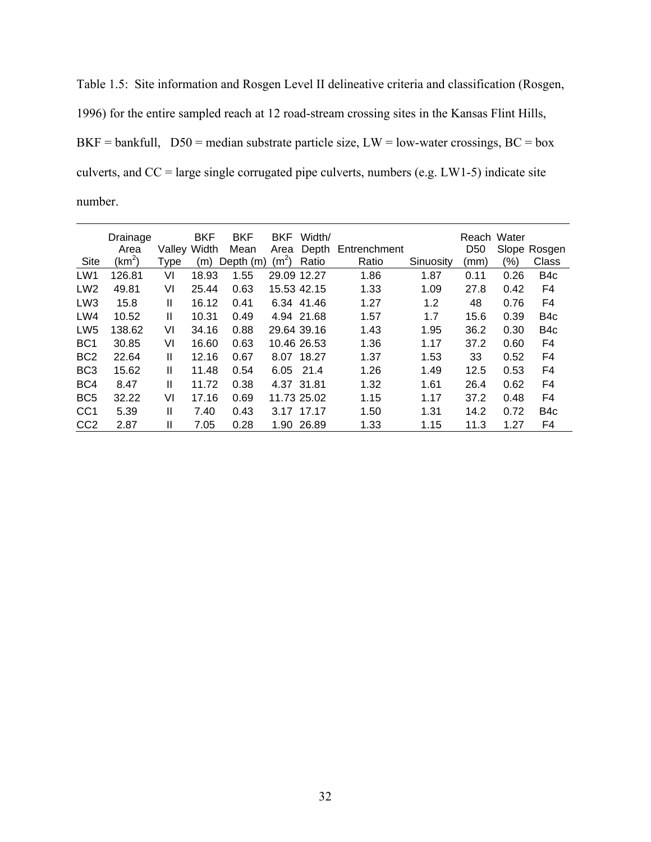Table 1.5: Site information and Rosgen Level II delineative criteria and classification (Rosgen, 1996) for the entire sampled reach at 12 road-stream crossing sites in the Kansas Flint Hills, BKF = bankfull,  $D50$  = median substrate particle size, LW = low-water crossings, BC = box culverts, and  $CC = \text{large single corrugated pipe culverts, numbers (e.g. LW1-5) indicate site}$ number.

|                 | Drainage |              | <b>BKF</b> | <b>BKF</b> | <b>BKF</b>        | Width/      |              |           | Reach Water     |      |                  |
|-----------------|----------|--------------|------------|------------|-------------------|-------------|--------------|-----------|-----------------|------|------------------|
|                 | Area     | Valley Width |            | Mean       | Area              | Depth       | Entrenchment |           | D <sub>50</sub> |      | Slope Rosgen     |
| Site            | $(km^2)$ | Type         | (m)        | Depth (m)  | (m <sup>2</sup> ) | Ratio       | Ratio        | Sinuosity | (mm)            | (%)  | Class            |
| LW1             | 126.81   | VI           | 18.93      | 1.55       |                   | 29.09 12.27 | 1.86         | 1.87      | 0.11            | 0.26 | B <sub>4c</sub>  |
| LW <sub>2</sub> | 49.81    | VI           | 25.44      | 0.63       |                   | 15.53 42.15 | 1.33         | 1.09      | 27.8            | 0.42 | F4               |
| LW <sub>3</sub> | 15.8     | Ш            | 16.12      | 0.41       |                   | 6.34 41.46  | 1.27         | 1.2       | 48              | 0.76 | F4               |
| LW4             | 10.52    | Ш            | 10.31      | 0.49       |                   | 4.94 21.68  | 1.57         | 1.7       | 15.6            | 0.39 | B <sub>4</sub> c |
| LW <sub>5</sub> | 138.62   | VI           | 34.16      | 0.88       |                   | 29.64 39.16 | 1.43         | 1.95      | 36.2            | 0.30 | B <sub>4</sub> c |
| BC <sub>1</sub> | 30.85    | VI           | 16.60      | 0.63       |                   | 10.46 26.53 | 1.36         | 1.17      | 37.2            | 0.60 | F4               |
| BC <sub>2</sub> | 22.64    | Ш            | 12.16      | 0.67       |                   | 8.07 18.27  | 1.37         | 1.53      | 33              | 0.52 | F4               |
| BC <sub>3</sub> | 15.62    | Ш            | 11.48      | 0.54       | 6.05              | 21.4        | 1.26         | 1.49      | 12.5            | 0.53 | F4               |
| BC4             | 8.47     | Ш            | 11.72      | 0.38       |                   | 4.37 31.81  | 1.32         | 1.61      | 26.4            | 0.62 | F4               |
| BC <sub>5</sub> | 32.22    | VI           | 17.16      | 0.69       |                   | 11.73 25.02 | 1.15         | 1.17      | 37.2            | 0.48 | F4               |
| CC <sub>1</sub> | 5.39     | Ш            | 7.40       | 0.43       | 3.17              | 17.17       | 1.50         | 1.31      | 14.2            | 0.72 | B <sub>4</sub> c |
| CC <sub>2</sub> | 2.87     | Ш            | 7.05       | 0.28       | 1.90              | 26.89       | 1.33         | 1.15      | 11.3            | 1.27 | F4               |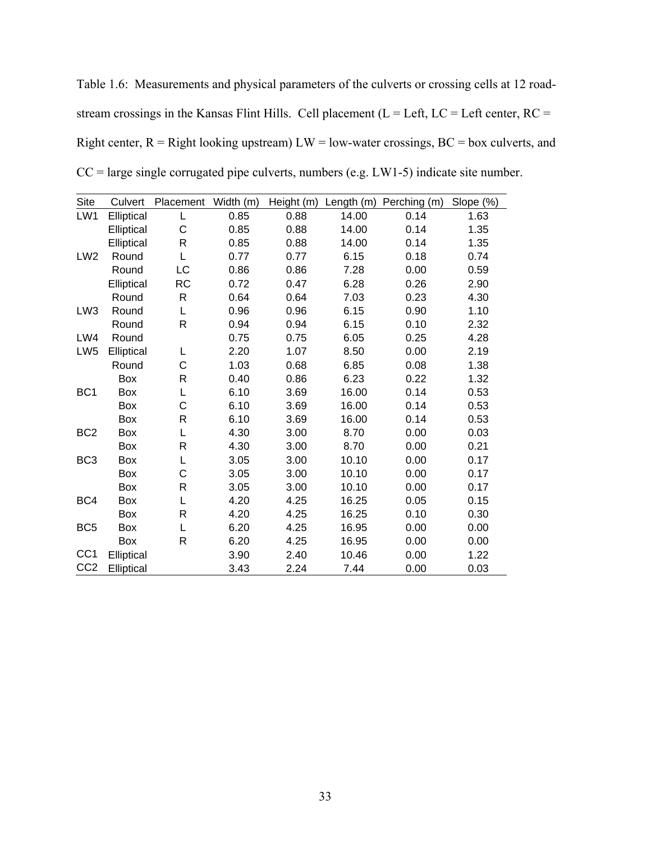Table 1.6: Measurements and physical parameters of the culverts or crossing cells at 12 roadstream crossings in the Kansas Flint Hills. Cell placement ( $L = Left$ ,  $LC = Left$  center,  $RC =$ Right center,  $R =$  Right looking upstream)  $LW =$  low-water crossings,  $BC =$  box culverts, and  $CC = \text{large single corrugated pipe culverts, numbers (e.g. LW1-5) indicate site number.}$ 

| <b>Site</b>     | Culvert    | Placement    | Width (m) | Height (m) | Length (m) | Perching (m) | Slope (%) |
|-----------------|------------|--------------|-----------|------------|------------|--------------|-----------|
| LW1             | Elliptical | L            | 0.85      | 0.88       | 14.00      | 0.14         | 1.63      |
|                 | Elliptical | C            | 0.85      | 0.88       | 14.00      | 0.14         | 1.35      |
|                 | Elliptical | R            | 0.85      | 0.88       | 14.00      | 0.14         | 1.35      |
| LW <sub>2</sub> | Round      | L            | 0.77      | 0.77       | 6.15       | 0.18         | 0.74      |
|                 | Round      | <b>LC</b>    | 0.86      | 0.86       | 7.28       | 0.00         | 0.59      |
|                 | Elliptical | <b>RC</b>    | 0.72      | 0.47       | 6.28       | 0.26         | 2.90      |
|                 | Round      | R            | 0.64      | 0.64       | 7.03       | 0.23         | 4.30      |
| LW <sub>3</sub> | Round      | L            | 0.96      | 0.96       | 6.15       | 0.90         | 1.10      |
|                 | Round      | R            | 0.94      | 0.94       | 6.15       | 0.10         | 2.32      |
| LW4             | Round      |              | 0.75      | 0.75       | 6.05       | 0.25         | 4.28      |
| LW <sub>5</sub> | Elliptical | L            | 2.20      | 1.07       | 8.50       | 0.00         | 2.19      |
|                 | Round      | C            | 1.03      | 0.68       | 6.85       | 0.08         | 1.38      |
|                 | <b>Box</b> | R            | 0.40      | 0.86       | 6.23       | 0.22         | 1.32      |
| BC <sub>1</sub> | Box        | L            | 6.10      | 3.69       | 16.00      | 0.14         | 0.53      |
|                 | Box        | C            | 6.10      | 3.69       | 16.00      | 0.14         | 0.53      |
|                 | Box        | $\mathsf{R}$ | 6.10      | 3.69       | 16.00      | 0.14         | 0.53      |
| BC <sub>2</sub> | Box        | L            | 4.30      | 3.00       | 8.70       | 0.00         | 0.03      |
|                 | Box        | $\mathsf{R}$ | 4.30      | 3.00       | 8.70       | 0.00         | 0.21      |
| BC <sub>3</sub> | Box        | L            | 3.05      | 3.00       | 10.10      | 0.00         | 0.17      |
|                 | Box        | C            | 3.05      | 3.00       | 10.10      | 0.00         | 0.17      |
|                 | Box        | $\mathsf{R}$ | 3.05      | 3.00       | 10.10      | 0.00         | 0.17      |
| BC4             | Box        | L            | 4.20      | 4.25       | 16.25      | 0.05         | 0.15      |
|                 | Box        | $\mathsf{R}$ | 4.20      | 4.25       | 16.25      | 0.10         | 0.30      |
| BC <sub>5</sub> | Box        | L            | 6.20      | 4.25       | 16.95      | 0.00         | 0.00      |
|                 | Box        | $\mathsf{R}$ | 6.20      | 4.25       | 16.95      | 0.00         | 0.00      |
| CC <sub>1</sub> | Elliptical |              | 3.90      | 2.40       | 10.46      | 0.00         | 1.22      |
| CC <sub>2</sub> | Elliptical |              | 3.43      | 2.24       | 7.44       | 0.00         | 0.03      |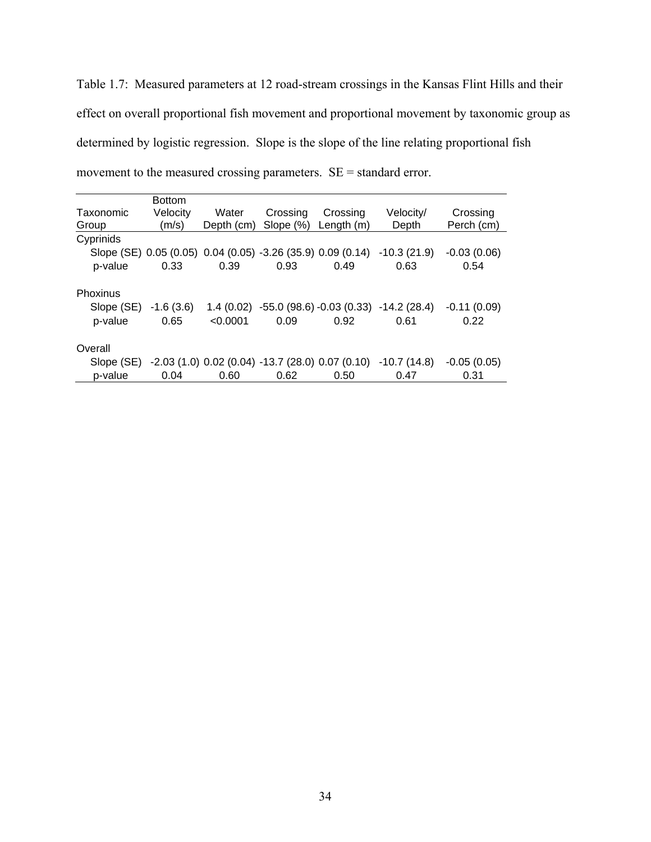Table 1.7: Measured parameters at 12 road-stream crossings in the Kansas Flint Hills and their effect on overall proportional fish movement and proportional movement by taxonomic group as determined by logistic regression. Slope is the slope of the line relating proportional fish movement to the measured crossing parameters. SE = standard error.

|            | <b>Bottom</b> |            |                                                             |                                                |                                                 |               |
|------------|---------------|------------|-------------------------------------------------------------|------------------------------------------------|-------------------------------------------------|---------------|
| Taxonomic  | Velocity      | Water      | Crossing                                                    | Crossing                                       | Velocity/                                       | Crossing      |
| Group      | (m/s)         | Depth (cm) | Slope $(\%)$                                                | Length $(m)$                                   | Depth                                           | Perch (cm)    |
| Cyprinids  |               |            |                                                             |                                                |                                                 |               |
|            |               |            | Slope (SE) 0.05 (0.05) 0.04 (0.05) -3.26 (35.9) 0.09 (0.14) |                                                | $-10.3(21.9)$                                   | $-0.03(0.06)$ |
| p-value    | 0.33          | 0.39       | 0.93                                                        | 0.49                                           | 0.63                                            | 0.54          |
| Phoxinus   |               |            |                                                             |                                                |                                                 |               |
| Slope (SE) | $-1.6(3.6)$   |            |                                                             |                                                | $1.4(0.02) -55.0(98.6) -0.03(0.33) -14.2(28.4)$ | $-0.11(0.09)$ |
| p-value    | 0.65          | < 0.0001   | 0.09                                                        | 0.92                                           | 0.61                                            | 0.22          |
| Overall    |               |            |                                                             |                                                |                                                 |               |
| Slope (SE) |               |            |                                                             | $-2.03(1.0) 0.02(0.04) -13.7(28.0) 0.07(0.10)$ | $-10.7(14.8)$                                   | $-0.05(0.05)$ |
| p-value    | 0.04          | 0.60       | 0.62                                                        | 0.50                                           | 0.47                                            | 0.31          |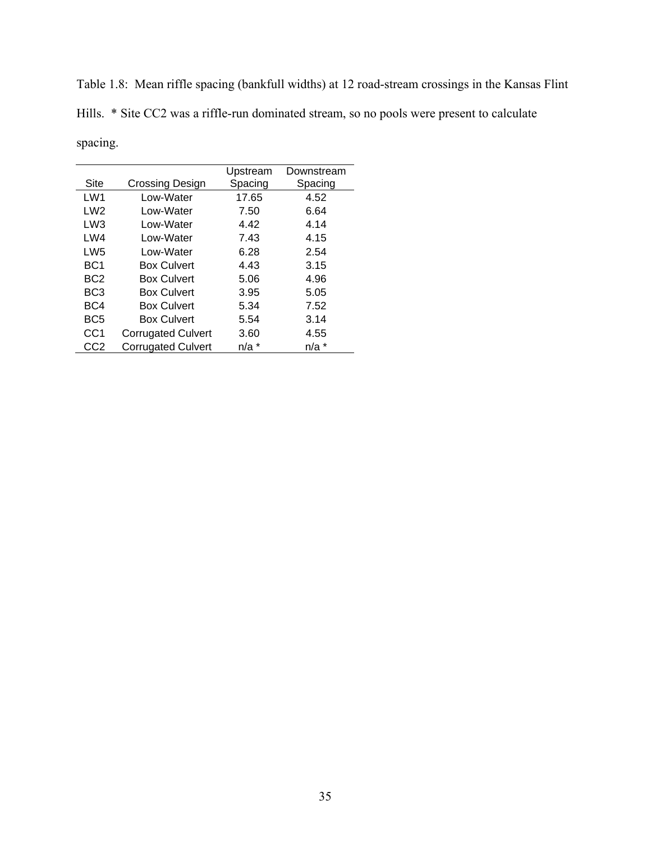Table 1.8: Mean riffle spacing (bankfull widths) at 12 road-stream crossings in the Kansas Flint Hills. \* Site CC2 was a riffle-run dominated stream, so no pools were present to calculate spacing.

|                 |                           | Upstream  | Downstream |
|-----------------|---------------------------|-----------|------------|
| Site            | Crossing Design           | Spacing   | Spacing    |
| LW1             | I ow-Water                | 17.65     | 4.52       |
| LW2             | Low-Water                 | 7.50      | 6.64       |
| LW3             | Low-Water                 | 4.42      | 4.14       |
| LWA             | I ow-Water                | 7.43      | 4.15       |
| LW <sub>5</sub> | Low-Water                 | 6.28      | 2.54       |
| BC1             | <b>Box Culvert</b>        | 4.43      | 3.15       |
| BC <sub>2</sub> | <b>Box Culvert</b>        | 5.06      | 4.96       |
| BC <sub>3</sub> | <b>Box Culvert</b>        | 3.95      | 5.05       |
| BC4             | <b>Box Culvert</b>        | 5.34      | 7.52       |
| BC <sub>5</sub> | <b>Box Culvert</b>        | 5.54      | 3.14       |
| CC <sub>1</sub> | <b>Corrugated Culvert</b> | 3.60      | 4.55       |
| CC2             | <b>Corrugated Culvert</b> | $n/a$ $*$ | $n/a$ *    |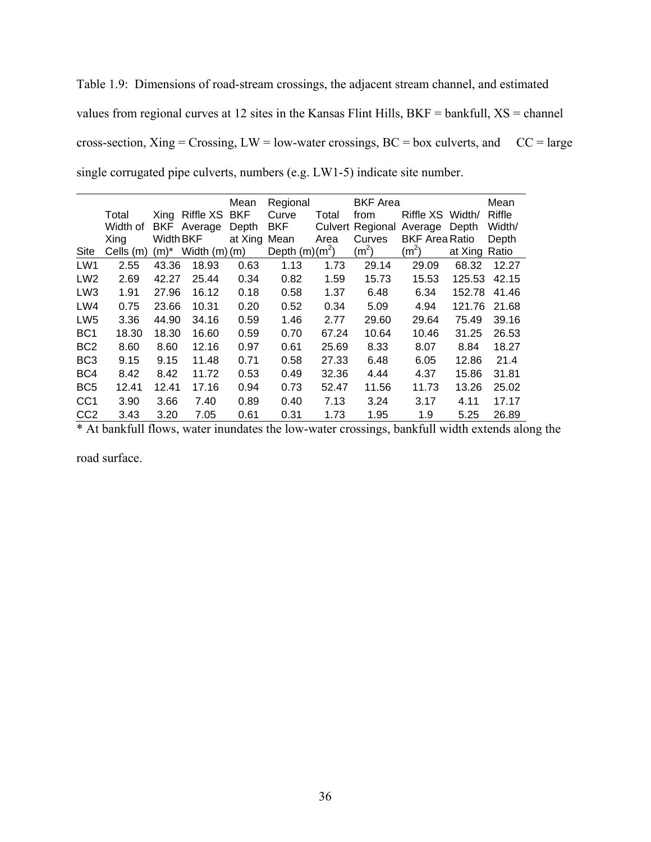Table 1.9: Dimensions of road-stream crossings, the adjacent stream channel, and estimated values from regional curves at 12 sites in the Kansas Flint Hills, BKF = bankfull, XS = channel cross-section, Xing = Crossing, LW = low-water crossings, BC = box culverts, and  $CC = large$ single corrugated pipe culverts, numbers (e.g. LW1-5) indicate site number.

|                 |           |                  |                | Mean       | Regional         |         | <b>BKF</b> Area   |                       |         | Mean   |
|-----------------|-----------|------------------|----------------|------------|------------------|---------|-------------------|-----------------------|---------|--------|
|                 | Total     | Xing             | Riffle XS      | <b>BKF</b> | Curve            | Total   | from              | Riffle XS             | Width/  | Riffle |
|                 | Width of  | BKF.             | Average        | Depth      | <b>BKF</b>       | Culvert | Regional          | Average               | Depth   | Width/ |
|                 | Xing      | <b>Width BKF</b> |                | at Xing    | Mean             | Area    | Curves            | <b>BKF Area Ratio</b> |         | Depth  |
| Site            | Cells (m) | (m)*             | Width $(m)(m)$ |            | Depth $(m)(m^2)$ |         | (m <sup>2</sup> ) | $(m^2)$               | at Xing | Ratio  |
| LW1             | 2.55      | 43.36            | 18.93          | 0.63       | 1.13             | 1.73    | 29.14             | 29.09                 | 68.32   | 12.27  |
| LW <sub>2</sub> | 2.69      | 42.27            | 25.44          | 0.34       | 0.82             | 1.59    | 15.73             | 15.53                 | 125.53  | 42.15  |
| LW <sub>3</sub> | 1.91      | 27.96            | 16.12          | 0.18       | 0.58             | 1.37    | 6.48              | 6.34                  | 152.78  | 41.46  |
| LW4             | 0.75      | 23.66            | 10.31          | 0.20       | 0.52             | 0.34    | 5.09              | 4.94                  | 121.76  | 21.68  |
| LW <sub>5</sub> | 3.36      | 44.90            | 34.16          | 0.59       | 1.46             | 2.77    | 29.60             | 29.64                 | 75.49   | 39.16  |
| BC <sub>1</sub> | 18.30     | 18.30            | 16.60          | 0.59       | 0.70             | 67.24   | 10.64             | 10.46                 | 31.25   | 26.53  |
| BC <sub>2</sub> | 8.60      | 8.60             | 12.16          | 0.97       | 0.61             | 25.69   | 8.33              | 8.07                  | 8.84    | 18.27  |
| BC <sub>3</sub> | 9.15      | 9.15             | 11.48          | 0.71       | 0.58             | 27.33   | 6.48              | 6.05                  | 12.86   | 21.4   |
| BC4             | 8.42      | 8.42             | 11.72          | 0.53       | 0.49             | 32.36   | 4.44              | 4.37                  | 15.86   | 31.81  |
| BC <sub>5</sub> | 12.41     | 12.41            | 17.16          | 0.94       | 0.73             | 52.47   | 11.56             | 11.73                 | 13.26   | 25.02  |
| CC <sub>1</sub> | 3.90      | 3.66             | 7.40           | 0.89       | 0.40             | 7.13    | 3.24              | 3.17                  | 4.11    | 17.17  |
| CC <sub>2</sub> | 3.43      | 3.20             | 7.05           | 0.61       | 0.31             | 1.73    | 1.95              | 1.9                   | 5.25    | 26.89  |

\* At bankfull flows, water inundates the low-water crossings, bankfull width extends along the

road surface.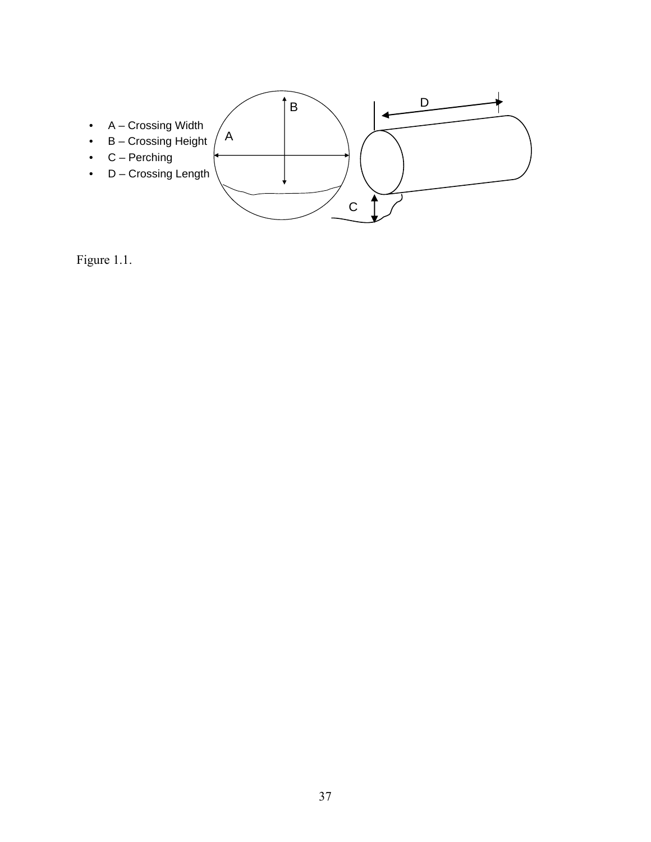

Figure 1.1.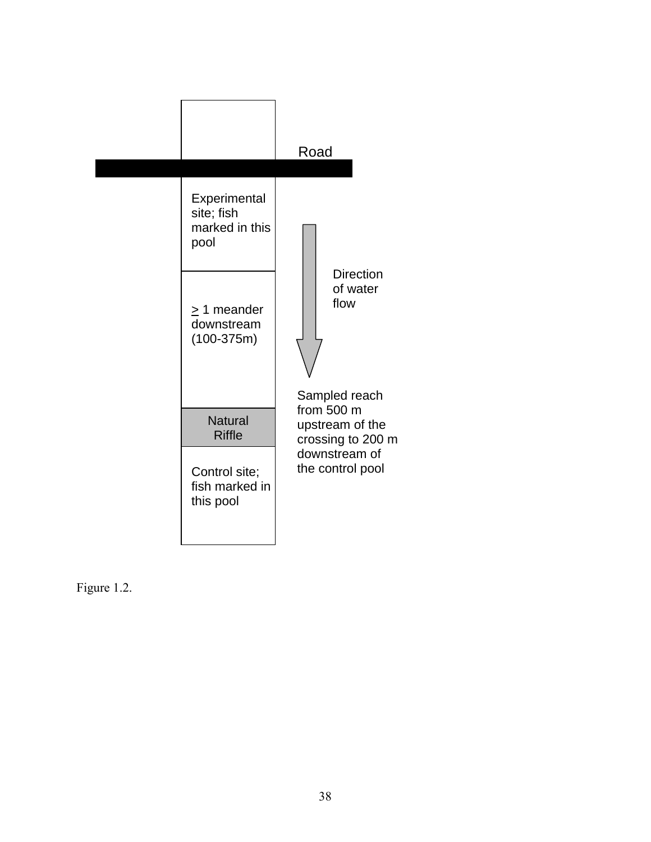

Figure 1.2.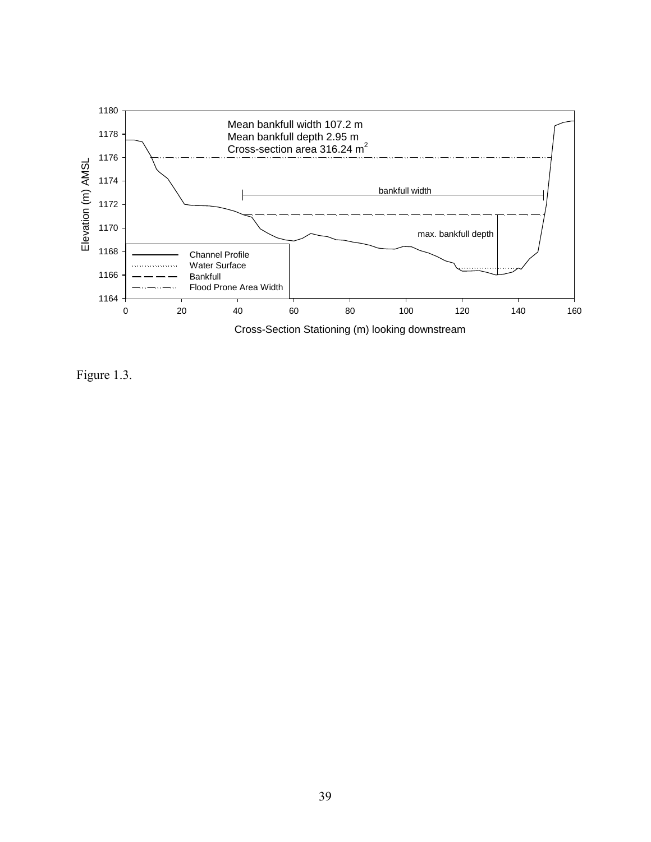

Figure 1.3.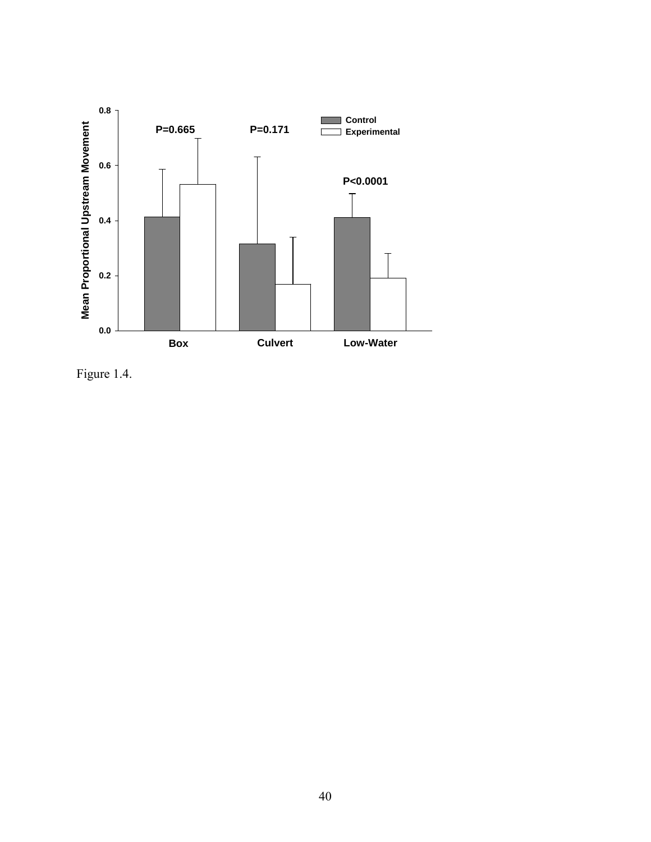

Figure 1.4.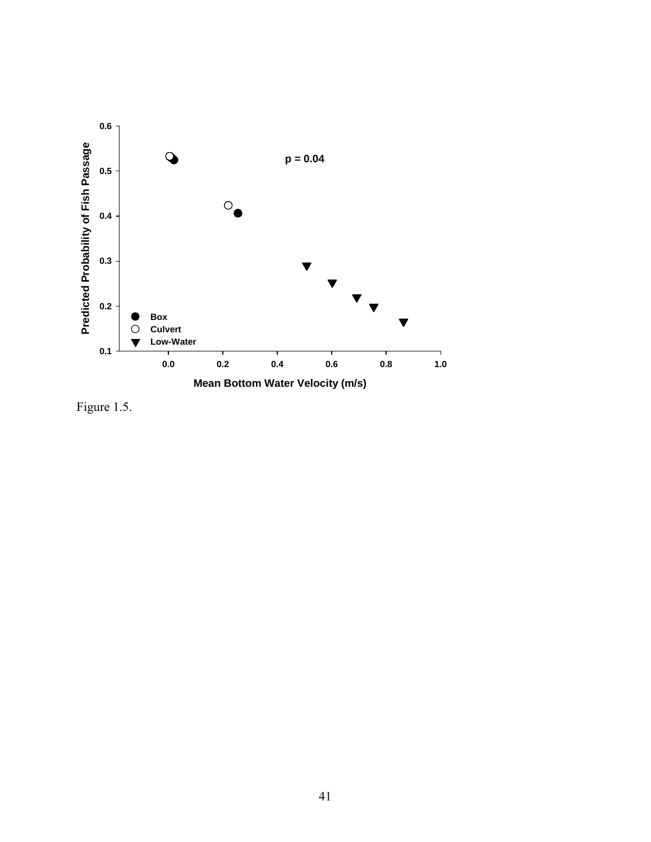

Figure 1.5.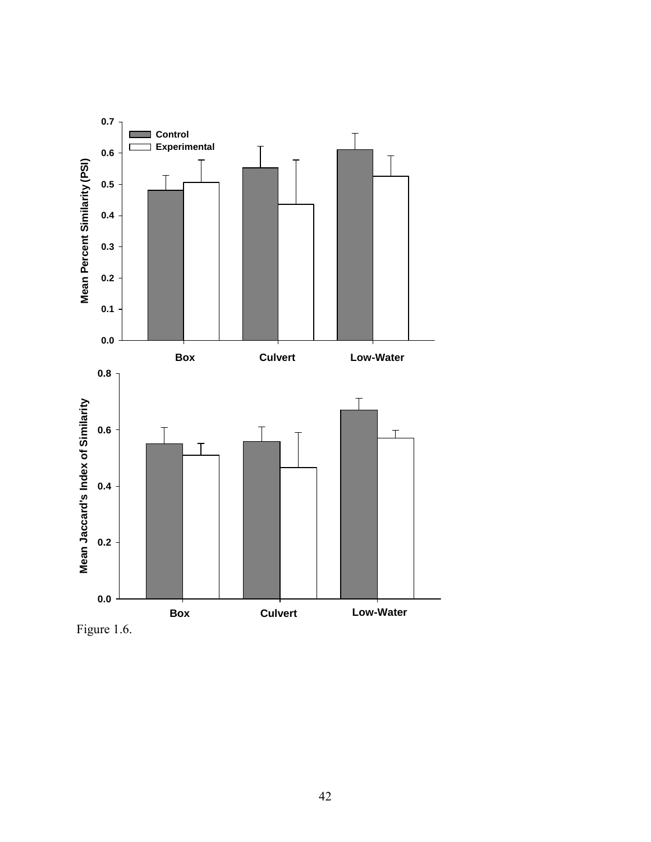

Figure 1.6.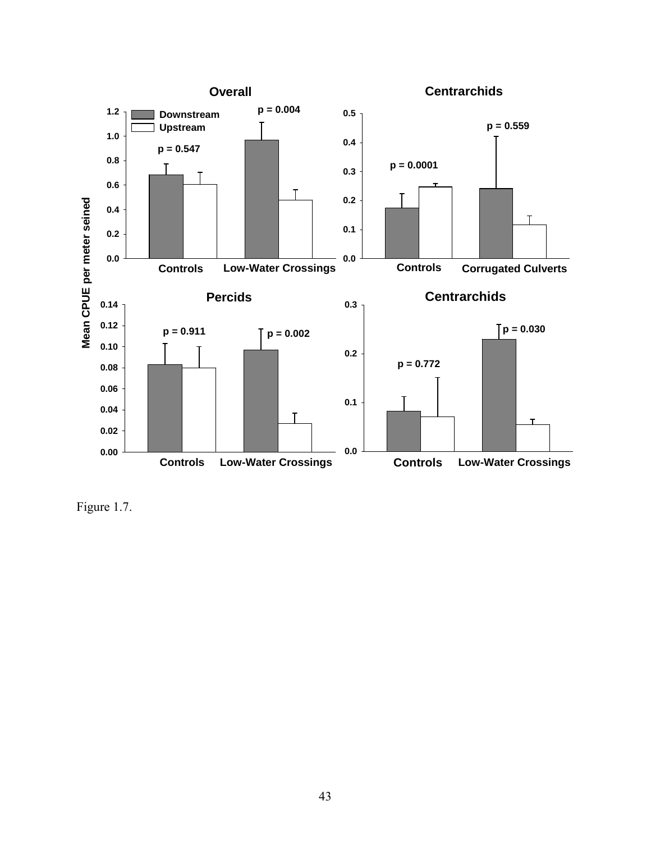

Figure 1.7.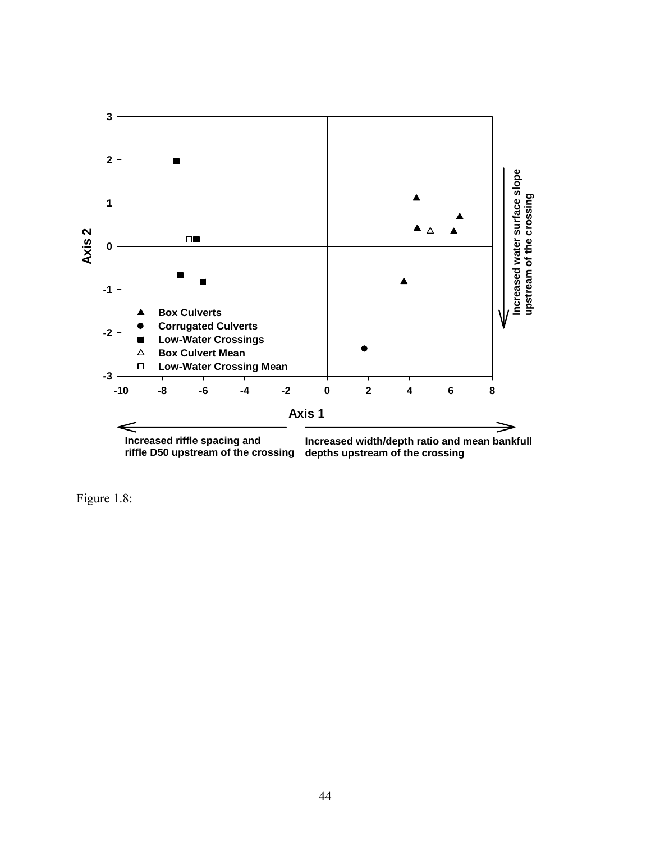

Figure 1.8: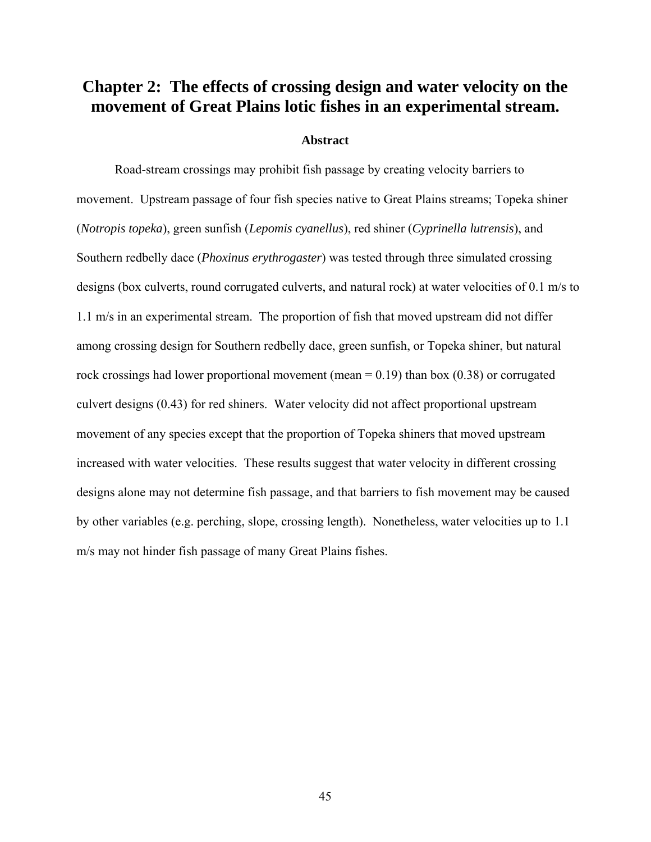# **Chapter 2: The effects of crossing design and water velocity on the movement of Great Plains lotic fishes in an experimental stream.**

## **Abstract**

Road-stream crossings may prohibit fish passage by creating velocity barriers to movement. Upstream passage of four fish species native to Great Plains streams; Topeka shiner (*Notropis topeka*), green sunfish (*Lepomis cyanellus*), red shiner (*Cyprinella lutrensis*), and Southern redbelly dace (*Phoxinus erythrogaster*) was tested through three simulated crossing designs (box culverts, round corrugated culverts, and natural rock) at water velocities of 0.1 m/s to 1.1 m/s in an experimental stream. The proportion of fish that moved upstream did not differ among crossing design for Southern redbelly dace, green sunfish, or Topeka shiner, but natural rock crossings had lower proportional movement (mean  $= 0.19$ ) than box (0.38) or corrugated culvert designs (0.43) for red shiners. Water velocity did not affect proportional upstream movement of any species except that the proportion of Topeka shiners that moved upstream increased with water velocities. These results suggest that water velocity in different crossing designs alone may not determine fish passage, and that barriers to fish movement may be caused by other variables (e.g. perching, slope, crossing length). Nonetheless, water velocities up to 1.1 m/s may not hinder fish passage of many Great Plains fishes.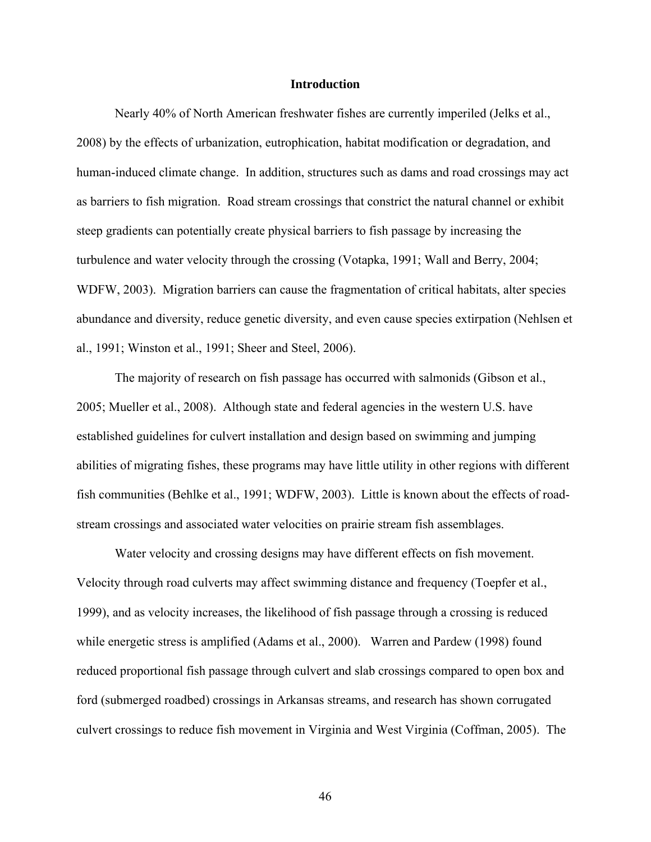### **Introduction**

Nearly 40% of North American freshwater fishes are currently imperiled (Jelks et al., 2008) by the effects of urbanization, eutrophication, habitat modification or degradation, and human-induced climate change. In addition, structures such as dams and road crossings may act as barriers to fish migration. Road stream crossings that constrict the natural channel or exhibit steep gradients can potentially create physical barriers to fish passage by increasing the turbulence and water velocity through the crossing (Votapka, 1991; Wall and Berry, 2004; WDFW, 2003). Migration barriers can cause the fragmentation of critical habitats, alter species abundance and diversity, reduce genetic diversity, and even cause species extirpation (Nehlsen et al., 1991; Winston et al., 1991; Sheer and Steel, 2006).

The majority of research on fish passage has occurred with salmonids (Gibson et al., 2005; Mueller et al., 2008). Although state and federal agencies in the western U.S. have established guidelines for culvert installation and design based on swimming and jumping abilities of migrating fishes, these programs may have little utility in other regions with different fish communities (Behlke et al., 1991; WDFW, 2003). Little is known about the effects of roadstream crossings and associated water velocities on prairie stream fish assemblages.

Water velocity and crossing designs may have different effects on fish movement. Velocity through road culverts may affect swimming distance and frequency (Toepfer et al., 1999), and as velocity increases, the likelihood of fish passage through a crossing is reduced while energetic stress is amplified (Adams et al., 2000). Warren and Pardew (1998) found reduced proportional fish passage through culvert and slab crossings compared to open box and ford (submerged roadbed) crossings in Arkansas streams, and research has shown corrugated culvert crossings to reduce fish movement in Virginia and West Virginia (Coffman, 2005). The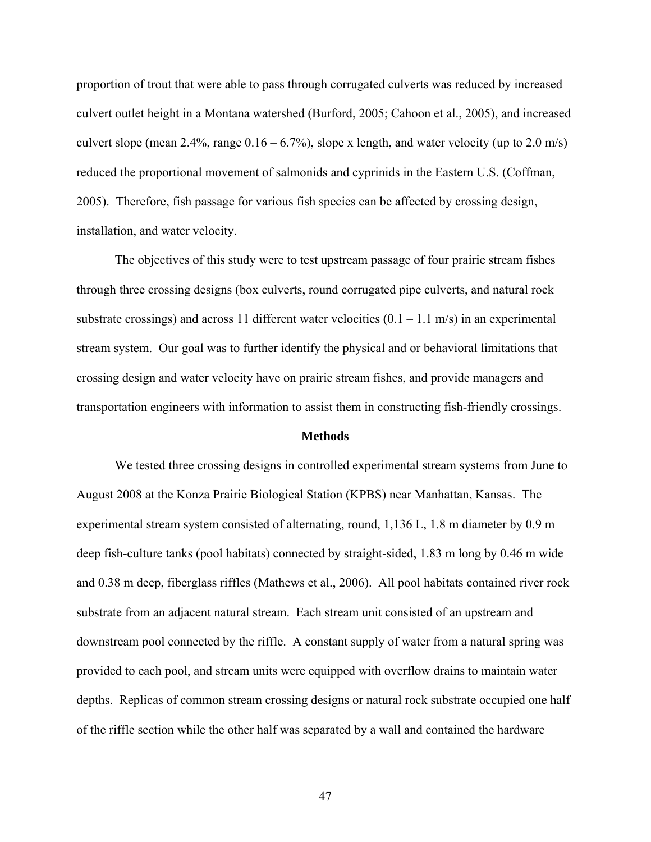proportion of trout that were able to pass through corrugated culverts was reduced by increased culvert outlet height in a Montana watershed (Burford, 2005; Cahoon et al., 2005), and increased culvert slope (mean 2.4%, range  $0.16 - 6.7\%$ ), slope x length, and water velocity (up to 2.0 m/s) reduced the proportional movement of salmonids and cyprinids in the Eastern U.S. (Coffman, 2005). Therefore, fish passage for various fish species can be affected by crossing design, installation, and water velocity.

The objectives of this study were to test upstream passage of four prairie stream fishes through three crossing designs (box culverts, round corrugated pipe culverts, and natural rock substrate crossings) and across 11 different water velocities  $(0.1 - 1.1 \text{ m/s})$  in an experimental stream system. Our goal was to further identify the physical and or behavioral limitations that crossing design and water velocity have on prairie stream fishes, and provide managers and transportation engineers with information to assist them in constructing fish-friendly crossings.

### **Methods**

We tested three crossing designs in controlled experimental stream systems from June to August 2008 at the Konza Prairie Biological Station (KPBS) near Manhattan, Kansas. The experimental stream system consisted of alternating, round, 1,136 L, 1.8 m diameter by 0.9 m deep fish-culture tanks (pool habitats) connected by straight-sided, 1.83 m long by 0.46 m wide and 0.38 m deep, fiberglass riffles (Mathews et al., 2006). All pool habitats contained river rock substrate from an adjacent natural stream. Each stream unit consisted of an upstream and downstream pool connected by the riffle. A constant supply of water from a natural spring was provided to each pool, and stream units were equipped with overflow drains to maintain water depths. Replicas of common stream crossing designs or natural rock substrate occupied one half of the riffle section while the other half was separated by a wall and contained the hardware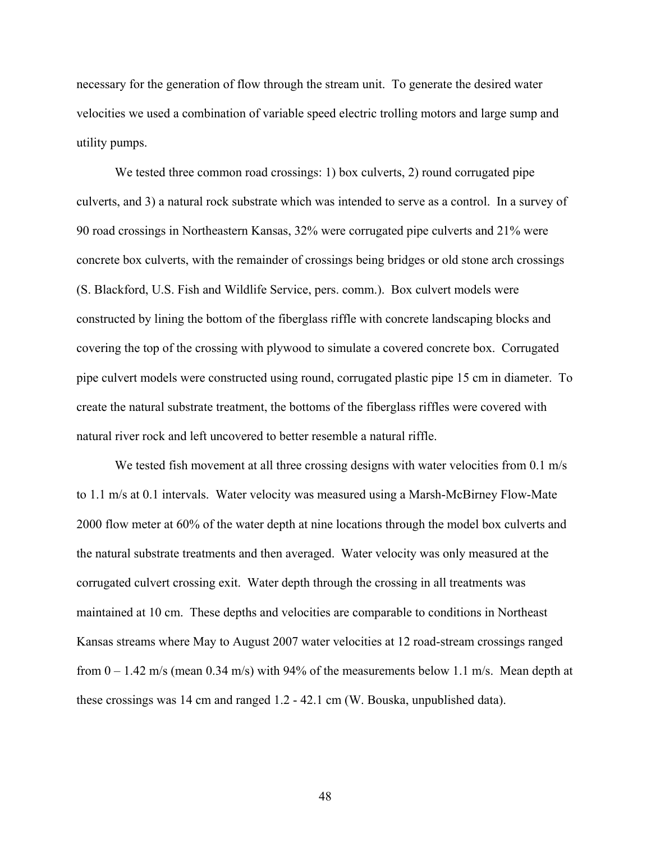necessary for the generation of flow through the stream unit. To generate the desired water velocities we used a combination of variable speed electric trolling motors and large sump and utility pumps.

We tested three common road crossings: 1) box culverts, 2) round corrugated pipe culverts, and 3) a natural rock substrate which was intended to serve as a control. In a survey of 90 road crossings in Northeastern Kansas, 32% were corrugated pipe culverts and 21% were concrete box culverts, with the remainder of crossings being bridges or old stone arch crossings (S. Blackford, U.S. Fish and Wildlife Service, pers. comm.). Box culvert models were constructed by lining the bottom of the fiberglass riffle with concrete landscaping blocks and covering the top of the crossing with plywood to simulate a covered concrete box. Corrugated pipe culvert models were constructed using round, corrugated plastic pipe 15 cm in diameter. To create the natural substrate treatment, the bottoms of the fiberglass riffles were covered with natural river rock and left uncovered to better resemble a natural riffle.

We tested fish movement at all three crossing designs with water velocities from 0.1 m/s to 1.1 m/s at 0.1 intervals. Water velocity was measured using a Marsh-McBirney Flow-Mate 2000 flow meter at 60% of the water depth at nine locations through the model box culverts and the natural substrate treatments and then averaged. Water velocity was only measured at the corrugated culvert crossing exit. Water depth through the crossing in all treatments was maintained at 10 cm. These depths and velocities are comparable to conditions in Northeast Kansas streams where May to August 2007 water velocities at 12 road-stream crossings ranged from  $0 - 1.42$  m/s (mean 0.34 m/s) with 94% of the measurements below 1.1 m/s. Mean depth at these crossings was 14 cm and ranged 1.2 - 42.1 cm (W. Bouska, unpublished data).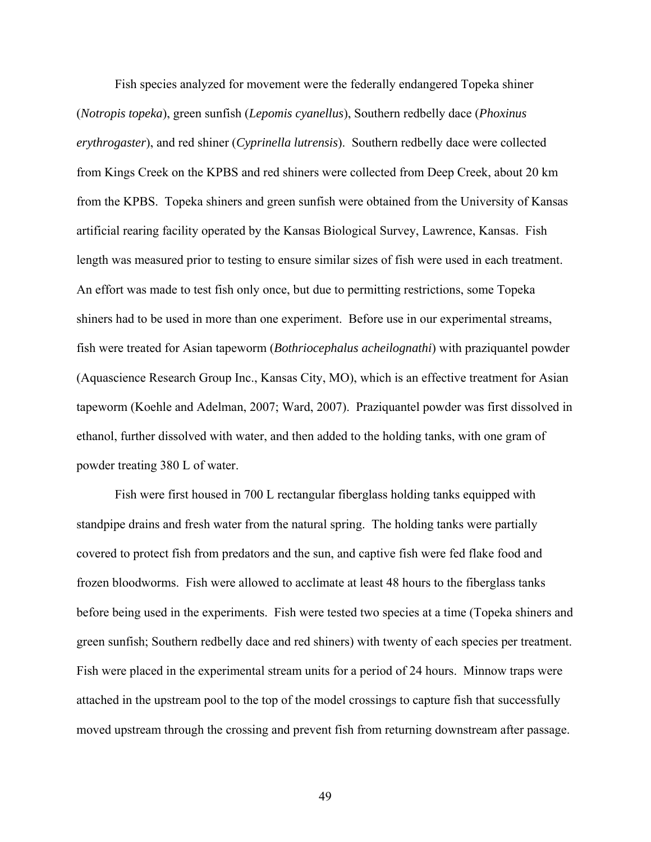Fish species analyzed for movement were the federally endangered Topeka shiner (*Notropis topeka*), green sunfish (*Lepomis cyanellus*), Southern redbelly dace (*Phoxinus erythrogaster*), and red shiner (*Cyprinella lutrensis*). Southern redbelly dace were collected from Kings Creek on the KPBS and red shiners were collected from Deep Creek, about 20 km from the KPBS. Topeka shiners and green sunfish were obtained from the University of Kansas artificial rearing facility operated by the Kansas Biological Survey, Lawrence, Kansas. Fish length was measured prior to testing to ensure similar sizes of fish were used in each treatment. An effort was made to test fish only once, but due to permitting restrictions, some Topeka shiners had to be used in more than one experiment. Before use in our experimental streams, fish were treated for Asian tapeworm (*Bothriocephalus acheilognathi*) with praziquantel powder (Aquascience Research Group Inc., Kansas City, MO), which is an effective treatment for Asian tapeworm (Koehle and Adelman, 2007; Ward, 2007). Praziquantel powder was first dissolved in ethanol, further dissolved with water, and then added to the holding tanks, with one gram of powder treating 380 L of water.

Fish were first housed in 700 L rectangular fiberglass holding tanks equipped with standpipe drains and fresh water from the natural spring. The holding tanks were partially covered to protect fish from predators and the sun, and captive fish were fed flake food and frozen bloodworms. Fish were allowed to acclimate at least 48 hours to the fiberglass tanks before being used in the experiments. Fish were tested two species at a time (Topeka shiners and green sunfish; Southern redbelly dace and red shiners) with twenty of each species per treatment. Fish were placed in the experimental stream units for a period of 24 hours. Minnow traps were attached in the upstream pool to the top of the model crossings to capture fish that successfully moved upstream through the crossing and prevent fish from returning downstream after passage.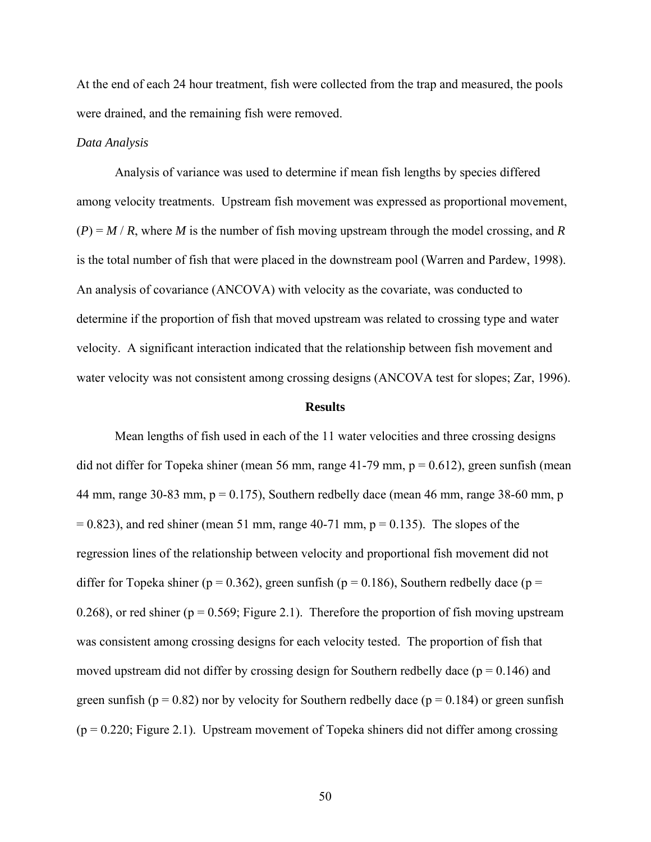At the end of each 24 hour treatment, fish were collected from the trap and measured, the pools were drained, and the remaining fish were removed.

## *Data Analysis*

 Analysis of variance was used to determine if mean fish lengths by species differed among velocity treatments. Upstream fish movement was expressed as proportional movement,  $(P) = M/R$ , where *M* is the number of fish moving upstream through the model crossing, and *R* is the total number of fish that were placed in the downstream pool (Warren and Pardew, 1998). An analysis of covariance (ANCOVA) with velocity as the covariate, was conducted to determine if the proportion of fish that moved upstream was related to crossing type and water velocity. A significant interaction indicated that the relationship between fish movement and water velocity was not consistent among crossing designs (ANCOVA test for slopes; Zar, 1996).

#### **Results**

 Mean lengths of fish used in each of the 11 water velocities and three crossing designs did not differ for Topeka shiner (mean 56 mm, range 41-79 mm,  $p = 0.612$ ), green sunfish (mean 44 mm, range 30-83 mm,  $p = 0.175$ ), Southern redbelly dace (mean 46 mm, range 38-60 mm, p  $= 0.823$ ), and red shiner (mean 51 mm, range 40-71 mm, p  $= 0.135$ ). The slopes of the regression lines of the relationship between velocity and proportional fish movement did not differ for Topeka shiner (p = 0.362), green sunfish (p = 0.186), Southern redbelly dace (p = 0.268), or red shiner ( $p = 0.569$ ; Figure 2.1). Therefore the proportion of fish moving upstream was consistent among crossing designs for each velocity tested. The proportion of fish that moved upstream did not differ by crossing design for Southern redbelly dace ( $p = 0.146$ ) and green sunfish ( $p = 0.82$ ) nor by velocity for Southern redbelly dace ( $p = 0.184$ ) or green sunfish  $(p = 0.220;$  Figure 2.1). Upstream movement of Topeka shiners did not differ among crossing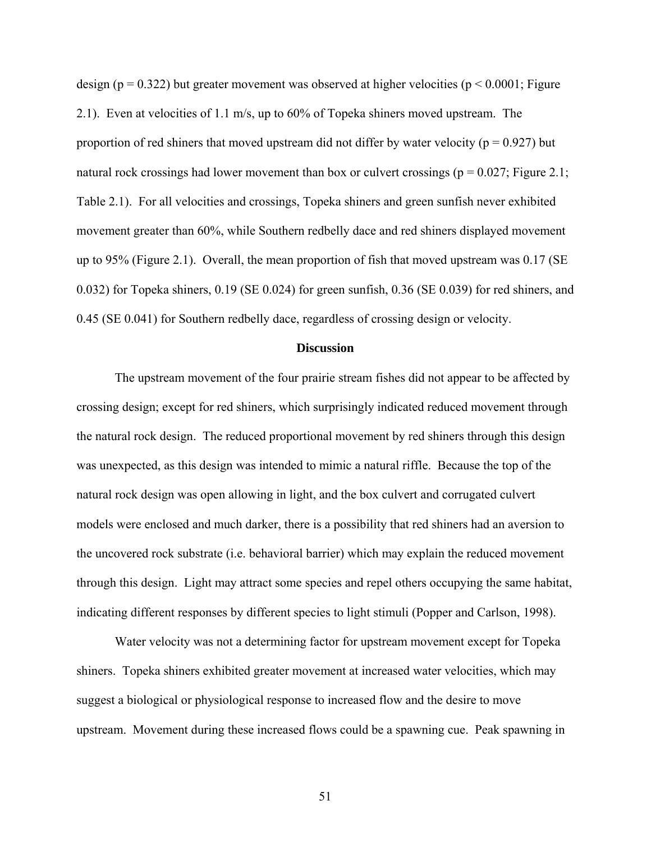design ( $p = 0.322$ ) but greater movement was observed at higher velocities ( $p \le 0.0001$ ; Figure 2.1). Even at velocities of 1.1 m/s, up to 60% of Topeka shiners moved upstream. The proportion of red shiners that moved upstream did not differ by water velocity ( $p = 0.927$ ) but natural rock crossings had lower movement than box or culvert crossings ( $p = 0.027$ ; Figure 2.1; Table 2.1). For all velocities and crossings, Topeka shiners and green sunfish never exhibited movement greater than 60%, while Southern redbelly dace and red shiners displayed movement up to 95% (Figure 2.1). Overall, the mean proportion of fish that moved upstream was 0.17 (SE 0.032) for Topeka shiners, 0.19 (SE 0.024) for green sunfish, 0.36 (SE 0.039) for red shiners, and 0.45 (SE 0.041) for Southern redbelly dace, regardless of crossing design or velocity.

# **Discussion**

 The upstream movement of the four prairie stream fishes did not appear to be affected by crossing design; except for red shiners, which surprisingly indicated reduced movement through the natural rock design. The reduced proportional movement by red shiners through this design was unexpected, as this design was intended to mimic a natural riffle. Because the top of the natural rock design was open allowing in light, and the box culvert and corrugated culvert models were enclosed and much darker, there is a possibility that red shiners had an aversion to the uncovered rock substrate (i.e. behavioral barrier) which may explain the reduced movement through this design. Light may attract some species and repel others occupying the same habitat, indicating different responses by different species to light stimuli (Popper and Carlson, 1998).

Water velocity was not a determining factor for upstream movement except for Topeka shiners. Topeka shiners exhibited greater movement at increased water velocities, which may suggest a biological or physiological response to increased flow and the desire to move upstream. Movement during these increased flows could be a spawning cue. Peak spawning in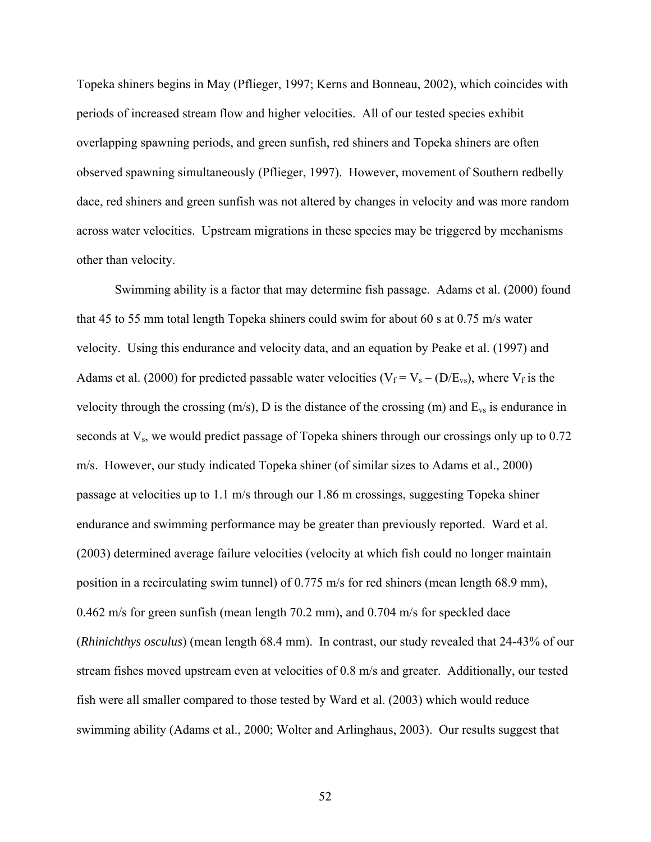Topeka shiners begins in May (Pflieger, 1997; Kerns and Bonneau, 2002), which coincides with periods of increased stream flow and higher velocities. All of our tested species exhibit overlapping spawning periods, and green sunfish, red shiners and Topeka shiners are often observed spawning simultaneously (Pflieger, 1997). However, movement of Southern redbelly dace, red shiners and green sunfish was not altered by changes in velocity and was more random across water velocities. Upstream migrations in these species may be triggered by mechanisms other than velocity.

 Swimming ability is a factor that may determine fish passage. Adams et al. (2000) found that 45 to 55 mm total length Topeka shiners could swim for about 60 s at 0.75 m/s water velocity. Using this endurance and velocity data, and an equation by Peake et al. (1997) and Adams et al. (2000) for predicted passable water velocities ( $V_f = V_s - (D/E_{vs})$ , where  $V_f$  is the velocity through the crossing  $(m/s)$ , D is the distance of the crossing  $(m)$  and  $E_{vs}$  is endurance in seconds at  $V_s$ , we would predict passage of Topeka shiners through our crossings only up to 0.72 m/s. However, our study indicated Topeka shiner (of similar sizes to Adams et al., 2000) passage at velocities up to 1.1 m/s through our 1.86 m crossings, suggesting Topeka shiner endurance and swimming performance may be greater than previously reported. Ward et al. (2003) determined average failure velocities (velocity at which fish could no longer maintain position in a recirculating swim tunnel) of 0.775 m/s for red shiners (mean length 68.9 mm), 0.462 m/s for green sunfish (mean length 70.2 mm), and 0.704 m/s for speckled dace (*Rhinichthys osculus*) (mean length 68.4 mm). In contrast, our study revealed that 24-43% of our stream fishes moved upstream even at velocities of 0.8 m/s and greater. Additionally, our tested fish were all smaller compared to those tested by Ward et al. (2003) which would reduce swimming ability (Adams et al., 2000; Wolter and Arlinghaus, 2003). Our results suggest that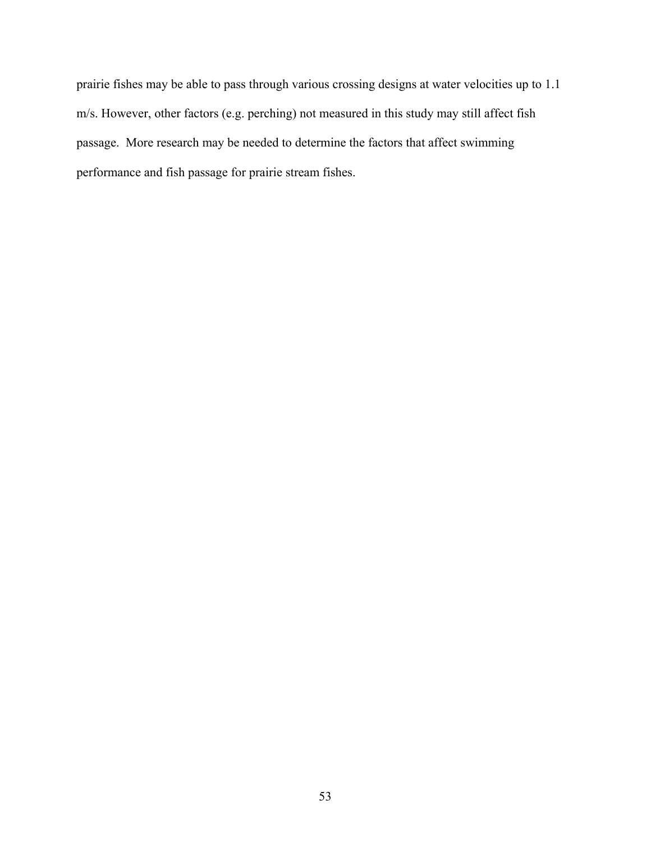prairie fishes may be able to pass through various crossing designs at water velocities up to 1.1 m/s. However, other factors (e.g. perching) not measured in this study may still affect fish passage. More research may be needed to determine the factors that affect swimming performance and fish passage for prairie stream fishes.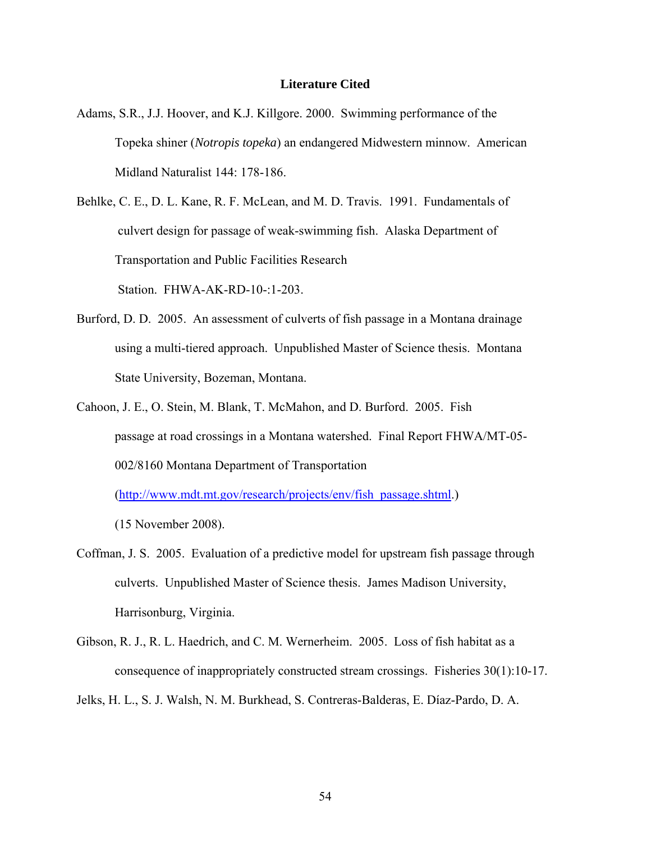## **Literature Cited**

- Adams, S.R., J.J. Hoover, and K.J. Killgore. 2000. Swimming performance of the Topeka shiner (*Notropis topeka*) an endangered Midwestern minnow. American Midland Naturalist 144: 178-186.
- Behlke, C. E., D. L. Kane, R. F. McLean, and M. D. Travis. 1991. Fundamentals of culvert design for passage of weak-swimming fish. Alaska Department of Transportation and Public Facilities Research

Station. FHWA-AK-RD-10-:1-203.

- Burford, D. D. 2005. An assessment of culverts of fish passage in a Montana drainage using a multi-tiered approach. Unpublished Master of Science thesis. Montana State University, Bozeman, Montana.
- Cahoon, J. E., O. Stein, M. Blank, T. McMahon, and D. Burford. 2005. Fish passage at road crossings in a Montana watershed. Final Report FHWA/MT-05- 002/8160 Montana Department of Transportation

([http://www.mdt.mt.gov/research/projects/env/fish\\_passage.shtml.](http://www.mdt.mt.gov/research/projects/env/fish_passage.shtml))

(15 November 2008).

- Coffman, J. S. 2005. Evaluation of a predictive model for upstream fish passage through culverts. Unpublished Master of Science thesis. James Madison University, Harrisonburg, Virginia.
- Gibson, R. J., R. L. Haedrich, and C. M. Wernerheim. 2005. Loss of fish habitat as a consequence of inappropriately constructed stream crossings. Fisheries 30(1):10-17.

Jelks, H. L., S. J. Walsh, N. M. Burkhead, S. Contreras-Balderas, E. Díaz-Pardo, D. A.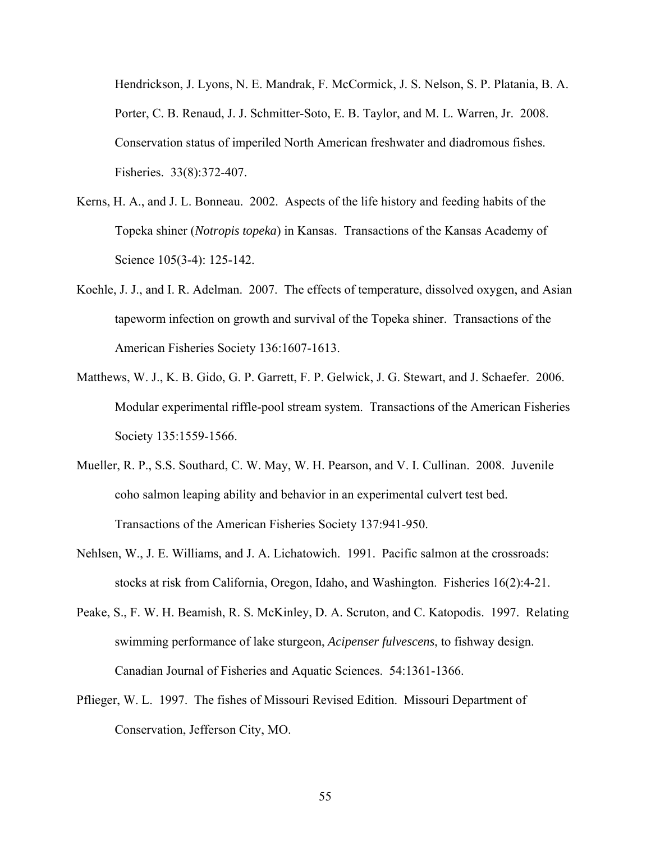Hendrickson, J. Lyons, N. E. Mandrak, F. McCormick, J. S. Nelson, S. P. Platania, B. A. Porter, C. B. Renaud, J. J. Schmitter-Soto, E. B. Taylor, and M. L. Warren, Jr. 2008. Conservation status of imperiled North American freshwater and diadromous fishes. Fisheries. 33(8):372-407.

- Kerns, H. A., and J. L. Bonneau. 2002. Aspects of the life history and feeding habits of the Topeka shiner (*Notropis topeka*) in Kansas. Transactions of the Kansas Academy of Science 105(3-4): 125-142.
- Koehle, J. J., and I. R. Adelman. 2007. The effects of temperature, dissolved oxygen, and Asian tapeworm infection on growth and survival of the Topeka shiner. Transactions of the American Fisheries Society 136:1607-1613.
- Matthews, W. J., K. B. Gido, G. P. Garrett, F. P. Gelwick, J. G. Stewart, and J. Schaefer. 2006. Modular experimental riffle-pool stream system. Transactions of the American Fisheries Society 135:1559-1566.
- Mueller, R. P., S.S. Southard, C. W. May, W. H. Pearson, and V. I. Cullinan. 2008. Juvenile coho salmon leaping ability and behavior in an experimental culvert test bed. Transactions of the American Fisheries Society 137:941-950.
- Nehlsen, W., J. E. Williams, and J. A. Lichatowich. 1991. Pacific salmon at the crossroads: stocks at risk from California, Oregon, Idaho, and Washington. Fisheries 16(2):4-21.
- Peake, S., F. W. H. Beamish, R. S. McKinley, D. A. Scruton, and C. Katopodis. 1997. Relating swimming performance of lake sturgeon, *Acipenser fulvescens*, to fishway design. Canadian Journal of Fisheries and Aquatic Sciences. 54:1361-1366.
- Pflieger, W. L. 1997. The fishes of Missouri Revised Edition. Missouri Department of Conservation, Jefferson City, MO.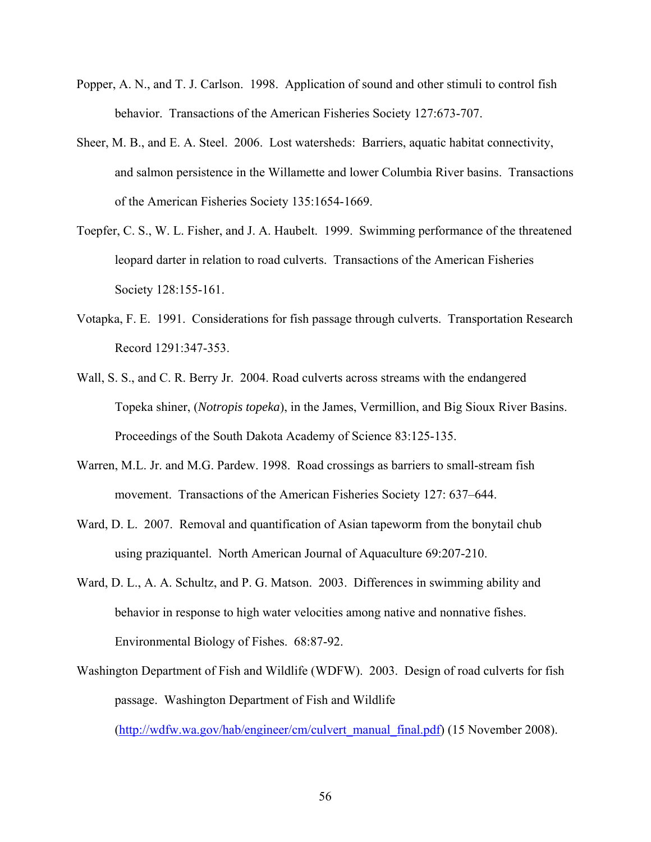- Popper, A. N., and T. J. Carlson. 1998. Application of sound and other stimuli to control fish behavior. Transactions of the American Fisheries Society 127:673-707.
- Sheer, M. B., and E. A. Steel. 2006. Lost watersheds: Barriers, aquatic habitat connectivity, and salmon persistence in the Willamette and lower Columbia River basins. Transactions of the American Fisheries Society 135:1654-1669.
- Toepfer, C. S., W. L. Fisher, and J. A. Haubelt. 1999. Swimming performance of the threatened leopard darter in relation to road culverts. Transactions of the American Fisheries Society 128:155-161.
- Votapka, F. E. 1991. Considerations for fish passage through culverts. Transportation Research Record 1291:347-353.
- Wall, S. S., and C. R. Berry Jr. 2004. Road culverts across streams with the endangered Topeka shiner, (*Notropis topeka*), in the James, Vermillion, and Big Sioux River Basins. Proceedings of the South Dakota Academy of Science 83:125-135.
- Warren, M.L. Jr. and M.G. Pardew. 1998. Road crossings as barriers to small-stream fish movement. Transactions of the American Fisheries Society 127: 637–644.
- Ward, D. L. 2007. Removal and quantification of Asian tapeworm from the bonytail chub using praziquantel. North American Journal of Aquaculture 69:207-210.
- Ward, D. L., A. A. Schultz, and P. G. Matson. 2003. Differences in swimming ability and behavior in response to high water velocities among native and nonnative fishes. Environmental Biology of Fishes. 68:87-92.
- Washington Department of Fish and Wildlife (WDFW). 2003. Design of road culverts for fish passage. Washington Department of Fish and Wildlife

([http://wdfw.wa.gov/hab/engineer/cm/culvert\\_manual\\_final.pdf](http://wdfw.wa.gov/hab/engineer/cm/culvert_manual_final.pdf)) (15 November 2008).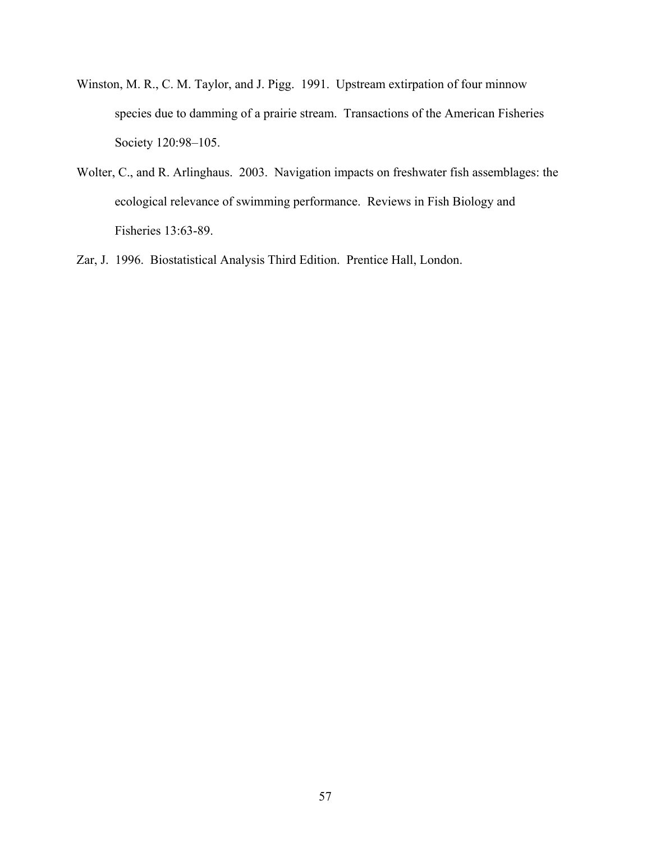- Winston, M. R., C. M. Taylor, and J. Pigg. 1991. Upstream extirpation of four minnow species due to damming of a prairie stream. Transactions of the American Fisheries Society 120:98–105.
- Wolter, C., and R. Arlinghaus. 2003. Navigation impacts on freshwater fish assemblages: the ecological relevance of swimming performance. Reviews in Fish Biology and Fisheries 13:63-89.
- Zar, J. 1996. Biostatistical Analysis Third Edition. Prentice Hall, London.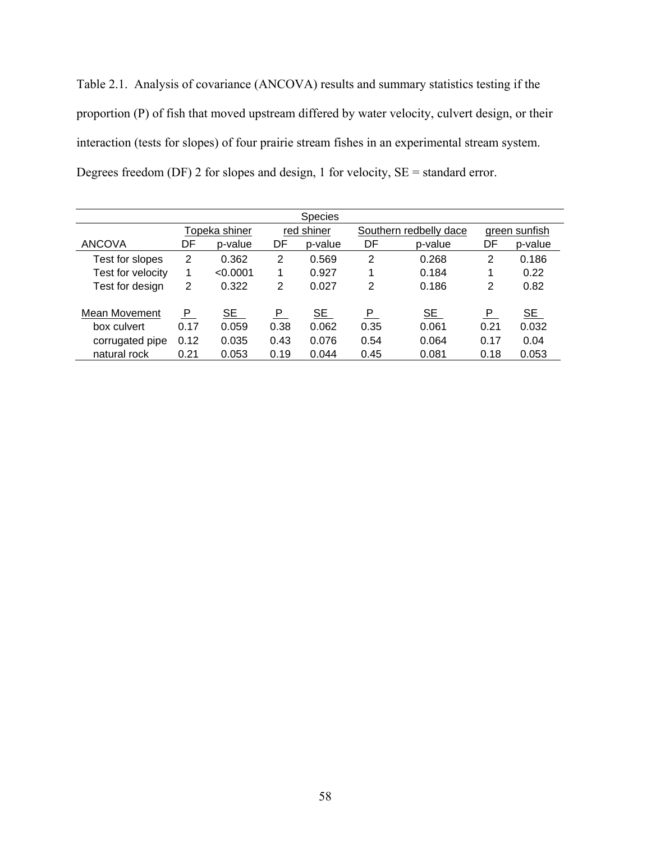Table 2.1. Analysis of covariance (ANCOVA) results and summary statistics testing if the proportion (P) of fish that moved upstream differed by water velocity, culvert design, or their interaction (tests for slopes) of four prairie stream fishes in an experimental stream system. Degrees freedom (DF) 2 for slopes and design, 1 for velocity, SE = standard error.

| <b>Species</b>    |      |               |      |            |      |                        |               |         |  |
|-------------------|------|---------------|------|------------|------|------------------------|---------------|---------|--|
|                   |      | Topeka shiner |      | red shiner |      | Southern redbelly dace | green sunfish |         |  |
| <b>ANCOVA</b>     | DF   | p-value       | DF   | p-value    | DF   | p-value                | DF            | p-value |  |
| Test for slopes   | 2    | 0.362         | 2    | 0.569      | 2    | 0.268                  | 2             | 0.186   |  |
| Test for velocity |      | < 0.0001      | 1    | 0.927      |      | 0.184                  | 1             | 0.22    |  |
| Test for design   | 2    | 0.322         | 2    | 0.027      | 2    | 0.186                  | 2             | 0.82    |  |
| Mean Movement     | P.   | SE            | P.   | SE         | P    | SE                     | P             | SE      |  |
| box culvert       | 0.17 | 0.059         | 0.38 | 0.062      | 0.35 | 0.061                  | 0.21          | 0.032   |  |
| corrugated pipe   | 0.12 | 0.035         | 0.43 | 0.076      | 0.54 | 0.064                  | 0.17          | 0.04    |  |
| natural rock      | 0.21 | 0.053         | 0.19 | 0.044      | 0.45 | 0.081                  | 0.18          | 0.053   |  |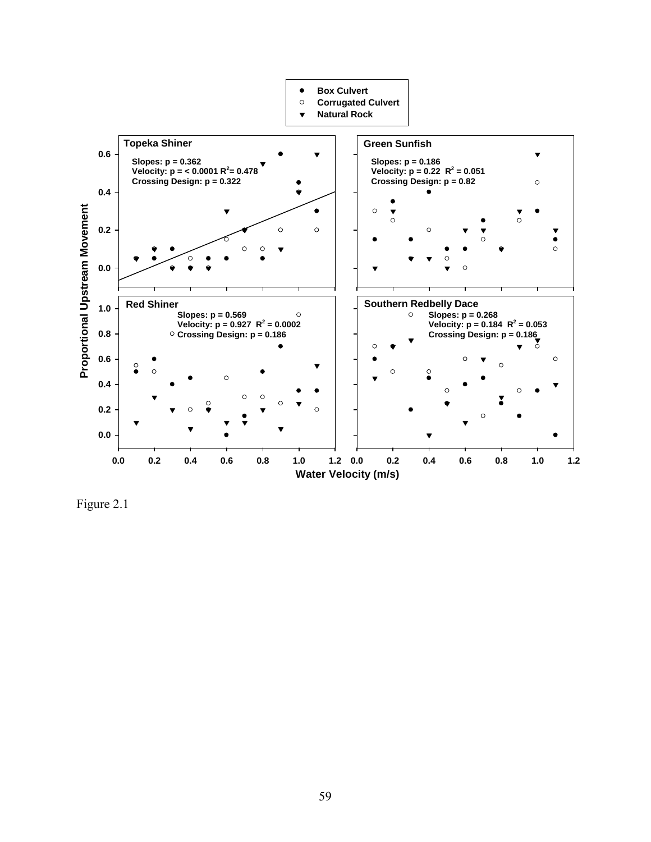

Figure 2.1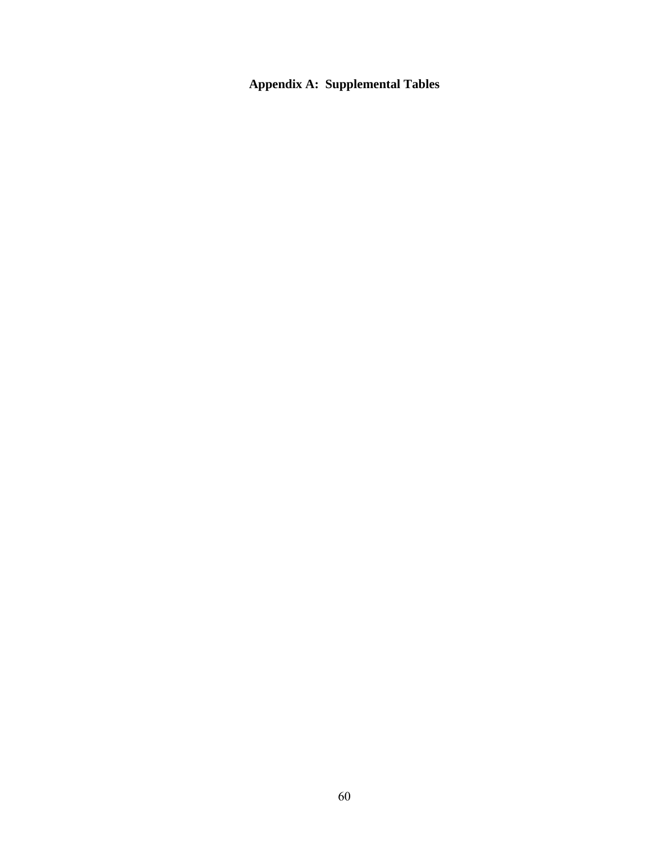**Appendix A: Supplemental Tables**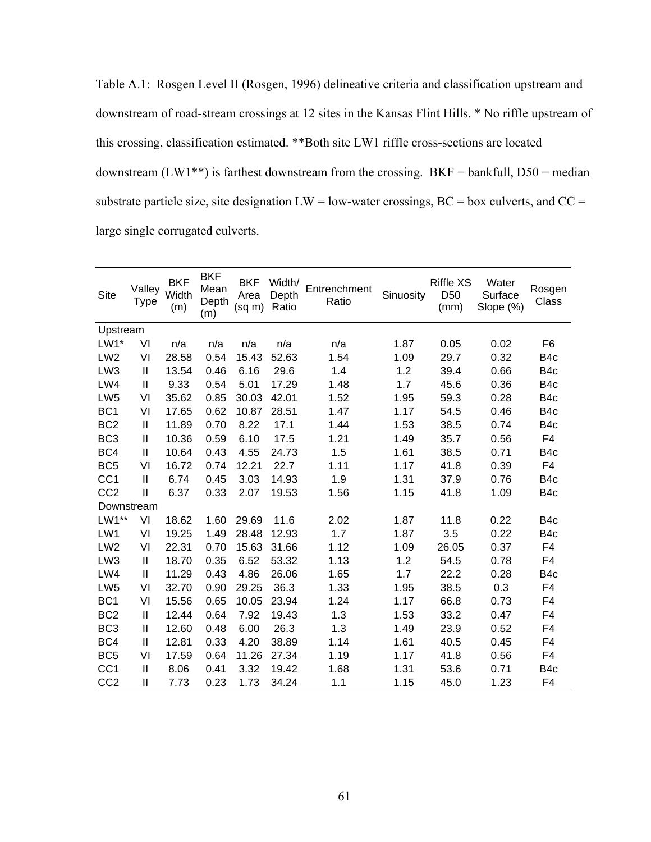Table A.1: Rosgen Level II (Rosgen, 1996) delineative criteria and classification upstream and downstream of road-stream crossings at 12 sites in the Kansas Flint Hills. \* No riffle upstream of this crossing, classification estimated. \*\*Both site LW1 riffle cross-sections are located downstream (LW1\*\*) is farthest downstream from the crossing. BKF = bankfull,  $D50$  = median substrate particle size, site designation  $LW = low$ -water crossings,  $BC = box$  culverts, and  $CC =$ large single corrugated culverts.

| <b>Site</b>     | Valley<br><b>Type</b> | <b>BKF</b><br>Width<br>(m) | <b>BKF</b><br>Mean<br>Depth<br>(m) | BKF<br>Area<br>$(sq \, m)$ | Width/<br>Depth<br>Ratio | Entrenchment<br>Ratio | Sinuosity | <b>Riffle XS</b><br>D <sub>50</sub><br>(mm) | Water<br>Surface<br>Slope (%) | Rosgen<br>Class |
|-----------------|-----------------------|----------------------------|------------------------------------|----------------------------|--------------------------|-----------------------|-----------|---------------------------------------------|-------------------------------|-----------------|
| Upstream        |                       |                            |                                    |                            |                          |                       |           |                                             |                               |                 |
| $LW1*$          | VI                    | n/a                        | n/a                                | n/a                        | n/a                      | n/a                   | 1.87      | 0.05                                        | 0.02                          | F <sub>6</sub>  |
| LW <sub>2</sub> | VI                    | 28.58                      | 0.54                               | 15.43                      | 52.63                    | 1.54                  | 1.09      | 29.7                                        | 0.32                          | B4c             |
| LW <sub>3</sub> | $\mathbf{I}$          | 13.54                      | 0.46                               | 6.16                       | 29.6                     | 1.4                   | 1.2       | 39.4                                        | 0.66                          | B <sub>4c</sub> |
| LW4             | $\mathbf{I}$          | 9.33                       | 0.54                               | 5.01                       | 17.29                    | 1.48                  | 1.7       | 45.6                                        | 0.36                          | B4c             |
| LW <sub>5</sub> | VI                    | 35.62                      | 0.85                               | 30.03                      | 42.01                    | 1.52                  | 1.95      | 59.3                                        | 0.28                          | B <sub>4c</sub> |
| BC <sub>1</sub> | VI                    | 17.65                      | 0.62                               | 10.87                      | 28.51                    | 1.47                  | 1.17      | 54.5                                        | 0.46                          | B4c             |
| BC <sub>2</sub> | $\sf II$              | 11.89                      | 0.70                               | 8.22                       | 17.1                     | 1.44                  | 1.53      | 38.5                                        | 0.74                          | B <sub>4c</sub> |
| BC <sub>3</sub> | $\sf II$              | 10.36                      | 0.59                               | 6.10                       | 17.5                     | 1.21                  | 1.49      | 35.7                                        | 0.56                          | F4              |
| BC4             | $\mathbf{I}$          | 10.64                      | 0.43                               | 4.55                       | 24.73                    | 1.5                   | 1.61      | 38.5                                        | 0.71                          | B <sub>4c</sub> |
| BC <sub>5</sub> | VI                    | 16.72                      | 0.74                               | 12.21                      | 22.7                     | 1.11                  | 1.17      | 41.8                                        | 0.39                          | F <sub>4</sub>  |
| CC <sub>1</sub> | $\mathbf{I}$          | 6.74                       | 0.45                               | 3.03                       | 14.93                    | 1.9                   | 1.31      | 37.9                                        | 0.76                          | B4c             |
| CC <sub>2</sub> | $\mathbf{I}$          | 6.37                       | 0.33                               | 2.07                       | 19.53                    | 1.56                  | 1.15      | 41.8                                        | 1.09                          | B <sub>4c</sub> |
| Downstream      |                       |                            |                                    |                            |                          |                       |           |                                             |                               |                 |
| $LW1**$         | VI                    | 18.62                      | 1.60                               | 29.69                      | 11.6                     | 2.02                  | 1.87      | 11.8                                        | 0.22                          | B <sub>4c</sub> |
| LW1             | VI                    | 19.25                      | 1.49                               | 28.48                      | 12.93                    | 1.7                   | 1.87      | 3.5                                         | 0.22                          | B <sub>4c</sub> |
| LW <sub>2</sub> | VI                    | 22.31                      | 0.70                               | 15.63                      | 31.66                    | 1.12                  | 1.09      | 26.05                                       | 0.37                          | F4              |
| LW <sub>3</sub> | $\mathbf{  }$         | 18.70                      | 0.35                               | 6.52                       | 53.32                    | 1.13                  | 1.2       | 54.5                                        | 0.78                          | F <sub>4</sub>  |
| LW4             | $\mathbf{I}$          | 11.29                      | 0.43                               | 4.86                       | 26.06                    | 1.65                  | 1.7       | 22.2                                        | 0.28                          | B4c             |
| LW <sub>5</sub> | VI                    | 32.70                      | 0.90                               | 29.25                      | 36.3                     | 1.33                  | 1.95      | 38.5                                        | 0.3                           | F <sub>4</sub>  |
| BC <sub>1</sub> | VI                    | 15.56                      | 0.65                               | 10.05                      | 23.94                    | 1.24                  | 1.17      | 66.8                                        | 0.73                          | F4              |
| BC <sub>2</sub> | $\mathbf{I}$          | 12.44                      | 0.64                               | 7.92                       | 19.43                    | 1.3                   | 1.53      | 33.2                                        | 0.47                          | F4              |
| BC <sub>3</sub> | $\mathbf{I}$          | 12.60                      | 0.48                               | 6.00                       | 26.3                     | 1.3                   | 1.49      | 23.9                                        | 0.52                          | F4              |
| BC4             | $\mathbf{I}$          | 12.81                      | 0.33                               | 4.20                       | 38.89                    | 1.14                  | 1.61      | 40.5                                        | 0.45                          | F4              |
| BC <sub>5</sub> | VI                    | 17.59                      | 0.64                               | 11.26                      | 27.34                    | 1.19                  | 1.17      | 41.8                                        | 0.56                          | F4              |
| CC <sub>1</sub> | $\mathbf{I}$          | 8.06                       | 0.41                               | 3.32                       | 19.42                    | 1.68                  | 1.31      | 53.6                                        | 0.71                          | B4c             |
| CC <sub>2</sub> | $\mathbf{I}$          | 7.73                       | 0.23                               | 1.73                       | 34.24                    | 1.1                   | 1.15      | 45.0                                        | 1.23                          | F4              |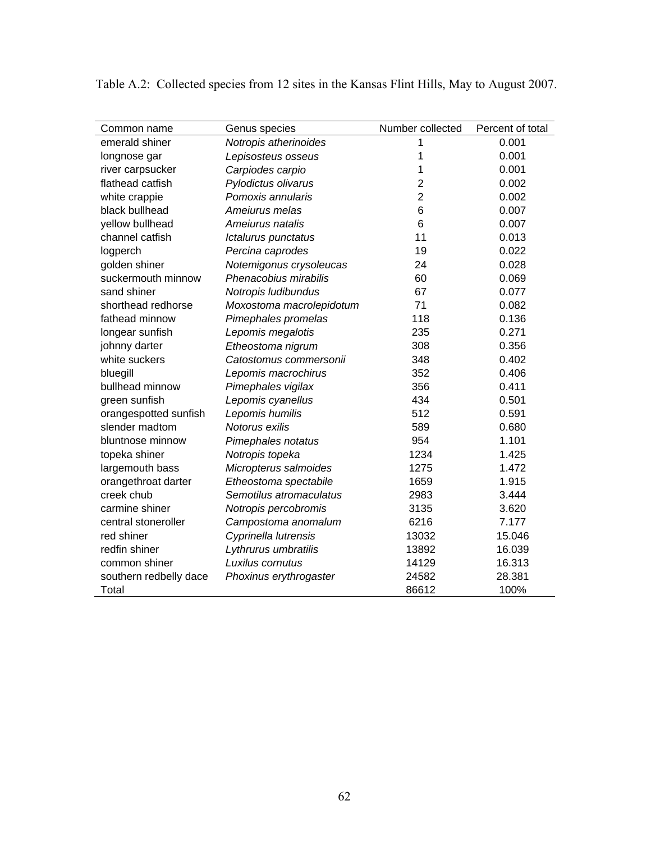| Common name            | Genus species            | Number collected | Percent of total |
|------------------------|--------------------------|------------------|------------------|
| emerald shiner         | Notropis atherinoides    | 1                | 0.001            |
| longnose gar           | Lepisosteus osseus       | 1                | 0.001            |
| river carpsucker       | Carpiodes carpio         | 1                | 0.001            |
| flathead catfish       | Pylodictus olivarus      | 2                | 0.002            |
| white crappie          | Pomoxis annularis        | $\overline{c}$   | 0.002            |
| black bullhead         | Ameiurus melas           | 6                | 0.007            |
| yellow bullhead        | Ameiurus natalis         | 6                | 0.007            |
| channel catfish        | Ictalurus punctatus      | 11               | 0.013            |
| logperch               | Percina caprodes         | 19               | 0.022            |
| golden shiner          | Notemigonus crysoleucas  | 24               | 0.028            |
| suckermouth minnow     | Phenacobius mirabilis    | 60               | 0.069            |
| sand shiner            | Notropis ludibundus      | 67               | 0.077            |
| shorthead redhorse     | Moxostoma macrolepidotum | 71               | 0.082            |
| fathead minnow         | Pimephales promelas      | 118              | 0.136            |
| longear sunfish        | Lepomis megalotis        | 235              | 0.271            |
| johnny darter          | Etheostoma nigrum        | 308              | 0.356            |
| white suckers          | Catostomus commersonii   | 348              | 0.402            |
| bluegill               | Lepomis macrochirus      | 352              | 0.406            |
| bullhead minnow        | Pimephales vigilax       | 356              | 0.411            |
| green sunfish          | Lepomis cyanellus        | 434              | 0.501            |
| orangespotted sunfish  | Lepomis humilis          | 512              | 0.591            |
| slender madtom         | Notorus exilis           | 589              | 0.680            |
| bluntnose minnow       | Pimephales notatus       | 954              | 1.101            |
| topeka shiner          | Notropis topeka          | 1234             | 1.425            |
| largemouth bass        | Micropterus salmoides    | 1275             | 1.472            |
| orangethroat darter    | Etheostoma spectabile    | 1659             | 1.915            |
| creek chub             | Semotilus atromaculatus  | 2983             | 3.444            |
| carmine shiner         | Notropis percobromis     | 3135             | 3.620            |
| central stoneroller    | Campostoma anomalum      | 6216             | 7.177            |
| red shiner             | Cyprinella lutrensis     | 13032            | 15.046           |
| redfin shiner          | Lythrurus umbratilis     | 13892            | 16.039           |
| common shiner          | Luxilus cornutus         | 14129            | 16.313           |
| southern redbelly dace | Phoxinus erythrogaster   | 24582            | 28.381           |
| Total                  |                          | 86612            | 100%             |

Table A.2: Collected species from 12 sites in the Kansas Flint Hills, May to August 2007.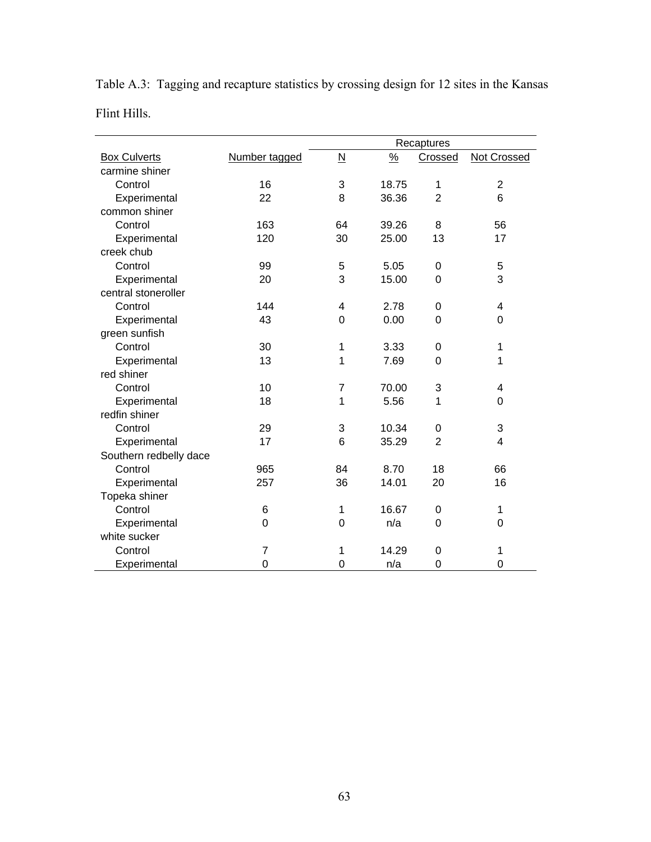|                        |                | Recaptures               |               |                  |                    |
|------------------------|----------------|--------------------------|---------------|------------------|--------------------|
| <b>Box Culverts</b>    | Number tagged  | $\underline{\mathsf{N}}$ | $\frac{9}{6}$ | Crossed          | <b>Not Crossed</b> |
| carmine shiner         |                |                          |               |                  |                    |
| Control                | 16             | 3                        | 18.75         | 1                | $\mathbf 2$        |
| Experimental           | 22             | 8                        | 36.36         | $\overline{2}$   | 6                  |
| common shiner          |                |                          |               |                  |                    |
| Control                | 163            | 64                       | 39.26         | 8                | 56                 |
| Experimental           | 120            | 30                       | 25.00         | 13               | 17                 |
| creek chub             |                |                          |               |                  |                    |
| Control                | 99             | 5                        | 5.05          | $\boldsymbol{0}$ | 5                  |
| Experimental           | 20             | 3                        | 15.00         | $\mathbf 0$      | 3                  |
| central stoneroller    |                |                          |               |                  |                    |
| Control                | 144            | 4                        | 2.78          | $\pmb{0}$        | 4                  |
| Experimental           | 43             | $\mathbf 0$              | 0.00          | $\pmb{0}$        | $\mathbf 0$        |
| green sunfish          |                |                          |               |                  |                    |
| Control                | 30             | 1                        | 3.33          | $\boldsymbol{0}$ | 1                  |
| Experimental           | 13             | 1                        | 7.69          | $\mathbf 0$      | 1                  |
| red shiner             |                |                          |               |                  |                    |
| Control                | 10             | $\overline{7}$           | 70.00         | 3                | 4                  |
| Experimental           | 18             | 1                        | 5.56          | 1                | $\mathbf 0$        |
| redfin shiner          |                |                          |               |                  |                    |
| Control                | 29             | 3                        | 10.34         | $\boldsymbol{0}$ | 3                  |
| Experimental           | 17             | 6                        | 35.29         | $\overline{2}$   | 4                  |
| Southern redbelly dace |                |                          |               |                  |                    |
| Control                | 965            | 84                       | 8.70          | 18               | 66                 |
| Experimental           | 257            | 36                       | 14.01         | 20               | 16                 |
| Topeka shiner          |                |                          |               |                  |                    |
| Control                | $\,6$          | 1                        | 16.67         | $\boldsymbol{0}$ | 1                  |
| Experimental           | $\overline{0}$ | 0                        | n/a           | $\mathbf 0$      | $\mathbf 0$        |
| white sucker           |                |                          |               |                  |                    |
| Control                | $\overline{7}$ | 1                        | 14.29         | $\mathbf 0$      | 1                  |
| Experimental           | 0              | $\overline{0}$           | n/a           | $\mathbf 0$      | $\mathbf 0$        |

Table A.3: Tagging and recapture statistics by crossing design for 12 sites in the Kansas Flint Hills.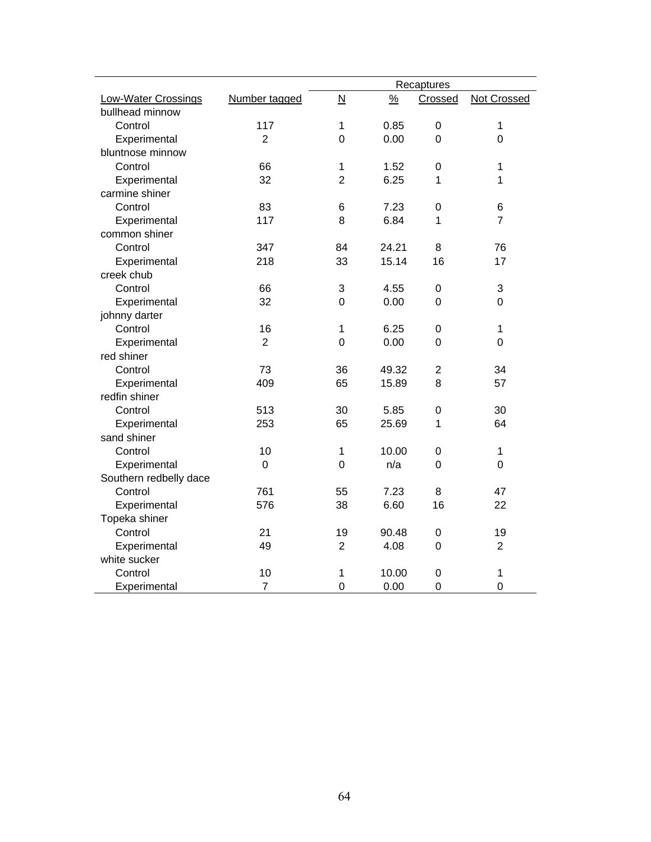|                            |                |                         |               | Recaptures       |                    |
|----------------------------|----------------|-------------------------|---------------|------------------|--------------------|
| <b>Low-Water Crossings</b> | Number tagged  | $\overline{\mathsf{N}}$ | $\frac{9}{6}$ | Crossed          | <b>Not Crossed</b> |
| bullhead minnow            |                |                         |               |                  |                    |
| Control                    | 117            | $\mathbf 1$             | 0.85          | $\boldsymbol{0}$ | 1                  |
| Experimental               | $\overline{2}$ | 0                       | 0.00          | 0                | $\overline{0}$     |
| bluntnose minnow           |                |                         |               |                  |                    |
| Control                    | 66             | 1                       | 1.52          | $\boldsymbol{0}$ | 1                  |
| Experimental               | 32             | $\overline{2}$          | 6.25          | 1                | 1                  |
| carmine shiner             |                |                         |               |                  |                    |
| Control                    | 83             | 6                       | 7.23          | $\boldsymbol{0}$ | 6                  |
| Experimental               | 117            | 8                       | 6.84          | 1                | $\overline{7}$     |
| common shiner              |                |                         |               |                  |                    |
| Control                    | 347            | 84                      | 24.21         | 8                | 76                 |
| Experimental               | 218            | 33                      | 15.14         | 16               | 17                 |
| creek chub                 |                |                         |               |                  |                    |
| Control                    | 66             | 3                       | 4.55          | $\mathbf 0$      | 3                  |
| Experimental               | 32             | 0                       | 0.00          | $\mathbf 0$      | 0                  |
| johnny darter              |                |                         |               |                  |                    |
| Control                    | 16             | 1                       | 6.25          | $\mathbf 0$      | 1                  |
| Experimental               | $\overline{2}$ | 0                       | 0.00          | $\mathbf 0$      | $\mathbf 0$        |
| red shiner                 |                |                         |               |                  |                    |
| Control                    | 73             | 36                      | 49.32         | 2                | 34                 |
| Experimental               | 409            | 65                      | 15.89         | 8                | 57                 |
| redfin shiner              |                |                         |               |                  |                    |
| Control                    | 513            | 30                      | 5.85          | $\boldsymbol{0}$ | 30                 |
| Experimental               | 253            | 65                      | 25.69         | 1                | 64                 |
| sand shiner                |                |                         |               |                  |                    |
| Control                    | 10             | 1                       | 10.00         | $\boldsymbol{0}$ | $\mathbf{1}$       |
| Experimental               | $\mathbf 0$    | $\mathbf 0$             | n/a           | $\mathbf 0$      | $\mathbf 0$        |
| Southern redbelly dace     |                |                         |               |                  |                    |
| Control                    | 761            | 55                      | 7.23          | 8                | 47                 |
| Experimental               | 576            | 38                      | 6.60          | 16               | 22                 |
| Topeka shiner              |                |                         |               |                  |                    |
| Control                    | 21             | 19                      | 90.48         | 0                | 19                 |
| Experimental               | 49             | $\overline{2}$          | 4.08          | $\mathbf 0$      | $\overline{2}$     |
| white sucker               |                |                         |               |                  |                    |
| Control                    | 10             | 1                       | 10.00         | $\mathbf 0$      | 1                  |
| Experimental               | $\overline{7}$ | $\mathbf 0$             | 0.00          | $\mathbf 0$      | $\mathbf 0$        |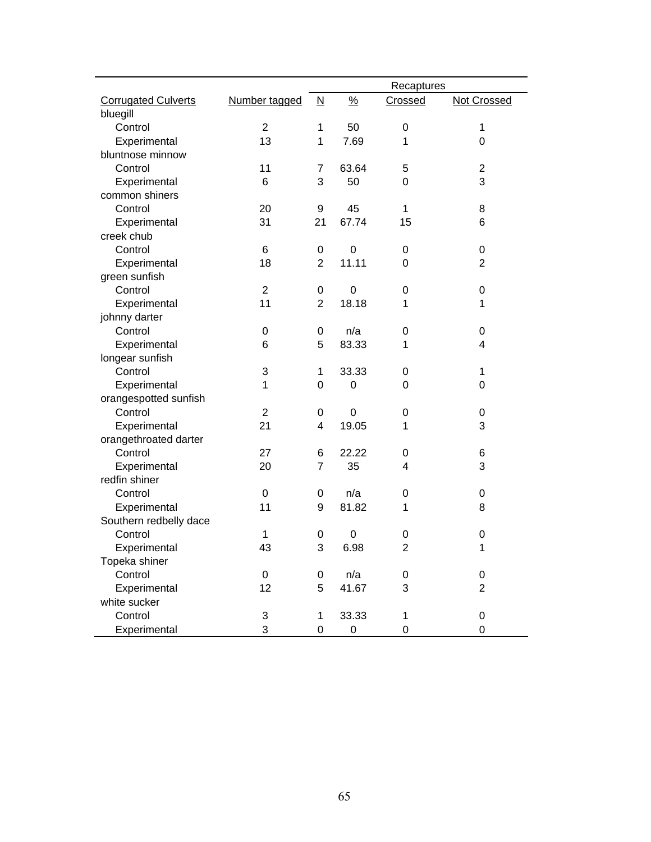|                            |                  |                          |               | Recaptures       |                    |
|----------------------------|------------------|--------------------------|---------------|------------------|--------------------|
| <b>Corrugated Culverts</b> | Number tagged    | $\underline{\mathsf{N}}$ | $\frac{0}{2}$ | Crossed          | <b>Not Crossed</b> |
| bluegill                   |                  |                          |               |                  |                    |
| Control                    | $\overline{2}$   | 1                        | 50            | $\boldsymbol{0}$ | $\mathbf 1$        |
| Experimental               | 13               | 1                        | 7.69          | 1                | 0                  |
| bluntnose minnow           |                  |                          |               |                  |                    |
| Control                    | 11               | 7                        | 63.64         | 5                | 2                  |
| Experimental               | $6\phantom{1}$   | 3                        | 50            | 0                | 3                  |
| common shiners             |                  |                          |               |                  |                    |
| Control                    | 20               | 9                        | 45            | 1                | 8                  |
| Experimental               | 31               | 21                       | 67.74         | 15               | 6                  |
| creek chub                 |                  |                          |               |                  |                    |
| Control                    | 6                | $\boldsymbol{0}$         | $\mathbf 0$   | 0                | 0                  |
| Experimental               | 18               | 2                        | 11.11         | 0                | $\overline{2}$     |
| green sunfish              |                  |                          |               |                  |                    |
| Control                    | $\overline{2}$   | $\boldsymbol{0}$         | $\mathbf 0$   | 0                | 0                  |
| Experimental               | 11               | $\overline{2}$           | 18.18         | 1                | 1                  |
| johnny darter              |                  |                          |               |                  |                    |
| Control                    | 0                | 0                        | n/a           | 0                | 0                  |
| Experimental               | 6                | 5                        | 83.33         | 1                | 4                  |
| longear sunfish            |                  |                          |               |                  |                    |
| Control                    | 3                | 1                        | 33.33         | $\pmb{0}$        | 1                  |
| Experimental               | 1                | 0                        | 0             | 0                | 0                  |
| orangespotted sunfish      |                  |                          |               |                  |                    |
| Control                    | $\overline{2}$   | 0                        | $\mathbf 0$   | $\boldsymbol{0}$ | 0                  |
| Experimental               | 21               | 4                        | 19.05         | 1                | 3                  |
| orangethroated darter      |                  |                          |               |                  |                    |
| Control                    | 27               | 6                        | 22.22         | 0                | 6                  |
| Experimental               | 20               | $\overline{7}$           | 35            | 4                | 3                  |
| redfin shiner              |                  |                          |               |                  |                    |
| Control                    | $\boldsymbol{0}$ | 0                        | n/a           | 0                | 0                  |
| Experimental               | 11               | $\boldsymbol{9}$         | 81.82         | 1                | 8                  |
| Southern redbelly dace     |                  |                          |               |                  |                    |
| Control                    | 1                | 0                        | 0             | 0                | 0                  |
| Experimental               | 43               | 3                        | 6.98          | $\overline{2}$   | 1                  |
| Topeka shiner              |                  |                          |               |                  |                    |
| Control                    | 0                | $\boldsymbol{0}$         | n/a           | 0                | 0                  |
| Experimental               | 12               | 5                        | 41.67         | 3                | $\overline{2}$     |
| white sucker               |                  |                          |               |                  |                    |
| Control                    | 3                | 1                        | 33.33         | 1                | 0                  |
| Experimental               | 3                | $\mathbf 0$              | $\mathbf 0$   | $\mathbf 0$      | $\overline{0}$     |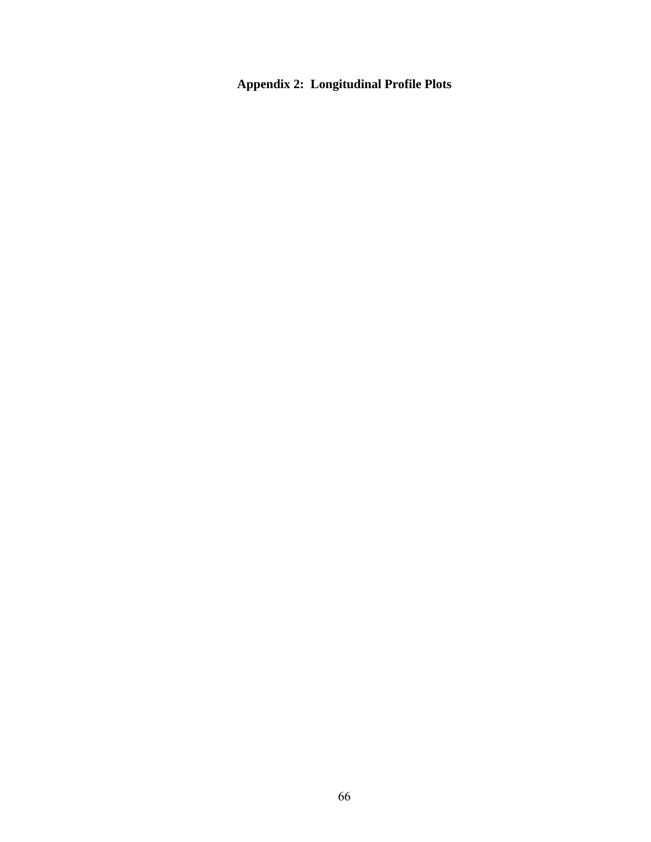**Appendix 2: Longitudinal Profile Plots**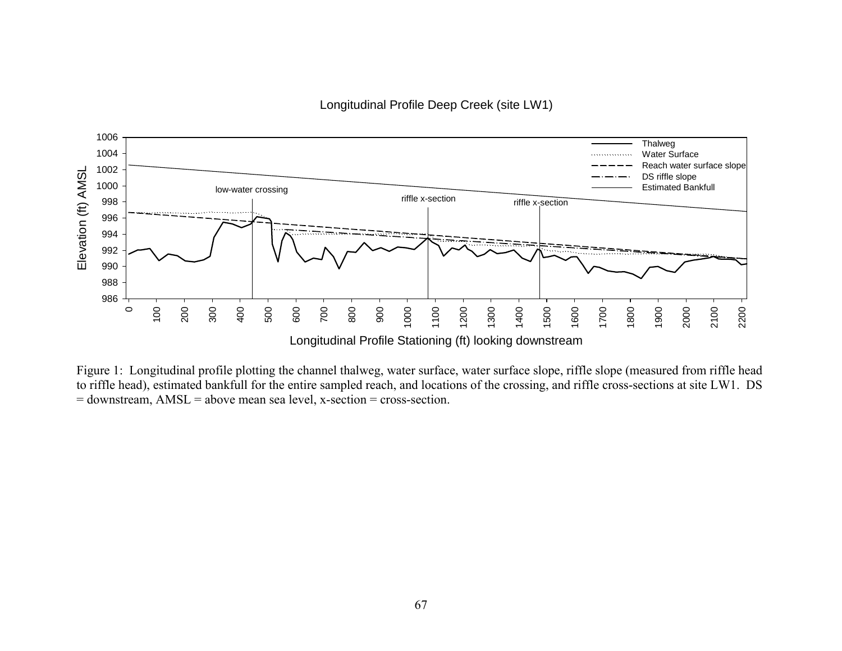Longitudinal Profile Deep Creek (site LW1)



Figure 1: Longitudinal profile plotting the channel thalweg, water surface, water surface slope, riffle slope (measured from riffle head to riffle head), estimated bankfull for the entire sampled reach, and locations of the crossing, and riffle cross-sections at site LW1. DS = downstream, AMSL = above mean sea level, x-section = cross-section.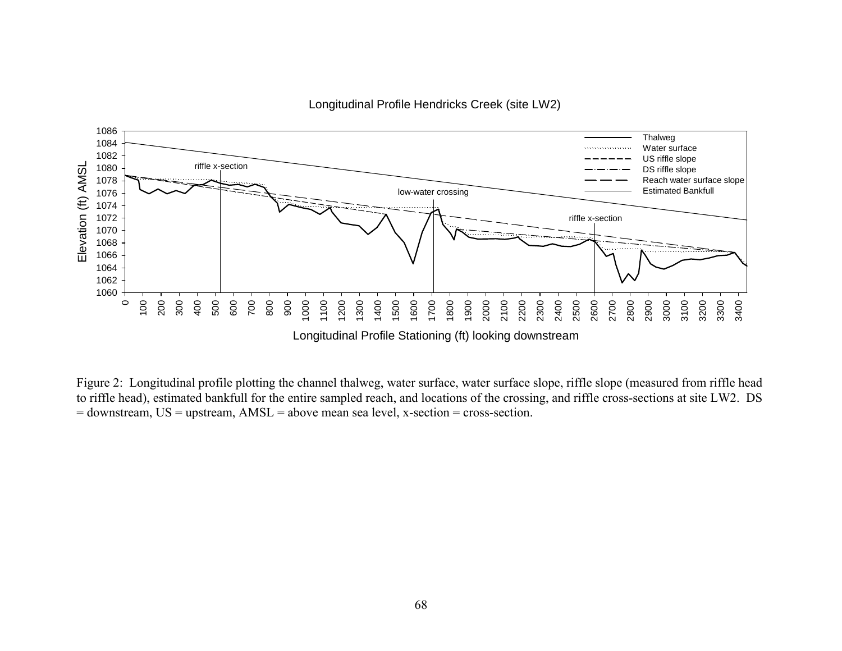

Longitudinal Profile Hendricks Creek (site LW2)

Figure 2: Longitudinal profile plotting the channel thalweg, water surface, water surface slope, riffle slope (measured from riffle head to riffle head), estimated bankfull for the entire sampled reach, and locations of the crossing, and riffle cross-sections at site LW2. DS = downstream, US = upstream, AMSL = above mean sea level, x-section = cross-section.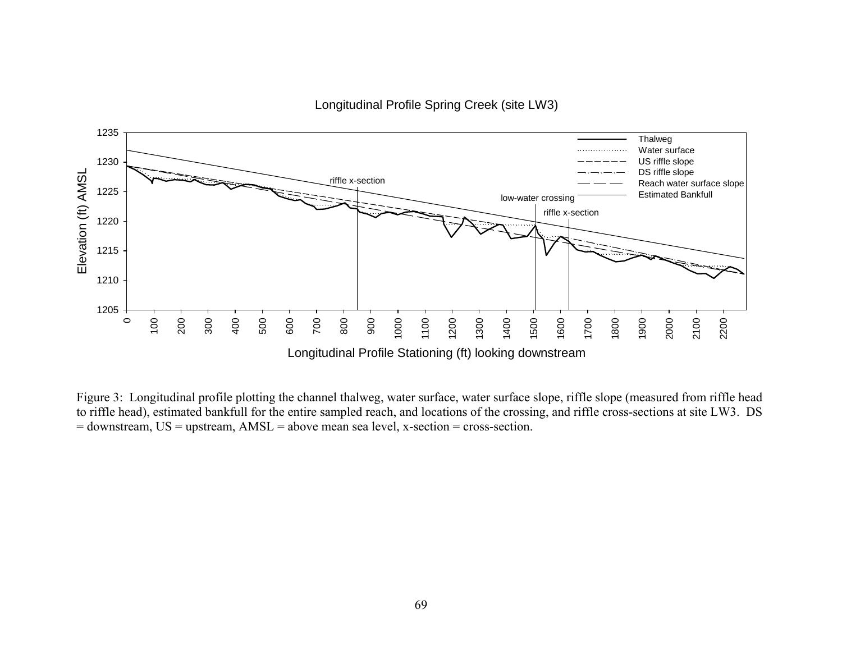



Figure 3: Longitudinal profile plotting the channel thalweg, water surface, water surface slope, riffle slope (measured from riffle head to riffle head), estimated bankfull for the entire sampled reach, and locations of the crossing, and riffle cross-sections at site LW3. DS = downstream, US = upstream, AMSL = above mean sea level, x-section = cross-section.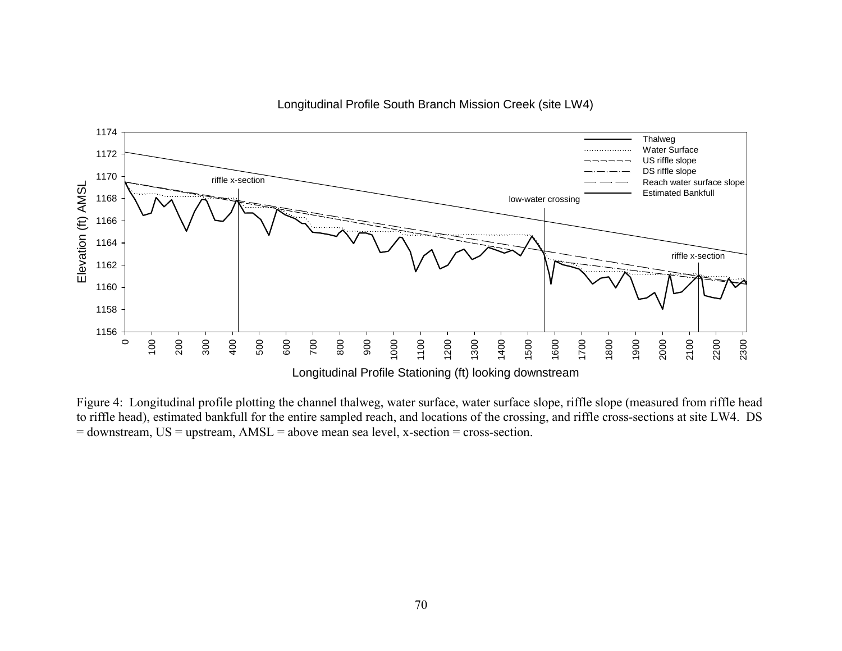

Longitudinal Profile South Branch Mission Creek (site LW4)

Figure 4: Longitudinal profile plotting the channel thalweg, water surface, water surface slope, riffle slope (measured from riffle head to riffle head), estimated bankfull for the entire sampled reach, and locations of the crossing, and riffle cross-sections at site LW4. DS = downstream, US = upstream, AMSL = above mean sea level, x-section = cross-section.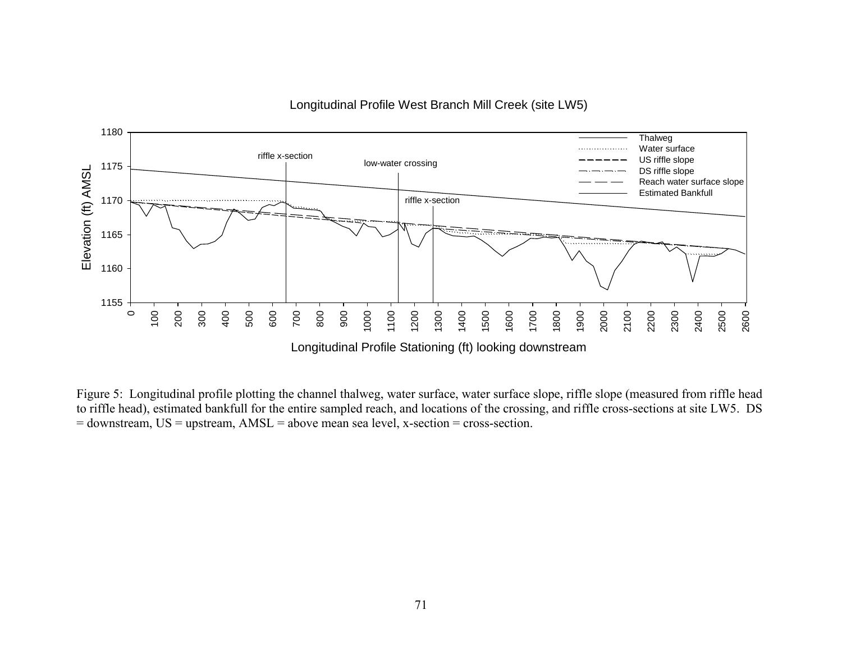

Longitudinal Profile West Branch Mill Creek (site LW5)

Figure 5: Longitudinal profile plotting the channel thalweg, water surface, water surface slope, riffle slope (measured from riffle head to riffle head), estimated bankfull for the entire sampled reach, and locations of the crossing, and riffle cross-sections at site LW5. DS = downstream, US = upstream, AMSL = above mean sea level, x-section = cross-section.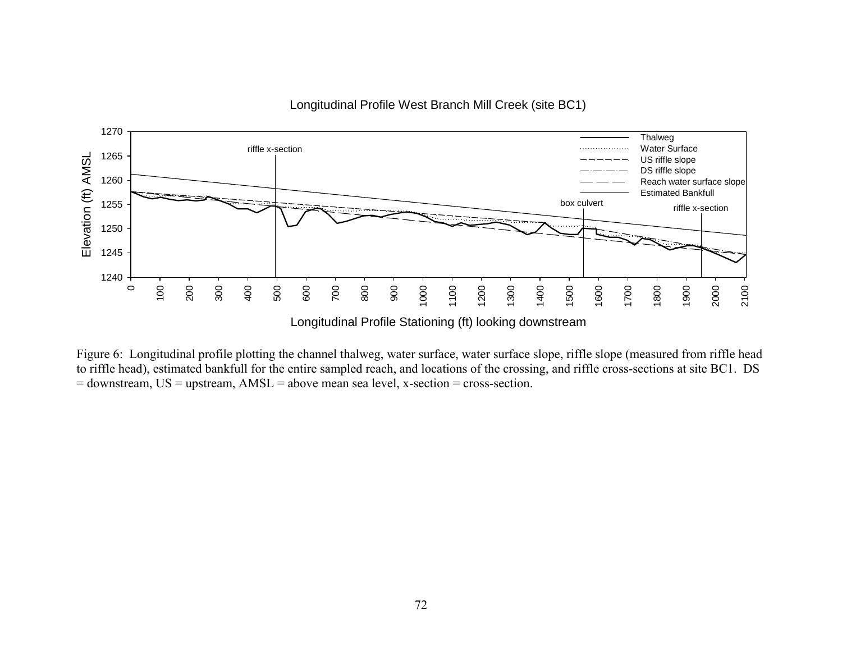



Figure 6: Longitudinal profile plotting the channel thalweg, water surface, water surface slope, riffle slope (measured from riffle head to riffle head), estimated bankfull for the entire sampled reach, and locations of the crossing, and riffle cross-sections at site BC1. DS = downstream, US = upstream, AMSL = above mean sea level, x-section = cross-section.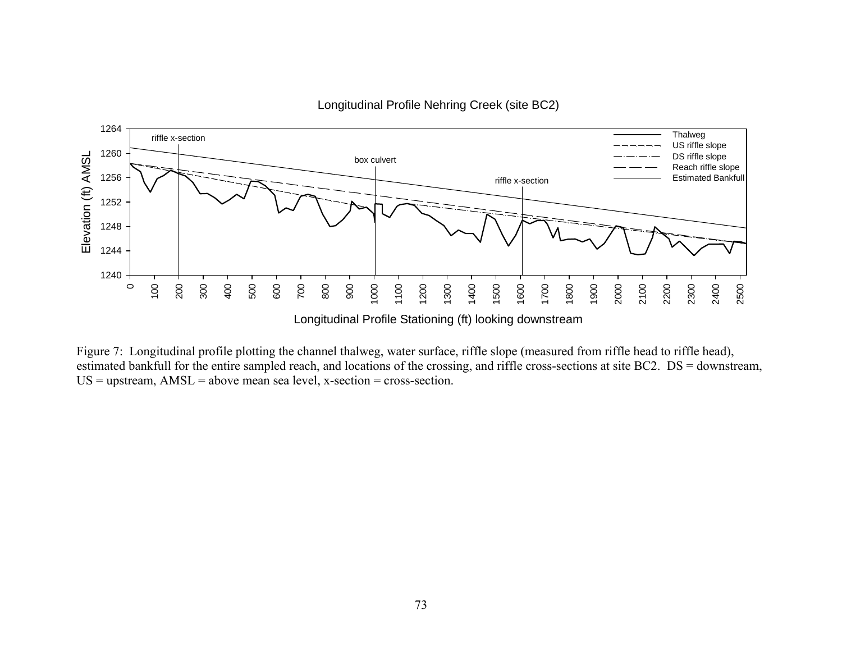

Longitudinal Profile Nehring Creek (site BC2)

Figure 7: Longitudinal profile plotting the channel thalweg, water surface, riffle slope (measured from riffle head to riffle head), estimated bankfull for the entire sampled reach, and locations of the crossing, and riffle cross-sections at site BC2. DS = downstream,  $US =$  upstream,  $AMSL =$  above mean sea level, x-section = cross-section.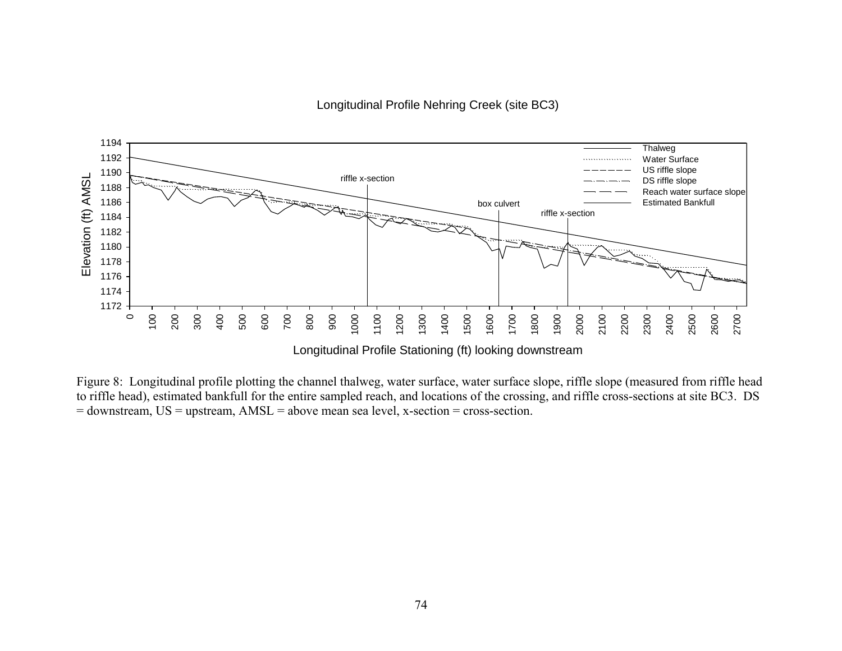Longitudinal Profile Nehring Creek (site BC3)



Figure 8: Longitudinal profile plotting the channel thalweg, water surface, water surface slope, riffle slope (measured from riffle head to riffle head), estimated bankfull for the entire sampled reach, and locations of the crossing, and riffle cross-sections at site BC3. DS = downstream, US = upstream, AMSL = above mean sea level, x-section = cross-section.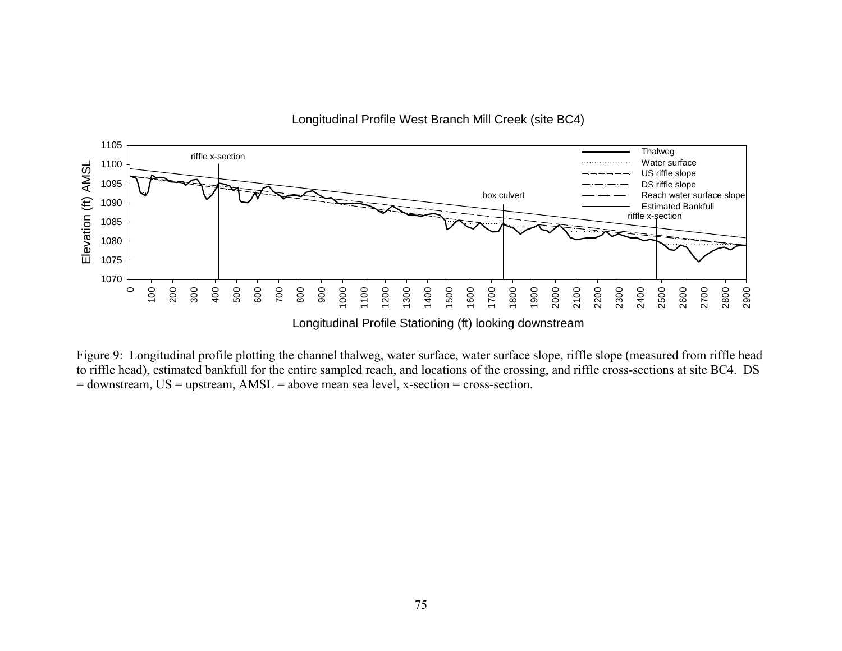

Figure 9: Longitudinal profile plotting the channel thalweg, water surface, water surface slope, riffle slope (measured from riffle head to riffle head), estimated bankfull for the entire sampled reach, and locations of the crossing, and riffle cross-sections at site BC4. DS = downstream, US = upstream, AMSL = above mean sea level, x-section = cross-section.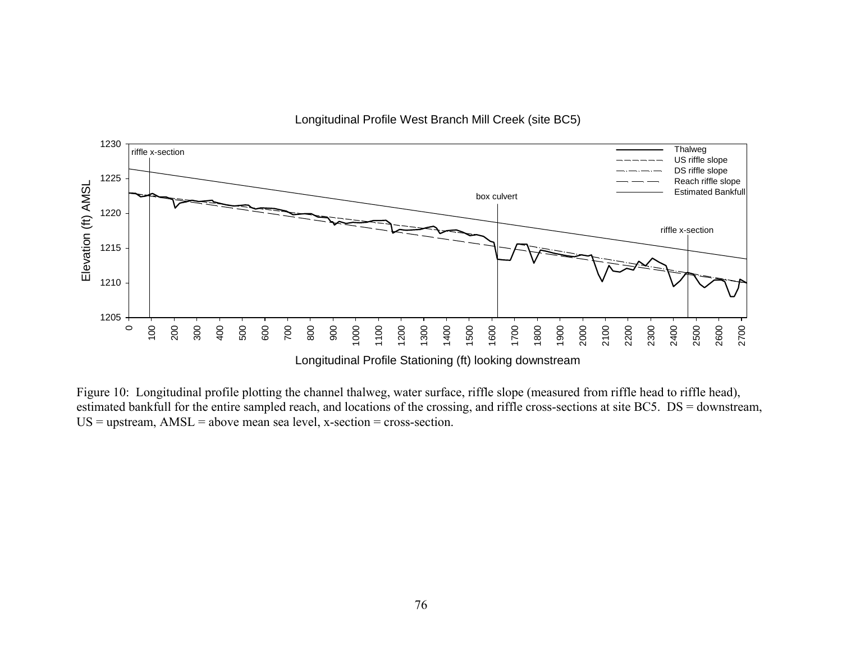

Longitudinal Profile West Branch Mill Creek (site BC5)

Figure 10: Longitudinal profile plotting the channel thalweg, water surface, riffle slope (measured from riffle head to riffle head), estimated bankfull for the entire sampled reach, and locations of the crossing, and riffle cross-sections at site BC5. DS = downstream,  $US =$  upstream,  $AMSL =$  above mean sea level, x-section = cross-section.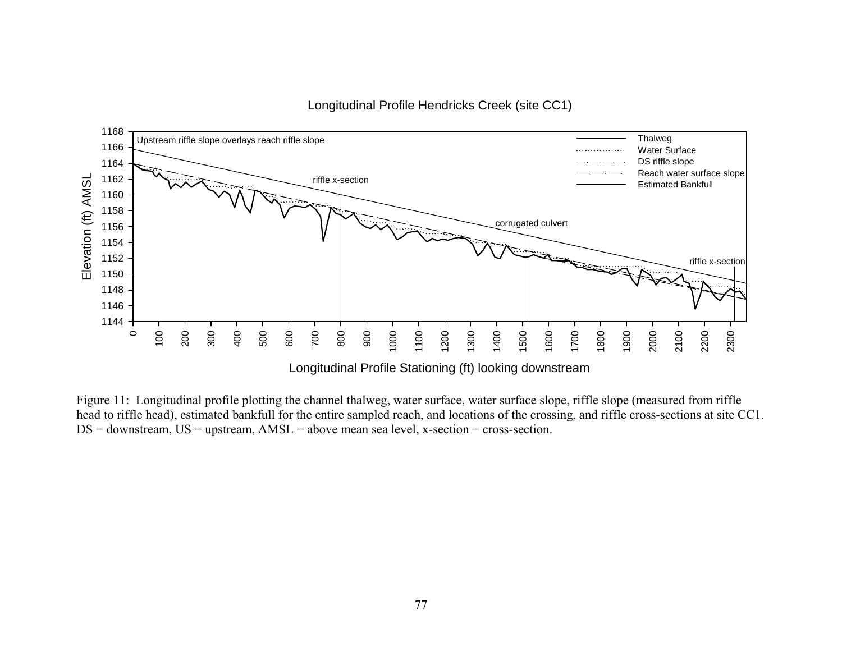

## Longitudinal Profile Hendricks Creek (site CC1)

Figure 11: Longitudinal profile plotting the channel thalweg, water surface, water surface slope, riffle slope (measured from riffle head to riffle head), estimated bankfull for the entire sampled reach, and locations of the crossing, and riffle cross-sections at site CC1.  $DS =$  downstream,  $US =$  upstream,  $AMSL =$  above mean sea level, x-section = cross-section.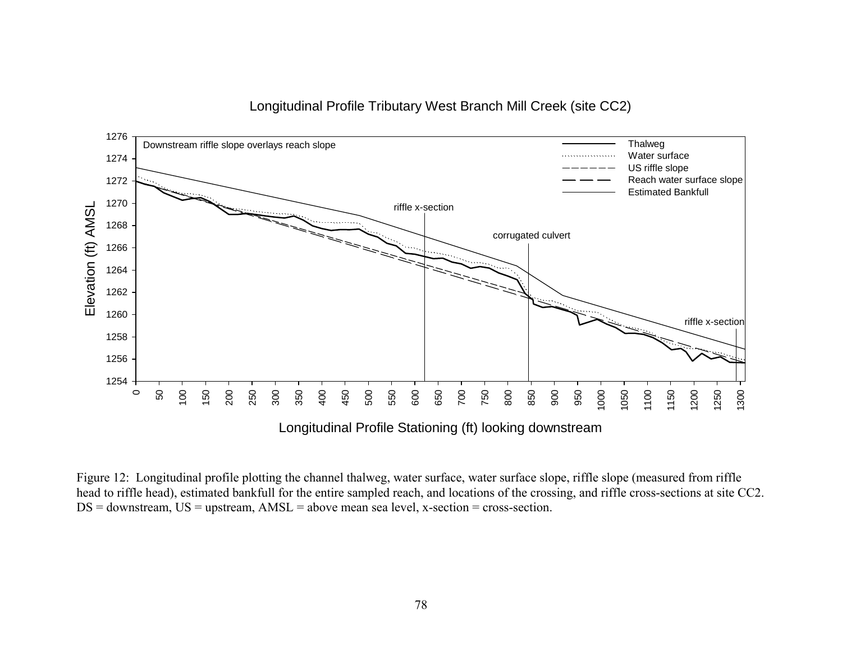

## Longitudinal Profile Tributary West Branch Mill Creek (site CC2)

Figure 12: Longitudinal profile plotting the channel thalweg, water surface, water surface slope, riffle slope (measured from riffle head to riffle head), estimated bankfull for the entire sampled reach, and locations of the crossing, and riffle cross-sections at site CC2.  $DS =$  downstream,  $US =$  upstream,  $AMSL =$  above mean sea level, x-section = cross-section.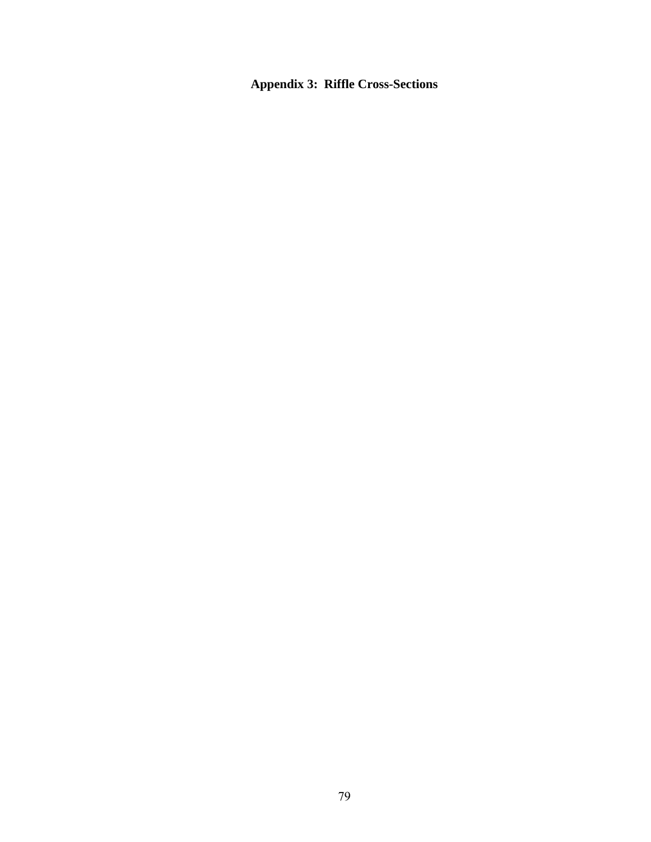**Appendix 3: Riffle Cross-Sections**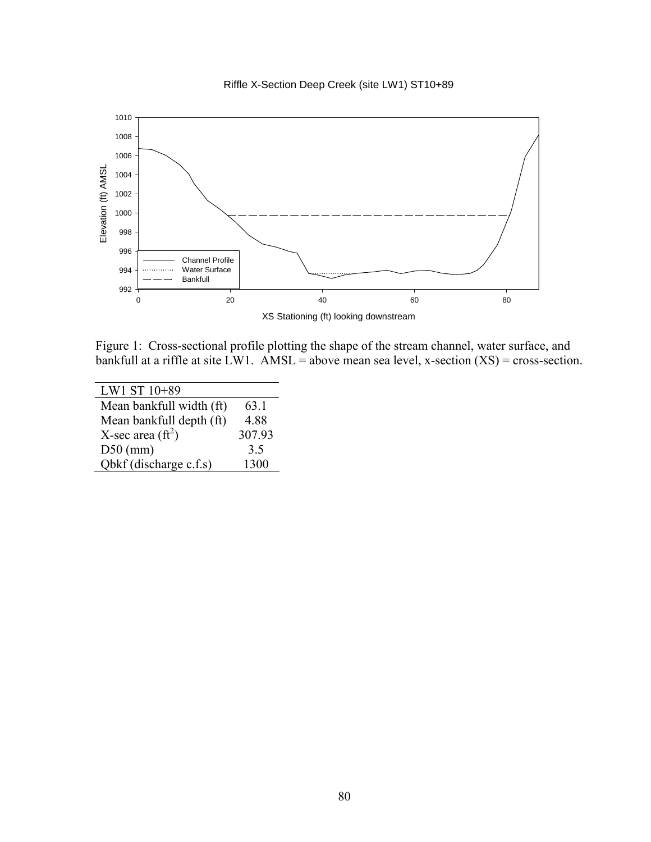



Figure 1: Cross-sectional profile plotting the shape of the stream channel, water surface, and bankfull at a riffle at site LW1.  $\angle$ AMSL = above mean sea level, x-section (XS) = cross-section.

| LW1 ST 10+89               |        |
|----------------------------|--------|
| Mean bankfull width (ft)   | 63.1   |
| Mean bankfull depth (ft)   | 4.88   |
| X-sec area $(\text{ft}^2)$ | 307.93 |
| $D50$ (mm)                 | 3.5    |
| Qbkf (discharge c.f.s)     | 1300   |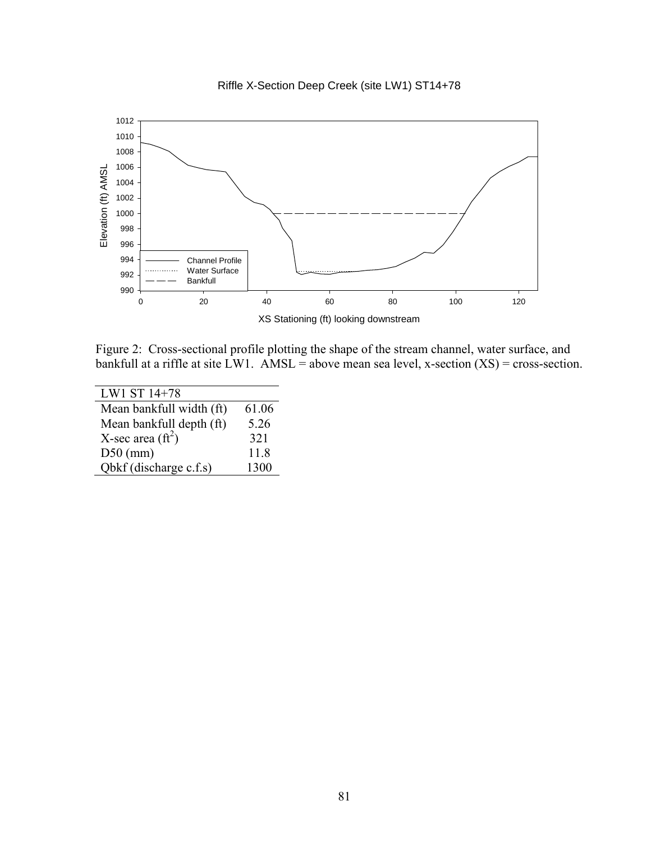



Figure 2: Cross-sectional profile plotting the shape of the stream channel, water surface, and bankfull at a riffle at site LW1. AMSL = above mean sea level, x-section  $(XS)$  = cross-section.

| LW1 ST 14+78              |       |
|---------------------------|-------|
| Mean bankfull width (ft)  | 61.06 |
| Mean bankfull depth (ft)  | 5.26  |
| X-sec area $({\rm ft}^2)$ | 321   |
| $D50$ (mm)                | 11.8  |
| Obkf (discharge c.f.s)    | 1300  |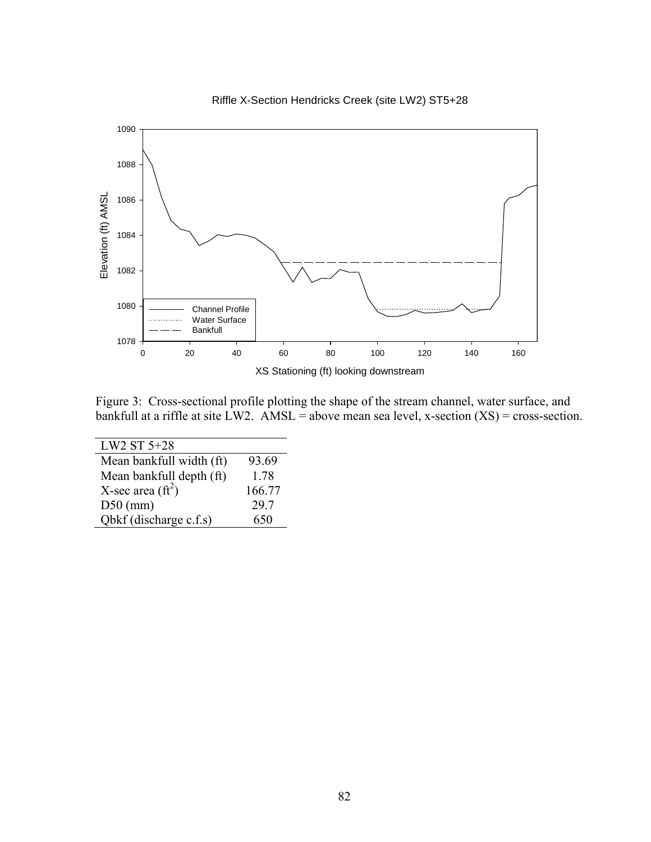



Figure 3: Cross-sectional profile plotting the shape of the stream channel, water surface, and bankfull at a riffle at site LW2. AMSL = above mean sea level, x-section  $(XS)$  = cross-section.

| LW2 ST 5+28                |        |
|----------------------------|--------|
| Mean bankfull width (ft)   | 93.69  |
| Mean bankfull depth (ft)   | 1.78   |
| X-sec area $(\text{ft}^2)$ | 166.77 |
| $D50$ (mm)                 | 29.7   |
| Obkf (discharge c.f.s)     | 650    |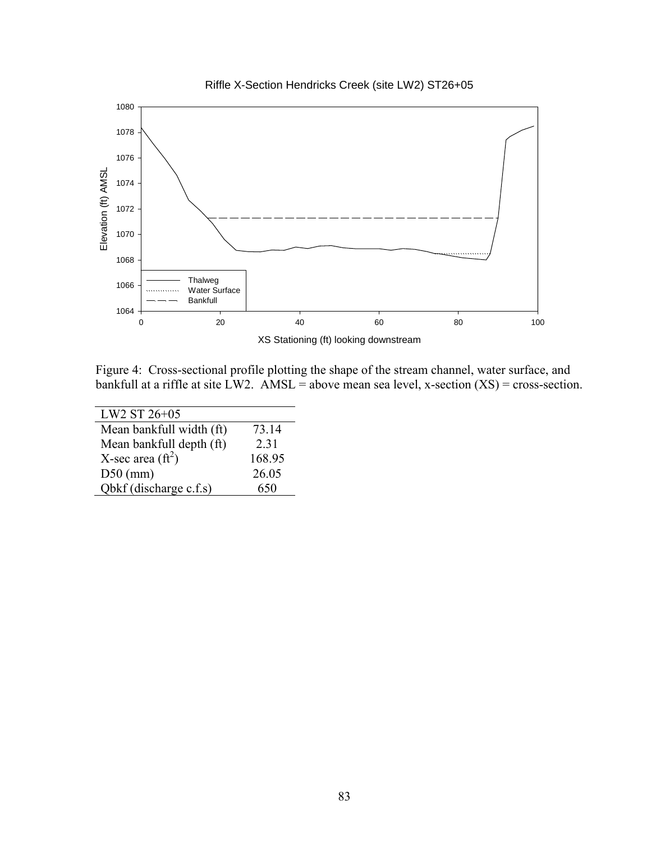

Riffle X-Section Hendricks Creek (site LW2) ST26+05

Figure 4: Cross-sectional profile plotting the shape of the stream channel, water surface, and bankfull at a riffle at site LW2. AMSL = above mean sea level, x-section  $(XS)$  = cross-section.

| 73.14  |
|--------|
| 2.31   |
| 168.95 |
| 26.05  |
| 650    |
|        |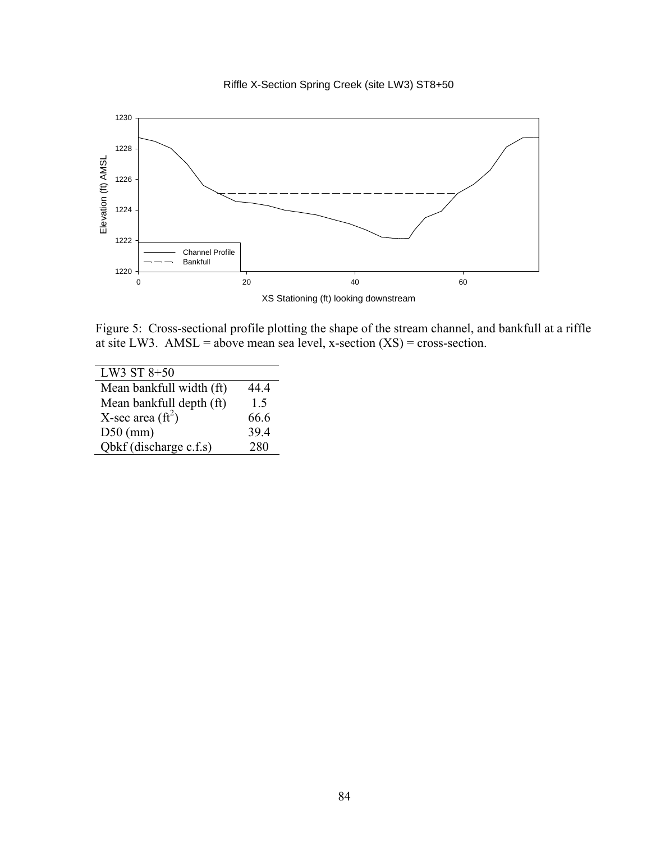



Figure 5: Cross-sectional profile plotting the shape of the stream channel, and bankfull at a riffle at site LW3. AMSL = above mean sea level, x-section  $(XS)$  = cross-section.

| LW3 ST 8+50                |      |
|----------------------------|------|
| Mean bankfull width (ft)   | 44.4 |
| Mean bankfull depth (ft)   | 15   |
| X-sec area $(\text{ft}^2)$ | 66.6 |
| $D50$ (mm)                 | 39.4 |
| Qbkf (discharge c.f.s)     | 280  |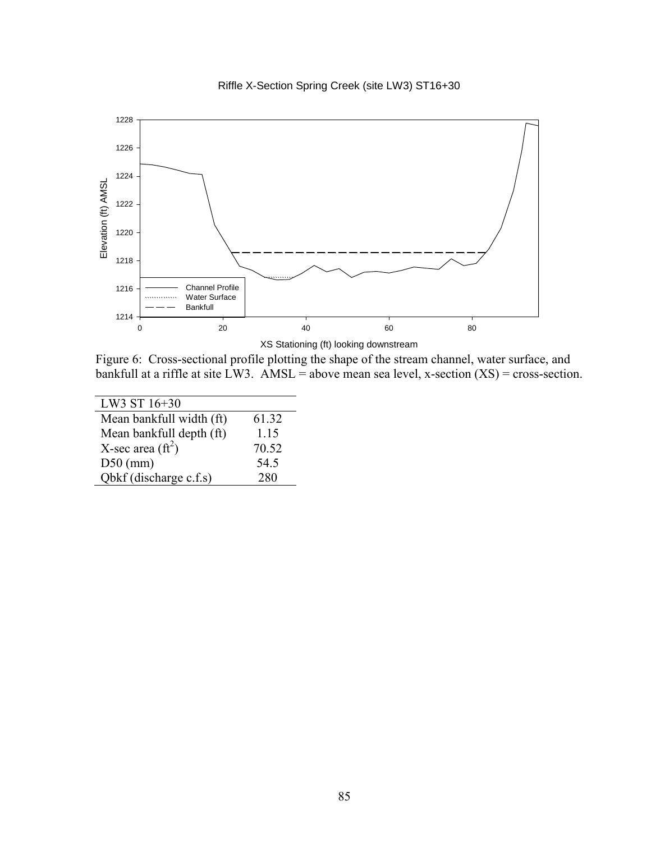



XS Stationing (ft) looking downstream

Figure 6: Cross-sectional profile plotting the shape of the stream channel, water surface, and bankfull at a riffle at site LW3. AMSL = above mean sea level, x-section  $(XS)$  = cross-section.

| LW3 ST 16+30              |       |
|---------------------------|-------|
| Mean bankfull width (ft)  | 61.32 |
| Mean bankfull depth (ft)  | 1.15  |
| X-sec area $({\rm ft}^2)$ | 70.52 |
| $D50$ (mm)                | 54.5  |
| Qbkf (discharge c.f.s)    | 280   |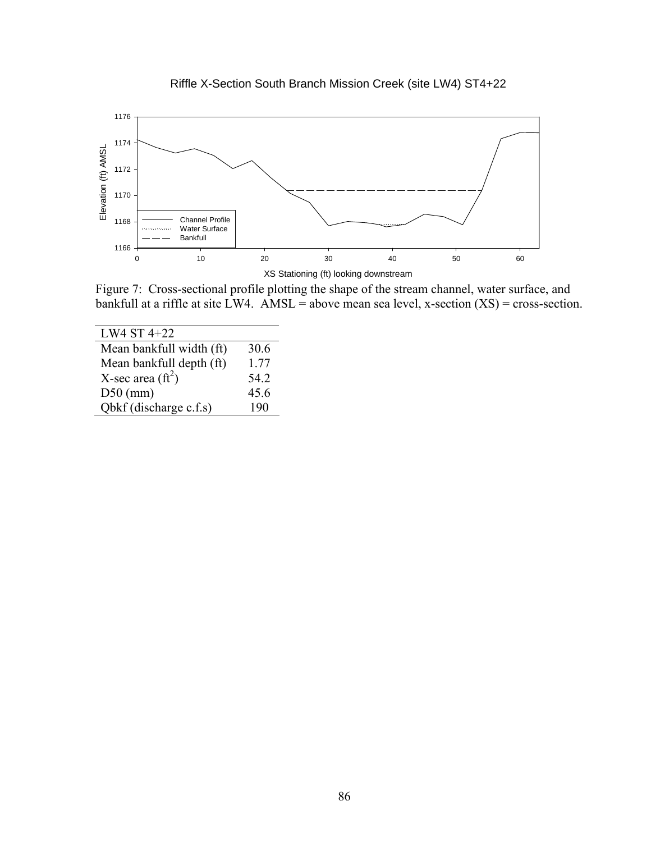



Figure 7: Cross-sectional profile plotting the shape of the stream channel, water surface, and bankfull at a riffle at site LW4. AMSL = above mean sea level, x-section  $(XS)$  = cross-section.

| LW4 ST 4+22                |      |
|----------------------------|------|
| Mean bankfull width (ft)   | 30.6 |
| Mean bankfull depth (ft)   | 1.77 |
| X-sec area $(\text{ft}^2)$ | 54.2 |
| $D50$ (mm)                 | 45.6 |
| Qbkf (discharge c.f.s)     | 190  |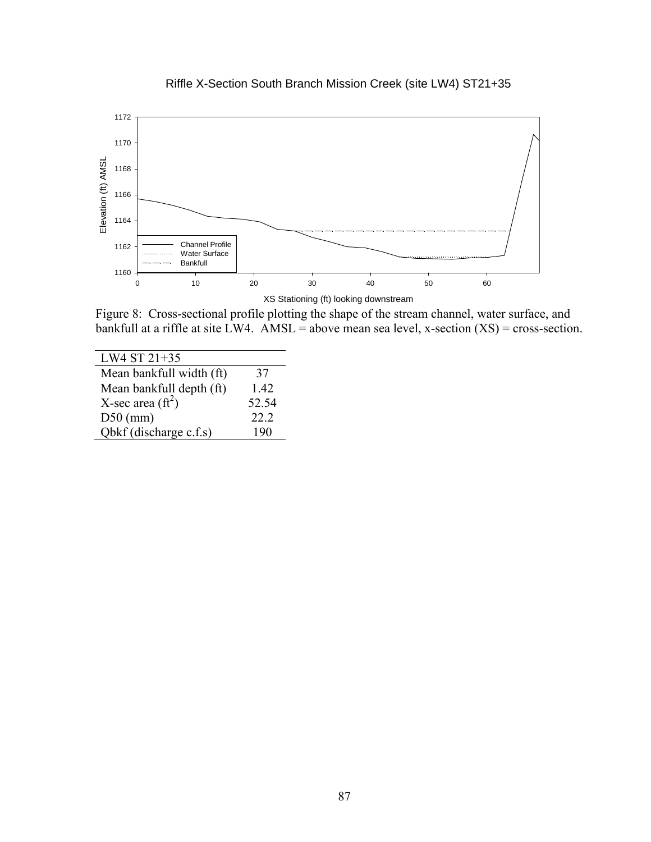

Riffle X-Section South Branch Mission Creek (site LW4) ST21+35

Figure 8: Cross-sectional profile plotting the shape of the stream channel, water surface, and bankfull at a riffle at site LW4. AMSL = above mean sea level, x-section  $(XS)$  = cross-section.

| LW4 ST 21+35              |       |
|---------------------------|-------|
| Mean bankfull width (ft)  | 37    |
| Mean bankfull depth (ft)  | 1.42  |
| X-sec area $({\rm ft}^2)$ | 52.54 |
| $D50$ (mm)                | 22.2  |
| Obkf (discharge c.f.s)    | 190   |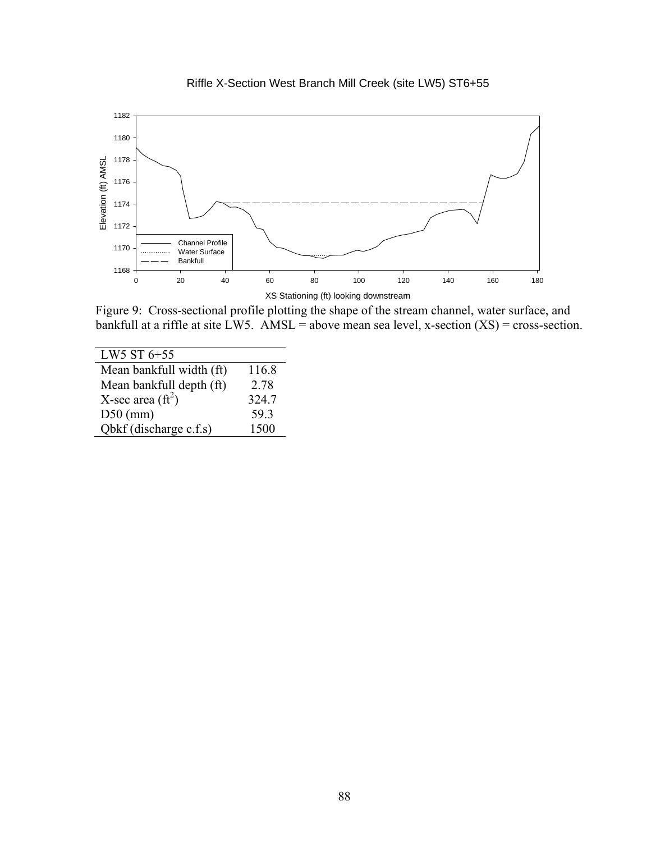

Riffle X-Section West Branch Mill Creek (site LW5) ST6+55

Figure 9: Cross-sectional profile plotting the shape of the stream channel, water surface, and bankfull at a riffle at site LW5. AMSL = above mean sea level, x-section  $(XS)$  = cross-section.

| LW5 ST 6+55                |       |
|----------------------------|-------|
| Mean bankfull width (ft)   | 116.8 |
| Mean bankfull depth (ft)   | 2.78  |
| X-sec area $(\text{ft}^2)$ | 324.7 |
| $D50$ (mm)                 | 59.3  |
| Qbkf (discharge c.f.s)     | 1500  |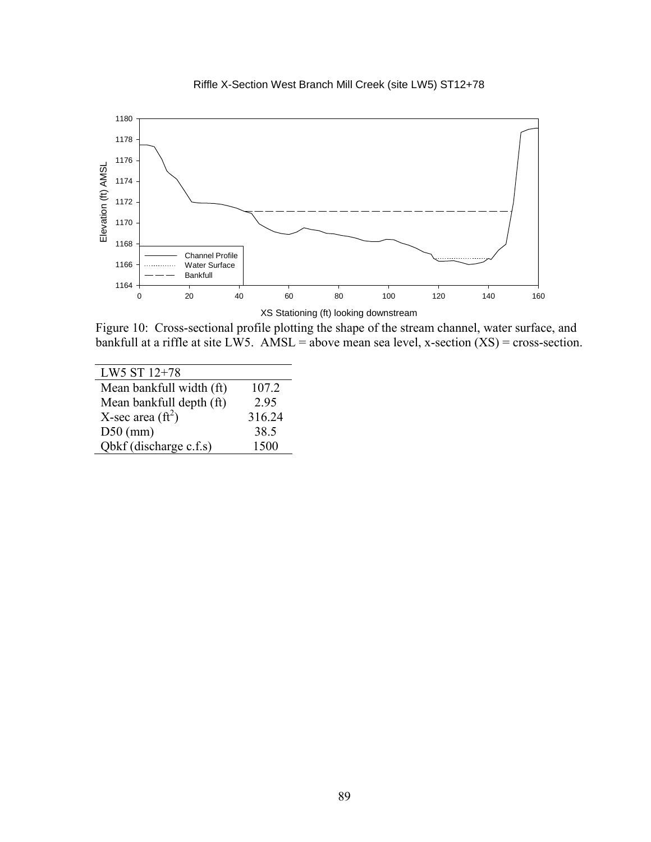



 Figure 10: Cross-sectional profile plotting the shape of the stream channel, water surface, and bankfull at a riffle at site LW5. AMSL = above mean sea level, x-section  $(XS)$  = cross-section.

| LW5 ST 12+78               |        |
|----------------------------|--------|
| Mean bankfull width (ft)   | 107.2  |
| Mean bankfull depth (ft)   | 2.95   |
| X-sec area $(\text{ft}^2)$ | 316.24 |
| $D50$ (mm)                 | 38.5   |
| Qbkf (discharge c.f.s)     | 1500   |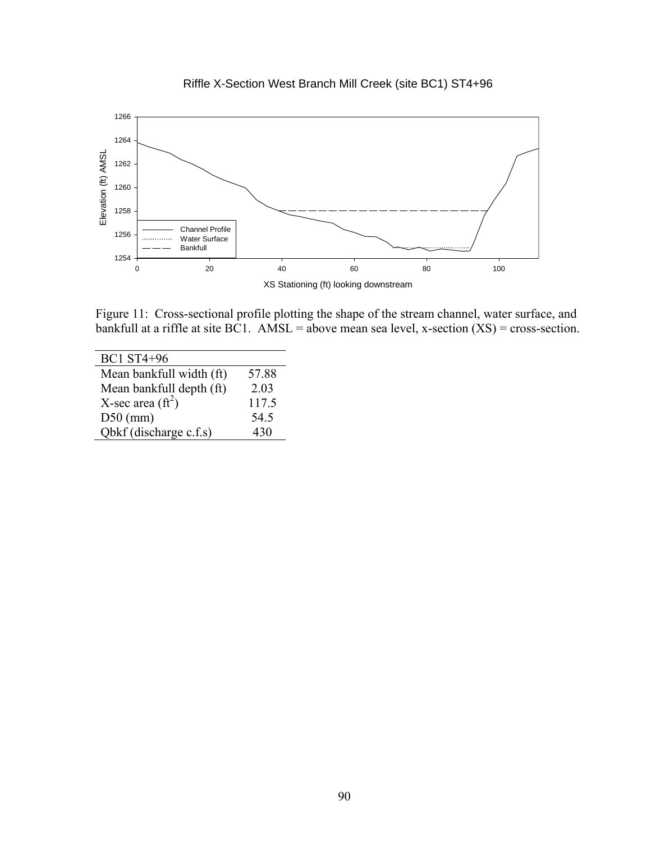

Riffle X-Section West Branch Mill Creek (site BC1) ST4+96

Figure 11: Cross-sectional profile plotting the shape of the stream channel, water surface, and bankfull at a riffle at site BC1. AMSL = above mean sea level, x-section  $(XS)$  = cross-section.

| <b>BC1 ST4+96</b>         |       |
|---------------------------|-------|
| Mean bankfull width (ft)  | 57.88 |
| Mean bankfull depth (ft)  | 2.03  |
| X-sec area $({\rm ft}^2)$ | 117.5 |
| $D50$ (mm)                | 54.5  |
| Qbkf (discharge c.f.s)    | 430   |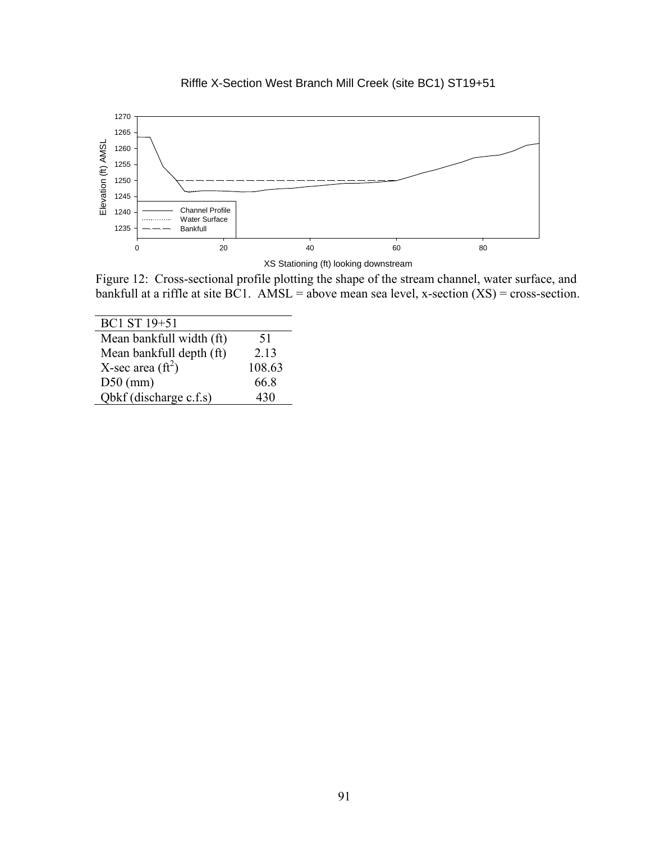

Riffle X-Section West Branch Mill Creek (site BC1) ST19+51

Figure 12: Cross-sectional profile plotting the shape of the stream channel, water surface, and bankfull at a riffle at site BC1. AMSL = above mean sea level, x-section  $(XS)$  = cross-section.

| BC1 ST 19+51             |        |
|--------------------------|--------|
| Mean bankfull width (ft) | 51     |
| Mean bankfull depth (ft) | 2.13   |
| X-sec area $(ft^2)$      | 108.63 |
| $D50$ (mm)               | 66.8   |
| Obkf (discharge c.f.s)   | 430    |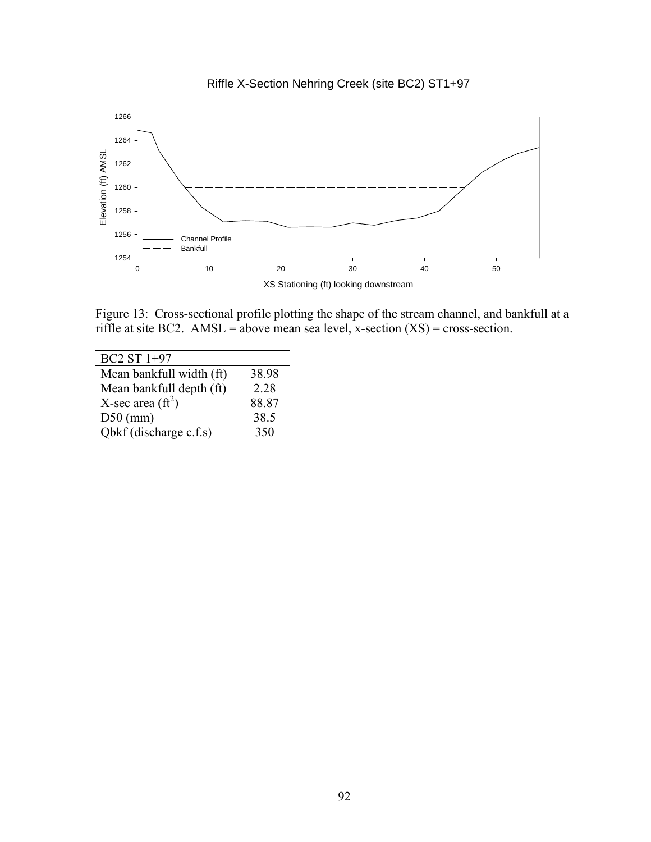



Figure 13: Cross-sectional profile plotting the shape of the stream channel, and bankfull at a riffle at site BC2. AMSL = above mean sea level, x-section  $(XS)$  = cross-section.

| BC2 ST 1+97               |       |
|---------------------------|-------|
| Mean bankfull width (ft)  | 38.98 |
| Mean bankfull depth (ft)  | 2.28  |
| X-sec area $({\rm ft}^2)$ | 88.87 |
| $D50$ (mm)                | 38.5  |
| Qbkf (discharge c.f.s)    | 350   |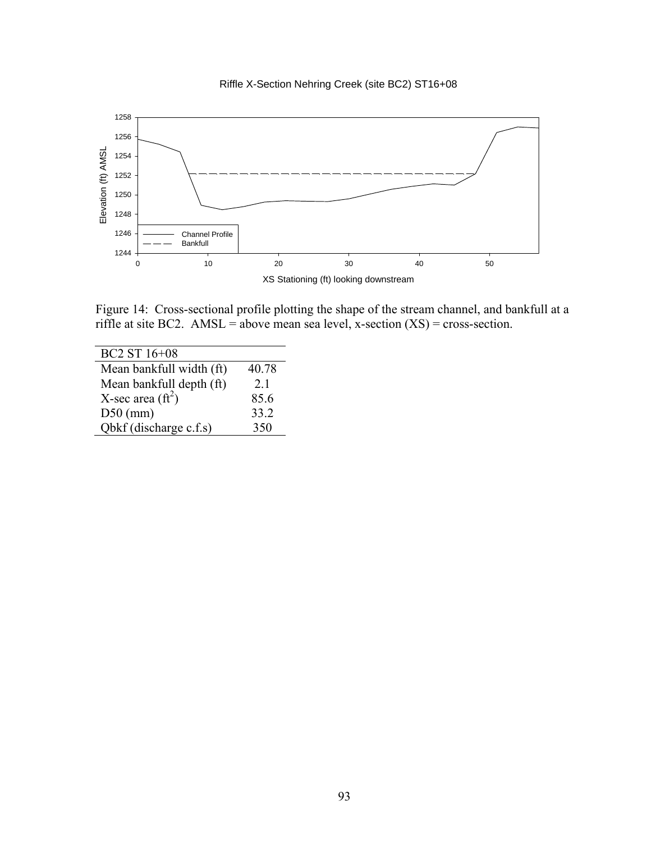



Figure 14: Cross-sectional profile plotting the shape of the stream channel, and bankfull at a riffle at site BC2. AMSL = above mean sea level, x-section  $(XS)$  = cross-section.

| BC2 ST 16+08              |       |
|---------------------------|-------|
| Mean bankfull width (ft)  | 40.78 |
| Mean bankfull depth (ft)  | 21    |
| X-sec area $({\rm ft}^2)$ | 85.6  |
| $D50$ (mm)                | 33.2  |
| Qbkf (discharge c.f.s)    | 350   |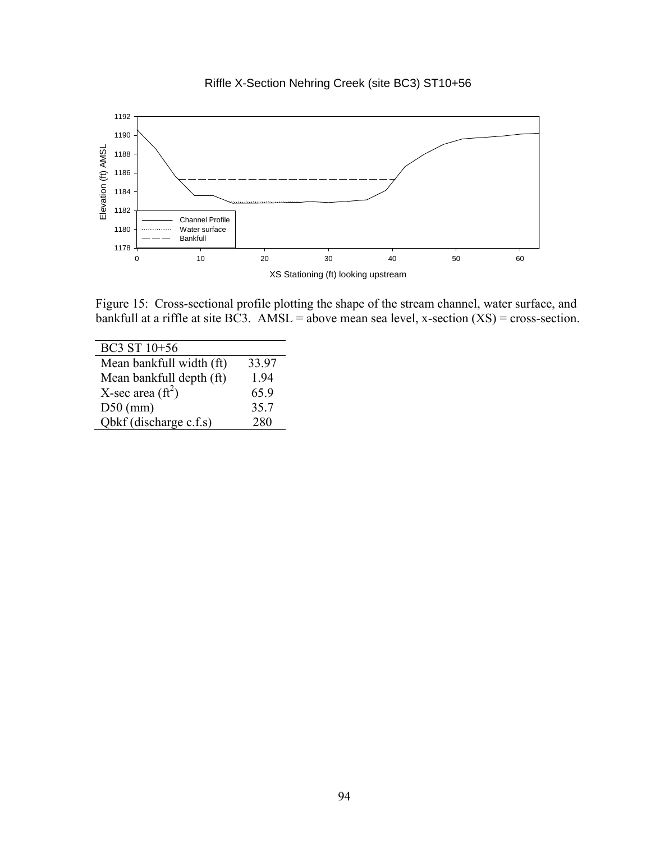



Figure 15: Cross-sectional profile plotting the shape of the stream channel, water surface, and bankfull at a riffle at site BC3. AMSL = above mean sea level, x-section  $(XS)$  = cross-section.

| BC3 ST 10+56               |       |
|----------------------------|-------|
| Mean bankfull width (ft)   | 33.97 |
| Mean bankfull depth (ft)   | 194   |
| X-sec area $(\text{ft}^2)$ | 65.9  |
| $D50$ (mm)                 | 35.7  |
| Obkf (discharge c.f.s)     | 280   |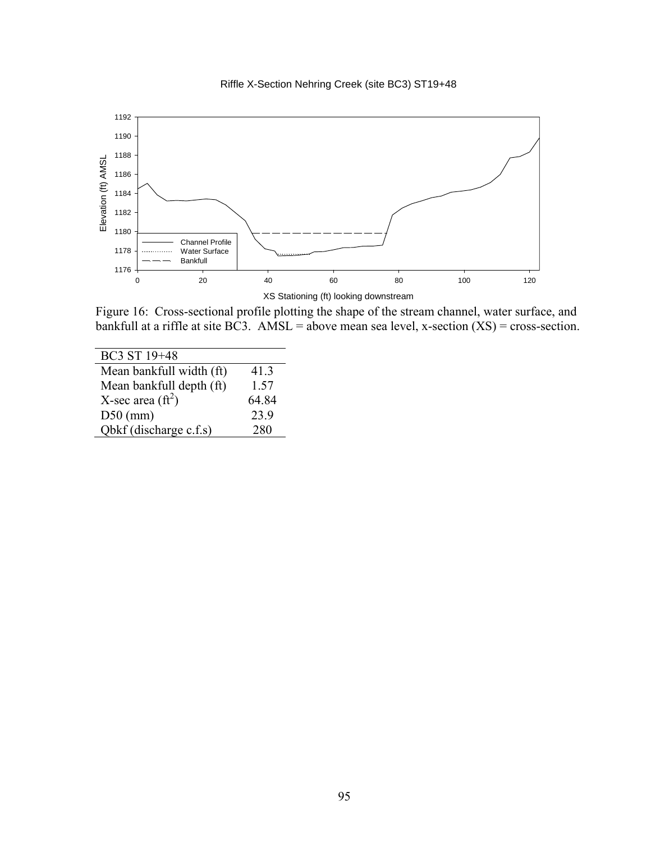



Figure 16: Cross-sectional profile plotting the shape of the stream channel, water surface, and bankfull at a riffle at site BC3. AMSL = above mean sea level, x-section  $(XS)$  = cross-section.

| BC3 ST 19+48              |       |
|---------------------------|-------|
| Mean bankfull width (ft)  | 41.3  |
| Mean bankfull depth (ft)  | 1.57  |
| X-sec area $({\rm ft}^2)$ | 64 84 |
| $D50$ (mm)                | 23.9  |
| Obkf (discharge c.f.s)    | 280   |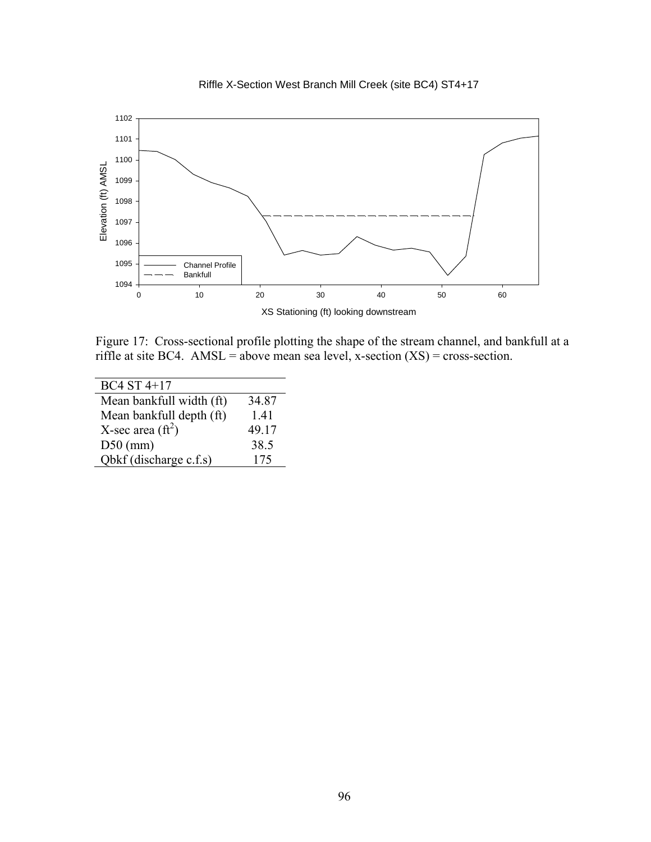

Riffle X-Section West Branch Mill Creek (site BC4) ST4+17

Figure 17: Cross-sectional profile plotting the shape of the stream channel, and bankfull at a riffle at site BC4. AMSL = above mean sea level, x-section  $(XS)$  = cross-section.

| BC4 ST 4+17               |       |
|---------------------------|-------|
| Mean bankfull width (ft)  | 34.87 |
| Mean bankfull depth (ft)  | 1.41  |
| X-sec area $({\rm ft}^2)$ | 49.17 |
| $D50$ (mm)                | 38.5  |
| Obkf (discharge c.f.s)    | 175   |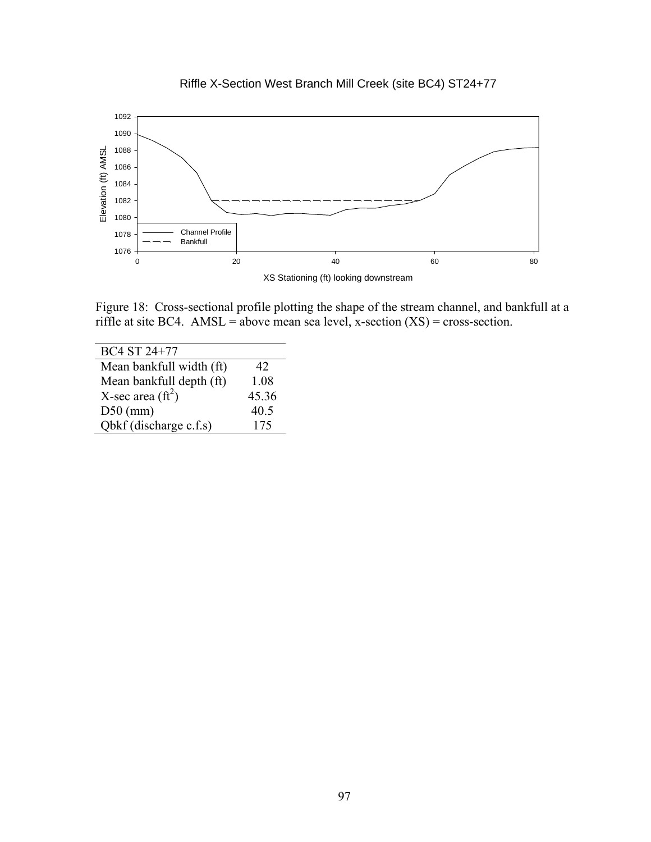

Riffle X-Section West Branch Mill Creek (site BC4) ST24+77

Figure 18: Cross-sectional profile plotting the shape of the stream channel, and bankfull at a riffle at site BC4. AMSL = above mean sea level, x-section  $(XS)$  = cross-section.

| BC4 ST 24+77              |       |
|---------------------------|-------|
| Mean bankfull width (ft)  | 42    |
| Mean bankfull depth (ft)  | 1.08  |
| X-sec area $({\rm ft}^2)$ | 45.36 |
| $D50$ (mm)                | 40.5  |
| Obkf (discharge c.f.s)    | 175   |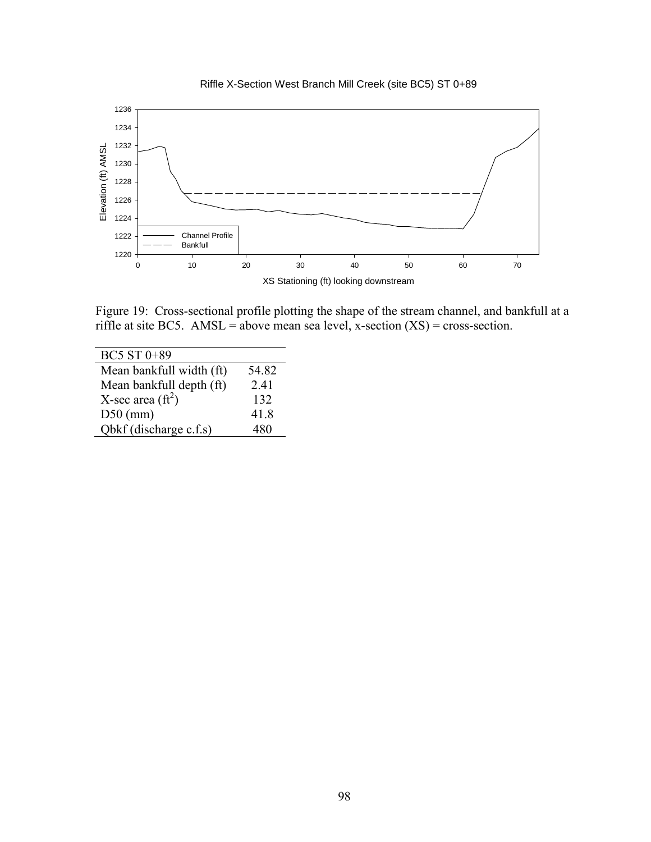



Figure 19: Cross-sectional profile plotting the shape of the stream channel, and bankfull at a riffle at site BC5. AMSL = above mean sea level, x-section  $(XS)$  = cross-section.

| BC5 ST 0+89               |       |
|---------------------------|-------|
| Mean bankfull width (ft)  | 54.82 |
| Mean bankfull depth (ft)  | 2.41  |
| X-sec area $({\rm ft}^2)$ | 132   |
| $D50$ (mm)                | 41.8  |
| Obkf (discharge c.f.s)    |       |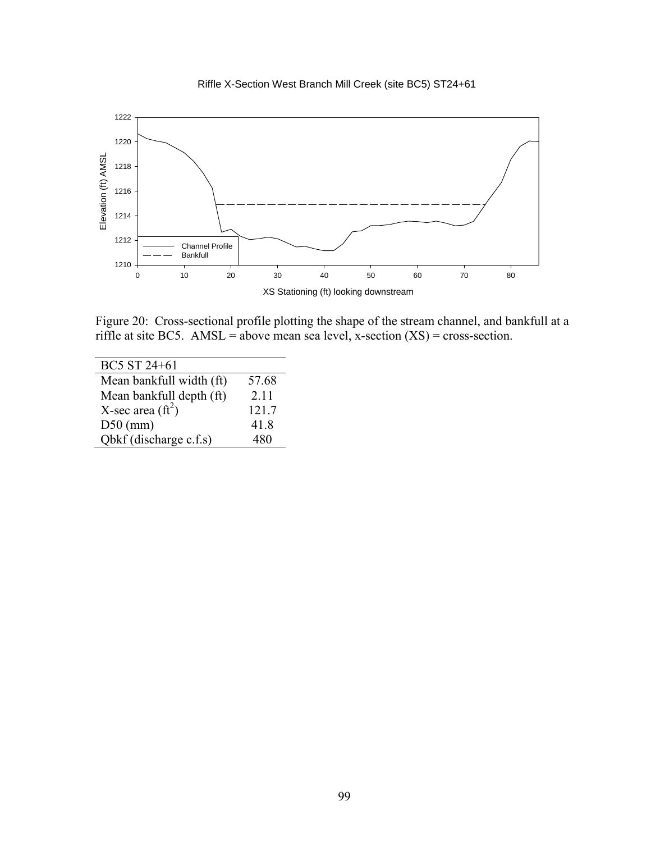



Figure 20: Cross-sectional profile plotting the shape of the stream channel, and bankfull at a riffle at site BC5. AMSL = above mean sea level, x-section  $(XS)$  = cross-section.

| BC5 ST 24+61              |       |
|---------------------------|-------|
| Mean bankfull width (ft)  | 57.68 |
| Mean bankfull depth (ft)  | 2.11  |
| X-sec area $({\rm ft}^2)$ | 121.7 |
| $D50$ (mm)                | 41.8  |
| Qbkf (discharge c.f.s)    | 480   |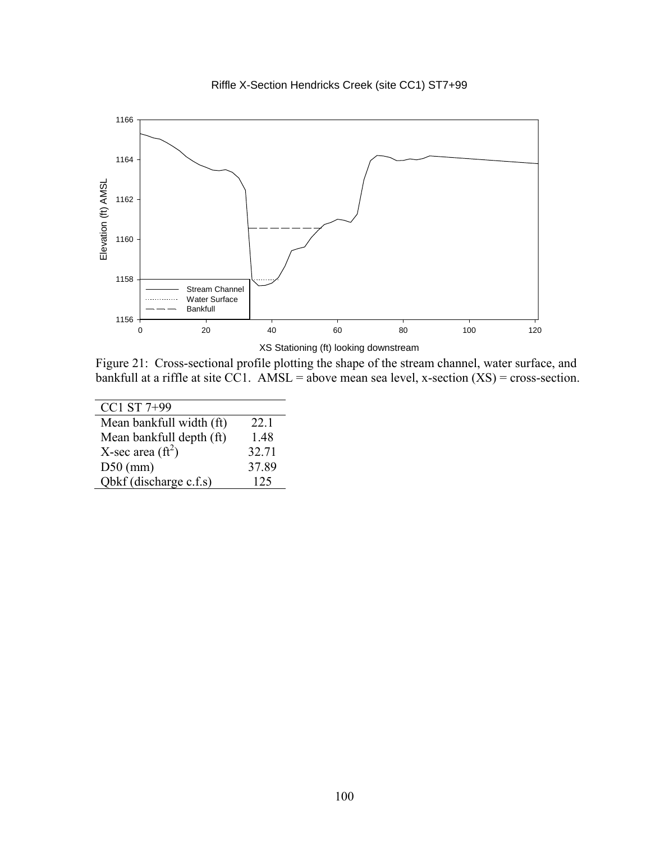



Figure 21: Cross-sectional profile plotting the shape of the stream channel, water surface, and bankfull at a riffle at site CC1. AMSL = above mean sea level, x-section  $(XS)$  = cross-section.

| CC1 ST 7+99               |       |
|---------------------------|-------|
| Mean bankfull width (ft)  | 22.1  |
| Mean bankfull depth (ft)  | 1.48  |
| X-sec area $({\rm ft}^2)$ | 32.71 |
| $D50$ (mm)                | 37.89 |
| Obkf (discharge c.f.s)    | 125   |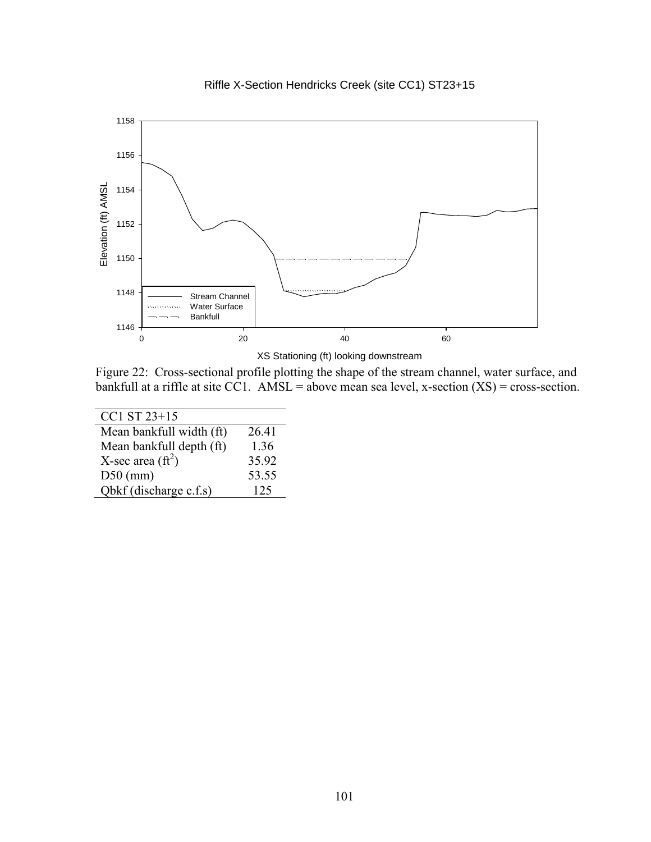

Riffle X-Section Hendricks Creek (site CC1) ST23+15

XS Stationing (ft) looking downstream

Figure 22: Cross-sectional profile plotting the shape of the stream channel, water surface, and bankfull at a riffle at site CC1. AMSL = above mean sea level, x-section  $(XS)$  = cross-section.

| $CC1 ST 23+15$             |       |
|----------------------------|-------|
| Mean bankfull width (ft)   | 26.41 |
| Mean bankfull depth (ft)   | 1.36  |
| X-sec area $(\text{ft}^2)$ | 35.92 |
| $D50$ (mm)                 | 53.55 |
| Qbkf (discharge c.f.s)     | 125   |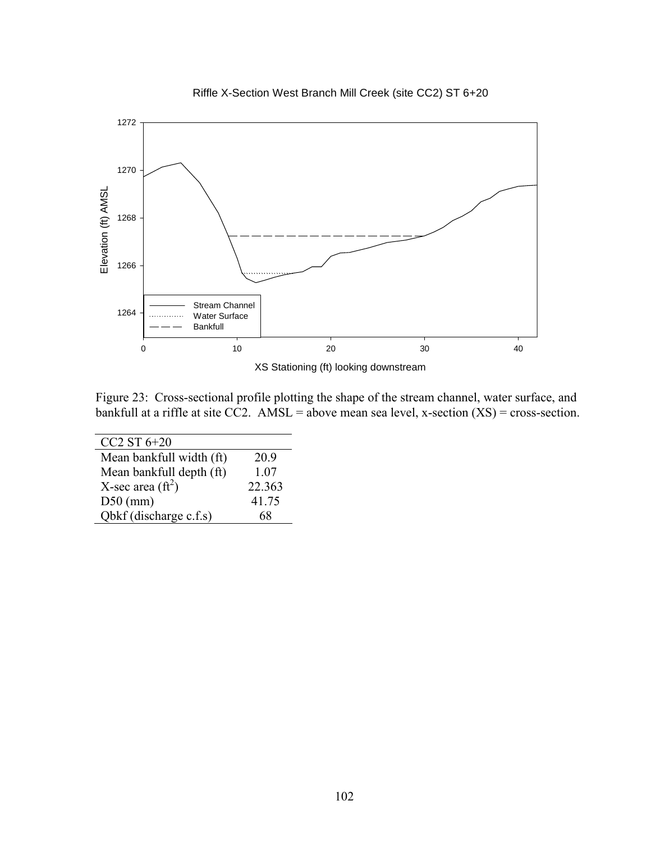

Riffle X-Section West Branch Mill Creek (site CC2) ST 6+20

Figure 23: Cross-sectional profile plotting the shape of the stream channel, water surface, and bankfull at a riffle at site CC2. AMSL = above mean sea level, x-section  $(XS)$  = cross-section.

| $CC2ST6+20$               |        |
|---------------------------|--------|
| Mean bankfull width (ft)  | 20.9   |
| Mean bankfull depth (ft)  | 1.07   |
| X-sec area $({\rm ft}^2)$ | 22.363 |
| $D50$ (mm)                | 41.75  |
| Qbkf (discharge c.f.s)    | 68     |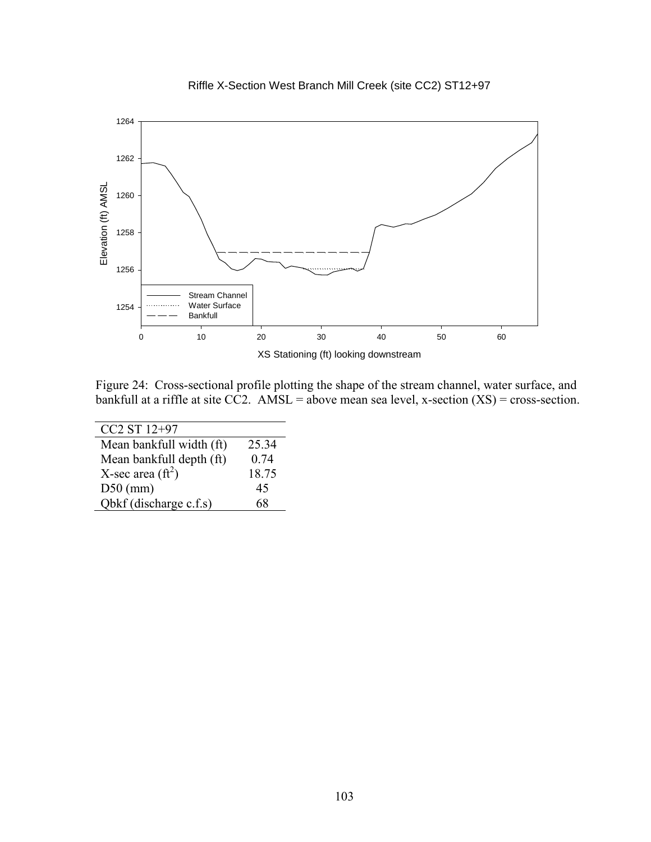



Figure 24: Cross-sectional profile plotting the shape of the stream channel, water surface, and bankfull at a riffle at site CC2. AMSL = above mean sea level, x-section  $(XS)$  = cross-section.

| CC <sub>2</sub> ST 12+97  |       |
|---------------------------|-------|
| Mean bankfull width (ft)  | 25.34 |
| Mean bankfull depth (ft)  | 0.74  |
| X-sec area $({\rm ft}^2)$ | 18.75 |
| $D50$ (mm)                | 45    |
| Obkf (discharge c.f.s)    | 68    |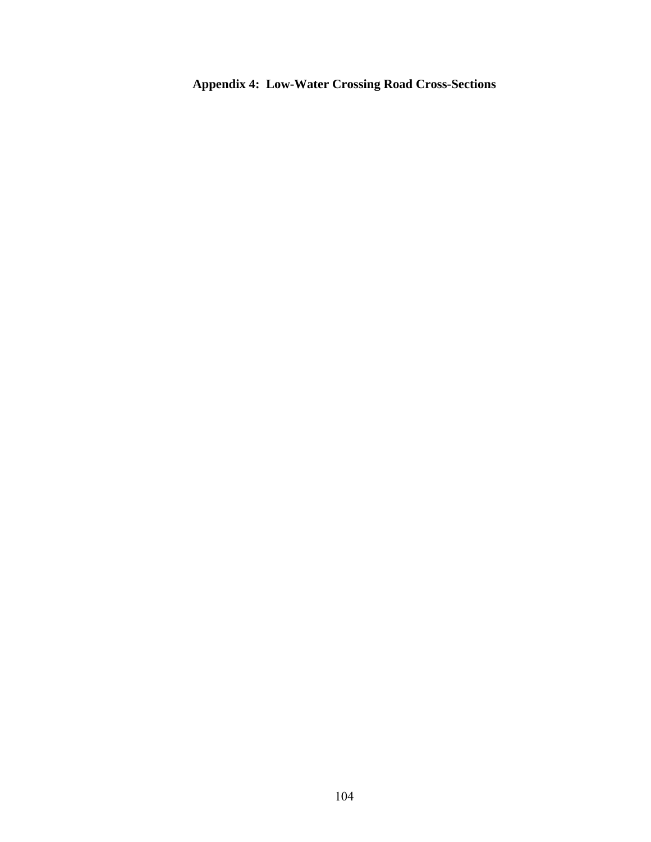**Appendix 4: Low-Water Crossing Road Cross-Sections**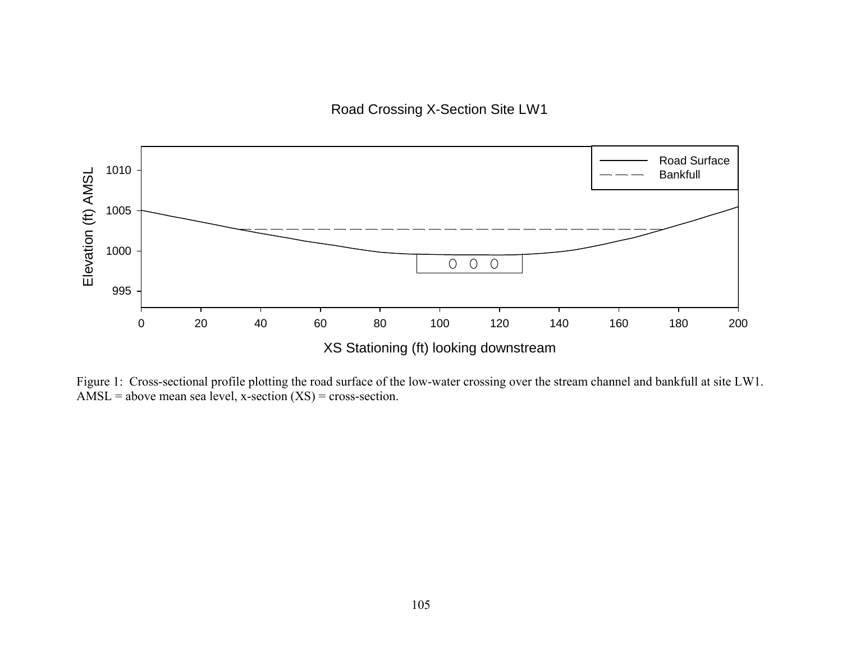Road Crossing X-Section Site LW1



Figure 1: Cross-sectional profile plotting the road surface of the low-water crossing over the stream channel and bankfull at site LW1. AMSL = above mean sea level, x-section  $(XS)$  = cross-section.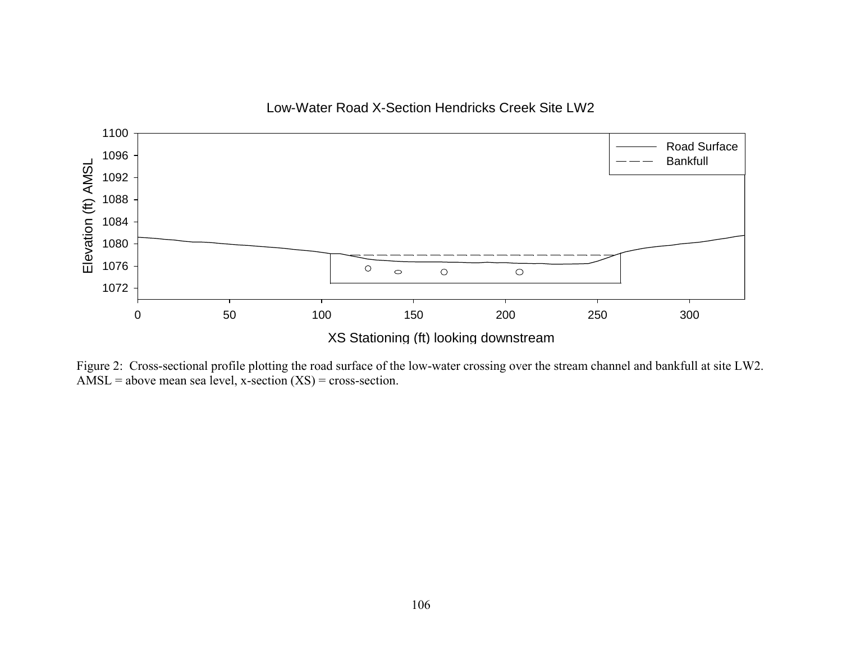

Figure 2: Cross-sectional profile plotting the road surface of the low-water crossing over the stream channel and bankfull at site LW2. AMSL = above mean sea level, x-section  $(XS)$  = cross-section.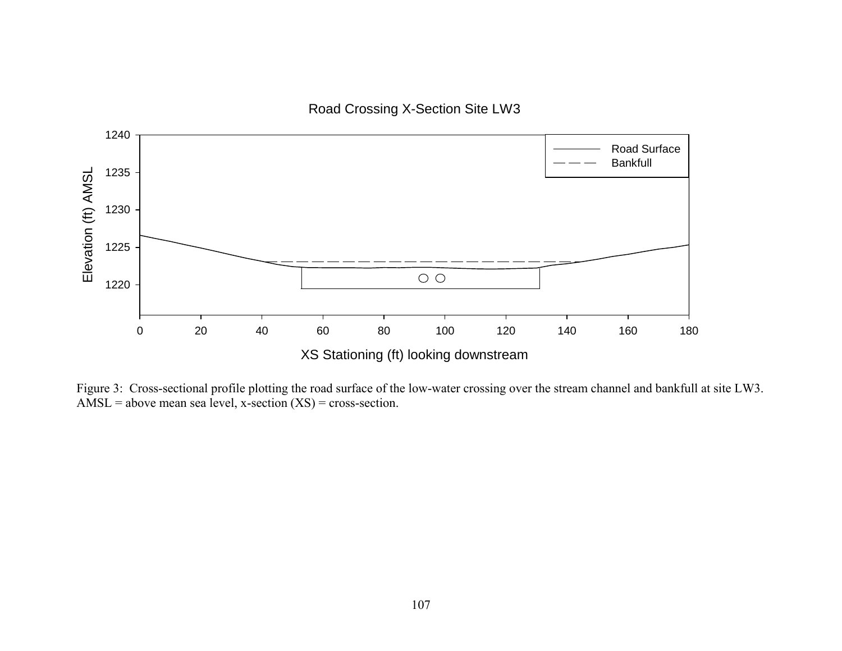Road Crossing X-Section Site LW3



Figure 3: Cross-sectional profile plotting the road surface of the low-water crossing over the stream channel and bankfull at site LW3. AMSL = above mean sea level, x-section  $(XS)$  = cross-section.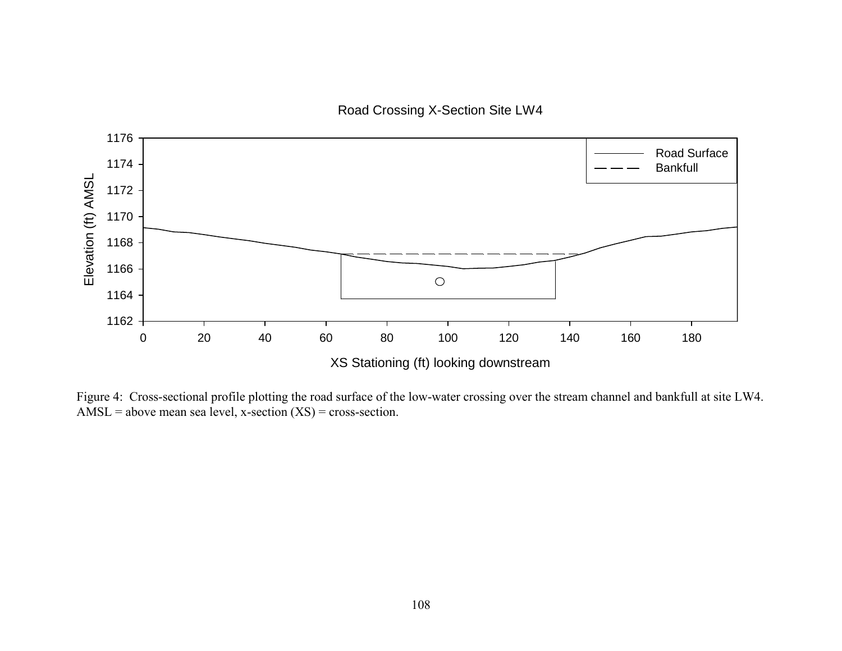Road Crossing X-Section Site LW4



Figure 4: Cross-sectional profile plotting the road surface of the low-water crossing over the stream channel and bankfull at site LW4. AMSL = above mean sea level, x-section  $(XS)$  = cross-section.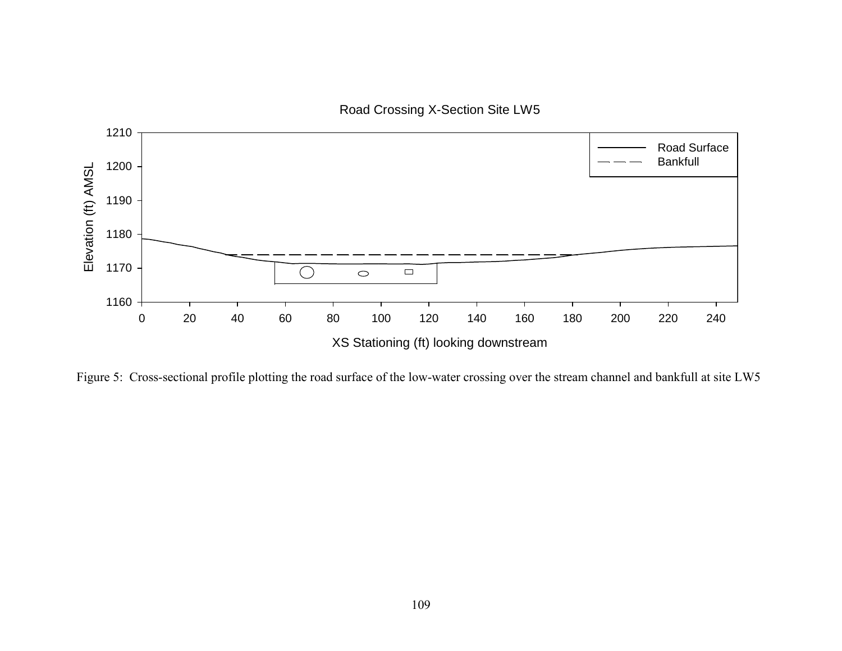Road Crossing X-Section Site LW5



Figure 5: Cross-sectional profile plotting the road surface of the low-water crossing over the stream channel and bankfull at site LW5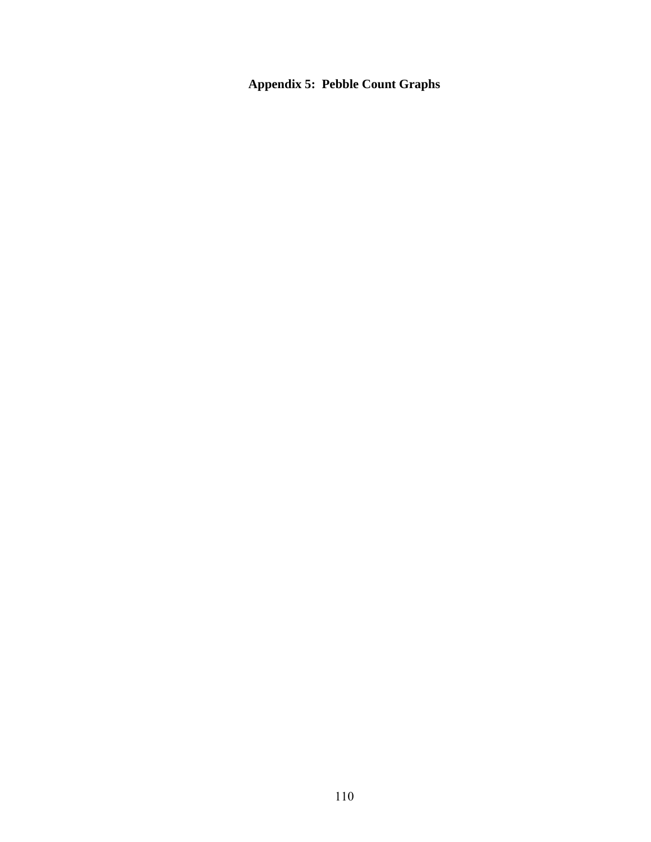**Appendix 5: Pebble Count Graphs**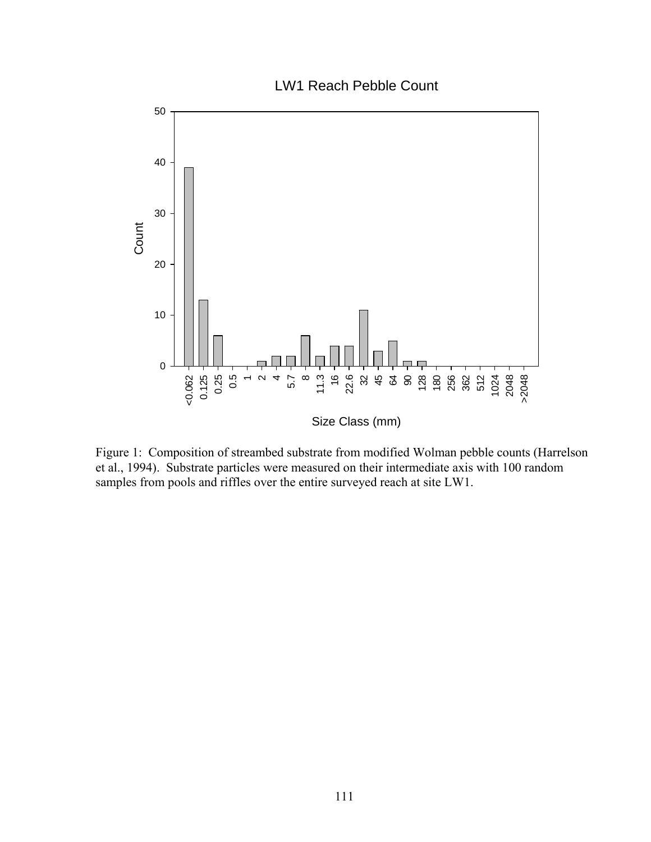LW1 Reach Pebble Count



Figure 1: Composition of streambed substrate from modified Wolman pebble counts (Harrelson et al., 1994). Substrate particles were measured on their intermediate axis with 100 random samples from pools and riffles over the entire surveyed reach at site LW1.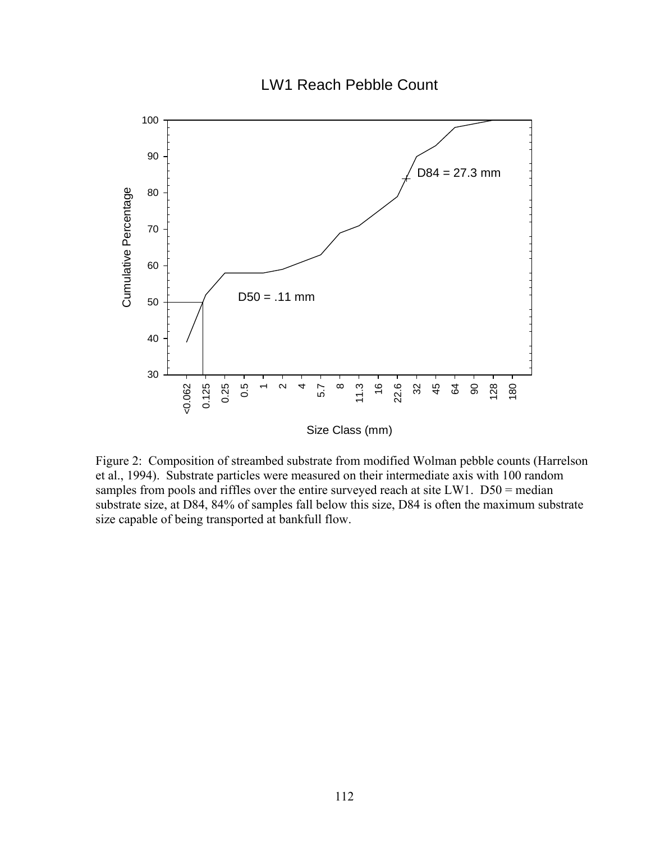LW1 Reach Pebble Count



Figure 2: Composition of streambed substrate from modified Wolman pebble counts (Harrelson et al., 1994). Substrate particles were measured on their intermediate axis with 100 random samples from pools and riffles over the entire surveyed reach at site LW1. D50 = median substrate size, at D84, 84% of samples fall below this size, D84 is often the maximum substrate size capable of being transported at bankfull flow.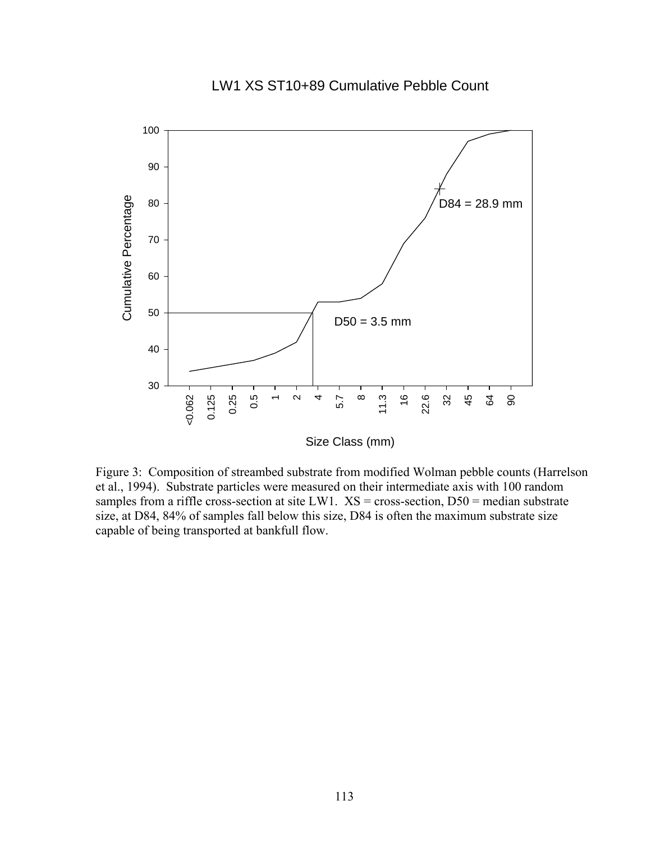#### LW1 XS ST10+89 Cumulative Pebble Count



Size Class (mm)

Figure 3: Composition of streambed substrate from modified Wolman pebble counts (Harrelson et al., 1994). Substrate particles were measured on their intermediate axis with 100 random samples from a riffle cross-section at site LW1.  $XS = cross-section, D50 = median$  substrate size, at D84, 84% of samples fall below this size, D84 is often the maximum substrate size capable of being transported at bankfull flow.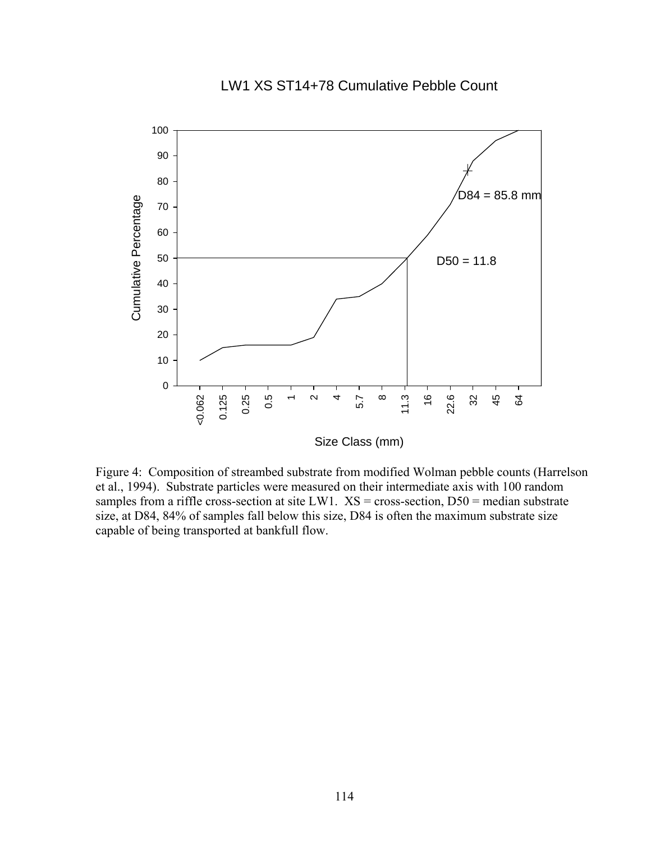# LW1 XS ST14+78 Cumulative Pebble Count



Size Class (mm)

Figure 4: Composition of streambed substrate from modified Wolman pebble counts (Harrelson et al., 1994). Substrate particles were measured on their intermediate axis with 100 random samples from a riffle cross-section at site LW1.  $XS = cross-section, D50 = median$  substrate size, at D84, 84% of samples fall below this size, D84 is often the maximum substrate size capable of being transported at bankfull flow.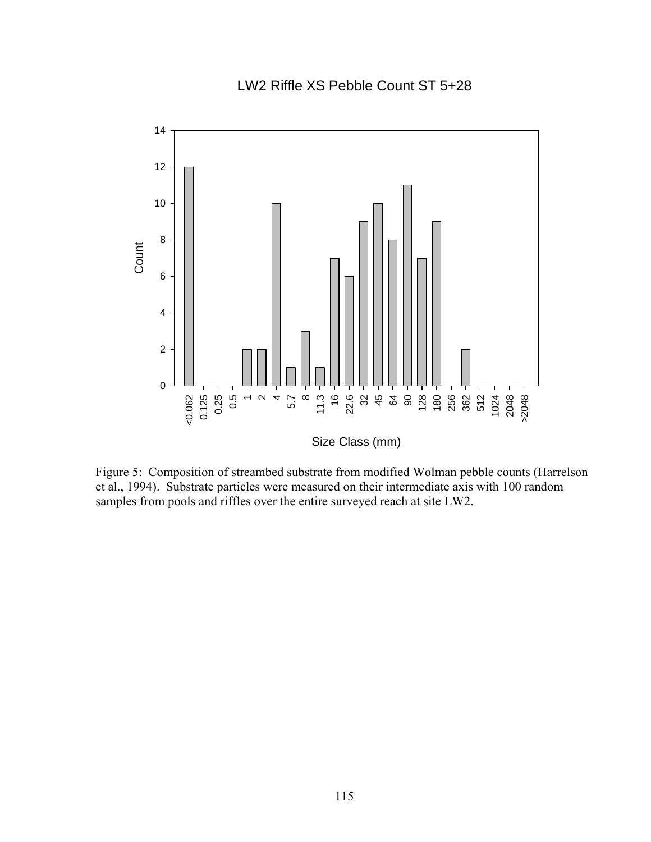LW2 Riffle XS Pebble Count ST 5+28



Figure 5: Composition of streambed substrate from modified Wolman pebble counts (Harrelson et al., 1994). Substrate particles were measured on their intermediate axis with 100 random samples from pools and riffles over the entire surveyed reach at site LW2.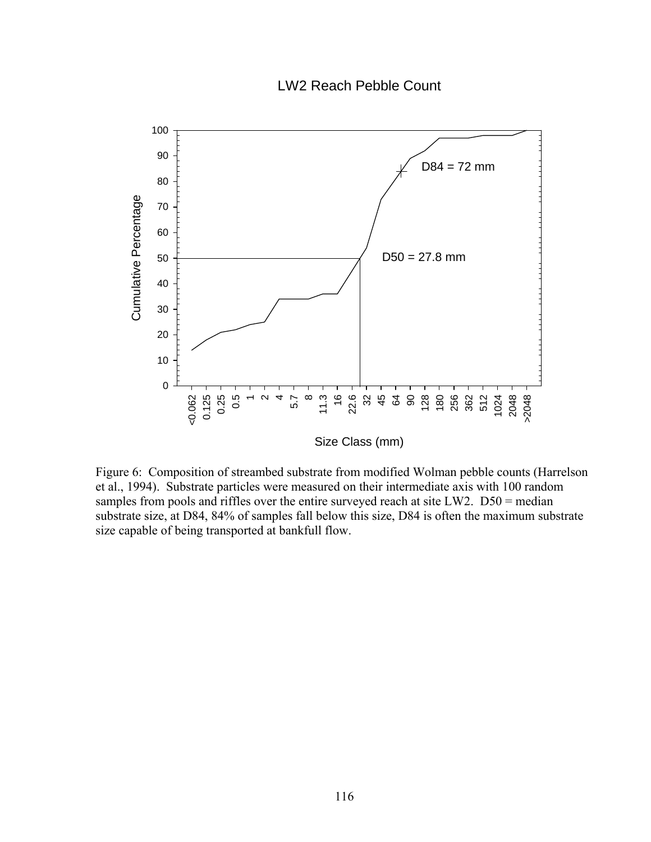## LW2 Reach Pebble Count



Figure 6: Composition of streambed substrate from modified Wolman pebble counts (Harrelson et al., 1994). Substrate particles were measured on their intermediate axis with 100 random samples from pools and riffles over the entire surveyed reach at site LW2. D50 = median substrate size, at D84, 84% of samples fall below this size, D84 is often the maximum substrate size capable of being transported at bankfull flow.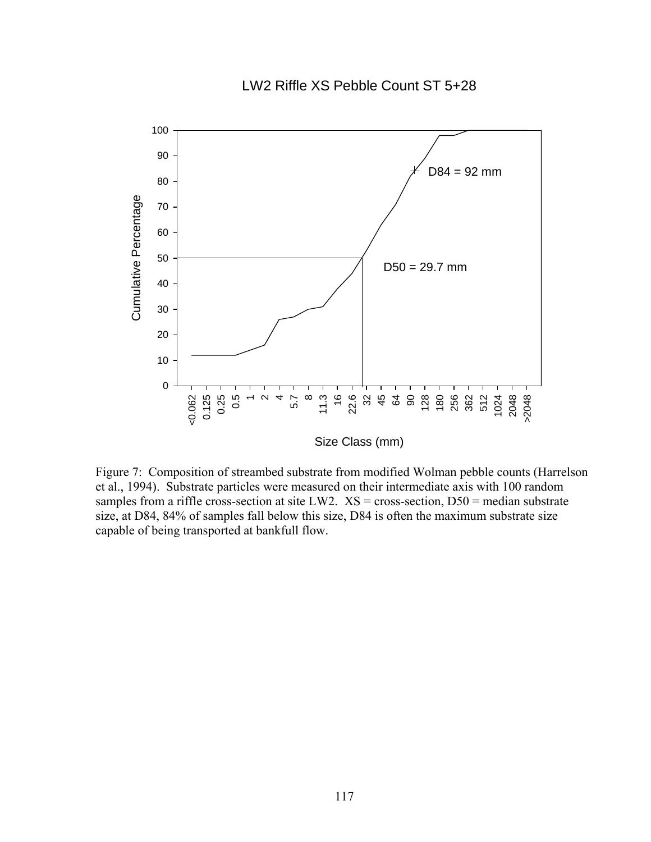### LW2 Riffle XS Pebble Count ST 5+28



Size Class (mm)

Figure 7: Composition of streambed substrate from modified Wolman pebble counts (Harrelson et al., 1994). Substrate particles were measured on their intermediate axis with 100 random samples from a riffle cross-section at site LW2.  $XS = cross-section, D50 = median$  substrate size, at D84, 84% of samples fall below this size, D84 is often the maximum substrate size capable of being transported at bankfull flow.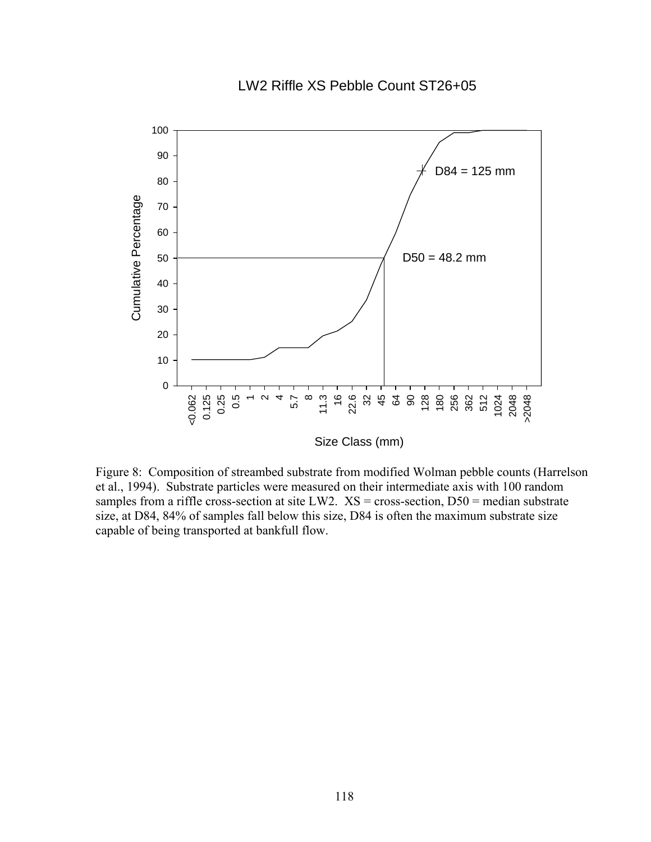# LW2 Riffle XS Pebble Count ST26+05



Figure 8: Composition of streambed substrate from modified Wolman pebble counts (Harrelson et al., 1994). Substrate particles were measured on their intermediate axis with 100 random samples from a riffle cross-section at site LW2.  $XS = cross-section, D50 = median$  substrate size, at D84, 84% of samples fall below this size, D84 is often the maximum substrate size capable of being transported at bankfull flow.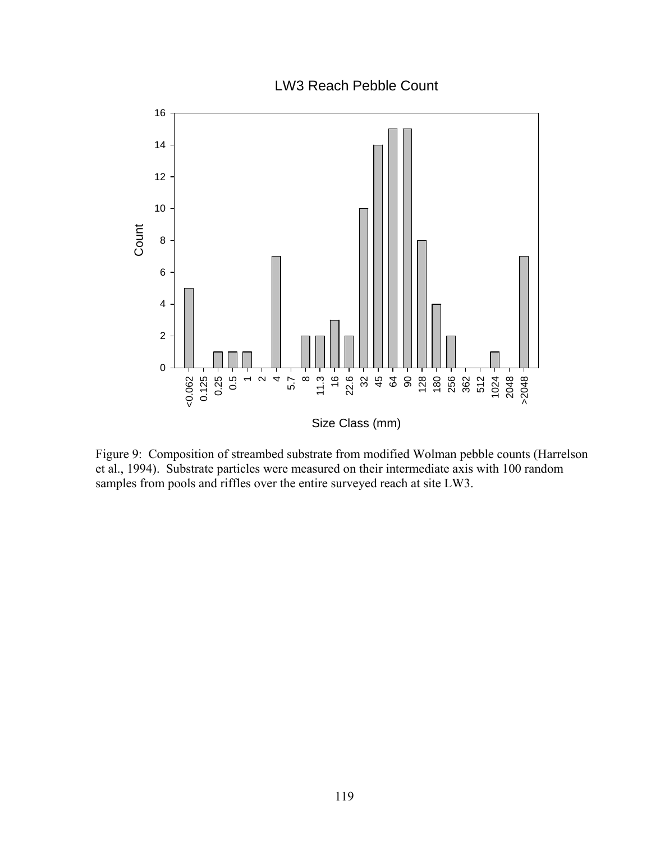LW3 Reach Pebble Count



Figure 9: Composition of streambed substrate from modified Wolman pebble counts (Harrelson et al., 1994). Substrate particles were measured on their intermediate axis with 100 random samples from pools and riffles over the entire surveyed reach at site LW3.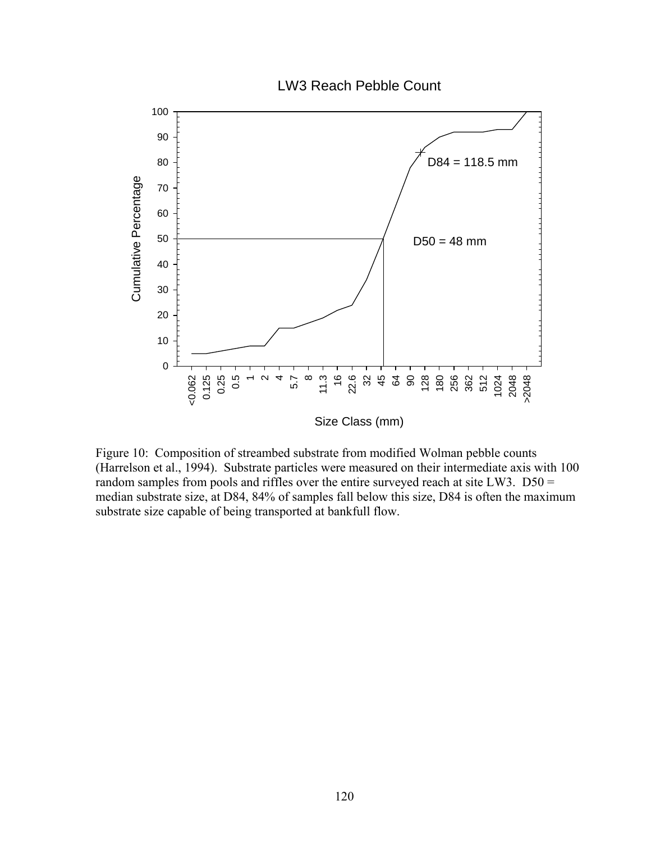

Figure 10: Composition of streambed substrate from modified Wolman pebble counts (Harrelson et al., 1994). Substrate particles were measured on their intermediate axis with 100 random samples from pools and riffles over the entire surveyed reach at site LW3. D50 = median substrate size, at D84, 84% of samples fall below this size, D84 is often the maximum substrate size capable of being transported at bankfull flow.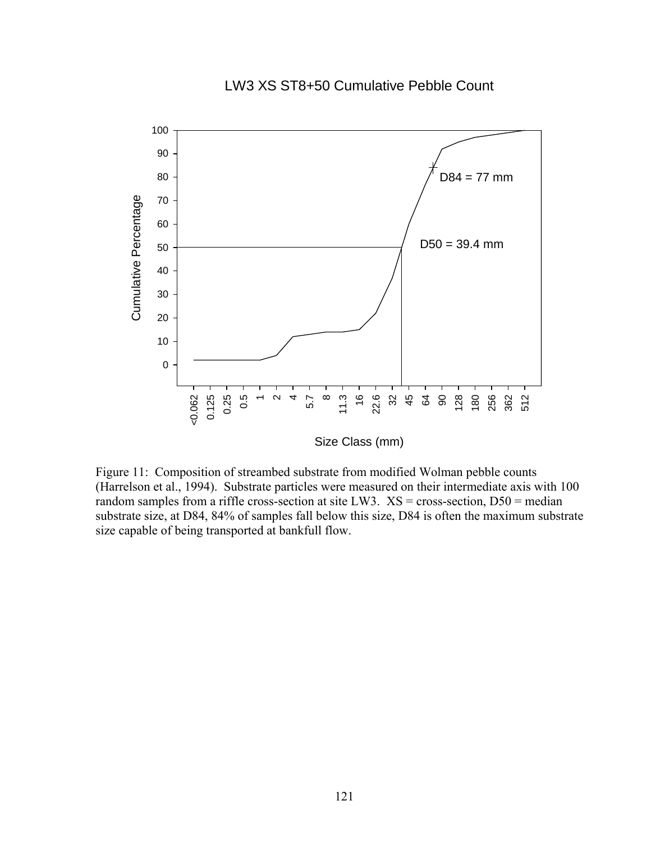# LW3 XS ST8+50 Cumulative Pebble Count



Size Class (mm)

Figure 11: Composition of streambed substrate from modified Wolman pebble counts (Harrelson et al., 1994). Substrate particles were measured on their intermediate axis with 100 random samples from a riffle cross-section at site LW3.  $XS = cross-section, D50 = median$ substrate size, at D84, 84% of samples fall below this size, D84 is often the maximum substrate size capable of being transported at bankfull flow.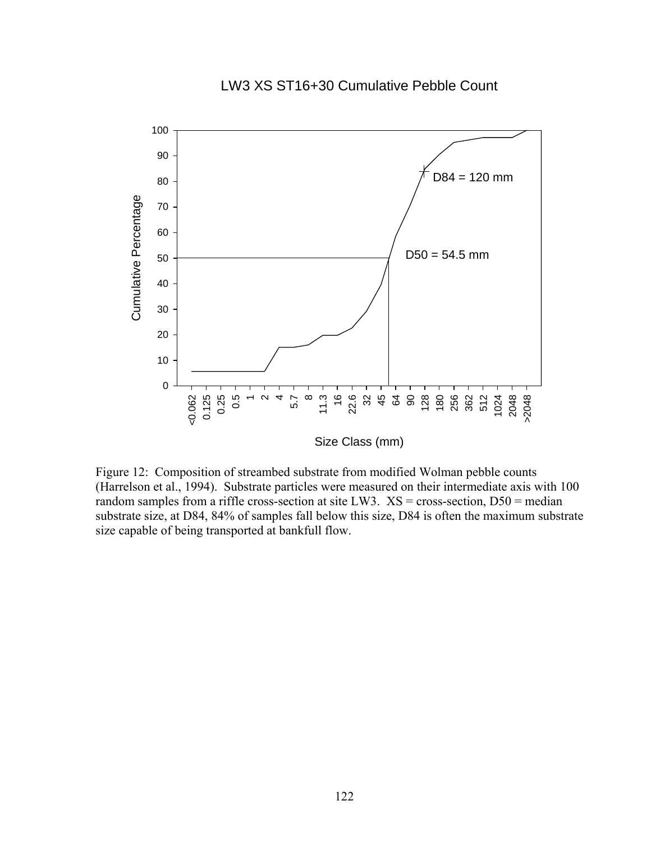### LW3 XS ST16+30 Cumulative Pebble Count



Figure 12: Composition of streambed substrate from modified Wolman pebble counts (Harrelson et al., 1994). Substrate particles were measured on their intermediate axis with 100 random samples from a riffle cross-section at site LW3.  $XS = cross-section, D50 = median$ substrate size, at D84, 84% of samples fall below this size, D84 is often the maximum substrate size capable of being transported at bankfull flow.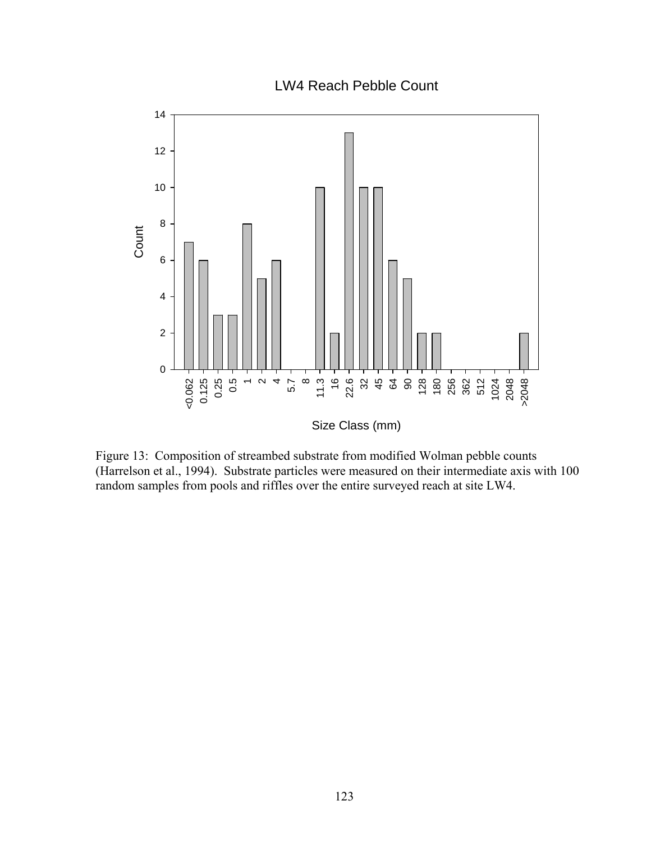LW4 Reach Pebble Count



Figure 13: Composition of streambed substrate from modified Wolman pebble counts (Harrelson et al., 1994). Substrate particles were measured on their intermediate axis with 100 random samples from pools and riffles over the entire surveyed reach at site LW4.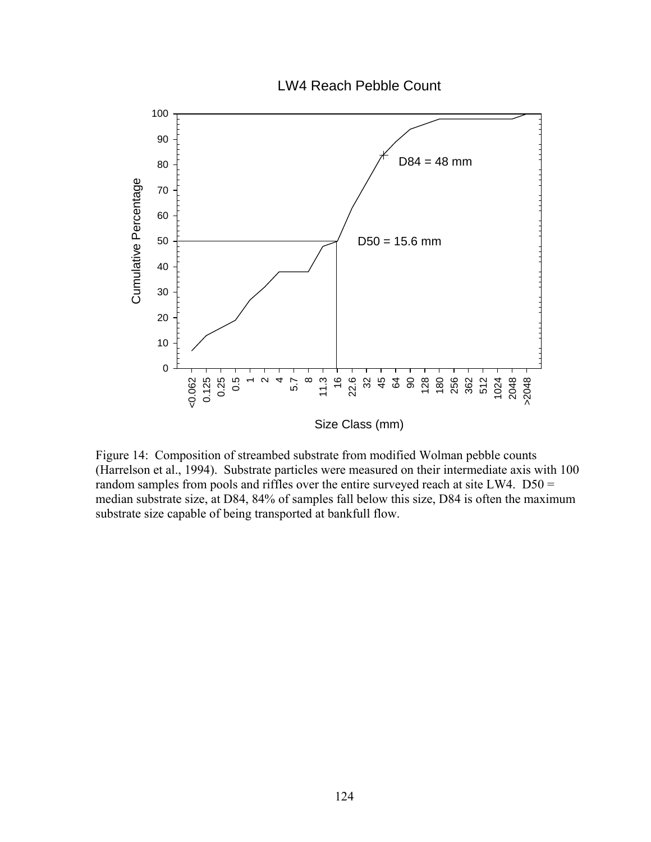



Figure 14: Composition of streambed substrate from modified Wolman pebble counts (Harrelson et al., 1994). Substrate particles were measured on their intermediate axis with 100 random samples from pools and riffles over the entire surveyed reach at site LW4. D50 = median substrate size, at D84, 84% of samples fall below this size, D84 is often the maximum substrate size capable of being transported at bankfull flow.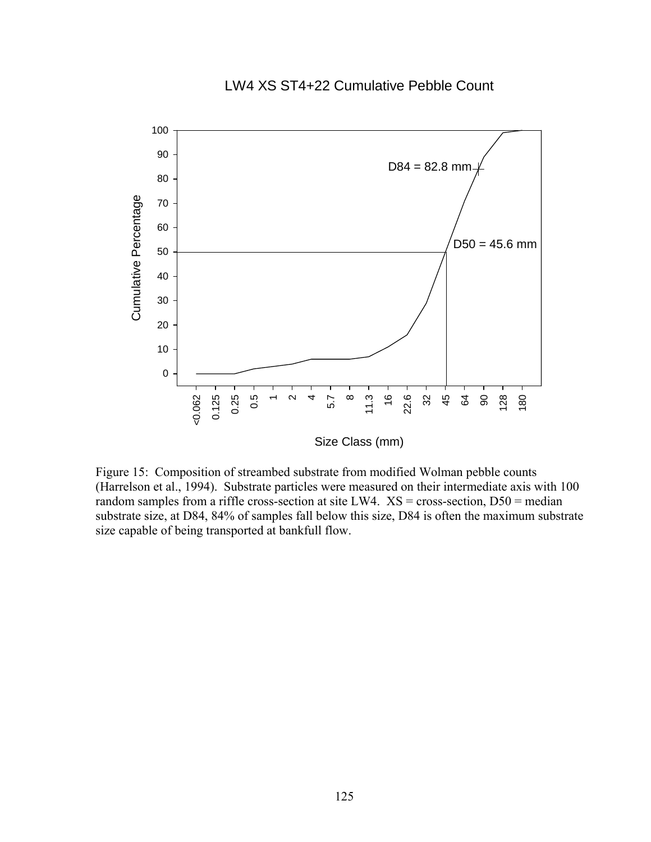# LW4 XS ST4+22 Cumulative Pebble Count



Figure 15: Composition of streambed substrate from modified Wolman pebble counts (Harrelson et al., 1994). Substrate particles were measured on their intermediate axis with 100 random samples from a riffle cross-section at site LW4.  $XS = cross-section, D50 = median$ substrate size, at D84, 84% of samples fall below this size, D84 is often the maximum substrate size capable of being transported at bankfull flow.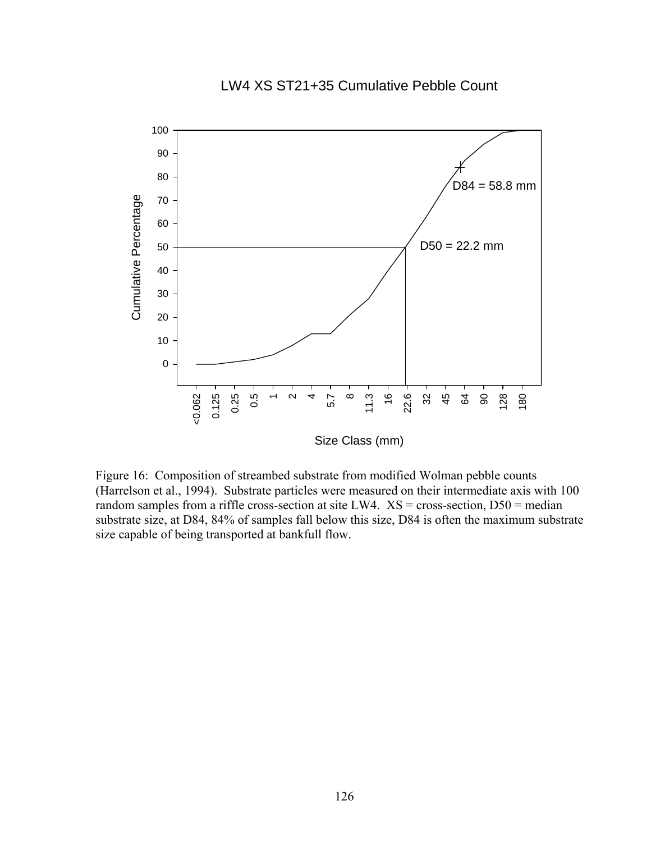#### LW4 XS ST21+35 Cumulative Pebble Count



Figure 16: Composition of streambed substrate from modified Wolman pebble counts (Harrelson et al., 1994). Substrate particles were measured on their intermediate axis with 100 random samples from a riffle cross-section at site LW4.  $XS = cross-section, DS0 = median$ substrate size, at D84, 84% of samples fall below this size, D84 is often the maximum substrate size capable of being transported at bankfull flow.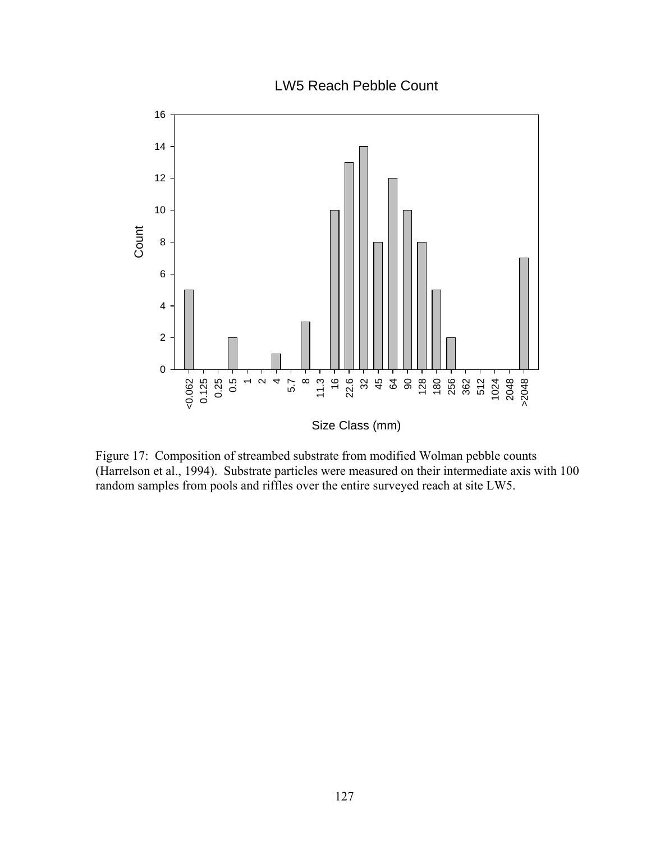LW5 Reach Pebble Count



Figure 17: Composition of streambed substrate from modified Wolman pebble counts (Harrelson et al., 1994). Substrate particles were measured on their intermediate axis with 100 random samples from pools and riffles over the entire surveyed reach at site LW5.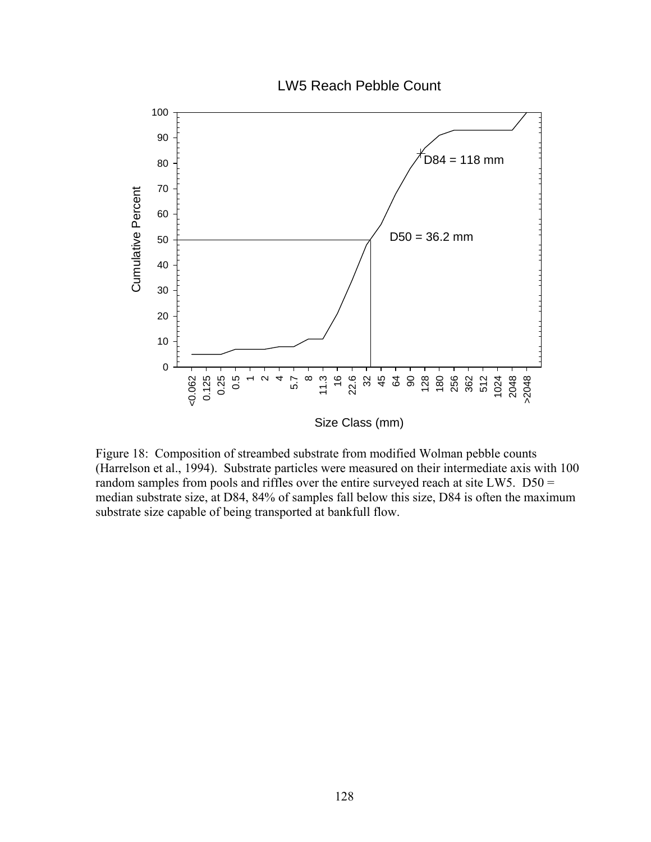

Figure 18: Composition of streambed substrate from modified Wolman pebble counts (Harrelson et al., 1994). Substrate particles were measured on their intermediate axis with 100 random samples from pools and riffles over the entire surveyed reach at site LW5. D50 = median substrate size, at D84, 84% of samples fall below this size, D84 is often the maximum substrate size capable of being transported at bankfull flow.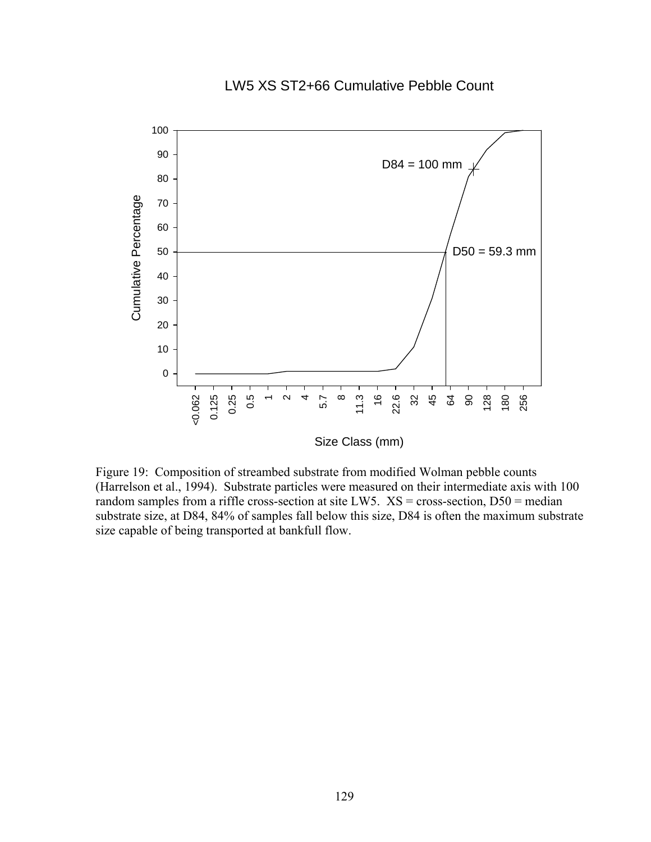# LW5 XS ST2+66 Cumulative Pebble Count



Figure 19: Composition of streambed substrate from modified Wolman pebble counts (Harrelson et al., 1994). Substrate particles were measured on their intermediate axis with 100 random samples from a riffle cross-section at site LW5.  $XS = cross-section, D50 = median$ substrate size, at D84, 84% of samples fall below this size, D84 is often the maximum substrate size capable of being transported at bankfull flow.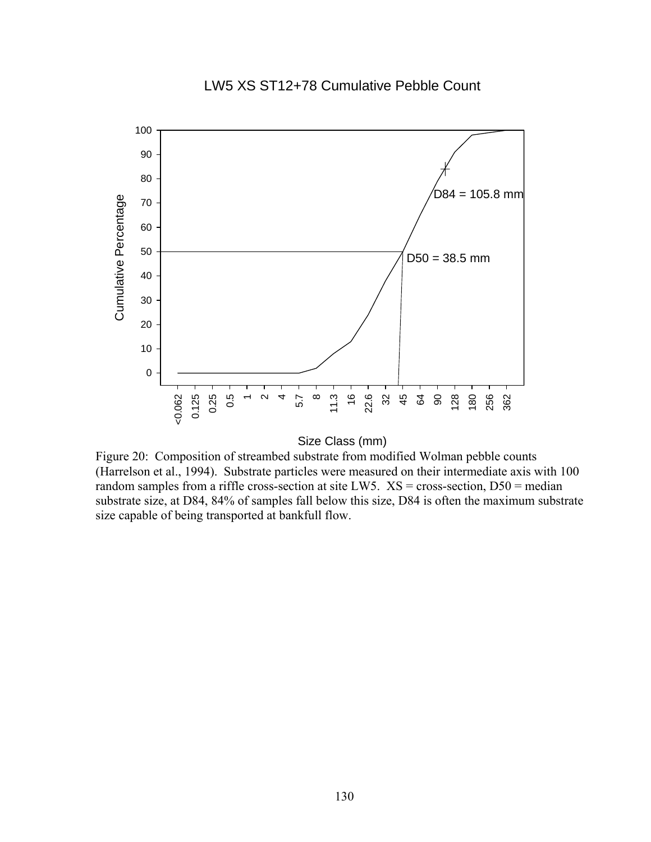# LW5 XS ST12+78 Cumulative Pebble Count





Figure 20: Composition of streambed substrate from modified Wolman pebble counts (Harrelson et al., 1994). Substrate particles were measured on their intermediate axis with 100 random samples from a riffle cross-section at site LW5.  $XS = \text{cross-section}, D50 = \text{median}$ substrate size, at D84, 84% of samples fall below this size, D84 is often the maximum substrate size capable of being transported at bankfull flow.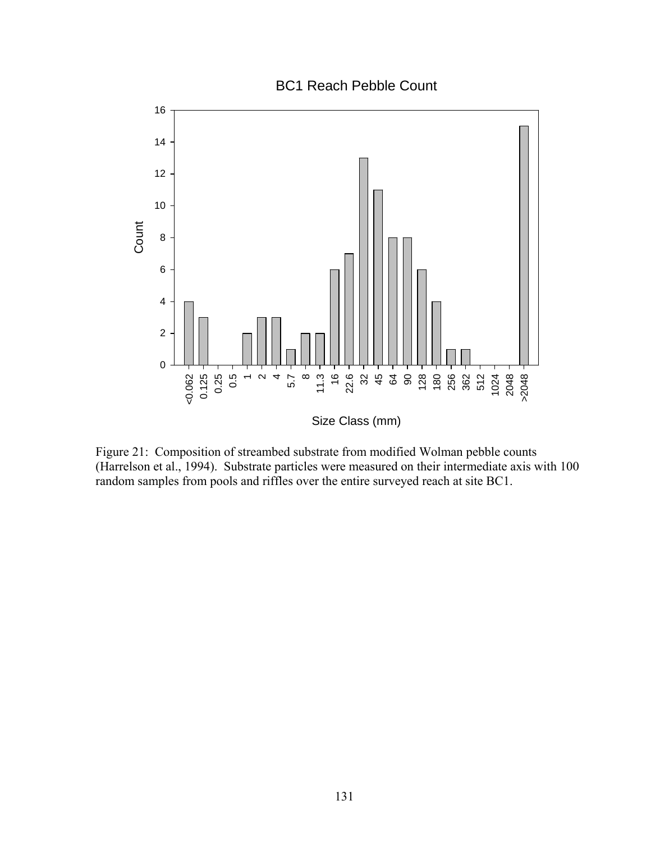BC1 Reach Pebble Count



Figure 21: Composition of streambed substrate from modified Wolman pebble counts (Harrelson et al., 1994). Substrate particles were measured on their intermediate axis with 100 random samples from pools and riffles over the entire surveyed reach at site BC1.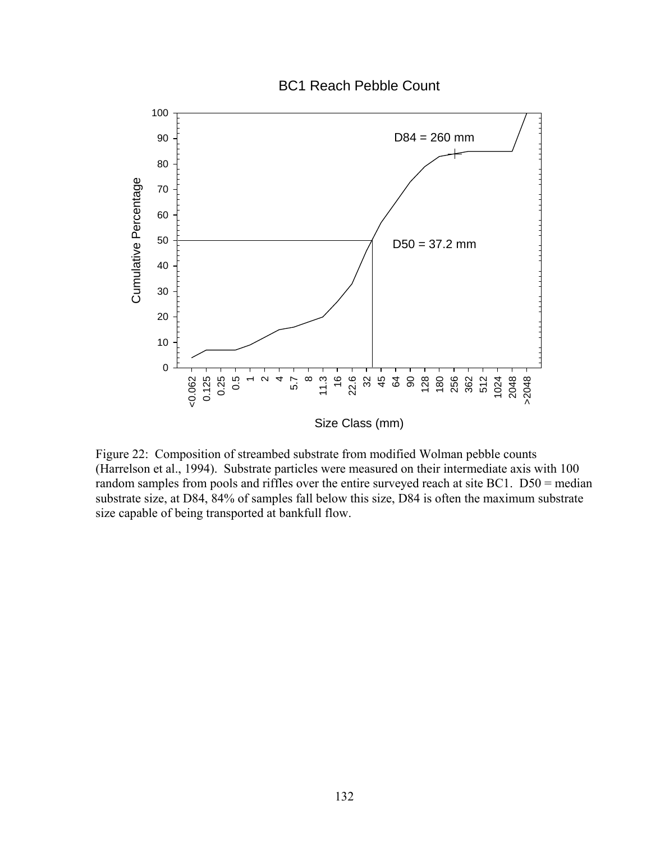

Figure 22: Composition of streambed substrate from modified Wolman pebble counts (Harrelson et al., 1994). Substrate particles were measured on their intermediate axis with 100 random samples from pools and riffles over the entire surveyed reach at site BC1. D50 = median substrate size, at D84, 84% of samples fall below this size, D84 is often the maximum substrate size capable of being transported at bankfull flow.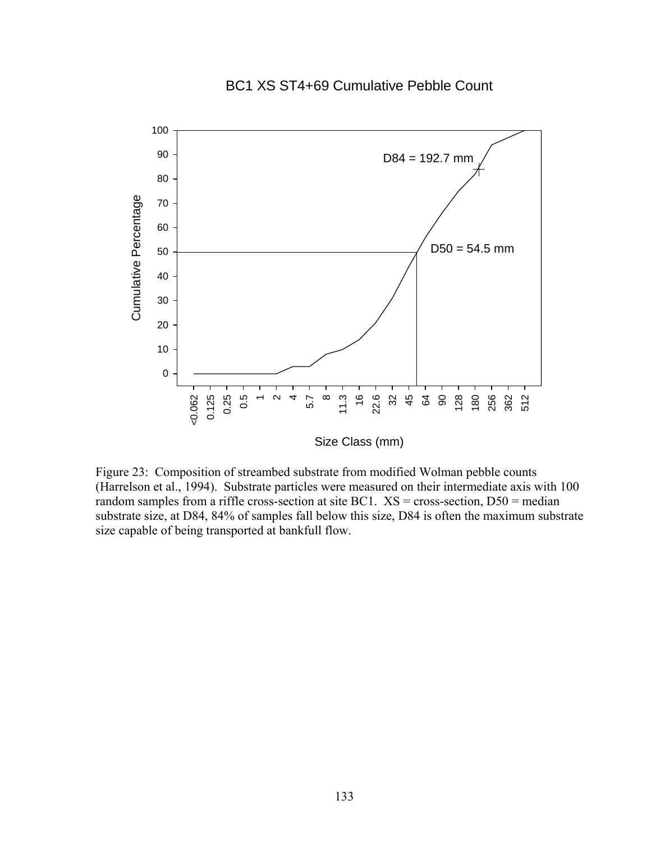### BC1 XS ST4+69 Cumulative Pebble Count



Figure 23: Composition of streambed substrate from modified Wolman pebble counts (Harrelson et al., 1994). Substrate particles were measured on their intermediate axis with 100 random samples from a riffle cross-section at site BC1.  $XS = cross-section, D50 = median$ substrate size, at D84, 84% of samples fall below this size, D84 is often the maximum substrate size capable of being transported at bankfull flow.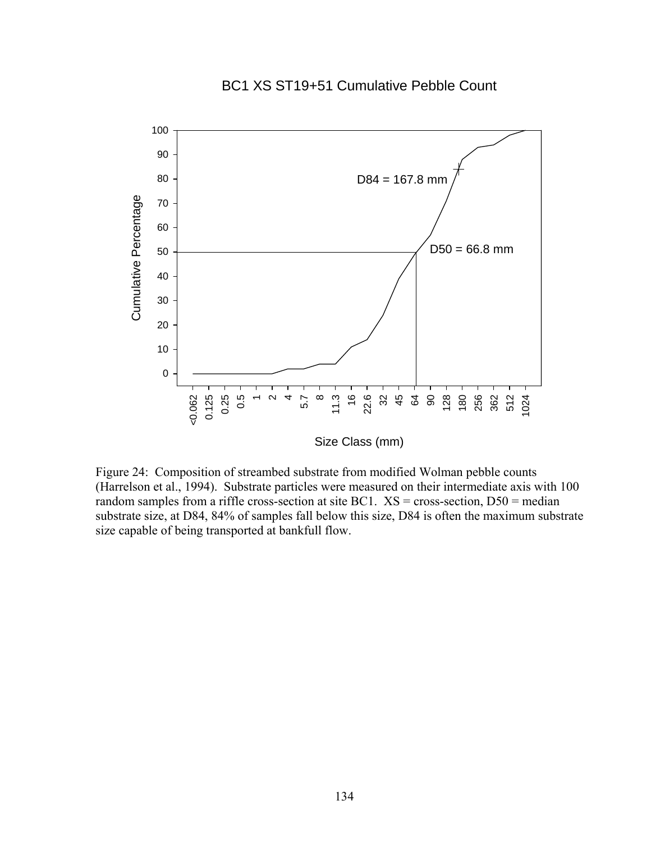# BC1 XS ST19+51 Cumulative Pebble Count



Figure 24: Composition of streambed substrate from modified Wolman pebble counts (Harrelson et al., 1994). Substrate particles were measured on their intermediate axis with 100 random samples from a riffle cross-section at site BC1.  $XS = cross-section, D50 = median$ substrate size, at D84, 84% of samples fall below this size, D84 is often the maximum substrate size capable of being transported at bankfull flow.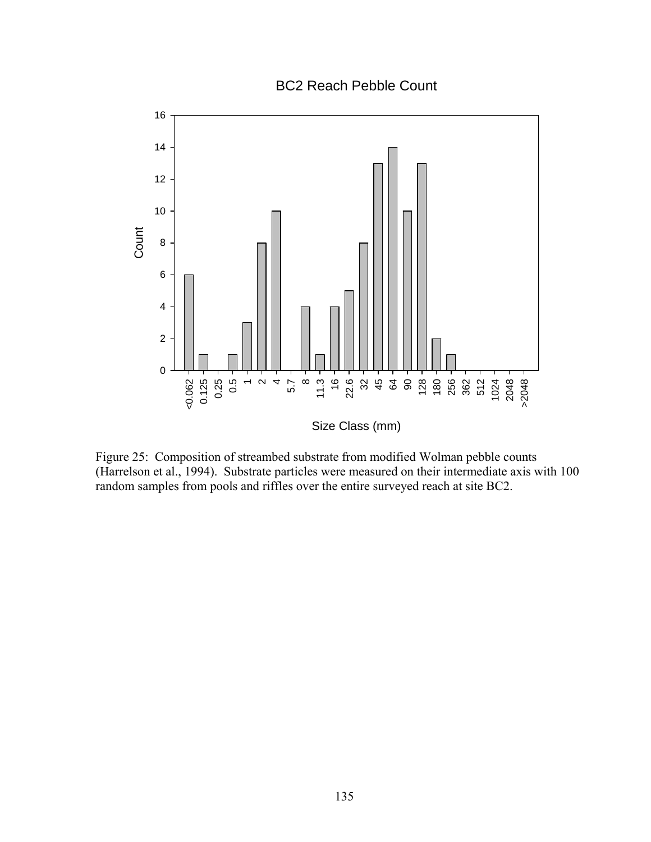BC2 Reach Pebble Count



Figure 25: Composition of streambed substrate from modified Wolman pebble counts (Harrelson et al., 1994). Substrate particles were measured on their intermediate axis with 100 random samples from pools and riffles over the entire surveyed reach at site BC2.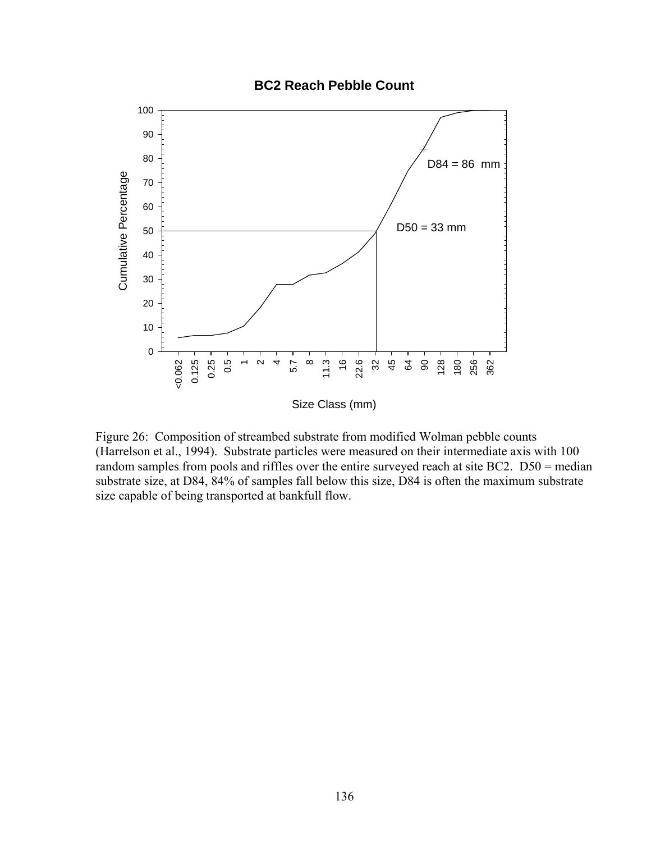#### **BC2 Reach Pebble Count**



Figure 26: Composition of streambed substrate from modified Wolman pebble counts (Harrelson et al., 1994). Substrate particles were measured on their intermediate axis with 100 random samples from pools and riffles over the entire surveyed reach at site BC2. D50 = median substrate size, at D84, 84% of samples fall below this size, D84 is often the maximum substrate size capable of being transported at bankfull flow.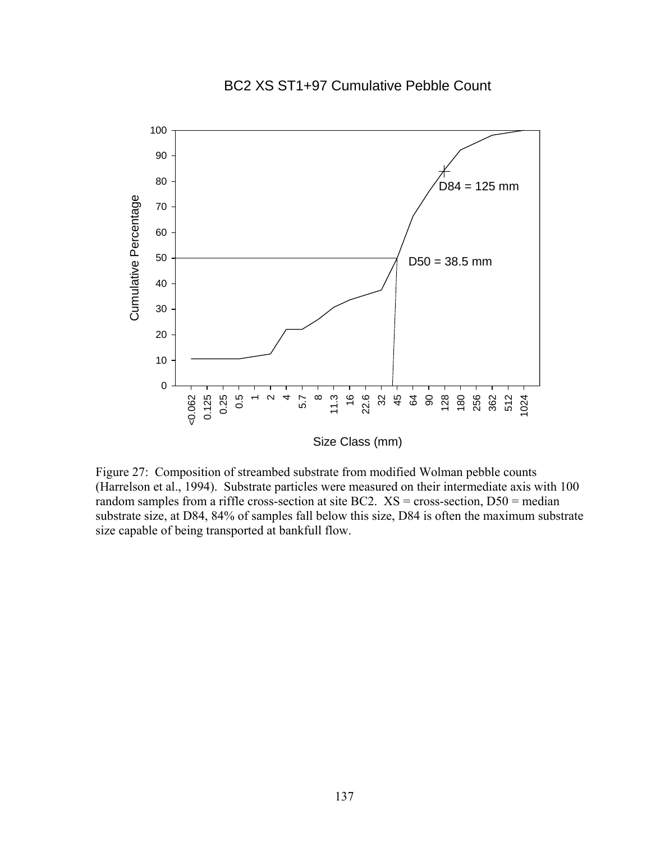# BC2 XS ST1+97 Cumulative Pebble Count



Figure 27: Composition of streambed substrate from modified Wolman pebble counts (Harrelson et al., 1994). Substrate particles were measured on their intermediate axis with 100 random samples from a riffle cross-section at site BC2.  $XS = cross-section, D50 = median$ substrate size, at D84, 84% of samples fall below this size, D84 is often the maximum substrate size capable of being transported at bankfull flow.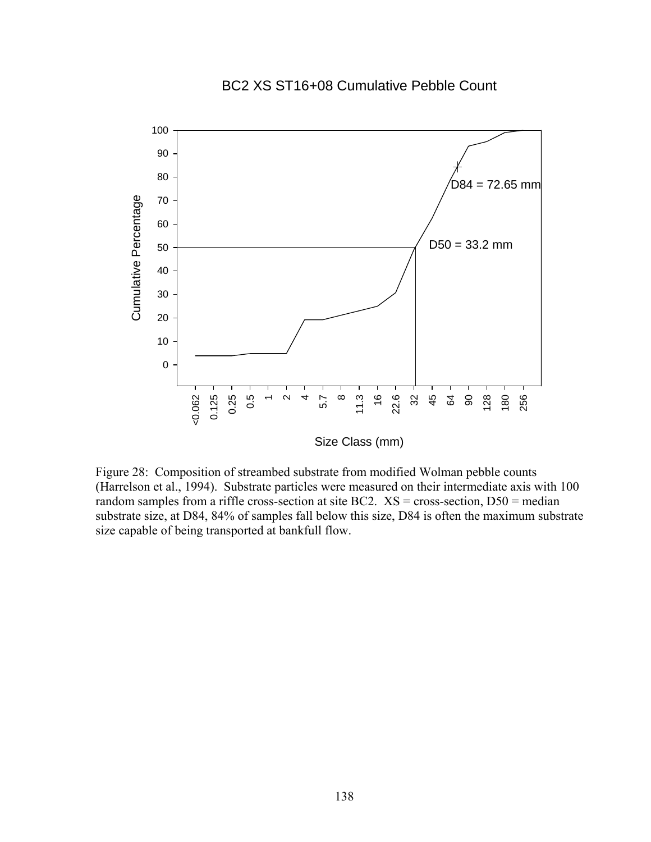## BC2 XS ST16+08 Cumulative Pebble Count



Size Class (mm)

Figure 28: Composition of streambed substrate from modified Wolman pebble counts (Harrelson et al., 1994). Substrate particles were measured on their intermediate axis with 100 random samples from a riffle cross-section at site BC2.  $XS = cross-section, D50 = median$ substrate size, at D84, 84% of samples fall below this size, D84 is often the maximum substrate size capable of being transported at bankfull flow.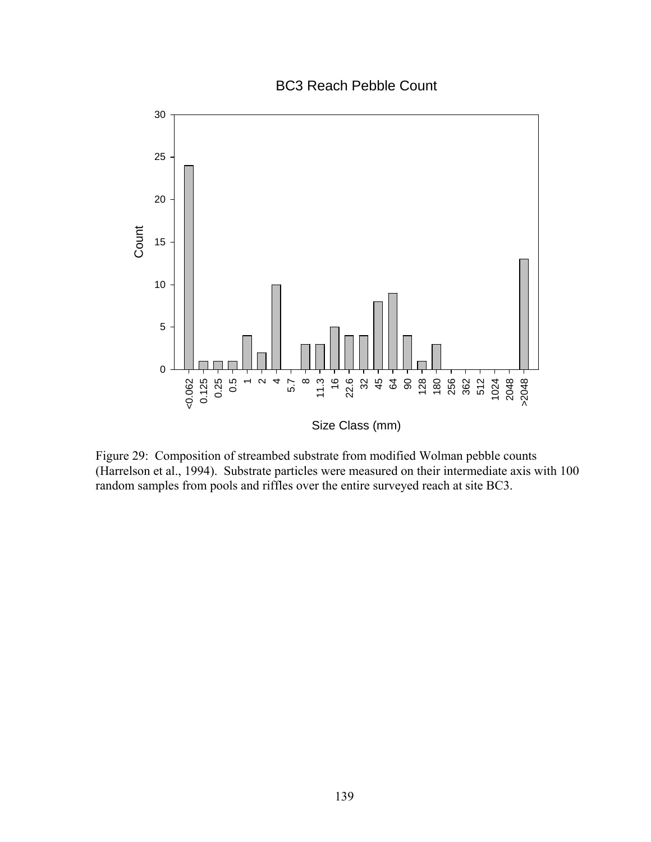BC3 Reach Pebble Count



Figure 29: Composition of streambed substrate from modified Wolman pebble counts (Harrelson et al., 1994). Substrate particles were measured on their intermediate axis with 100 random samples from pools and riffles over the entire surveyed reach at site BC3.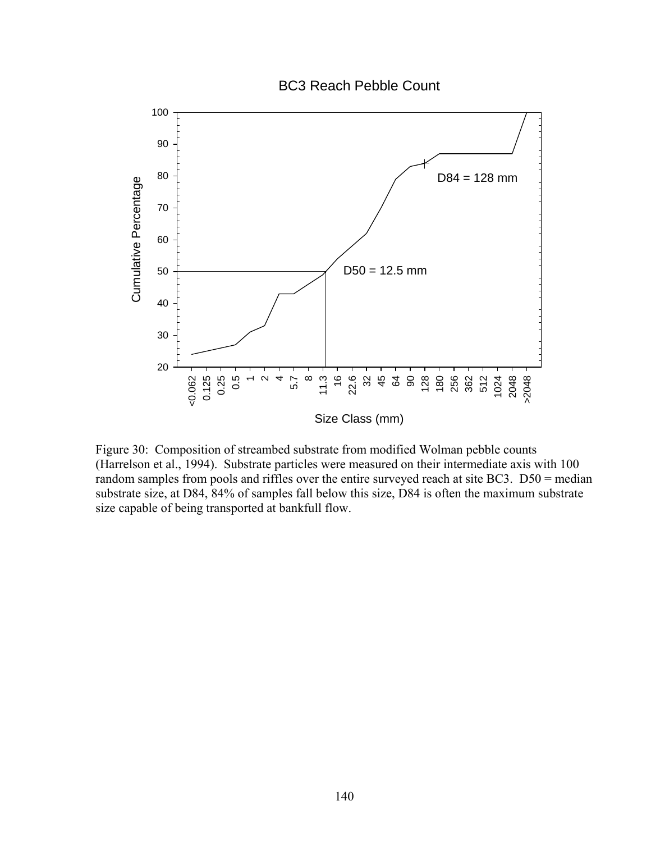BC3 Reach Pebble Count



Figure 30: Composition of streambed substrate from modified Wolman pebble counts (Harrelson et al., 1994). Substrate particles were measured on their intermediate axis with 100 random samples from pools and riffles over the entire surveyed reach at site BC3. D50 = median substrate size, at D84, 84% of samples fall below this size, D84 is often the maximum substrate size capable of being transported at bankfull flow.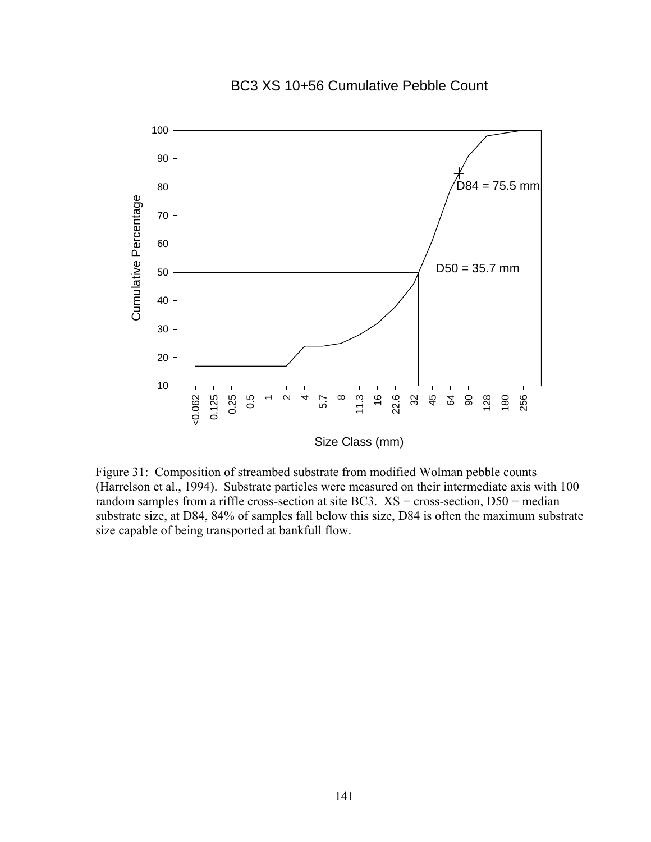## BC3 XS 10+56 Cumulative Pebble Count



Figure 31: Composition of streambed substrate from modified Wolman pebble counts (Harrelson et al., 1994). Substrate particles were measured on their intermediate axis with 100 random samples from a riffle cross-section at site BC3.  $XS = \text{cross-section}, DS0 = \text{median}$ substrate size, at D84, 84% of samples fall below this size, D84 is often the maximum substrate size capable of being transported at bankfull flow.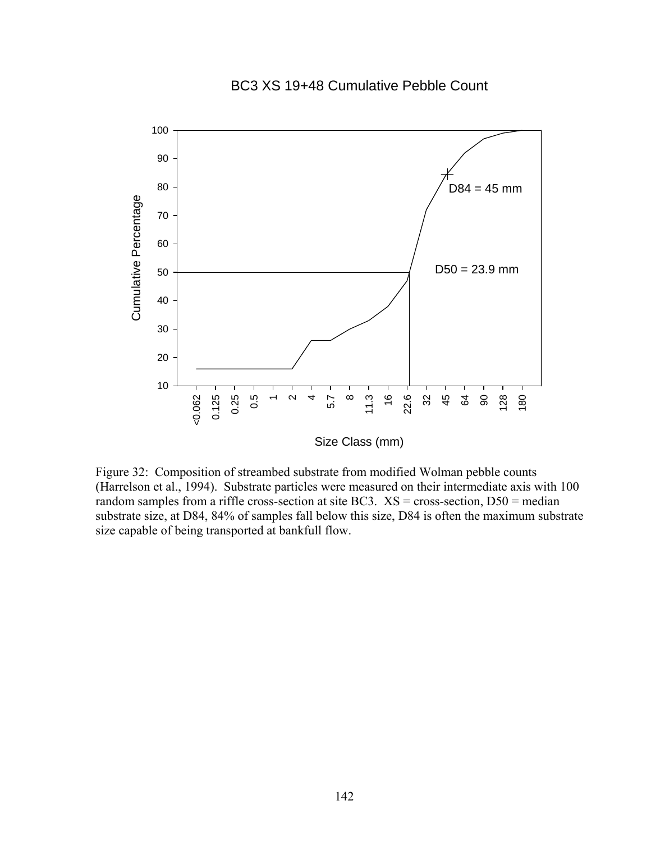#### BC3 XS 19+48 Cumulative Pebble Count



Figure 32: Composition of streambed substrate from modified Wolman pebble counts (Harrelson et al., 1994). Substrate particles were measured on their intermediate axis with 100 random samples from a riffle cross-section at site BC3.  $XS = \text{cross-section}, DS0 = \text{median}$ substrate size, at D84, 84% of samples fall below this size, D84 is often the maximum substrate size capable of being transported at bankfull flow.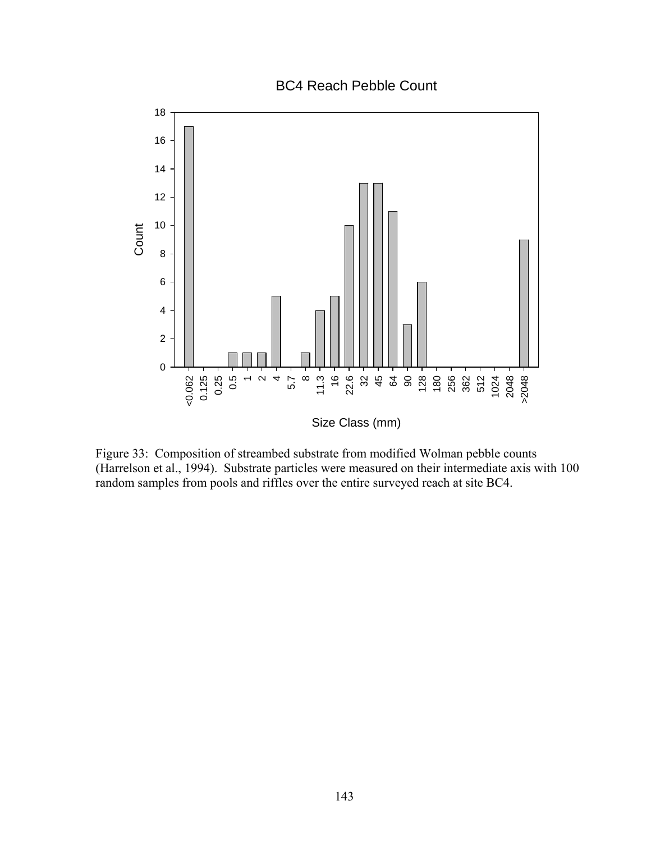BC4 Reach Pebble Count



Figure 33: Composition of streambed substrate from modified Wolman pebble counts (Harrelson et al., 1994). Substrate particles were measured on their intermediate axis with 100 random samples from pools and riffles over the entire surveyed reach at site BC4.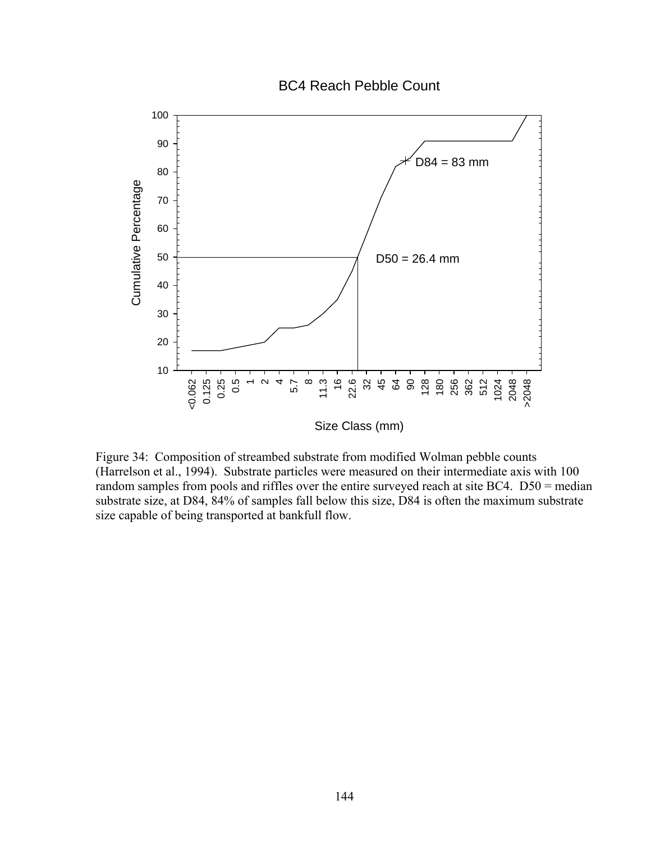BC4 Reach Pebble Count



Figure 34: Composition of streambed substrate from modified Wolman pebble counts (Harrelson et al., 1994). Substrate particles were measured on their intermediate axis with 100 random samples from pools and riffles over the entire surveyed reach at site BC4. D50 = median substrate size, at D84, 84% of samples fall below this size, D84 is often the maximum substrate size capable of being transported at bankfull flow.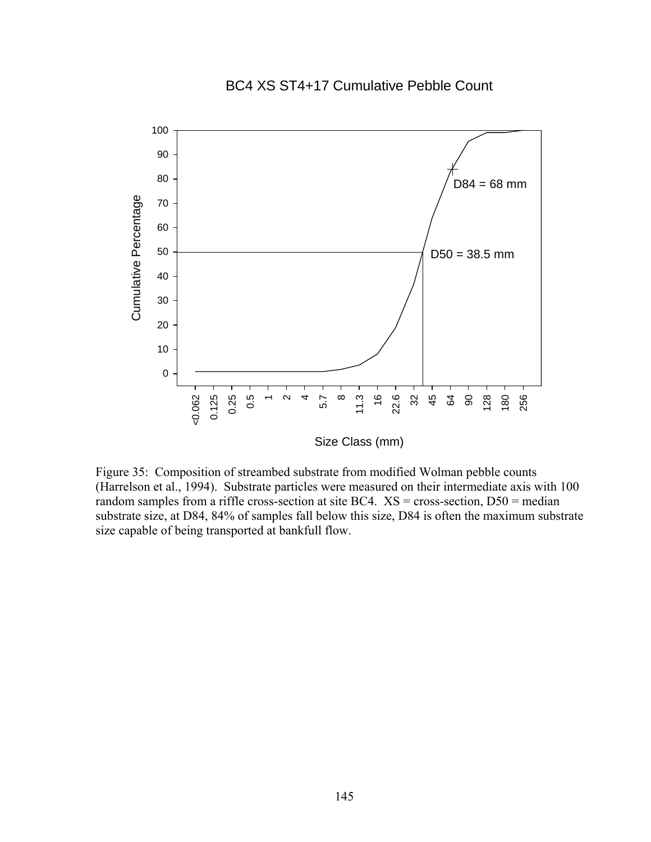#### BC4 XS ST4+17 Cumulative Pebble Count



Size Class (mm)

Figure 35: Composition of streambed substrate from modified Wolman pebble counts (Harrelson et al., 1994). Substrate particles were measured on their intermediate axis with 100 random samples from a riffle cross-section at site BC4.  $XS = cross-section, D50 = median$ substrate size, at D84, 84% of samples fall below this size, D84 is often the maximum substrate size capable of being transported at bankfull flow.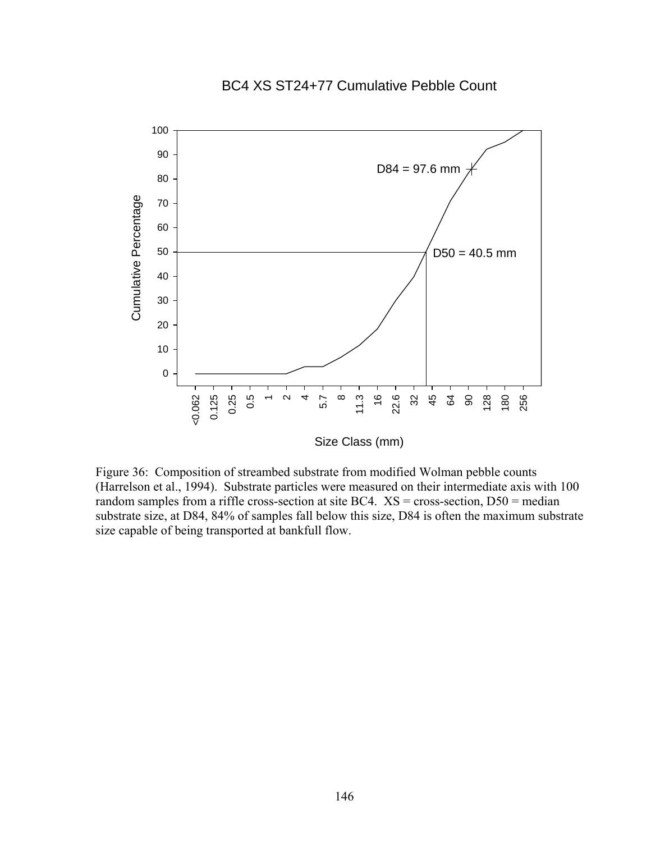# BC4 XS ST24+77 Cumulative Pebble Count



Figure 36: Composition of streambed substrate from modified Wolman pebble counts (Harrelson et al., 1994). Substrate particles were measured on their intermediate axis with 100 random samples from a riffle cross-section at site BC4.  $XS = cross-section, D50 = median$ substrate size, at D84, 84% of samples fall below this size, D84 is often the maximum substrate size capable of being transported at bankfull flow.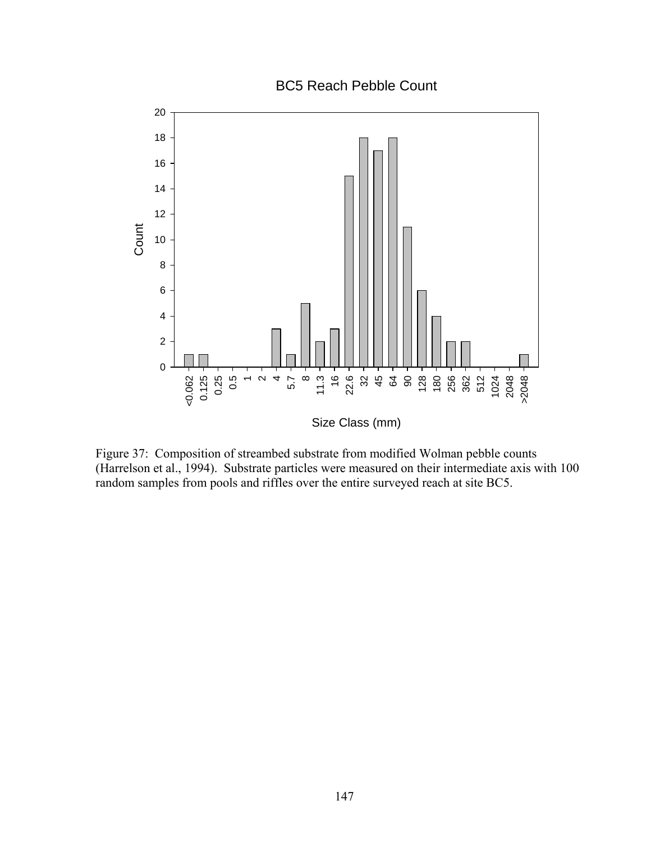BC5 Reach Pebble Count



Figure 37: Composition of streambed substrate from modified Wolman pebble counts (Harrelson et al., 1994). Substrate particles were measured on their intermediate axis with 100 random samples from pools and riffles over the entire surveyed reach at site BC5.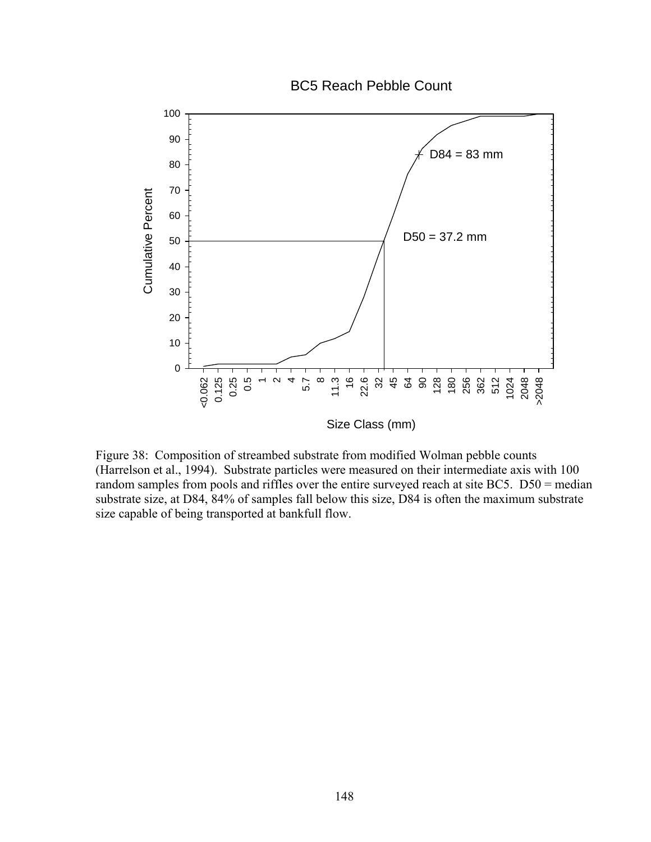BC5 Reach Pebble Count



Figure 38: Composition of streambed substrate from modified Wolman pebble counts (Harrelson et al., 1994). Substrate particles were measured on their intermediate axis with 100 random samples from pools and riffles over the entire surveyed reach at site BC5. D50 = median substrate size, at D84, 84% of samples fall below this size, D84 is often the maximum substrate size capable of being transported at bankfull flow.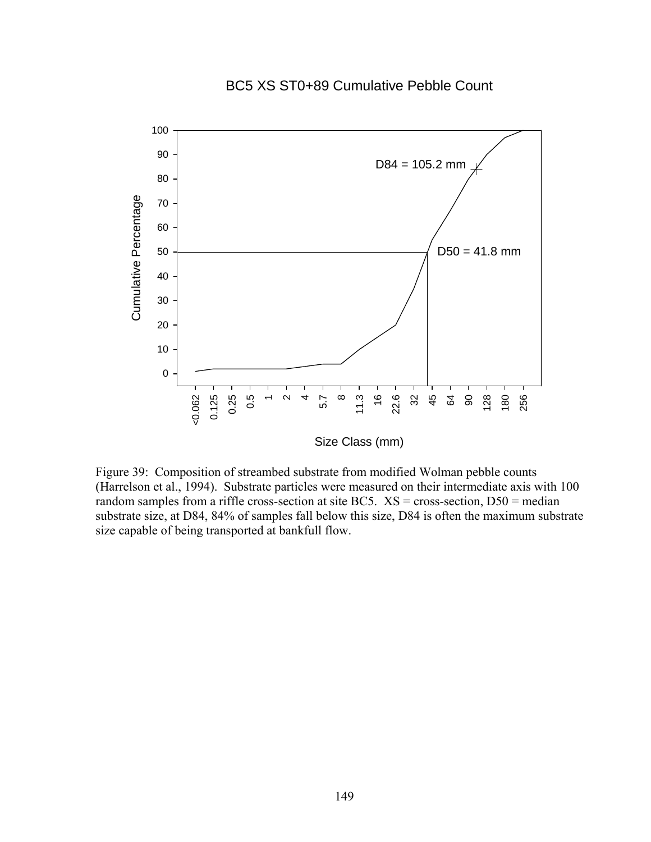# BC5 XS ST0+89 Cumulative Pebble Count



Size Class (mm)

Figure 39: Composition of streambed substrate from modified Wolman pebble counts (Harrelson et al., 1994). Substrate particles were measured on their intermediate axis with 100 random samples from a riffle cross-section at site BC5.  $XS = \text{cross-section}, DS0 = \text{median}$ substrate size, at D84, 84% of samples fall below this size, D84 is often the maximum substrate size capable of being transported at bankfull flow.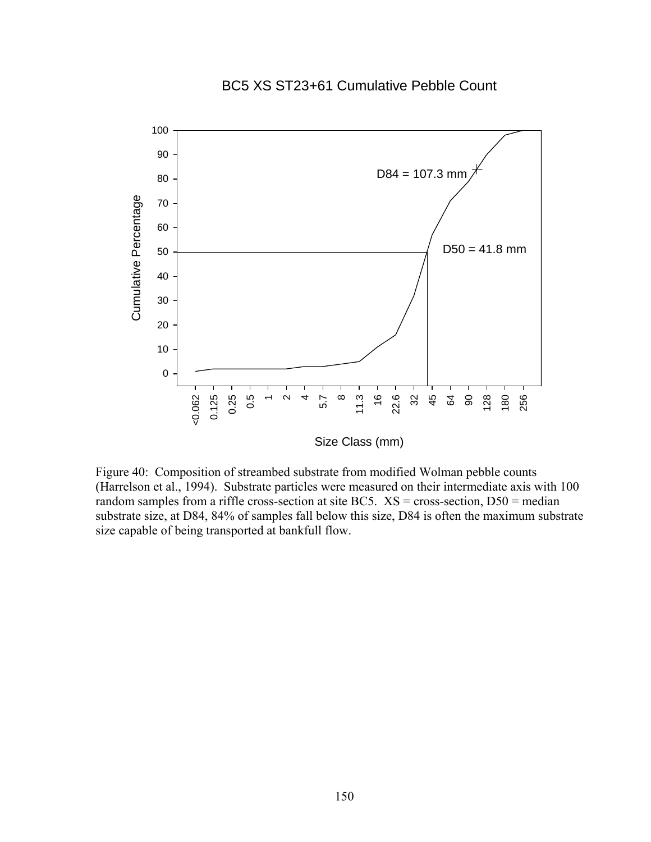# BC5 XS ST23+61 Cumulative Pebble Count



Figure 40: Composition of streambed substrate from modified Wolman pebble counts (Harrelson et al., 1994). Substrate particles were measured on their intermediate axis with 100 random samples from a riffle cross-section at site BC5.  $XS = \text{cross-section}, DS0 = \text{median}$ substrate size, at D84, 84% of samples fall below this size, D84 is often the maximum substrate size capable of being transported at bankfull flow.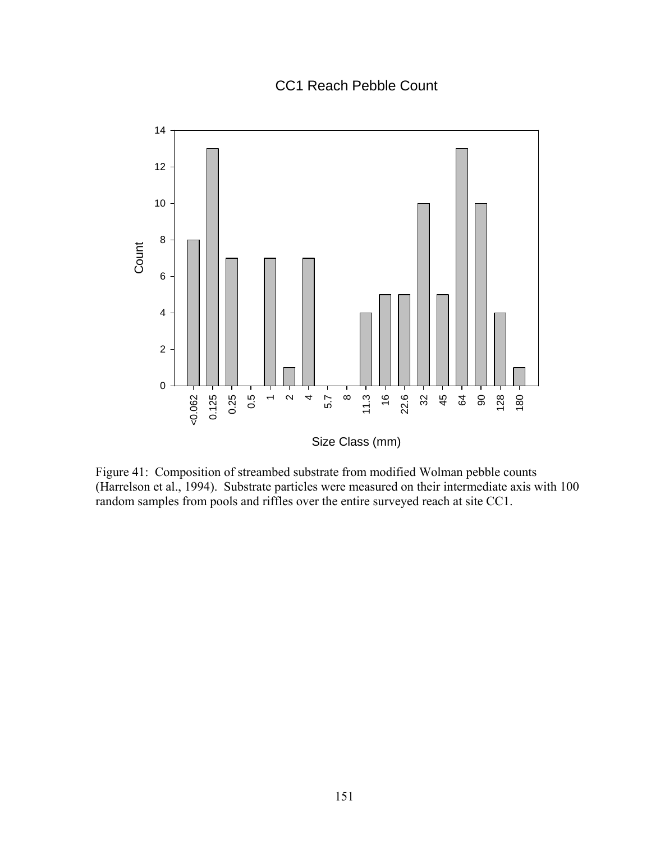# CC1 Reach Pebble Count



Figure 41: Composition of streambed substrate from modified Wolman pebble counts (Harrelson et al., 1994). Substrate particles were measured on their intermediate axis with 100 random samples from pools and riffles over the entire surveyed reach at site CC1.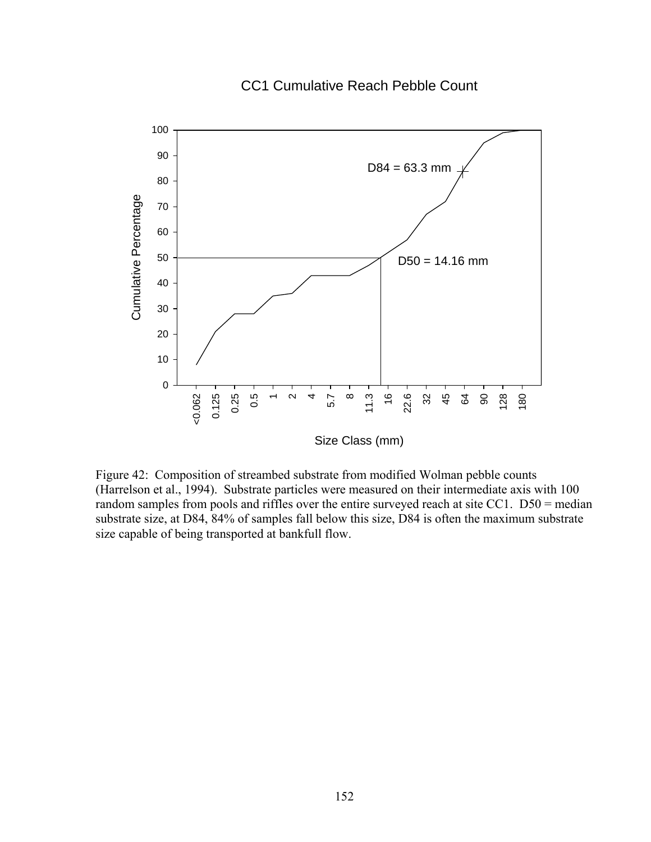# CC1 Cumulative Reach Pebble Count



Figure 42: Composition of streambed substrate from modified Wolman pebble counts (Harrelson et al., 1994). Substrate particles were measured on their intermediate axis with 100 random samples from pools and riffles over the entire surveyed reach at site CC1. D50 = median substrate size, at D84, 84% of samples fall below this size, D84 is often the maximum substrate size capable of being transported at bankfull flow.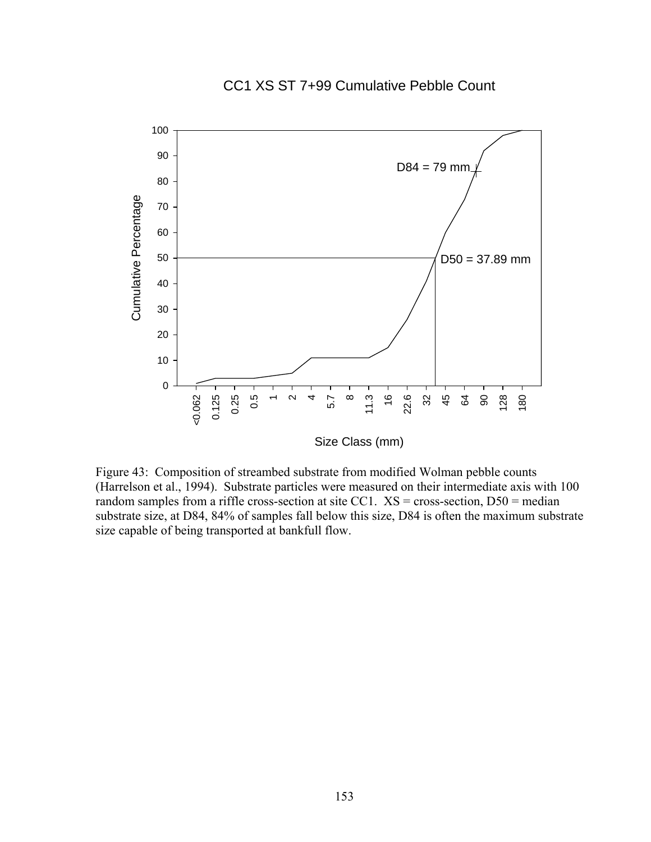# CC1 XS ST 7+99 Cumulative Pebble Count



Figure 43: Composition of streambed substrate from modified Wolman pebble counts (Harrelson et al., 1994). Substrate particles were measured on their intermediate axis with 100 random samples from a riffle cross-section at site CC1.  $XS = cross-section, DS0 = median$ substrate size, at D84, 84% of samples fall below this size, D84 is often the maximum substrate size capable of being transported at bankfull flow.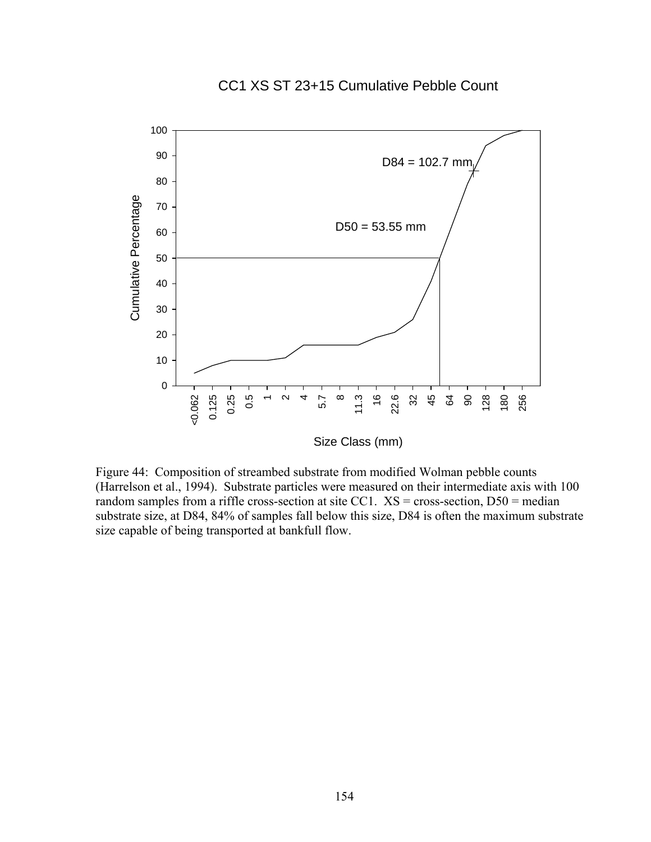# CC1 XS ST 23+15 Cumulative Pebble Count



Figure 44: Composition of streambed substrate from modified Wolman pebble counts (Harrelson et al., 1994). Substrate particles were measured on their intermediate axis with 100 random samples from a riffle cross-section at site CC1.  $XS = cross-section, DS0 = median$ substrate size, at D84, 84% of samples fall below this size, D84 is often the maximum substrate size capable of being transported at bankfull flow.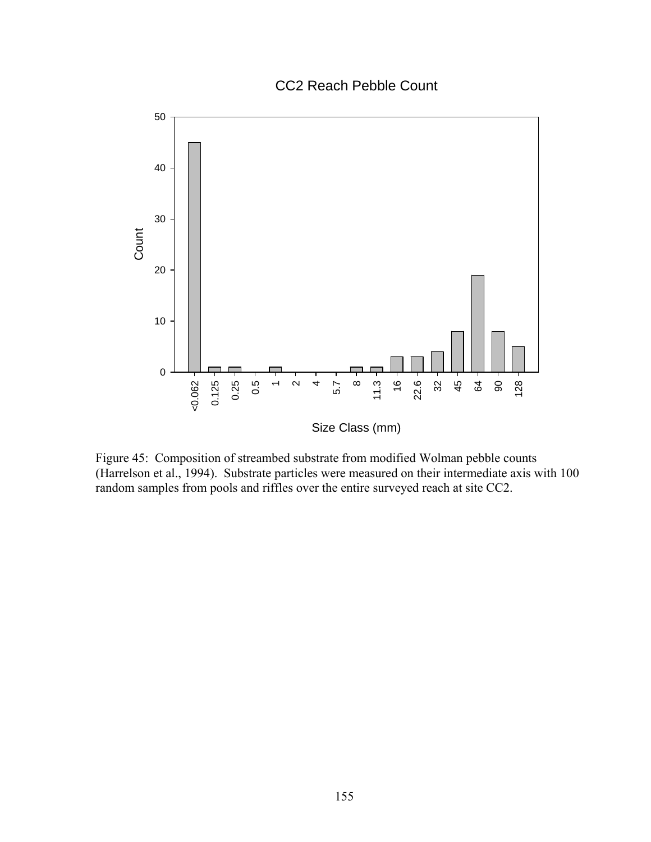CC2 Reach Pebble Count



Figure 45: Composition of streambed substrate from modified Wolman pebble counts (Harrelson et al., 1994). Substrate particles were measured on their intermediate axis with 100 random samples from pools and riffles over the entire surveyed reach at site CC2.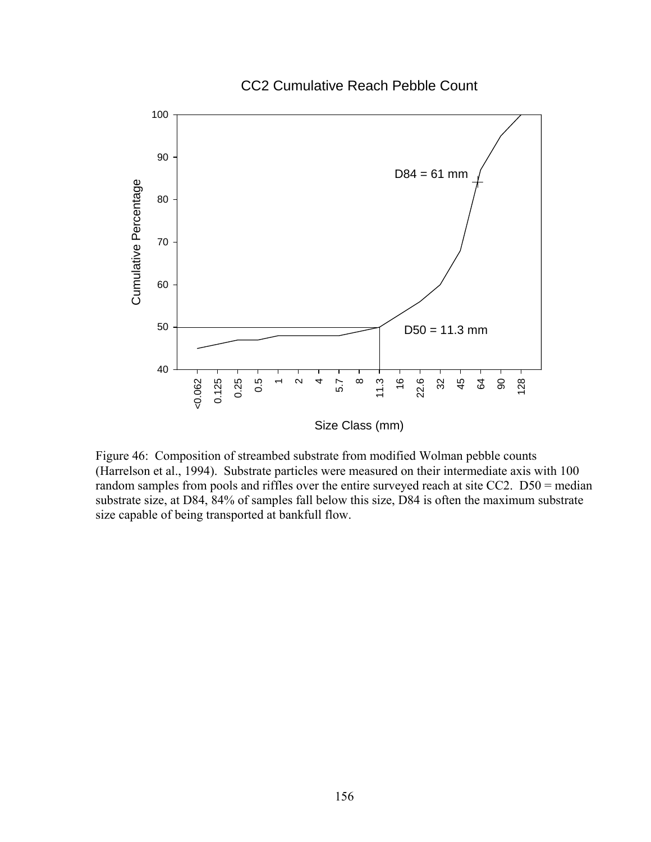#### CC2 Cumulative Reach Pebble Count



Figure 46: Composition of streambed substrate from modified Wolman pebble counts (Harrelson et al., 1994). Substrate particles were measured on their intermediate axis with 100 random samples from pools and riffles over the entire surveyed reach at site CC2. D50 = median substrate size, at D84, 84% of samples fall below this size, D84 is often the maximum substrate size capable of being transported at bankfull flow.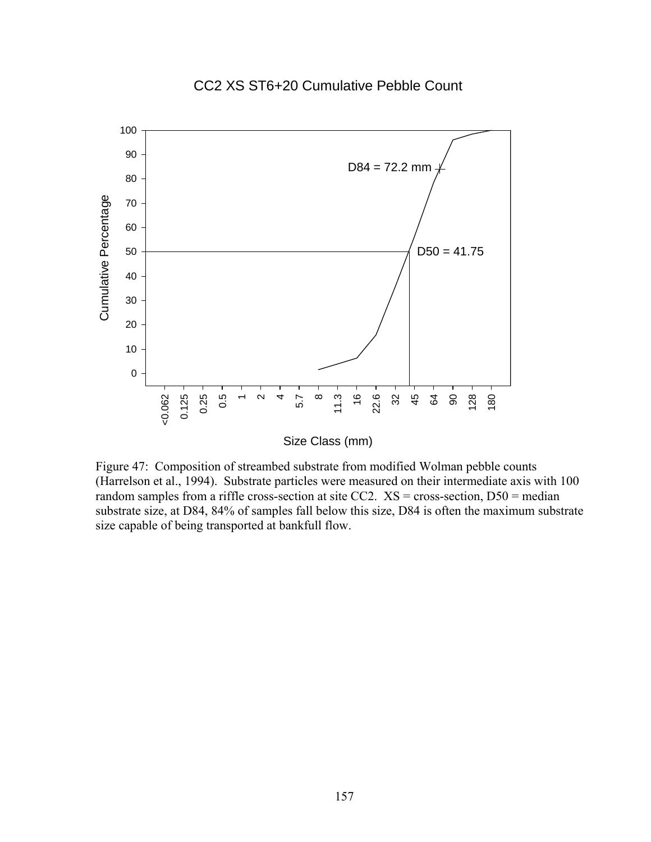#### 100 90  $D84 = 72.2$  mm 80 Cumulative Percentage Cumulative Percentage 70 60 50  $D50 = 41.75$ 40 30 20 10 0 16 22.6 32 0.25 0.5 11.3 <0.062 0.125  $\infty$ 5.7  $\scriptstyle\sim$ 445 64 90 128 180  $\overline{\phantom{a}}$

## CC2 XS ST6+20 Cumulative Pebble Count

Size Class (mm)

Figure 47: Composition of streambed substrate from modified Wolman pebble counts (Harrelson et al., 1994). Substrate particles were measured on their intermediate axis with 100 random samples from a riffle cross-section at site CC2.  $XS = cross-section, D50 = median$ substrate size, at D84, 84% of samples fall below this size, D84 is often the maximum substrate size capable of being transported at bankfull flow.